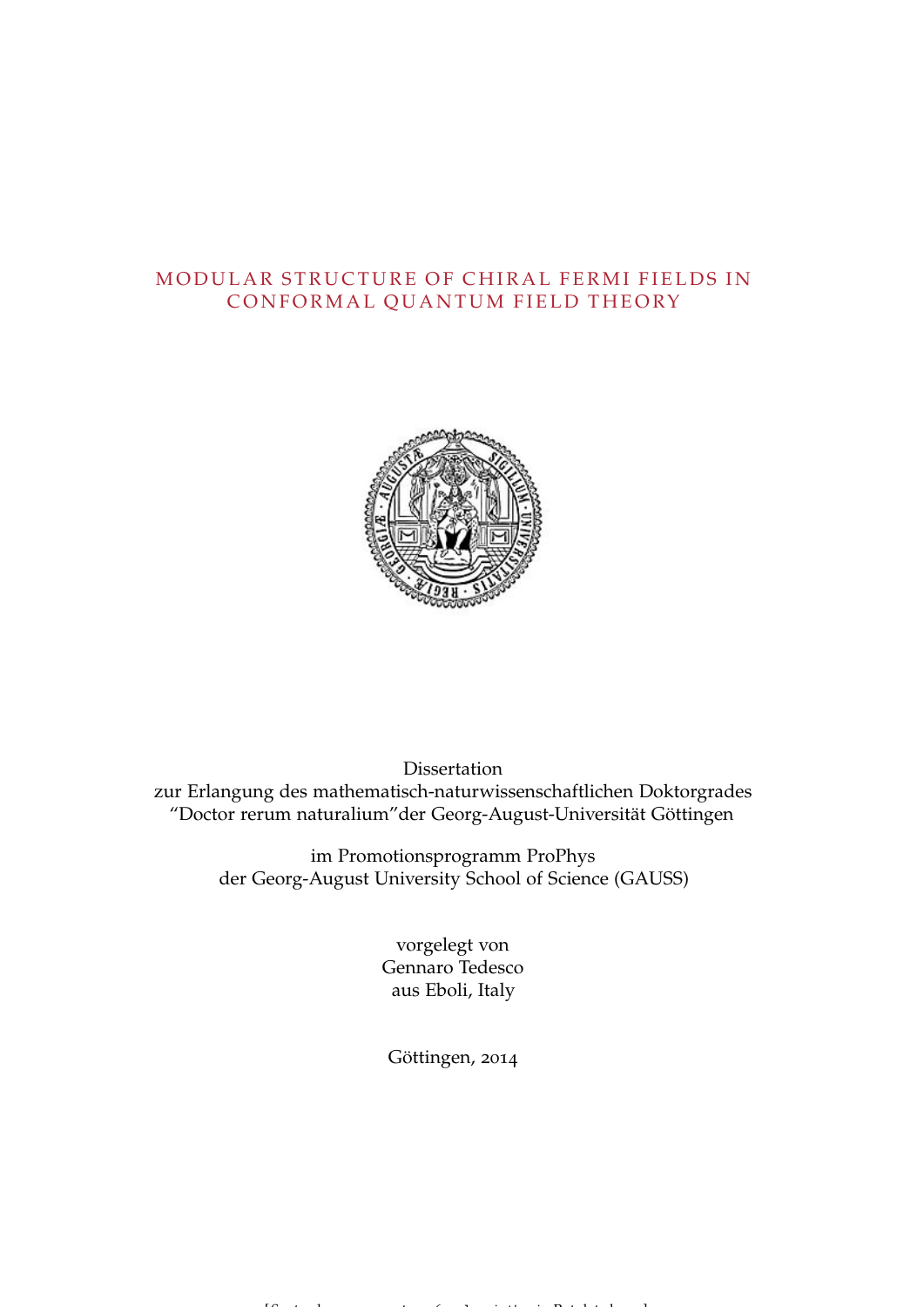# MODULAR STRUCTURE OF CHIRAL FERMI FIELDS IN CONFORMAL QUANTUM FIELD THEORY



Dissertation zur Erlangung des mathematisch-naturwissenschaftlichen Doktorgrades "Doctor rerum naturalium"der Georg-August-Universität Göttingen

> im Promotionsprogramm ProPhys der Georg-August University School of Science (GAUSS)

> > vorgelegt von Gennaro Tedesco aus Eboli, Italy

Göttingen, 2014

 $\begin{bmatrix} 1 & 0 & 1 \\ 0 & 1 & 1 \end{bmatrix}$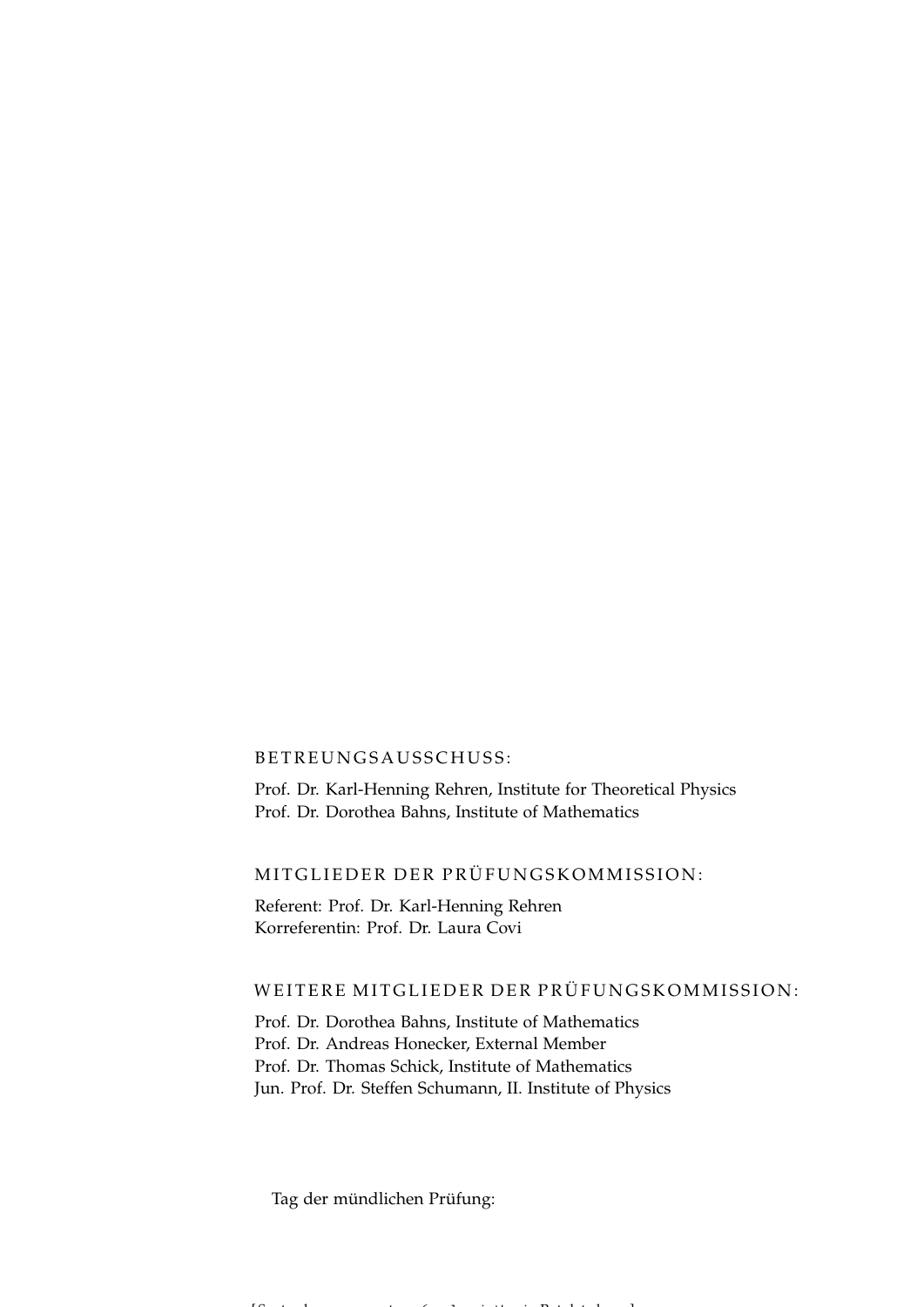## BETREUNGSAUSSCHUSS:

Prof. Dr. Karl-Henning Rehren, Institute for Theoretical Physics Prof. Dr. Dorothea Bahns, Institute of Mathematics

# MITGLIEDER DER PRÜFUNGSKOMMISSION:

Referent: Prof. Dr. Karl-Henning Rehren Korreferentin: Prof. Dr. Laura Covi

# WEITERE MITGLIEDER DER PRÜFUNGSKOMMISSION:

Prof. Dr. Dorothea Bahns, Institute of Mathematics Prof. Dr. Andreas Honecker, External Member Prof. Dr. Thomas Schick, Institute of Mathematics Jun. Prof. Dr. Steffen Schumann, II. Institute of Physics

 $\begin{bmatrix} 1 & 0 & 1 \\ 0 & 1 & 1 \end{bmatrix}$ 

Tag der mündlichen Prüfung: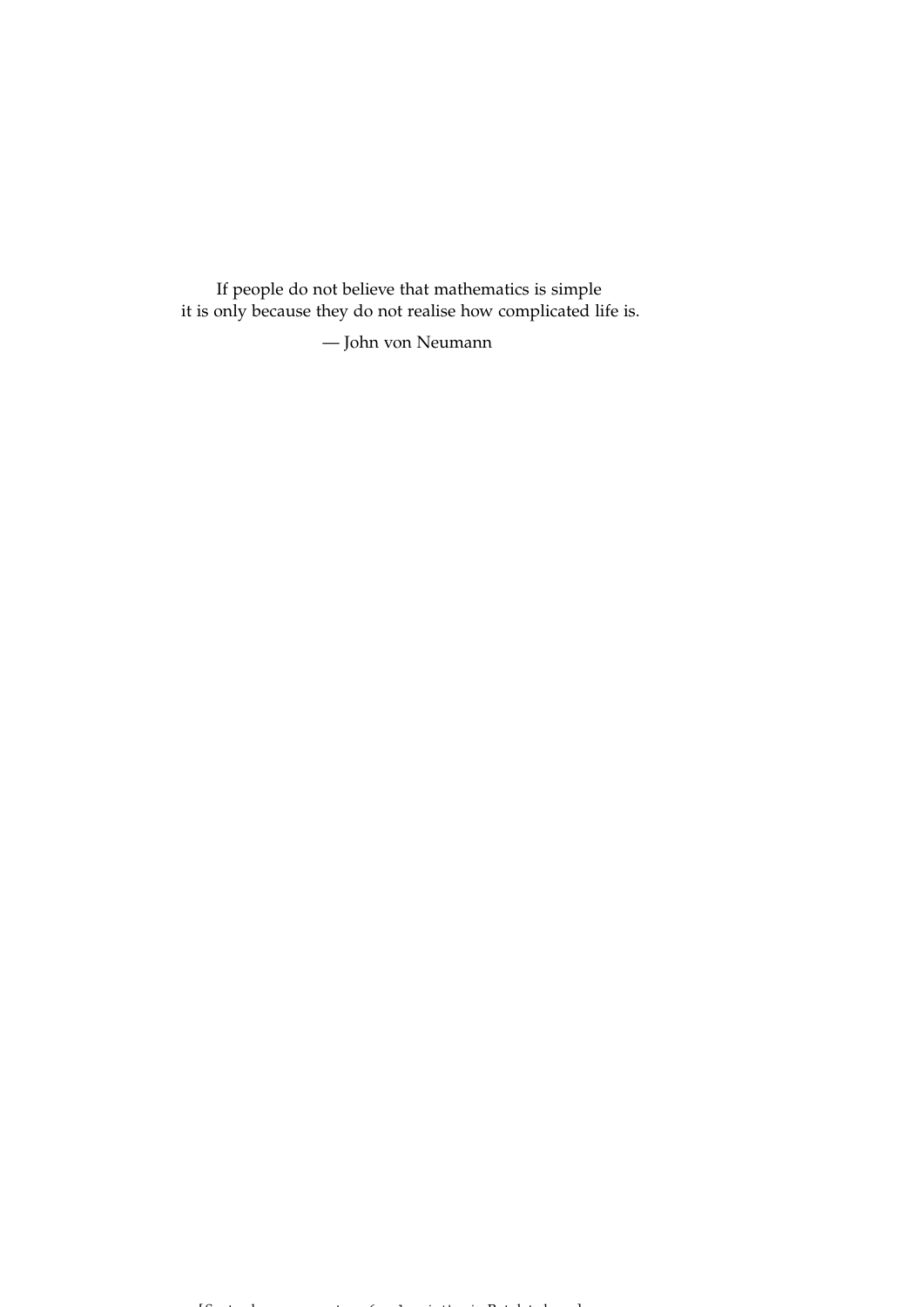If people do not believe that mathematics is simple it is only because they do not realise how complicated life is.

— John von Neumann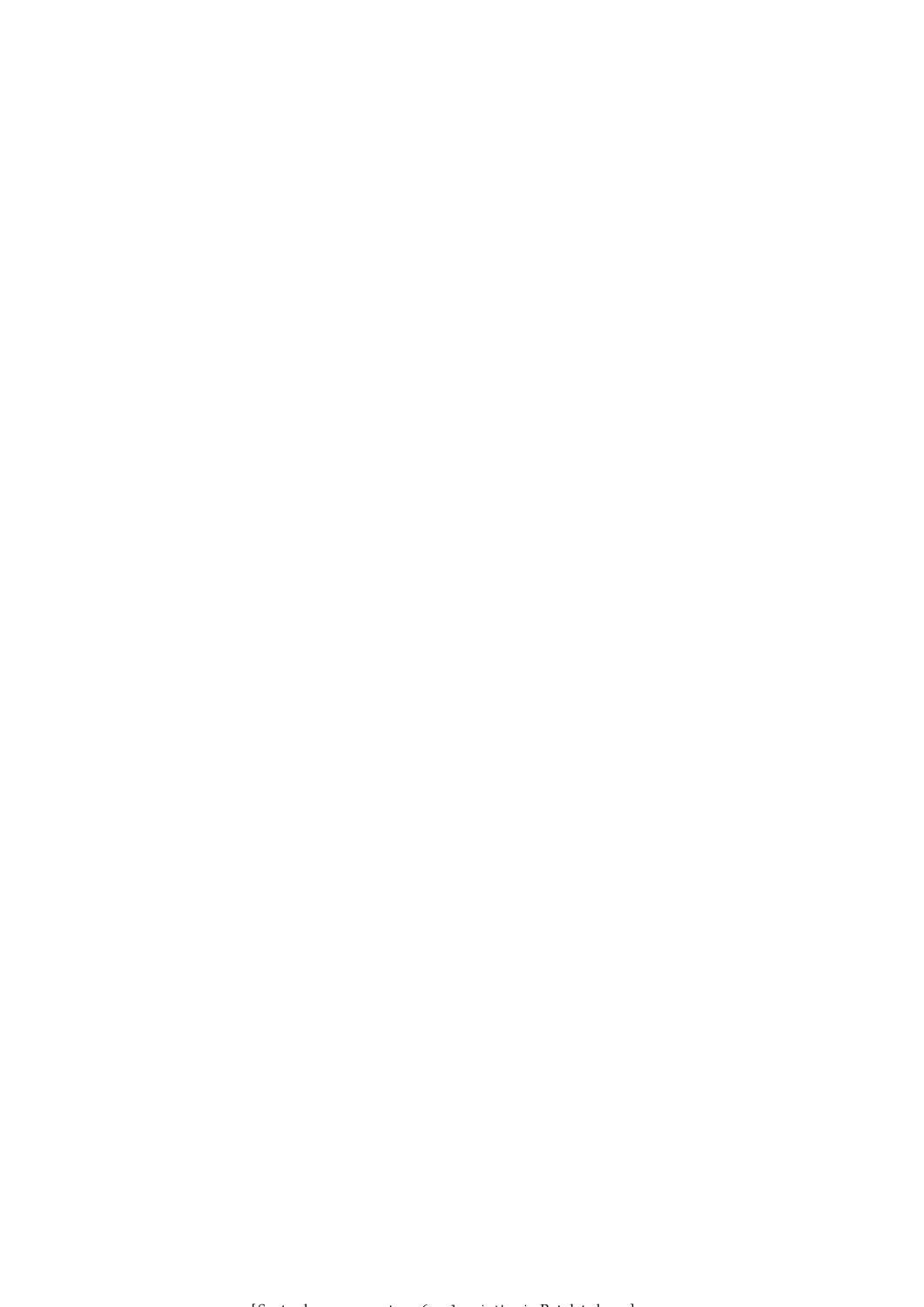$\begin{bmatrix} 1 & 0 & 1 \\ 0 & 1 & 1 \end{bmatrix}$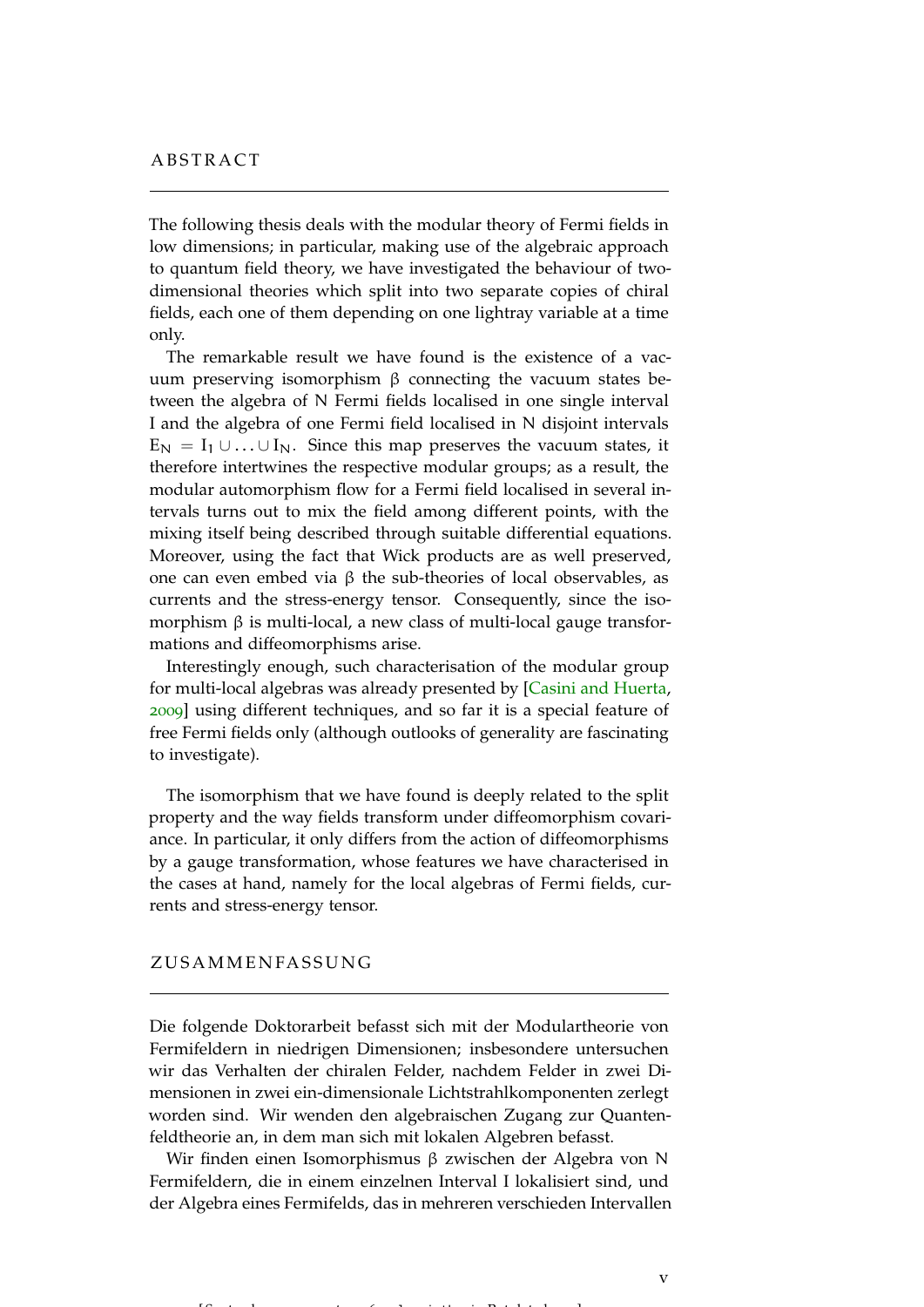The following thesis deals with the modular theory of Fermi fields in low dimensions; in particular, making use of the algebraic approach to quantum field theory, we have investigated the behaviour of twodimensional theories which split into two separate copies of chiral fields, each one of them depending on one lightray variable at a time only.

The remarkable result we have found is the existence of a vacuum preserving isomorphism β connecting the vacuum states between the algebra of N Fermi fields localised in one single interval I and the algebra of one Fermi field localised in N disjoint intervals  $E_N = I_1 \cup ... \cup I_N$ . Since this map preserves the vacuum states, it therefore intertwines the respective modular groups; as a result, the modular automorphism flow for a Fermi field localised in several intervals turns out to mix the field among different points, with the mixing itself being described through suitable differential equations. Moreover, using the fact that Wick products are as well preserved, one can even embed via β the sub-theories of local observables, as currents and the stress-energy tensor. Consequently, since the isomorphism β is multi-local, a new class of multi-local gauge transformations and diffeomorphisms arise.

Interestingly enough, such characterisation of the modular group for multi-local algebras was already presented by [\[Casini and Huerta,](#page-117-0) [2009](#page-117-0)] using different techniques, and so far it is a special feature of free Fermi fields only (although outlooks of generality are fascinating to investigate).

The isomorphism that we have found is deeply related to the split property and the way fields transform under diffeomorphism covariance. In particular, it only differs from the action of diffeomorphisms by a gauge transformation, whose features we have characterised in the cases at hand, namely for the local algebras of Fermi fields, currents and stress-energy tensor.

## ZUS A MMENFAS SUNG

Die folgende Doktorarbeit befasst sich mit der Modulartheorie von Fermifeldern in niedrigen Dimensionen; insbesondere untersuchen wir das Verhalten der chiralen Felder, nachdem Felder in zwei Dimensionen in zwei ein-dimensionale Lichtstrahlkomponenten zerlegt worden sind. Wir wenden den algebraischen Zugang zur Quantenfeldtheorie an, in dem man sich mit lokalen Algebren befasst.

Wir finden einen Isomorphismus β zwischen der Algebra von N Fermifeldern, die in einem einzelnen Interval I lokalisiert sind, und der Algebra eines Fermifelds, das in mehreren verschieden Intervallen

 $\begin{bmatrix} 1 & 0 & 1 \\ 0 & 1 & 1 \end{bmatrix}$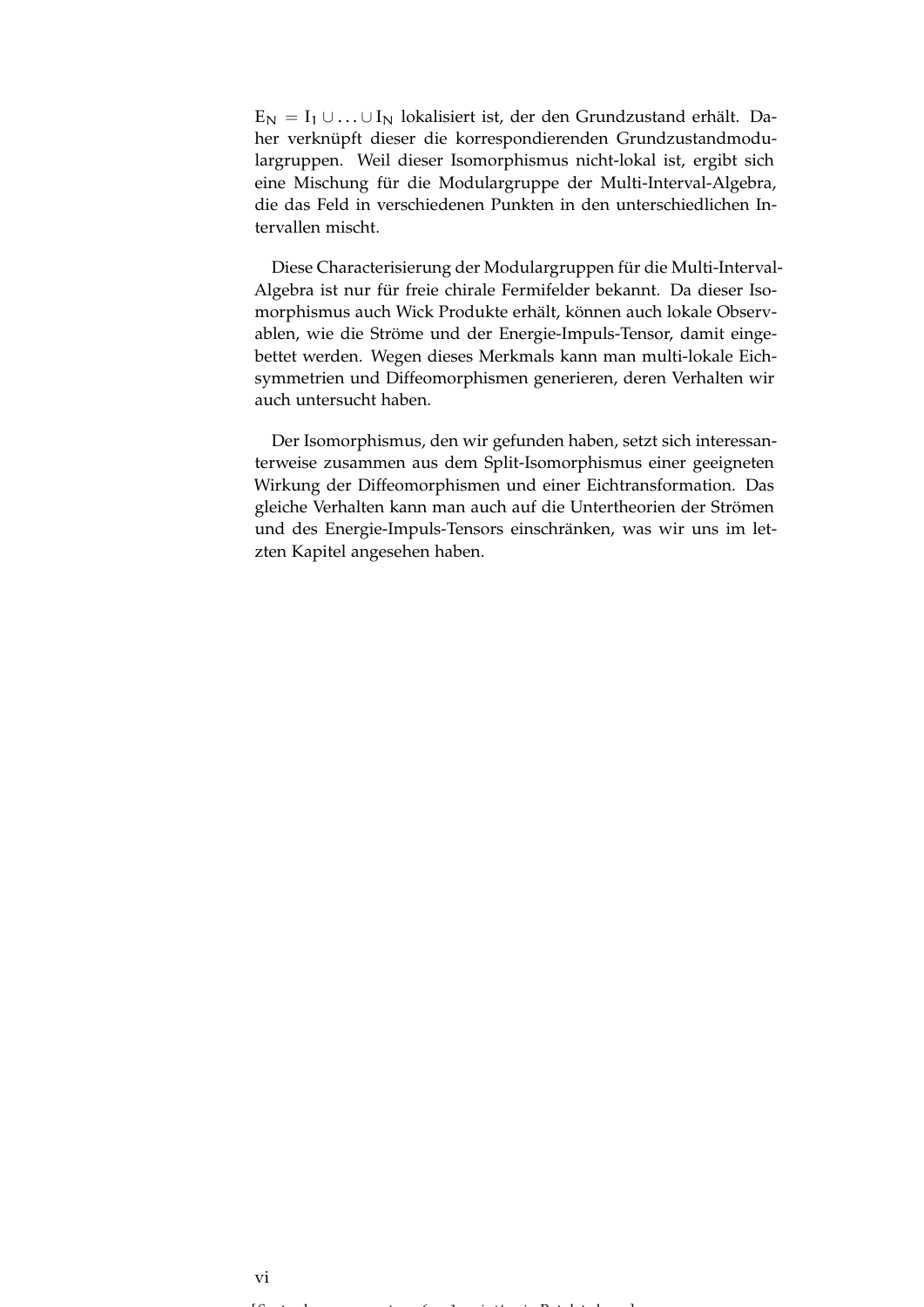$E_N = I_1 ∪ ... ∪ I_N$  lokalisiert ist, der den Grundzustand erhält. Daher verknüpft dieser die korrespondierenden Grundzustandmodulargruppen. Weil dieser Isomorphismus nicht-lokal ist, ergibt sich eine Mischung für die Modulargruppe der Multi-Interval-Algebra, die das Feld in verschiedenen Punkten in den unterschiedlichen Intervallen mischt.

Diese Characterisierung der Modulargruppen für die Multi-Interval-Algebra ist nur für freie chirale Fermifelder bekannt. Da dieser Isomorphismus auch Wick Produkte erhält, können auch lokale Observablen, wie die Ströme und der Energie-Impuls-Tensor, damit eingebettet werden. Wegen dieses Merkmals kann man multi-lokale Eichsymmetrien und Diffeomorphismen generieren, deren Verhalten wir auch untersucht haben.

Der Isomorphismus, den wir gefunden haben, setzt sich interessanterweise zusammen aus dem Split-Isomorphismus einer geeigneten Wirkung der Diffeomorphismen und einer Eichtransformation. Das gleiche Verhalten kann man auch auf die Untertheorien der Strömen und des Energie-Impuls-Tensors einschränken, was wir uns im letzten Kapitel angesehen haben.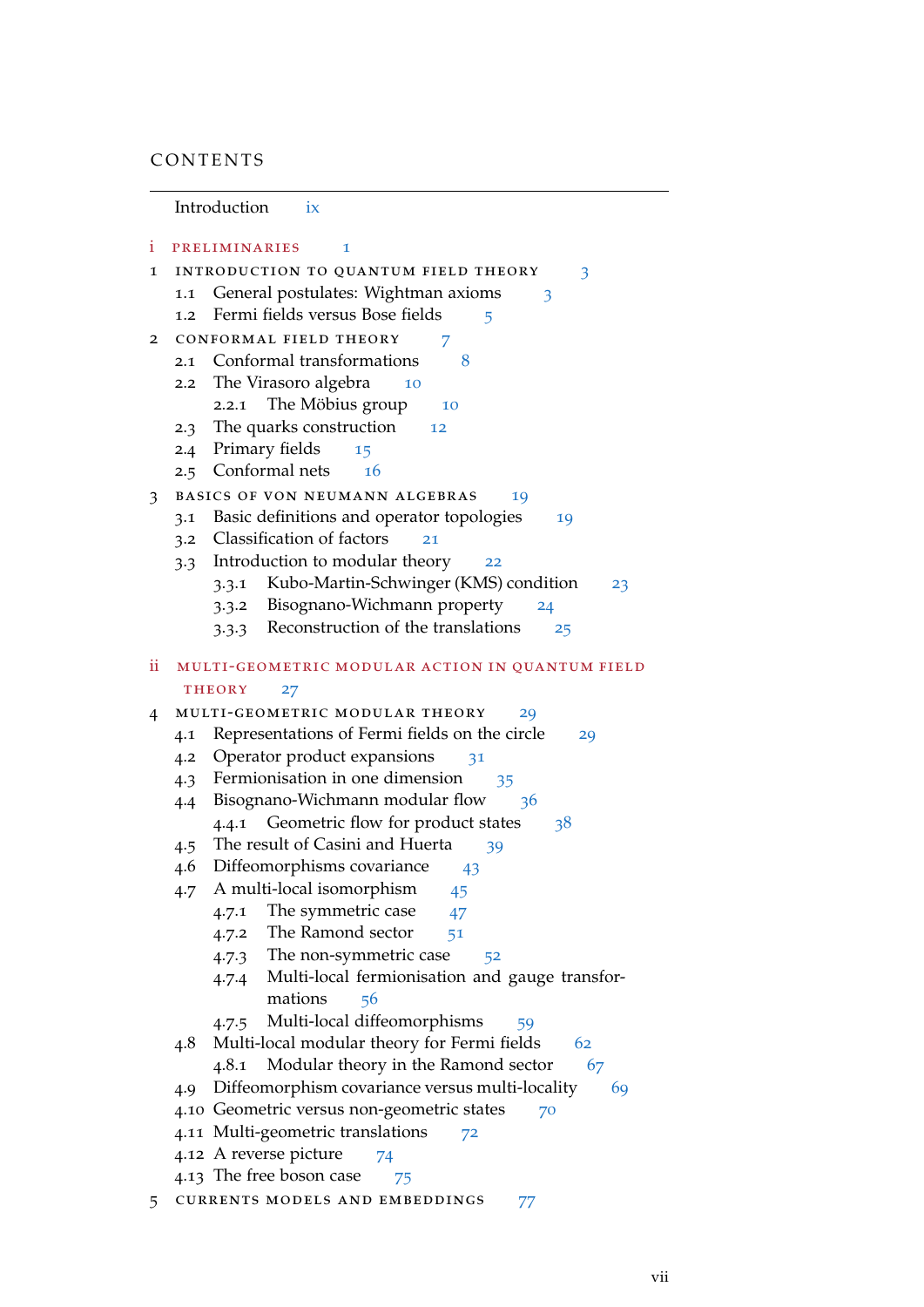# <span id="page-6-0"></span>**CONTENTS**

Introduction [ix](#page-6-0)

i preliminaries [1](#page-12-0)

- 1 INTRODUCTION TO QUANTUM FIELD THEORY [3](#page-14-0)
	- 1.1 General postulates: Wightman axioms [3](#page-14-1)
		- 1.2 Fermi fields versus Bose fields [5](#page-15-0)
- 2 CONFORMAL FIELD THEORY
	- 2.1 Conformal transformations [8](#page-19-0)
	- 2.2 The Virasoro algebra [10](#page-21-0) 2.2.1 The Möbius group [10](#page-21-1)
	- 2.3 The quarks construction [12](#page-23-0)
	- 2.4 Primary fields [15](#page-25-0)
	- 2.5 Conformal nets [16](#page-26-0)
- 3 basics of von neumann algebras [19](#page-30-0)
	- 3.1 Basic definitions and operator topologies [19](#page-30-1)
	- 3.2 Classification of factors [21](#page-32-0)
	- 3.3 Introduction to modular theory [22](#page-33-0)
		- 3.3.1 Kubo-Martin-Schwinger (KMS) condition [23](#page-34-0)
		- 3.3.2 Bisognano-Wichmann property [24](#page-34-1)
		- 3.3.3 Reconstruction of the translations [25](#page-36-0)
- ii multi-geometric modular action in quantum field THEORY [27](#page-38-0)
- 4 multi-geometric modular theory [29](#page-40-0)
	- 4.1 Representations of Fermi fields on the circle [29](#page-40-1)
	- 4.2 Operator product expansions [31](#page-42-0)
	- 4.3 Fermionisation in one dimension [35](#page-46-0)
	- 4.4 Bisognano-Wichmann modular flow [36](#page-47-0) 4.4.1 Geometric flow for product states [38](#page-49-0)
	- 4.5 The result of Casini and Huerta [39](#page-50-0)
	- 4.6 Diffeomorphisms covariance [43](#page-54-0)
	- 4.7 A multi-local isomorphism [45](#page-56-0)
		- 4.7.1 The symmetric case [47](#page-58-0)
		- 4.7.2 The Ramond sector [51](#page-62-0)
		- 4.7.3 The non-symmetric case [52](#page-63-0)
		- 4.7.4 Multi-local fermionisation and gauge transfor-mations [56](#page-67-0)
		- 4.7.5 Multi-local diffeomorphisms [59](#page-70-0)
	- 4.8 Multi-local modular theory for Fermi fields [62](#page-73-0)
		- 4.8.1 Modular theory in the Ramond sector [67](#page-78-0)
	- 4.9 Diffeomorphism covariance versus multi-locality [69](#page-79-0)
	- 4.10 Geometric versus non-geometric states [70](#page-81-0)
	- 4.11 Multi-geometric translations [72](#page-83-0)
	- 4.12 A reverse picture [74](#page-84-0)
	- 4.13 The free boson case [75](#page-85-0)
- 5 CURRENTS MODELS AND EMBEDDINGS [77](#page-88-0)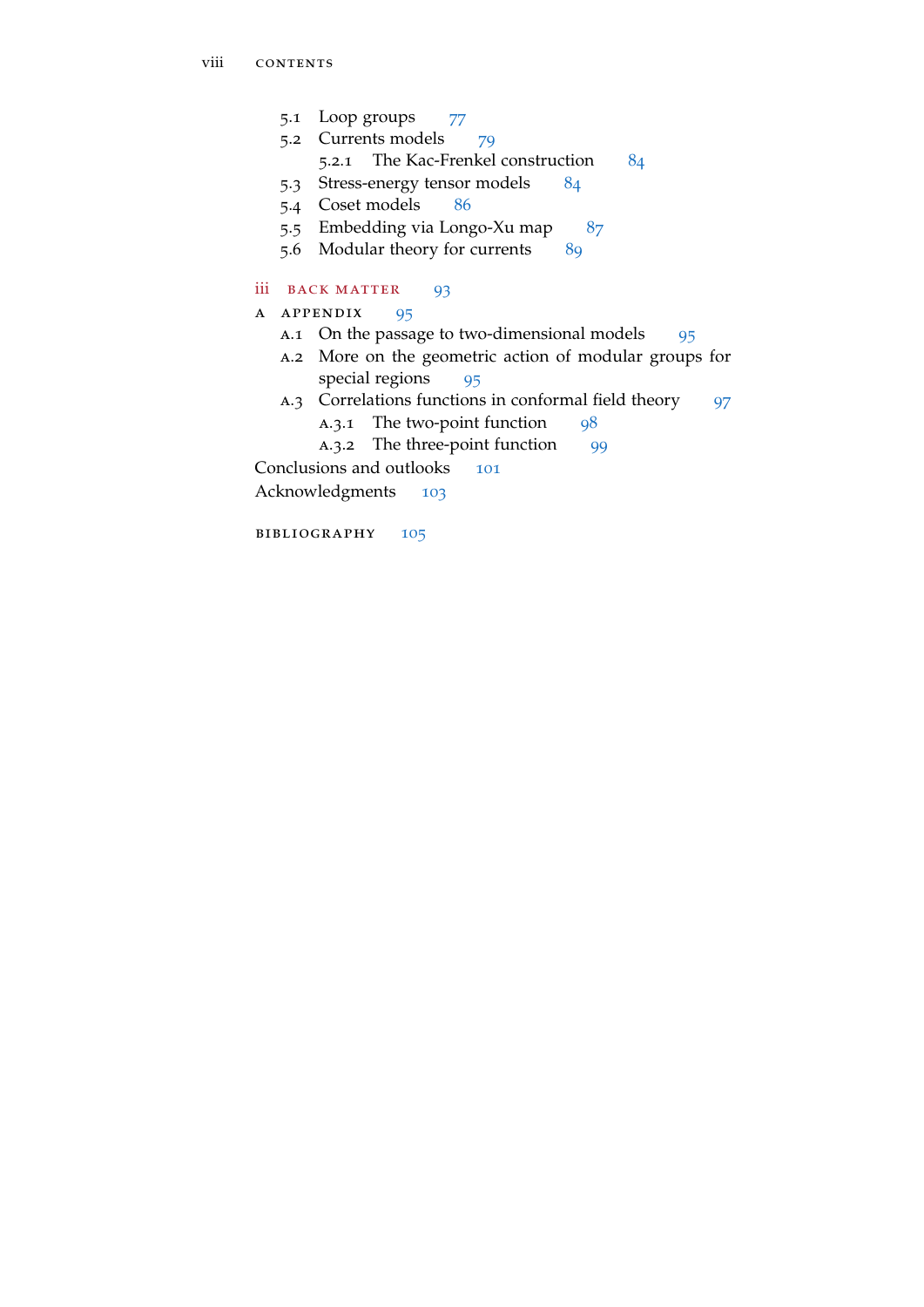- 5.1 Loop groups [77](#page-88-1)
- 5.2 Currents models [79](#page-90-0)
	- 5.2.1 The Kac-Frenkel construction [84](#page-94-0)
- 5.3 Stress-energy tensor models [84](#page-95-0)
- 5.4 Coset models [86](#page-97-0)
- 5.5 Embedding via Longo-Xu map [87](#page-98-0)
- 5.6 Modular theory for currents [89](#page-100-0)
- iii BACK MATTER [93](#page-104-0)
- a appendix [95](#page-106-0)
	- a.1 On the passage to two-dimensional models [95](#page-106-1)
	- a.2 More on the geometric action of modular groups for special regions [95](#page-106-2)
	- A.3 Correlations functions in conformal field theory [97](#page-108-0) a.3.1 The two-point function [98](#page-109-0)
		- a.3.2 The three-point function [99](#page-110-0)

Conclusions and outlooks [101](#page-110-0)

Acknowledgments [103](#page-112-0)

bibliography [105](#page-116-0)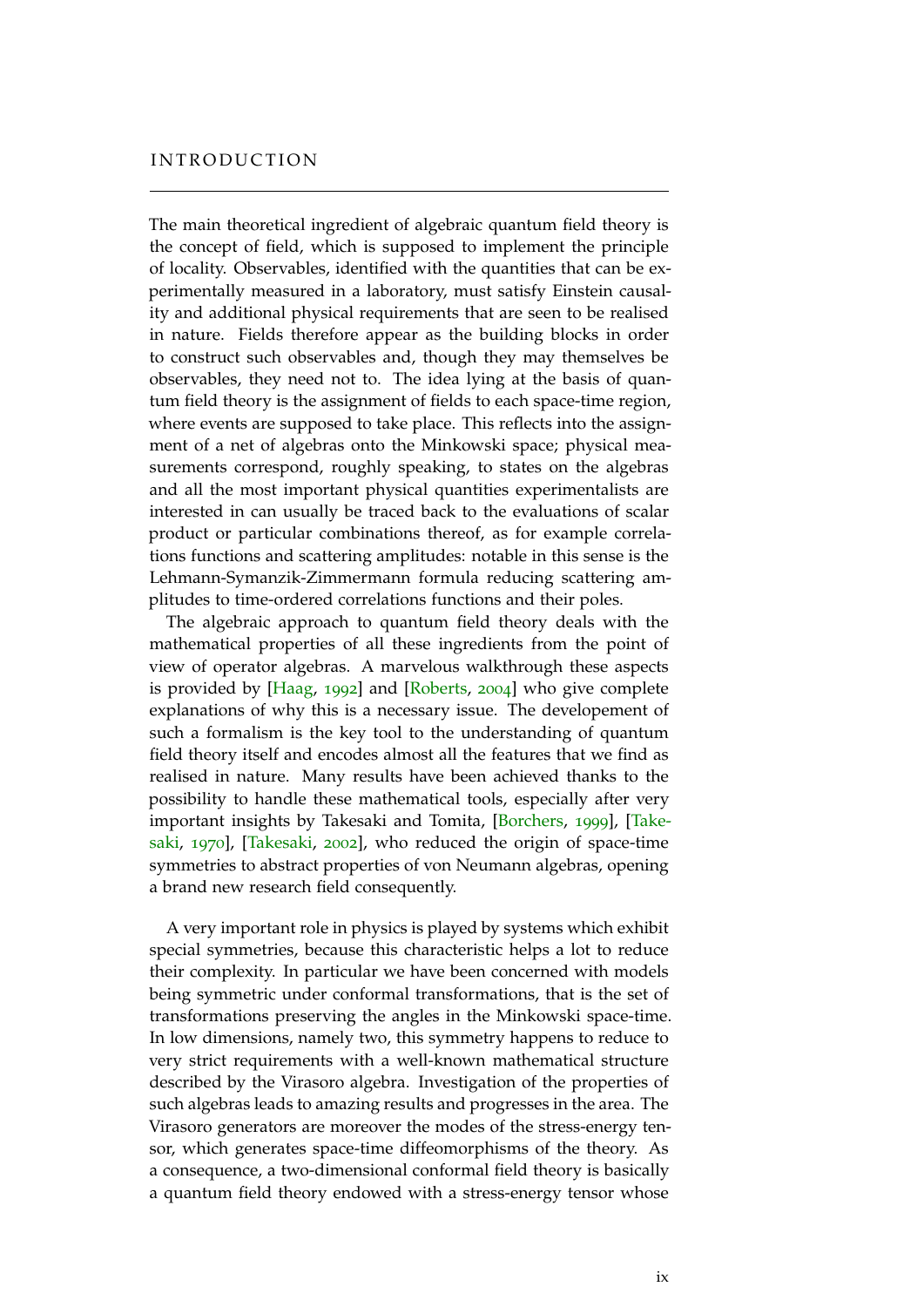# INTRODUCTION

The main theoretical ingredient of algebraic quantum field theory is the concept of field, which is supposed to implement the principle of locality. Observables, identified with the quantities that can be experimentally measured in a laboratory, must satisfy Einstein causality and additional physical requirements that are seen to be realised in nature. Fields therefore appear as the building blocks in order to construct such observables and, though they may themselves be observables, they need not to. The idea lying at the basis of quantum field theory is the assignment of fields to each space-time region, where events are supposed to take place. This reflects into the assignment of a net of algebras onto the Minkowski space; physical measurements correspond, roughly speaking, to states on the algebras and all the most important physical quantities experimentalists are interested in can usually be traced back to the evaluations of scalar product or particular combinations thereof, as for example correlations functions and scattering amplitudes: notable in this sense is the Lehmann-Symanzik-Zimmermann formula reducing scattering amplitudes to time-ordered correlations functions and their poles.

The algebraic approach to quantum field theory deals with the mathematical properties of all these ingredients from the point of view of operator algebras. A marvelous walkthrough these aspects is provided by [\[Haag,](#page-118-0) [1992](#page-118-0)] and [\[Roberts,](#page-119-0) [2004](#page-119-0)] who give complete explanations of why this is a necessary issue. The developement of such a formalism is the key tool to the understanding of quantum field theory itself and encodes almost all the features that we find as realised in nature. Many results have been achieved thanks to the possibility to handle these mathematical tools, especially after very important insights by Takesaki and Tomita, [\[Borchers,](#page-116-1) [1999](#page-116-1)], [\[Take](#page-119-1)[saki,](#page-119-1) [1970](#page-119-1)], [\[Takesaki,](#page-119-2) [2002](#page-119-2)], who reduced the origin of space-time symmetries to abstract properties of von Neumann algebras, opening a brand new research field consequently.

A very important role in physics is played by systems which exhibit special symmetries, because this characteristic helps a lot to reduce their complexity. In particular we have been concerned with models being symmetric under conformal transformations, that is the set of transformations preserving the angles in the Minkowski space-time. In low dimensions, namely two, this symmetry happens to reduce to very strict requirements with a well-known mathematical structure described by the Virasoro algebra. Investigation of the properties of such algebras leads to amazing results and progresses in the area. The Virasoro generators are moreover the modes of the stress-energy tensor, which generates space-time diffeomorphisms of the theory. As a consequence, a two-dimensional conformal field theory is basically a quantum field theory endowed with a stress-energy tensor whose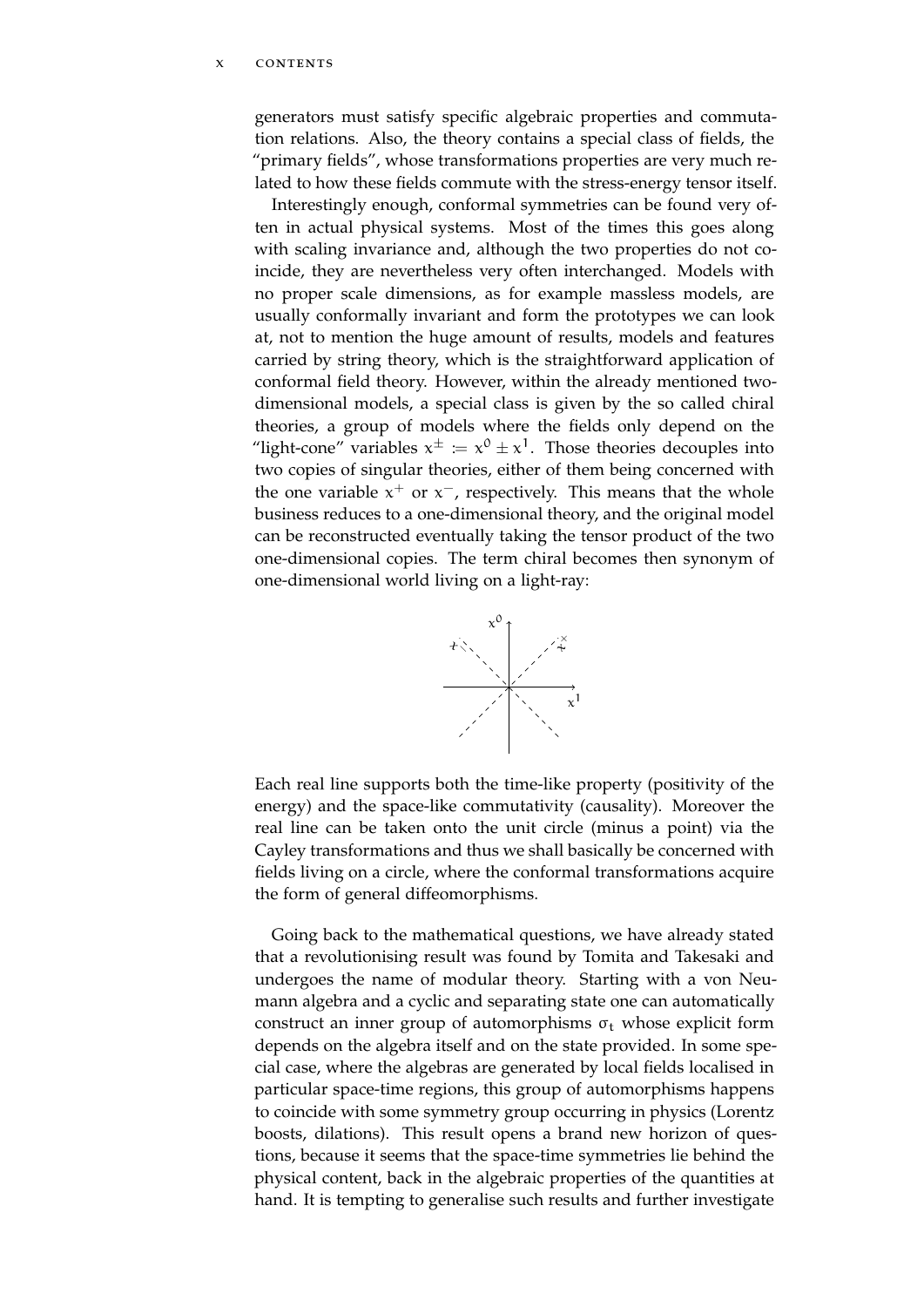generators must satisfy specific algebraic properties and commutation relations. Also, the theory contains a special class of fields, the "primary fields", whose transformations properties are very much related to how these fields commute with the stress-energy tensor itself.

Interestingly enough, conformal symmetries can be found very often in actual physical systems. Most of the times this goes along with scaling invariance and, although the two properties do not coincide, they are nevertheless very often interchanged. Models with no proper scale dimensions, as for example massless models, are usually conformally invariant and form the prototypes we can look at, not to mention the huge amount of results, models and features carried by string theory, which is the straightforward application of conformal field theory. However, within the already mentioned twodimensional models, a special class is given by the so called chiral theories, a group of models where the fields only depend on the "light-cone" variables  $x^{\pm} := x^0 \pm x^1$ . Those theories decouples into two copies of singular theories, either of them being concerned with the one variable  $x^+$  or  $x^-$ , respectively. This means that the whole business reduces to a one-dimensional theory, and the original model can be reconstructed eventually taking the tensor product of the two one-dimensional copies. The term chiral becomes then synonym of one-dimensional world living on a light-ray:



Each real line supports both the time-like property (positivity of the energy) and the space-like commutativity (causality). Moreover the real line can be taken onto the unit circle (minus a point) via the Cayley transformations and thus we shall basically be concerned with fields living on a circle, where the conformal transformations acquire the form of general diffeomorphisms.

Going back to the mathematical questions, we have already stated that a revolutionising result was found by Tomita and Takesaki and undergoes the name of modular theory. Starting with a von Neumann algebra and a cyclic and separating state one can automatically construct an inner group of automorphisms  $\sigma_t$  whose explicit form depends on the algebra itself and on the state provided. In some special case, where the algebras are generated by local fields localised in particular space-time regions, this group of automorphisms happens to coincide with some symmetry group occurring in physics (Lorentz boosts, dilations). This result opens a brand new horizon of questions, because it seems that the space-time symmetries lie behind the physical content, back in the algebraic properties of the quantities at hand. It is tempting to generalise such results and further investigate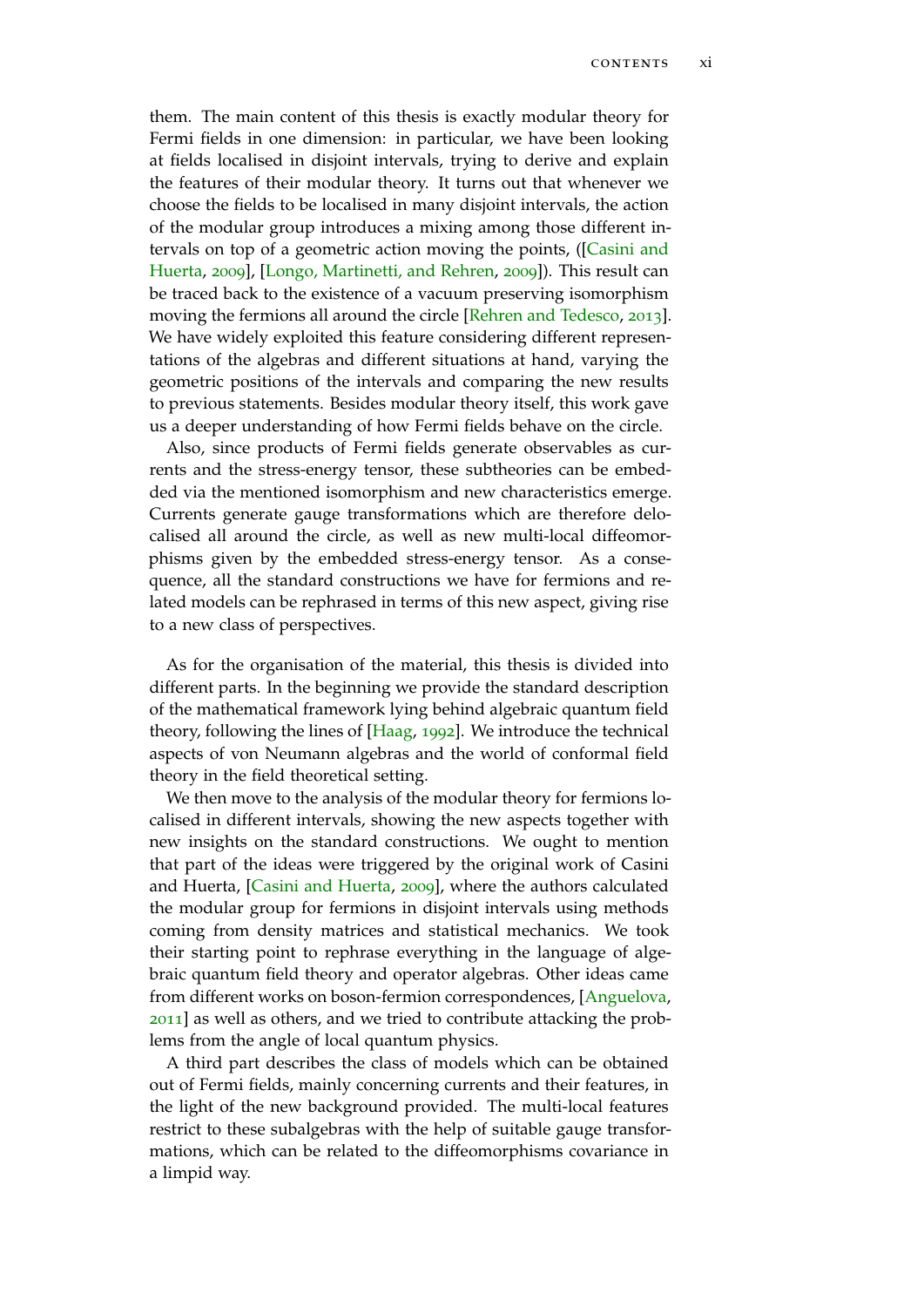them. The main content of this thesis is exactly modular theory for Fermi fields in one dimension: in particular, we have been looking at fields localised in disjoint intervals, trying to derive and explain the features of their modular theory. It turns out that whenever we choose the fields to be localised in many disjoint intervals, the action of the modular group introduces a mixing among those different intervals on top of a geometric action moving the points, ([\[Casini and](#page-117-0) [Huerta,](#page-117-0) [2009](#page-117-0)], [\[Longo, Martinetti, and Rehren,](#page-118-1) [2009](#page-118-1)]). This result can be traced back to the existence of a vacuum preserving isomorphism moving the fermions all around the circle [\[Rehren and Tedesco,](#page-119-3) [2013](#page-119-3)]. We have widely exploited this feature considering different representations of the algebras and different situations at hand, varying the geometric positions of the intervals and comparing the new results to previous statements. Besides modular theory itself, this work gave us a deeper understanding of how Fermi fields behave on the circle.

Also, since products of Fermi fields generate observables as currents and the stress-energy tensor, these subtheories can be embedded via the mentioned isomorphism and new characteristics emerge. Currents generate gauge transformations which are therefore delocalised all around the circle, as well as new multi-local diffeomorphisms given by the embedded stress-energy tensor. As a consequence, all the standard constructions we have for fermions and related models can be rephrased in terms of this new aspect, giving rise to a new class of perspectives.

As for the organisation of the material, this thesis is divided into different parts. In the beginning we provide the standard description of the mathematical framework lying behind algebraic quantum field theory, following the lines of [\[Haag,](#page-118-0) [1992](#page-118-0)]. We introduce the technical aspects of von Neumann algebras and the world of conformal field theory in the field theoretical setting.

We then move to the analysis of the modular theory for fermions localised in different intervals, showing the new aspects together with new insights on the standard constructions. We ought to mention that part of the ideas were triggered by the original work of Casini and Huerta, [\[Casini and Huerta,](#page-117-0) [2009](#page-117-0)], where the authors calculated the modular group for fermions in disjoint intervals using methods coming from density matrices and statistical mechanics. We took their starting point to rephrase everything in the language of algebraic quantum field theory and operator algebras. Other ideas came from different works on boson-fermion correspondences, [\[Anguelova,](#page-116-2) [2011](#page-116-2)] as well as others, and we tried to contribute attacking the problems from the angle of local quantum physics.

A third part describes the class of models which can be obtained out of Fermi fields, mainly concerning currents and their features, in the light of the new background provided. The multi-local features restrict to these subalgebras with the help of suitable gauge transformations, which can be related to the diffeomorphisms covariance in a limpid way.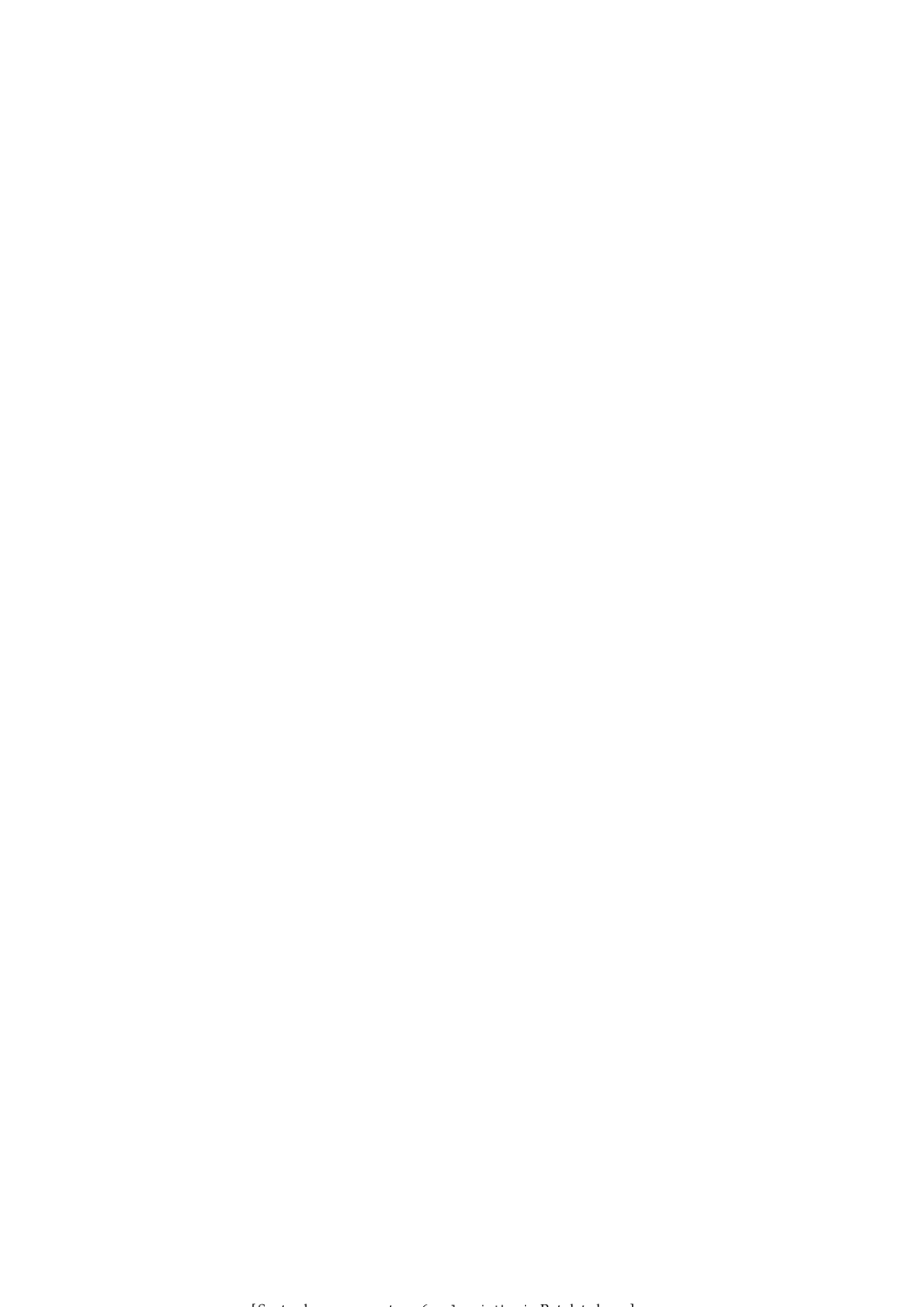$\begin{bmatrix} 1 & 0 & 1 \\ 0 & 1 & 1 \end{bmatrix}$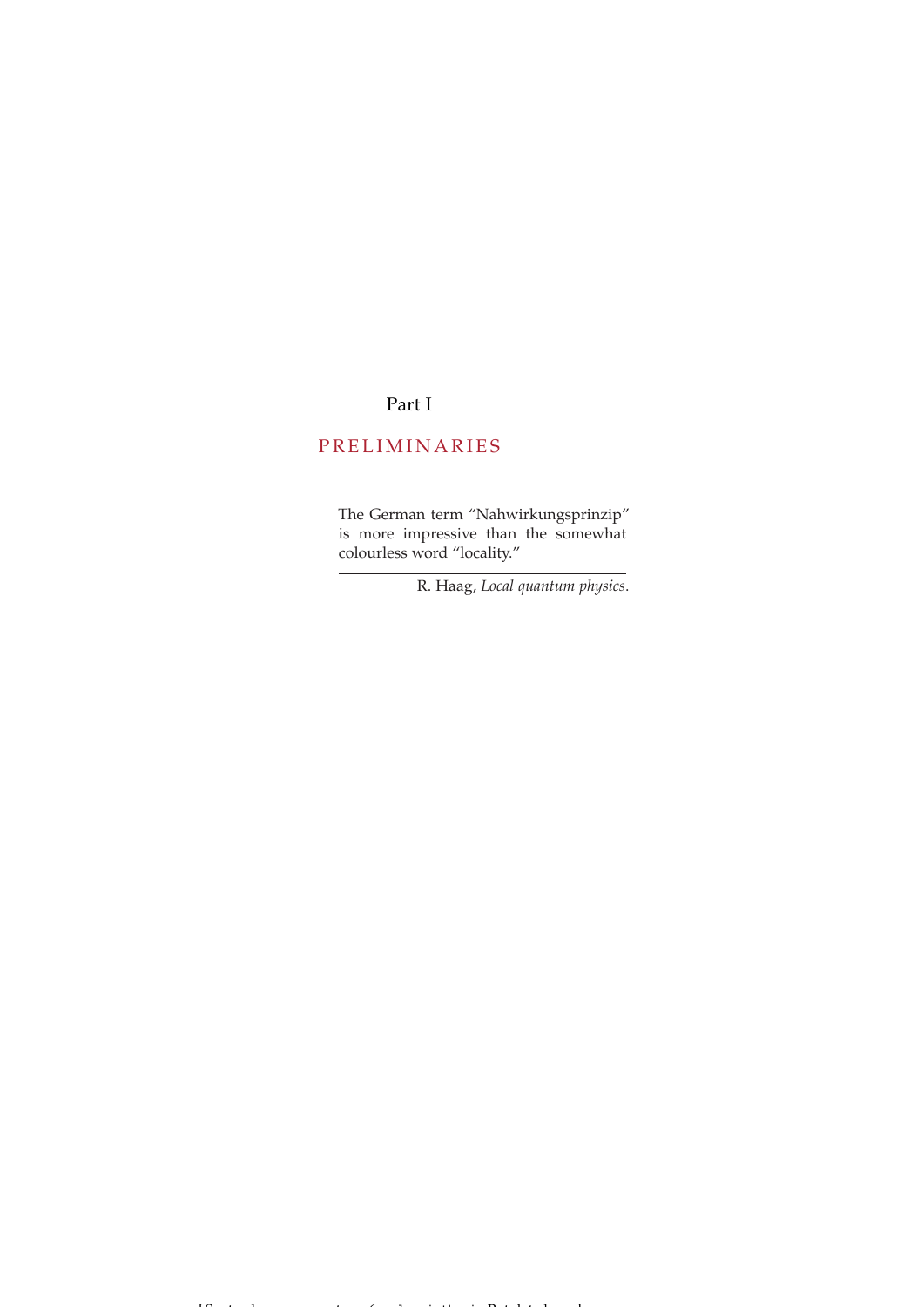# Part I

# <span id="page-12-0"></span>PRELIMINARIES

The German term "Nahwirkungsprinzip" is more impressive than the somewhat colourless word "locality."

R. Haag, *Local quantum physics*.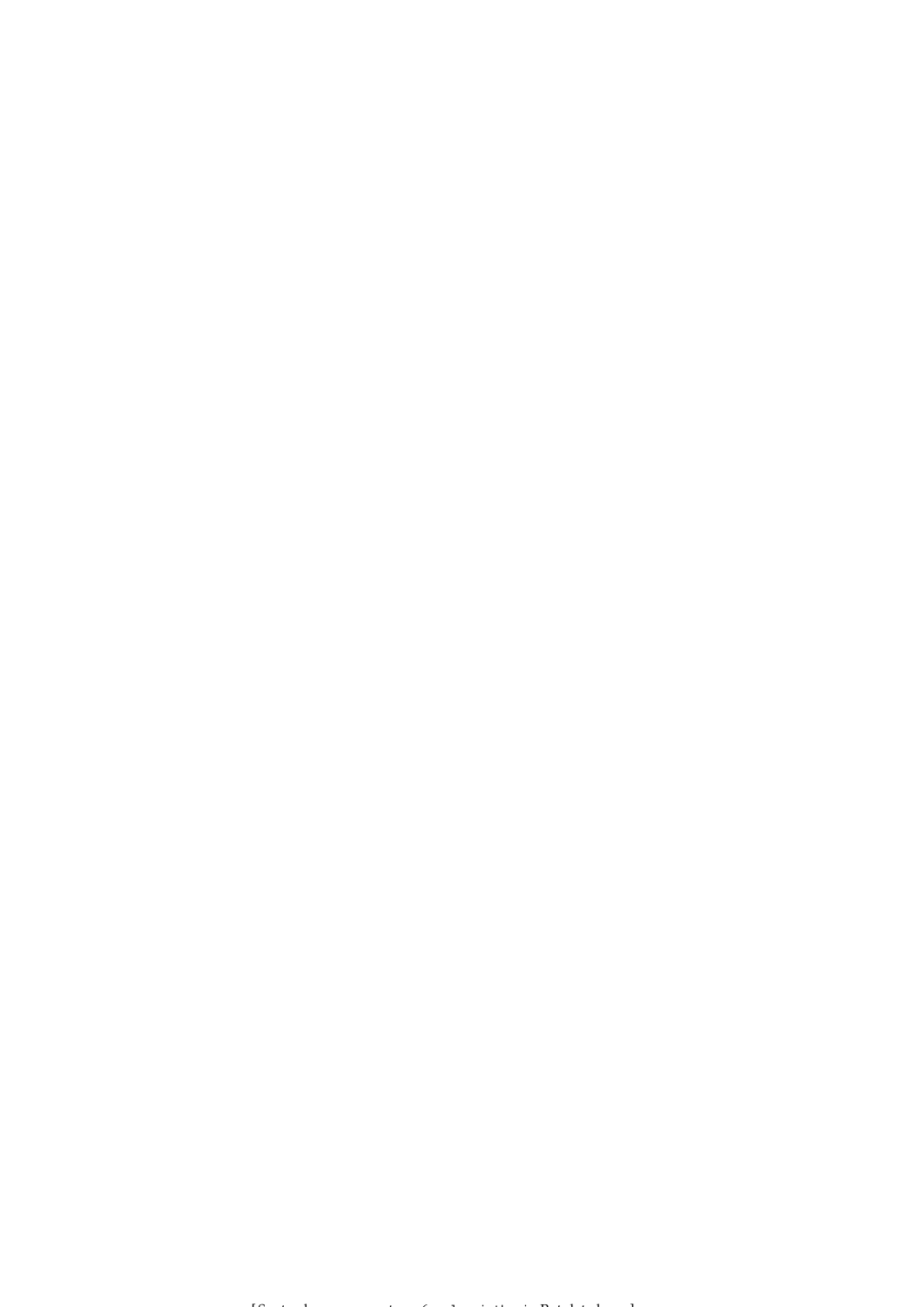$\begin{bmatrix} 1 & 0 & 1 \\ 0 & 1 & 1 \end{bmatrix}$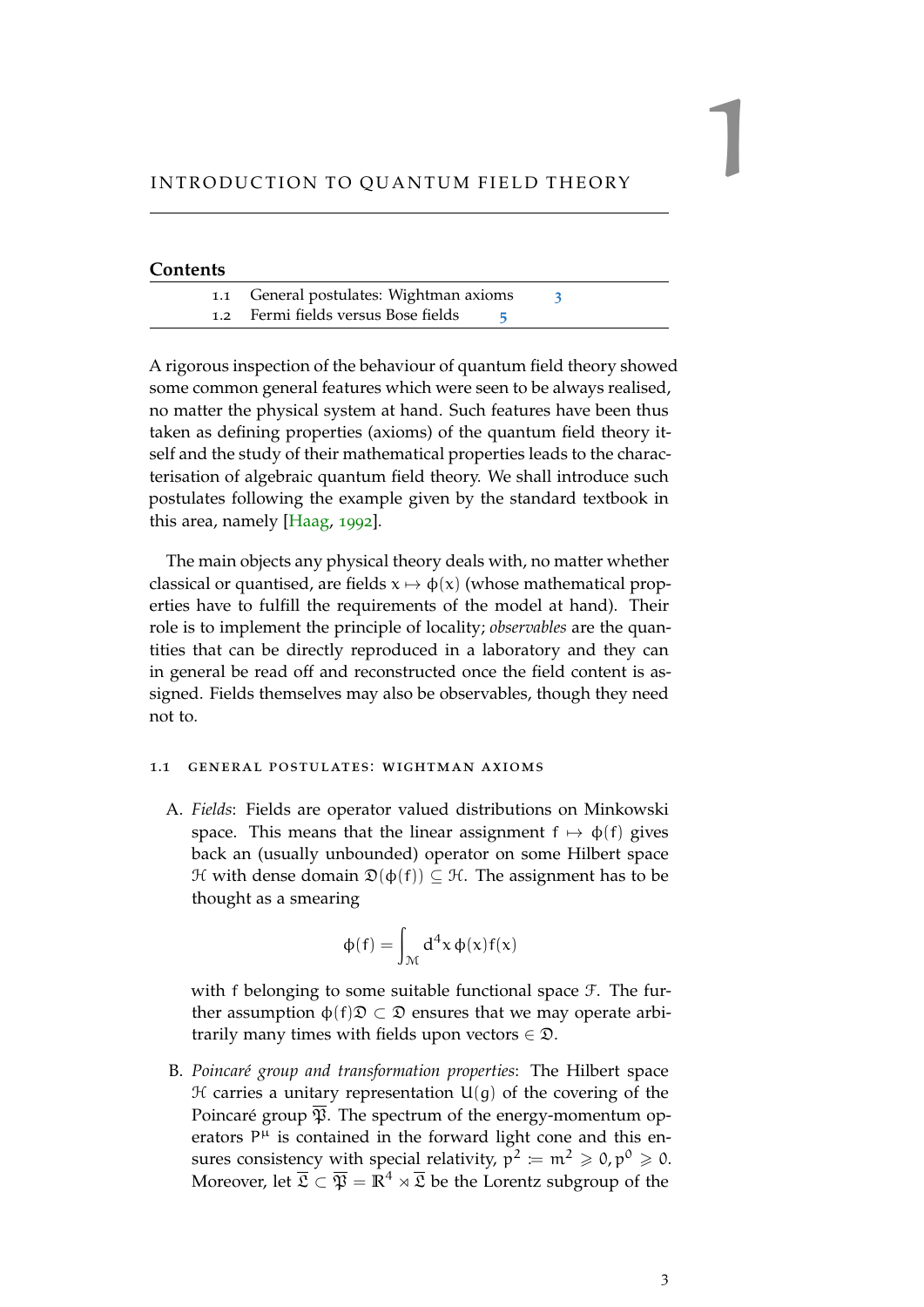### <span id="page-14-0"></span>**Contents**

- 1.1 General postulates: Wightman axioms **[3](#page-14-1)**
- 1.2 Fermi fields versus Bose fields **[5](#page-15-0)**

A rigorous inspection of the behaviour of quantum field theory showed some common general features which were seen to be always realised, no matter the physical system at hand. Such features have been thus taken as defining properties (axioms) of the quantum field theory itself and the study of their mathematical properties leads to the characterisation of algebraic quantum field theory. We shall introduce such postulates following the example given by the standard textbook in this area, namely [\[Haag,](#page-118-0) [1992](#page-118-0)].

The main objects any physical theory deals with, no matter whether classical or quantised, are fields  $x \mapsto \phi(x)$  (whose mathematical properties have to fulfill the requirements of the model at hand). Their role is to implement the principle of locality; *observables* are the quantities that can be directly reproduced in a laboratory and they can in general be read off and reconstructed once the field content is assigned. Fields themselves may also be observables, though they need not to.

#### <span id="page-14-1"></span>1.1 general postulates: wightman axioms

A. *Fields*: Fields are operator valued distributions on Minkowski space. This means that the linear assignment  $f \mapsto \phi(f)$  gives back an (usually unbounded) operator on some Hilbert space H with dense domain  $\mathfrak{D}(\varphi(f)) \subseteq \mathfrak{H}$ . The assignment has to be thought as a smearing

$$
\varphi(f)=\int_{\mathcal{M}}d^4x\,\varphi(x)f(x)
$$

with f belonging to some suitable functional space  $\mathcal F$ . The further assumption  $\phi(f)\mathfrak{D} \subset \mathfrak{D}$  ensures that we may operate arbitrarily many times with fields upon vectors  $\in \mathfrak{D}$ .

B. *Poincaré group and transformation properties*: The Hilbert space  $H$  carries a unitary representation  $U(g)$  of the covering of the Poincaré group  $\overline{\mathfrak{P}}$ . The spectrum of the energy-momentum operators  $P^{\mu}$  is contained in the forward light cone and this ensures consistency with special relativity,  $p^2 \coloneqq m^2 \geqslant 0, p^0 \geqslant 0.$ Moreover, let  $\overline{\mathfrak{L}} \subset \overline{\mathfrak{P}} = \mathbb{R}^4 \rtimes \overline{\mathfrak{L}}$  be the Lorentz subgroup of the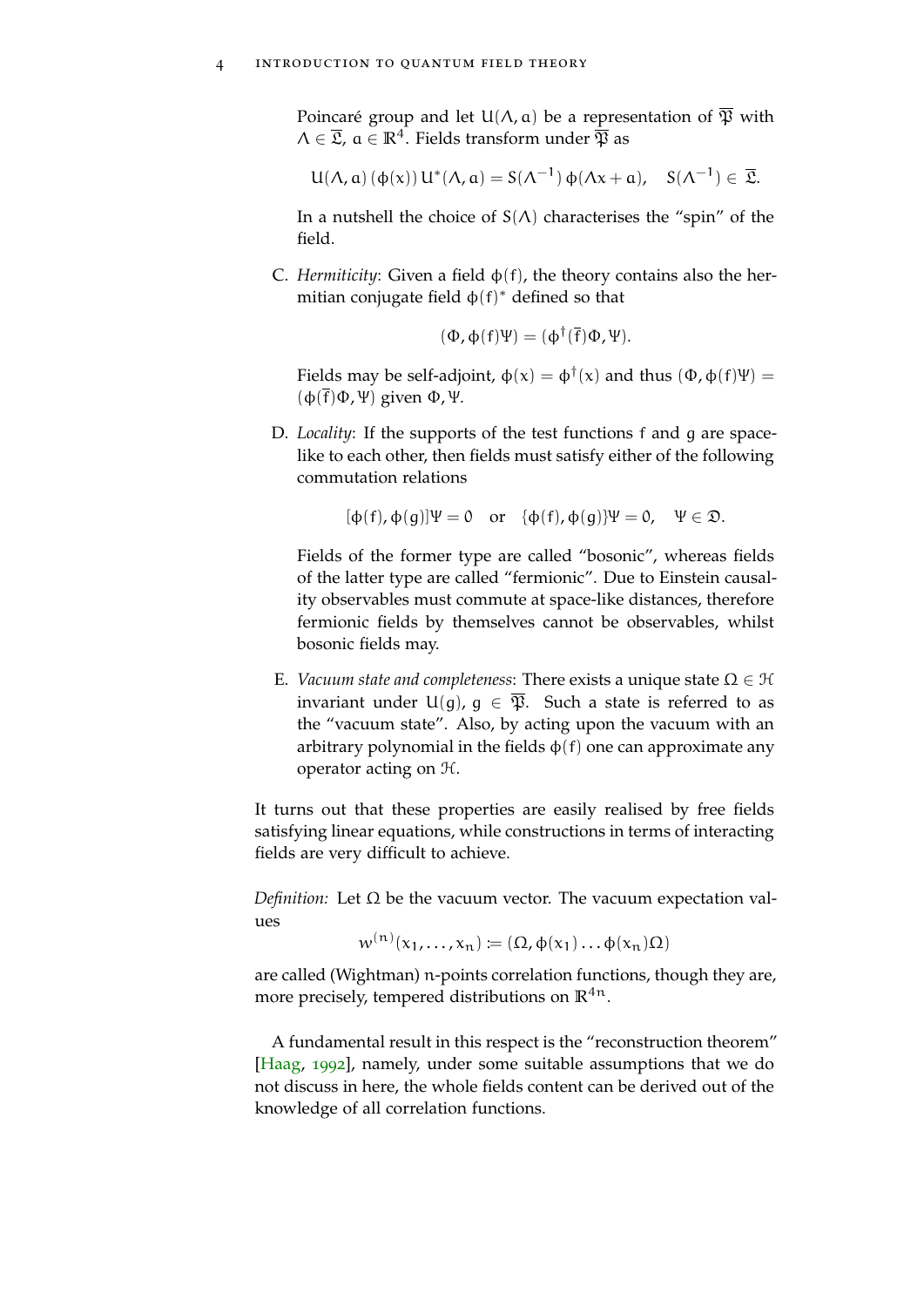Poincaré group and let  $U(\Lambda, \alpha)$  be a representation of  $\overline{\mathfrak{P}}$  with  $\Lambda \in \overline{\mathfrak{L}}$ ,  $\mathfrak{a} \in \mathbb{R}^4.$  Fields transform under  $\overline{\mathfrak{P}}$  as

$$
U(\Lambda, a) (\varphi(x)) U^*(\Lambda, a) = S(\Lambda^{-1}) \varphi(\Lambda x + a), \quad S(\Lambda^{-1}) \in \overline{\mathfrak{L}}.
$$

In a nutshell the choice of  $S(\Lambda)$  characterises the "spin" of the field.

C. *Hermiticity*: Given a field φ(f), the theory contains also the hermitian conjugate field φ(f) <sup>∗</sup> defined so that

$$
(\Phi,\varphi(f)\Psi)=(\varphi^\dagger(\overline{f})\Phi,\Psi).
$$

Fields may be self-adjoint,  $\phi(x) = \phi^{\dagger}(x)$  and thus  $(\Phi, \phi(f)\Psi) =$ (φ(f)Φ, Ψ) given Φ, Ψ.

D. *Locality*: If the supports of the test functions f and g are spacelike to each other, then fields must satisfy either of the following commutation relations

$$
[\varphi(f),\varphi(g)]\Psi=0 \quad \text{or} \quad \{\varphi(f),\varphi(g)\}\Psi=0, \quad \Psi\in\mathfrak{D}.
$$

Fields of the former type are called "bosonic", whereas fields of the latter type are called "fermionic". Due to Einstein causality observables must commute at space-like distances, therefore fermionic fields by themselves cannot be observables, whilst bosonic fields may.

E. *Vacuum state and completeness*: There exists a unique state  $\Omega \in \mathcal{H}$ invariant under U(g),  $g \in \overline{\mathfrak{P}}$ . Such a state is referred to as the "vacuum state". Also, by acting upon the vacuum with an arbitrary polynomial in the fields  $\phi(f)$  one can approximate any operator acting on H.

It turns out that these properties are easily realised by free fields satisfying linear equations, while constructions in terms of interacting fields are very difficult to achieve.

*Definition:* Let Ω be the vacuum vector. The vacuum expectation values

$$
w^{(n)}(x_1,\ldots,x_n) \coloneqq (\Omega, \phi(x_1)\ldots\phi(x_n)\Omega)
$$

are called (Wightman) n-points correlation functions, though they are, more precisely, tempered distributions on  $\mathbb{R}^{4n}$ .

<span id="page-15-0"></span>A fundamental result in this respect is the "reconstruction theorem" [\[Haag,](#page-118-0) [1992](#page-118-0)], namely, under some suitable assumptions that we do not discuss in here, the whole fields content can be derived out of the knowledge of all correlation functions.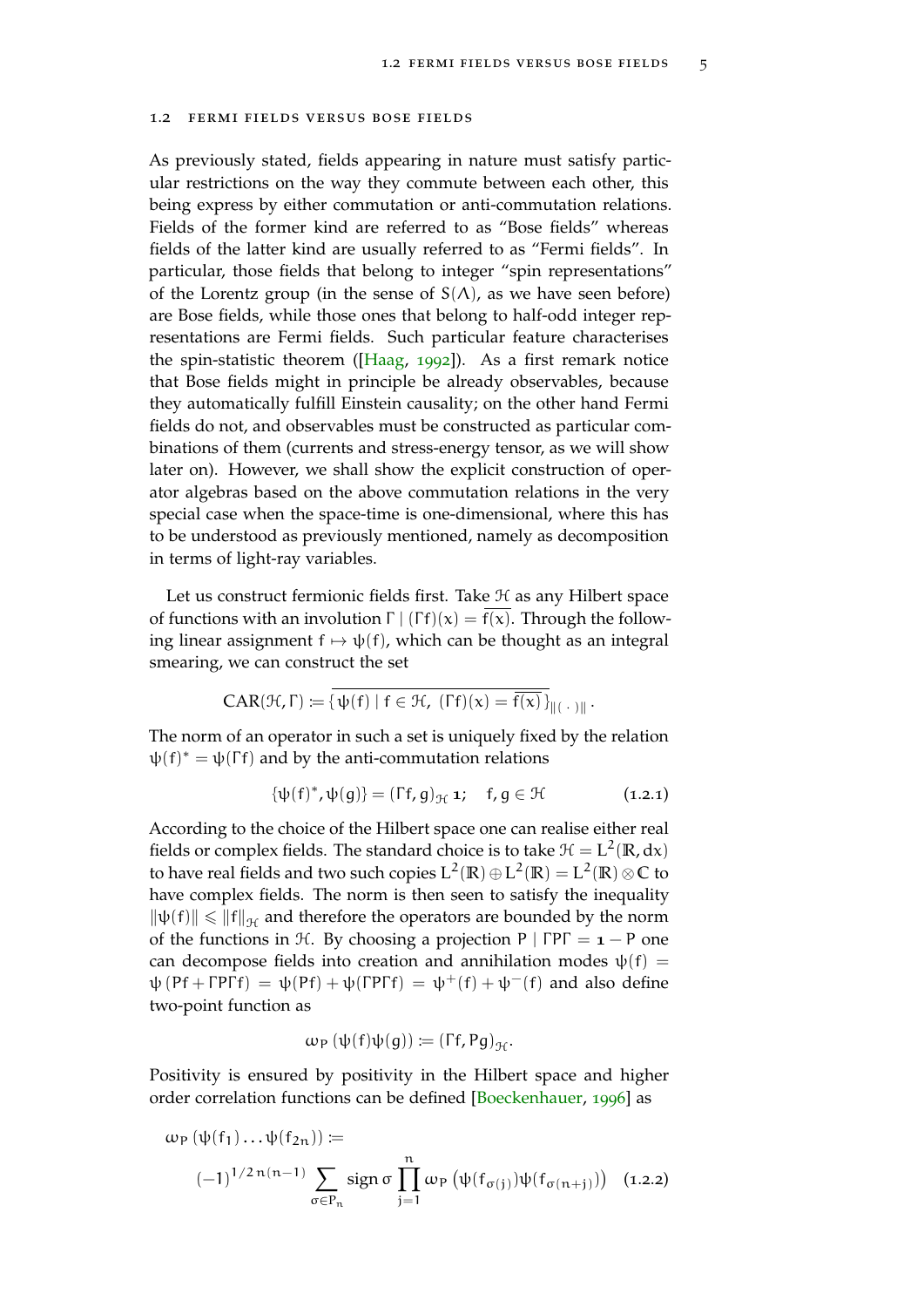#### 1.2 fermi fields versus bose fields

As previously stated, fields appearing in nature must satisfy particular restrictions on the way they commute between each other, this being express by either commutation or anti-commutation relations. Fields of the former kind are referred to as "Bose fields" whereas fields of the latter kind are usually referred to as "Fermi fields". In particular, those fields that belong to integer "spin representations" of the Lorentz group (in the sense of  $S(\Lambda)$ , as we have seen before) are Bose fields, while those ones that belong to half-odd integer representations are Fermi fields. Such particular feature characterises the spin-statistic theorem ( $[Haag, 1992]$  $[Haag, 1992]$  $[Haag, 1992]$  $[Haag, 1992]$ ). As a first remark notice that Bose fields might in principle be already observables, because they automatically fulfill Einstein causality; on the other hand Fermi fields do not, and observables must be constructed as particular combinations of them (currents and stress-energy tensor, as we will show later on). However, we shall show the explicit construction of operator algebras based on the above commutation relations in the very special case when the space-time is one-dimensional, where this has to be understood as previously mentioned, namely as decomposition in terms of light-ray variables.

Let us construct fermionic fields first. Take  $H$  as any Hilbert space of functions with an involution  $\Gamma | (\Gamma f)(x) = f(x)$ . Through the following linear assignment  $f \mapsto \psi(f)$ , which can be thought as an integral smearing, we can construct the set

$$
CAR(\mathcal{H}, \Gamma) \coloneqq \{ \psi(f) \mid f \in \mathcal{H}, (\Gamma f)(x) = \overline{f(x)} \}_{\parallel (\cdot) \parallel}
$$

The norm of an operator in such a set is uniquely fixed by the relation  $\psi(f)^* = \psi(\Gamma f)$  and by the anti-commutation relations

$$
\{\psi(f)^*,\psi(g)\}=(\Gamma f,g)_{\mathcal H} \textbf{1}; \quad f,g \in \mathcal H \qquad \qquad (1.2.1)
$$

.

According to the choice of the Hilbert space one can realise either real fields or complex fields. The standard choice is to take  $\mathcal{H} = L^2(\mathbb{R}, d\mathbf{x})$ to have real fields and two such copies  $L^2(\mathbb{R}) \oplus L^2(\mathbb{R}) = L^2(\mathbb{R}) \otimes \mathbb{C}$  to have complex fields. The norm is then seen to satisfy the inequality  $\|\psi(f)\| \leq \|f\|_{\mathcal{H}}$  and therefore the operators are bounded by the norm of the functions in H. By choosing a projection  $P | PPT = 1 - P$  one can decompose fields into creation and annihilation modes  $\psi(f)$  =  $\psi$  (Pf + ΓΡΓf) =  $\psi$ (Pf) +  $\psi$ (ΓΡΓf) =  $\psi^+(f) + \psi^-(f)$  and also define two-point function as

$$
\omega_P(\psi(f)\psi(g))\coloneqq (\Gamma f, Pg)_{\mathcal{H}}.
$$

Positivity is ensured by positivity in the Hilbert space and higher order correlation functions can be defined [\[Boeckenhauer,](#page-116-3) [1996](#page-116-3)] as

$$
\omega_P(\psi(f_1)\dots\psi(f_{2n})) \coloneqq
$$
  

$$
(-1)^{1/2 n(n-1)} \sum_{\sigma \in P_n} sign \sigma \prod_{j=1}^n \omega_P(\psi(f_{\sigma(j)})\psi(f_{\sigma(n+j)})) \quad (1.2.2)
$$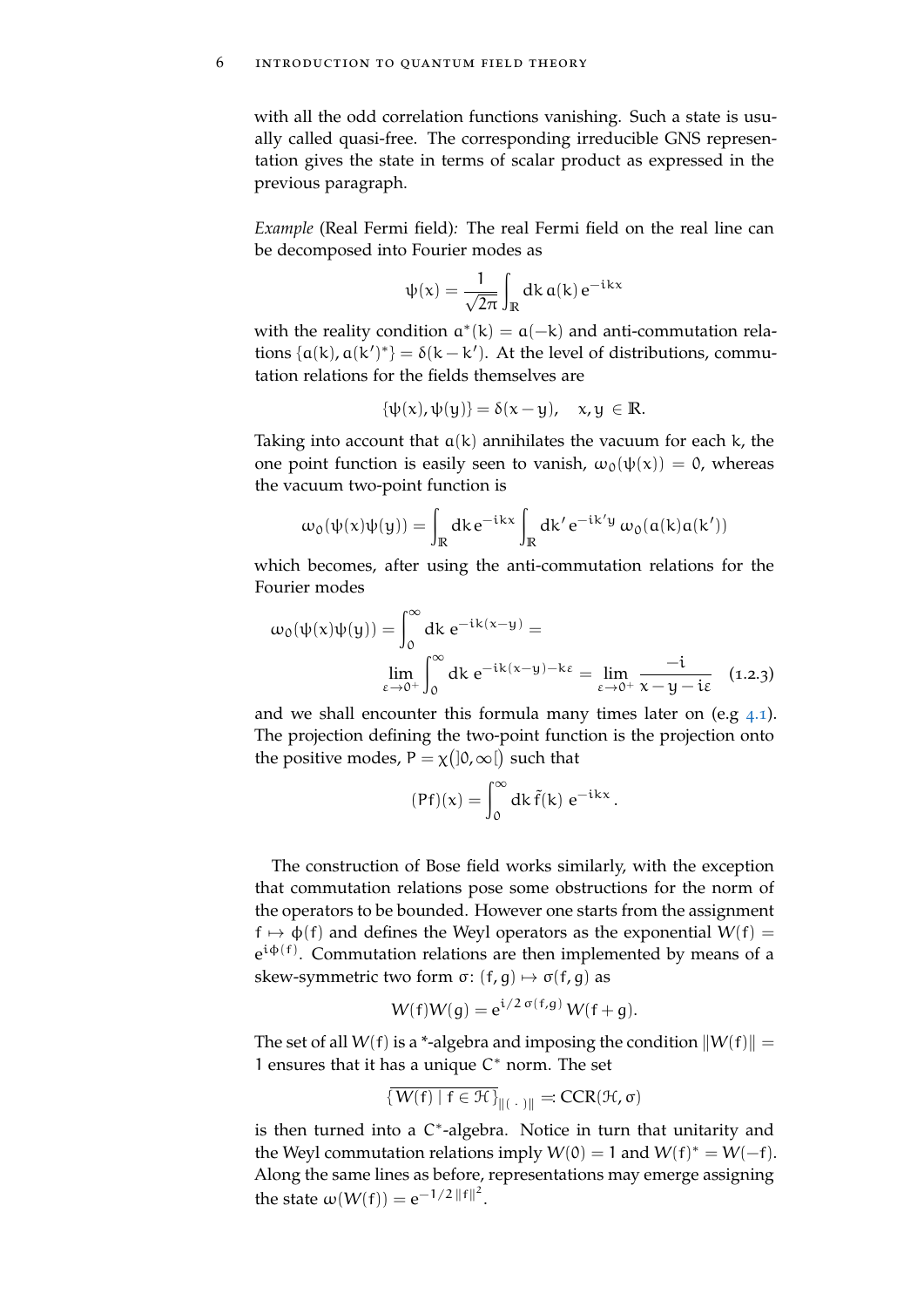#### 6 introduction to quantum field theory

with all the odd correlation functions vanishing. Such a state is usually called quasi-free. The corresponding irreducible GNS representation gives the state in terms of scalar product as expressed in the previous paragraph.

*Example* (Real Fermi field)*:* The real Fermi field on the real line can be decomposed into Fourier modes as

$$
\psi(x)=\frac{1}{\sqrt{2\pi}}\int_\mathbb{R} dk\, \mathfrak{a}(k)\, e^{-ikx}
$$

with the reality condition  $a^*(k) = a(-k)$  and anti-commutation relations  $\{\alpha(k), \alpha(k')^*\} = \delta(k - k')$ . At the level of distributions, commutation relations for the fields themselves are

$$
\{\psi(x), \psi(y)\} = \delta(x - y), \quad x, y \in \mathbb{R}.
$$

Taking into account that  $a(k)$  annihilates the vacuum for each  $k$ , the one point function is easily seen to vanish,  $\omega_0(\psi(x)) = 0$ , whereas the vacuum two-point function is

$$
\omega_0(\psi(x)\psi(y))=\int_\mathbb{R} dk\,e^{-ikx}\int_\mathbb{R} dk'\,e^{-ik'y}\,\omega_0(\mathfrak{a}(k)\mathfrak{a}(k'))
$$

which becomes, after using the anti-commutation relations for the Fourier modes

$$
\omega_0(\psi(x)\psi(y)) = \int_0^\infty dk \ e^{-ik(x-y)} =
$$
  

$$
\lim_{\epsilon \to 0^+} \int_0^\infty dk \ e^{-ik(x-y)-k\epsilon} = \lim_{\epsilon \to 0^+} \frac{-i}{x-y-i\epsilon} \quad (1.2.3)
$$

and we shall encounter this formula many times later on  $(e.g. 4.1)$  $(e.g. 4.1)$  $(e.g. 4.1)$ . The projection defining the two-point function is the projection onto the positive modes,  $P = \chi(]0, \infty[$ ) such that

$$
(Pf)(x) = \int_0^\infty dk \, \tilde{f}(k) \, e^{-ikx} \, .
$$

The construction of Bose field works similarly, with the exception that commutation relations pose some obstructions for the norm of the operators to be bounded. However one starts from the assignment  $f \mapsto \phi(f)$  and defines the Weyl operators as the exponential  $W(f) =$  $e^{i\varphi(f)}$ . Commutation relations are then implemented by means of a skew-symmetric two form  $\sigma$ :  $(f, q) \mapsto \sigma(f, q)$  as

$$
W(f)W(g) = e^{i/2 \sigma(f,g)} W(f+g).
$$

The set of all  $W(f)$  is a \*-algebra and imposing the condition  $\|W(f)\| =$ 1 ensures that it has a unique  $C^*$  norm. The set

$$
\{W(f) \mid f \in \mathcal{H}\}_{\parallel(\ .\ )\parallel} = CCR(\mathcal{H}, \sigma)
$$

is then turned into a C<sup>\*</sup>-algebra. Notice in turn that unitarity and the Weyl commutation relations imply  $W(0) = 1$  and  $W(f)^* = W(-f)$ . Along the same lines as before, representations may emerge assigning the state  $\omega(W(f)) = e^{-1/2 ||f||^2}$ .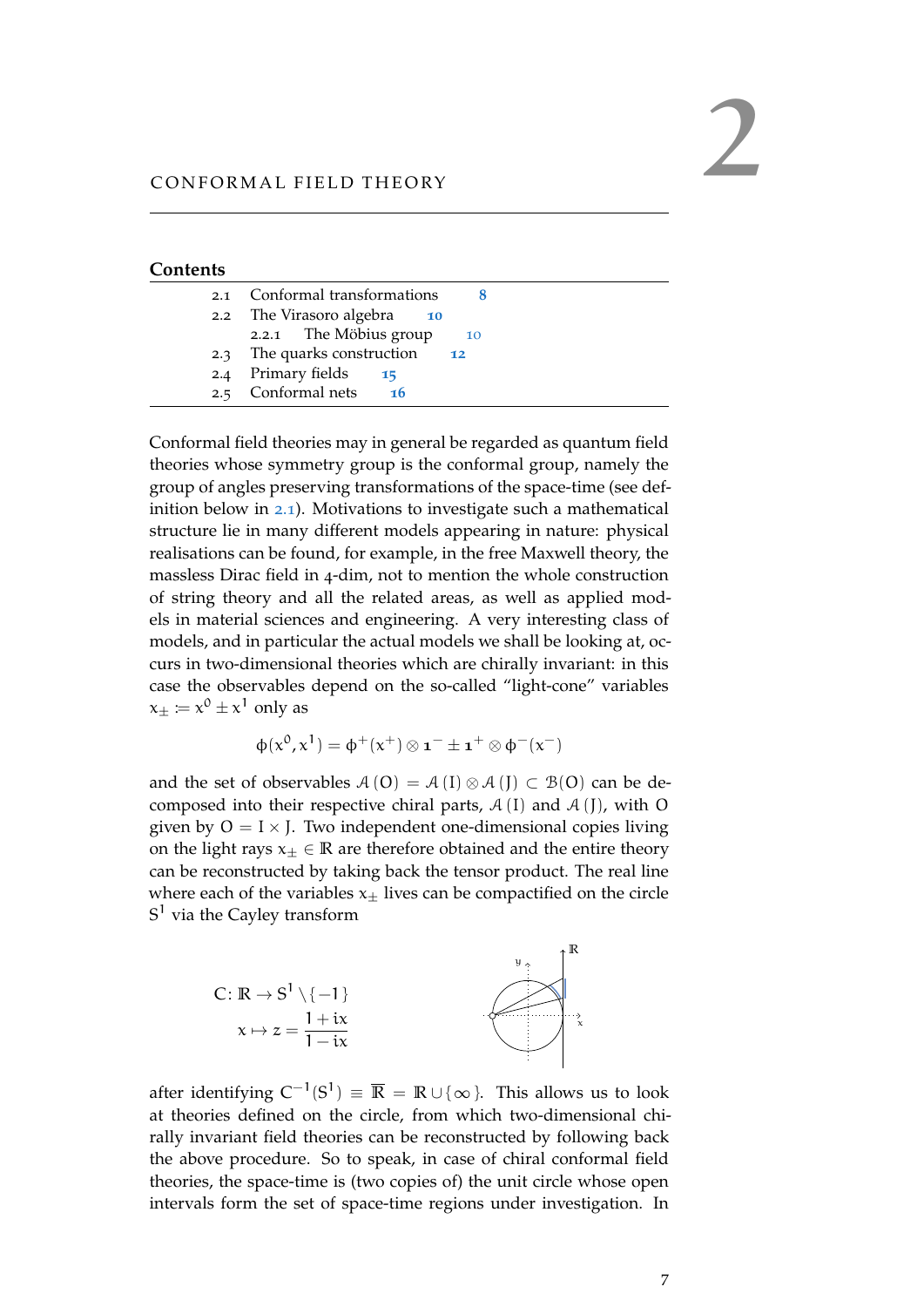## <span id="page-18-0"></span>**Contents**

| 2.1 Conformal transformations                |
|----------------------------------------------|
| 2.2 The Virasoro algebra<br><b>10</b>        |
| 2.2.1 The Möbius group<br><sup>10</sup>      |
| 2.3 The quarks construction<br>$\mathbf{12}$ |
| 2.4 Primary fields<br>15                     |
| 2.5 Conformal nets<br>$\sqrt{16}$            |

Conformal field theories may in general be regarded as quantum field theories whose symmetry group is the conformal group, namely the group of angles preserving transformations of the space-time (see definition below in [2](#page-19-0).1). Motivations to investigate such a mathematical structure lie in many different models appearing in nature: physical realisations can be found, for example, in the free Maxwell theory, the massless Dirac field in 4-dim, not to mention the whole construction of string theory and all the related areas, as well as applied models in material sciences and engineering. A very interesting class of models, and in particular the actual models we shall be looking at, occurs in two-dimensional theories which are chirally invariant: in this case the observables depend on the so-called "light-cone" variables  $\mathsf{x}_{\pm} \coloneqq \mathsf{x}^0 \pm \mathsf{x}^1$  only as

$$
\varphi(x^0,x^1)=\varphi^+(x^+)\otimes {\bf 1}^- \pm {\bf 1}^+\otimes \varphi^-(x^-)
$$

and the set of observables  $A(0) = A(1) \otimes A(1) \subset B(0)$  can be decomposed into their respective chiral parts,  $A(I)$  and  $A(I)$ , with O given by  $O = I \times J$ . Two independent one-dimensional copies living on the light rays  $x_+ \in \mathbb{R}$  are therefore obtained and the entire theory can be reconstructed by taking back the tensor product. The real line where each of the variables  $x_{+}$  lives can be compactified on the circle  $S^1$  via the Cayley transform



after identifying  $C^{-1}(S^1) \equiv \overline{R} = \mathbb{R} \cup \{\infty\}$ . This allows us to look at theories defined on the circle, from which two-dimensional chirally invariant field theories can be reconstructed by following back the above procedure. So to speak, in case of chiral conformal field theories, the space-time is (two copies of) the unit circle whose open intervals form the set of space-time regions under investigation. In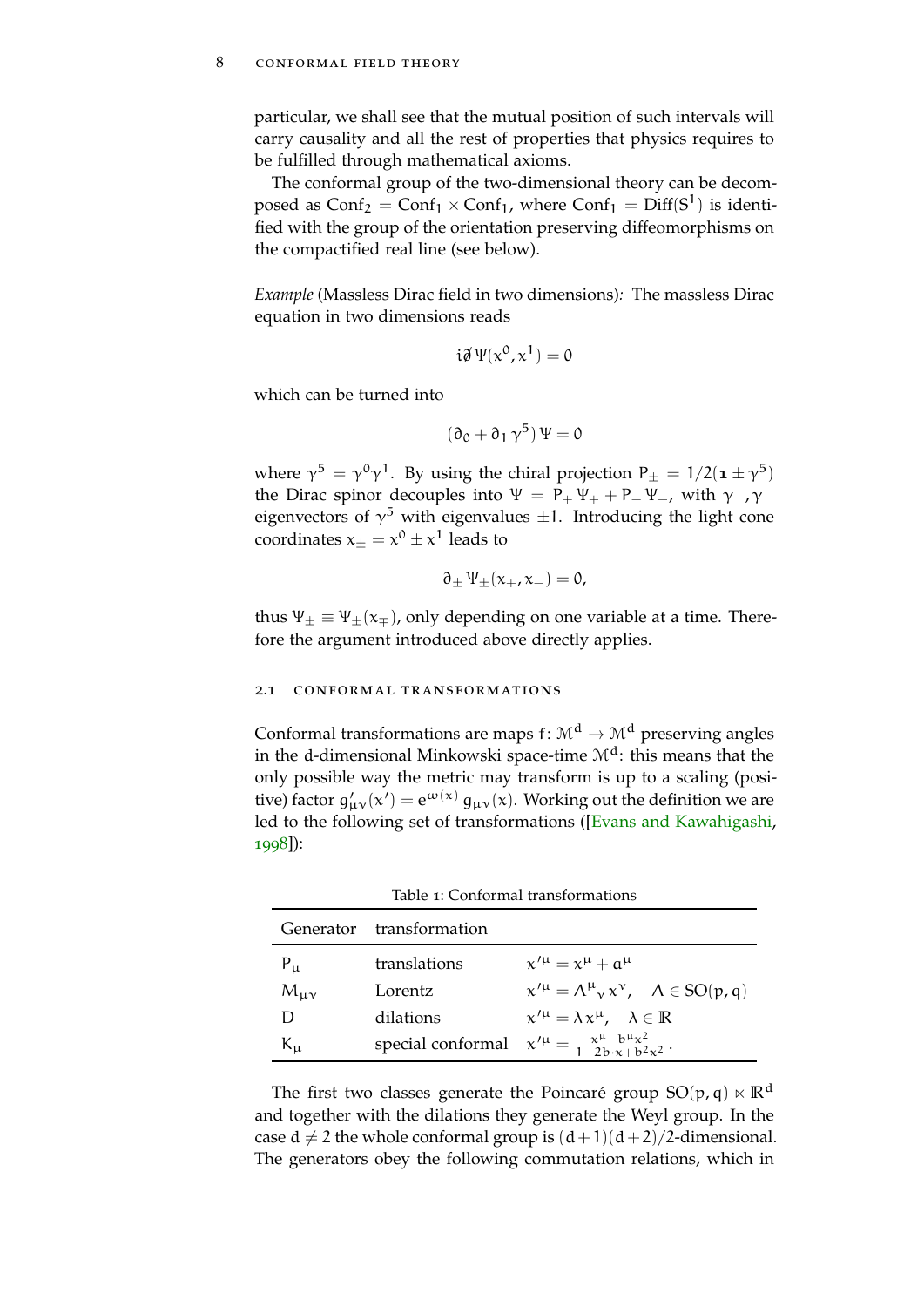## 8 **CONFORMAL FIELD THEORY**

particular, we shall see that the mutual position of such intervals will carry causality and all the rest of properties that physics requires to be fulfilled through mathematical axioms.

The conformal group of the two-dimensional theory can be decomposed as  $\text{Conf}_2 = \text{Conf}_1 \times \text{Conf}_1$ , where  $\text{Conf}_1 = \text{Diff}(S^1)$  is identified with the group of the orientation preserving diffeomorphisms on the compactified real line (see below).

*Example* (Massless Dirac field in two dimensions)*:* The massless Dirac equation in two dimensions reads

$$
i\partial\!\!\!/ \Psi(x^0,x^1)=0
$$

which can be turned into

$$
(\partial_0+\partial_1\,\gamma^5)\,\Psi=0
$$

where  $\gamma^5 = \gamma^0 \gamma^1$ . By using the chiral projection  $P_{\pm} = 1/2(\mathbf{1} \pm \gamma^5)$ the Dirac spinor decouples into  $\Psi = P_+ \Psi_+ + P_- \Psi_-,$  with  $\gamma^+$ ,  $\gamma^$ eigenvectors of  $\gamma^5$  with eigenvalues  $\pm 1$ . Introducing the light cone coordinates  $x_{\pm} = x^0 \pm x^1$  leads to

$$
\partial_\pm \Psi_\pm(x_+,x_-)=0,
$$

thus  $\Psi_{\pm} \equiv \Psi_{\pm}(\mathbf{x}_{\mp})$ , only depending on one variable at a time. Therefore the argument introduced above directly applies.

### <span id="page-19-0"></span>2.1 conformal transformations

Conformal transformations are maps f:  $\mathcal{M}^d \to \mathcal{M}^d$  preserving angles in the d-dimensional Minkowski space-time  $\mathcal{M}^d$ : this means that the only possible way the metric may transform is up to a scaling (positive) factor  $g'_{\mu\nu}(x') = e^{\omega(x)} g_{\mu\nu}(x)$ . Working out the definition we are led to the following set of transformations ([\[Evans and Kawahigashi,](#page-117-1) [1998](#page-117-1)]):

| Table 1: Conformal transformations |                          |                                                                                       |  |  |
|------------------------------------|--------------------------|---------------------------------------------------------------------------------------|--|--|
|                                    | Generator transformation |                                                                                       |  |  |
| $P_{\mu}$                          | translations             | $x^{\prime \mu} = x^{\mu} + a^{\mu}$                                                  |  |  |
| $M_{\mu\nu}$                       | Lorentz                  | $x'^{\mu} = \Lambda^{\mu}{}_{\nu} x^{\nu}$ , $\Lambda \in SO(p,q)$                    |  |  |
| D                                  | dilations                | $x'^{\mu} = \lambda x^{\mu}, \quad \lambda \in \mathbb{R}$                            |  |  |
| $K_{\mu}$                          |                          | special conformal $x'^{\mu} = \frac{x^{\mu} - b^{\mu}x^2}{1 - 2b \cdot x + b^2x^2}$ . |  |  |

The first two classes generate the Poincaré group  $SO(p, q) \ltimes \mathbb{R}^d$ and together with the dilations they generate the Weyl group. In the case  $d \neq 2$  the whole conformal group is  $(d+1)(d+2)/2$ -dimensional. The generators obey the following commutation relations, which in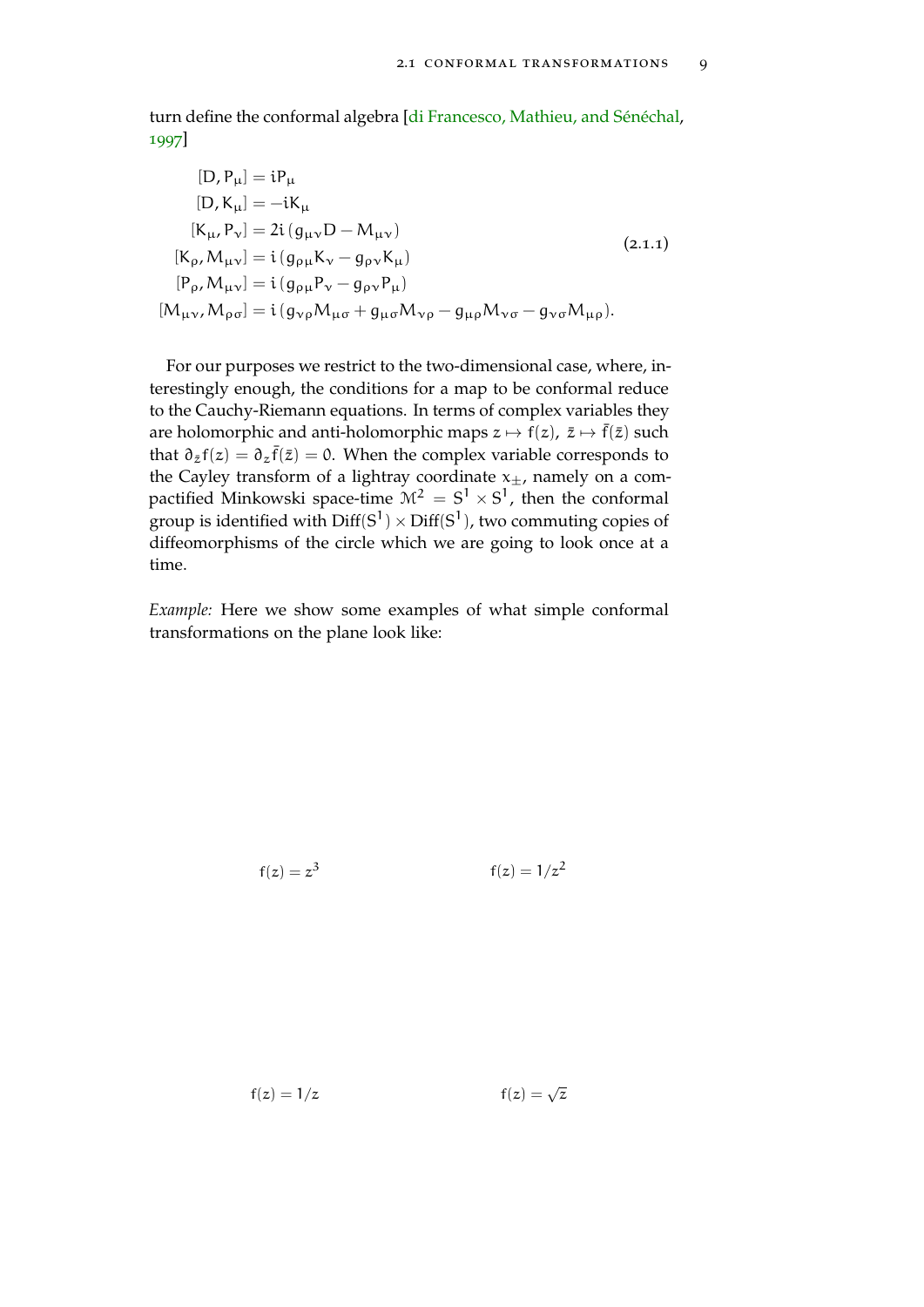turn define the conformal algebra [\[di Francesco, Mathieu, and Sénéchal,](#page-117-2) [1997](#page-117-2)]

$$
[D, P_{\mu}] = iP_{\mu}
$$
  
\n
$$
[D, K_{\mu}] = -iK_{\mu}
$$
  
\n
$$
[K_{\mu}, P_{\nu}] = 2i (g_{\mu\nu}D - M_{\mu\nu})
$$
  
\n
$$
[K_{\rho}, M_{\mu\nu}] = i (g_{\rho\mu}K_{\nu} - g_{\rho\nu}K_{\mu})
$$
  
\n
$$
[P_{\rho}, M_{\mu\nu}] = i (g_{\rho\mu}P_{\nu} - g_{\rho\nu}P_{\mu})
$$
  
\n
$$
[M_{\mu\nu}, M_{\rho\sigma}] = i (g_{\nu\rho}M_{\mu\sigma} + g_{\mu\sigma}M_{\nu\rho} - g_{\mu\rho}M_{\nu\sigma} - g_{\nu\sigma}M_{\mu\rho}).
$$
\n(2.1.1)

For our purposes we restrict to the two-dimensional case, where, interestingly enough, the conditions for a map to be conformal reduce to the Cauchy-Riemann equations. In terms of complex variables they are holomorphic and anti-holomorphic maps  $z \mapsto f(z)$ ,  $\bar{z} \mapsto \bar{f}(\bar{z})$  such that  $\partial_{\bar{z}} f(z) = \partial_z \bar{f}(\bar{z}) = 0$ . When the complex variable corresponds to the Cayley transform of a lightray coordinate  $x_{\pm}$ , namely on a compactified Minkowski space-time  $\mathcal{M}^2 = S^1 \times S^1$ , then the conformal group is identified with  $Diff(S^1) \times Diff(S^1)$ , two commuting copies of diffeomorphisms of the circle which we are going to look once at a time.

*Example:* Here we show some examples of what simple conformal transformations on the plane look like:

$$
f(z) = z^3 \qquad f(z) = 1/z^2
$$

$$
f(z) = 1/z \qquad f(z) = \sqrt{z}
$$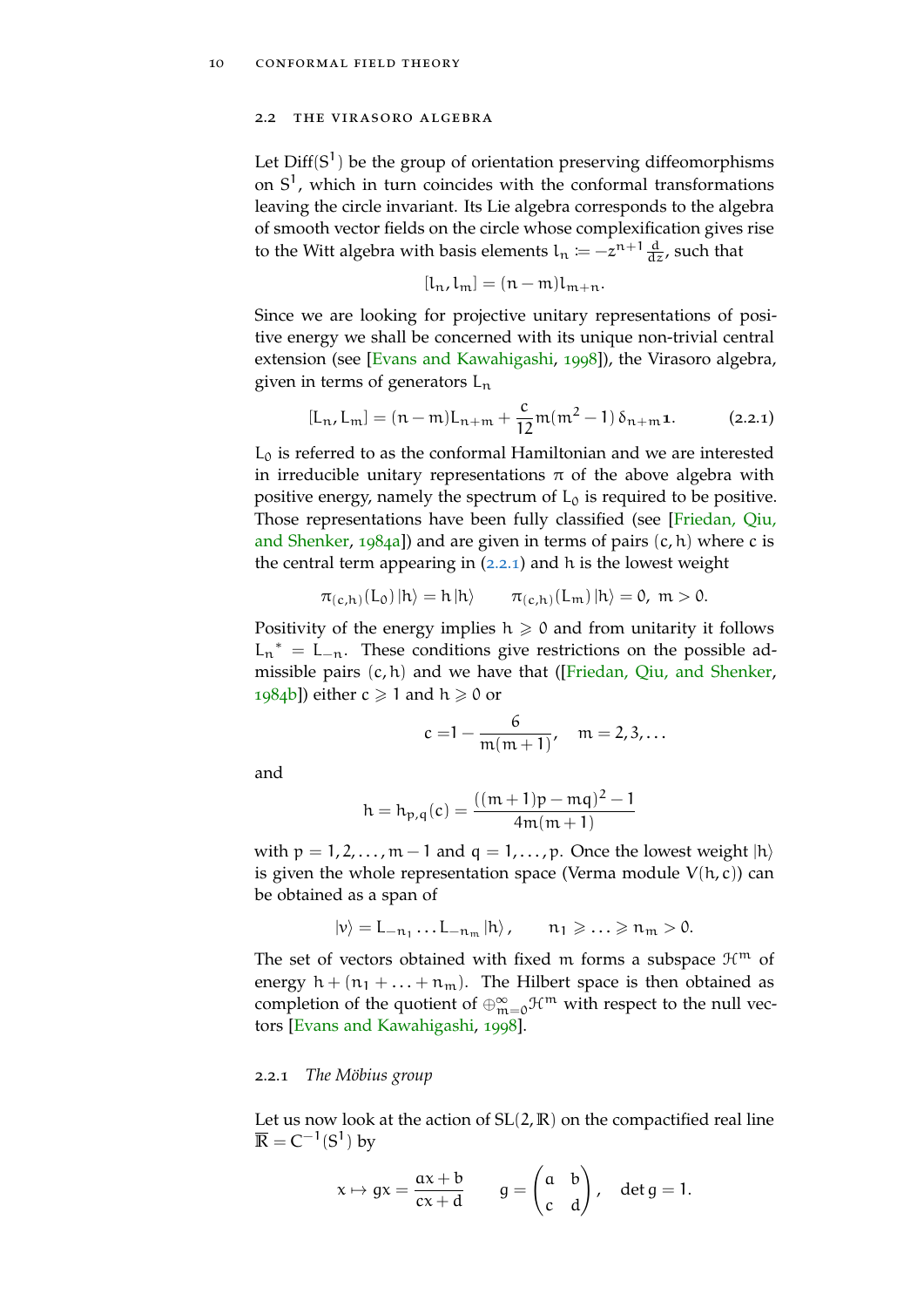#### <span id="page-21-0"></span>2.2 the virasoro algebra

Let  $Diff(S<sup>1</sup>)$  be the group of orientation preserving diffeomorphisms on  $S<sup>1</sup>$ , which in turn coincides with the conformal transformations leaving the circle invariant. Its Lie algebra corresponds to the algebra of smooth vector fields on the circle whose complexification gives rise to the Witt algebra with basis elements  $l_n \coloneqq -z^{n+1} \frac{d}{dz}$ , such that

$$
[l_n, l_m] = (n-m)l_{m+n}.
$$

Since we are looking for projective unitary representations of positive energy we shall be concerned with its unique non-trivial central extension (see [\[Evans and Kawahigashi,](#page-117-1) [1998](#page-117-1)]), the Virasoro algebra, given in terms of generators  $L_n$ 

<span id="page-21-2"></span>
$$
[L_n, L_m] = (n - m)L_{n + m} + \frac{c}{12}m(m^2 - 1)\delta_{n + m}\mathbf{1}.
$$
 (2.2.1)

 $L_0$  is referred to as the conformal Hamiltonian and we are interested in irreducible unitary representations  $\pi$  of the above algebra with positive energy, namely the spectrum of  $L_0$  is required to be positive. Those representations have been fully classified (see [\[Friedan, Qiu,](#page-117-3) [and Shenker,](#page-117-3) [1984](#page-117-3)a]) and are given in terms of pairs  $(c, h)$  where c is the central term appearing in  $(2.2.1)$  $(2.2.1)$  $(2.2.1)$  and h is the lowest weight

$$
\pi_{(c,h)}(L_0) |h\rangle = h |h\rangle \qquad \pi_{(c,h)}(L_m) |h\rangle = 0, \ m > 0.
$$

Positivity of the energy implies  $h \ge 0$  and from unitarity it follows  $L_n^* = L_{-n}$ . These conditions give restrictions on the possible admissible pairs (c, h) and we have that ([\[Friedan, Qiu, and Shenker,](#page-117-4) [1984](#page-117-4)b]) either  $c \ge 1$  and  $h \ge 0$  or

$$
c = 1 - \frac{6}{m(m+1)}
$$
,  $m = 2, 3, ...$ 

and

$$
h = h_{p,q}(c) = \frac{((m+1)p - mq)^2 - 1}{4m(m+1)}
$$

with  $p = 1, 2, \dots, m - 1$  and  $q = 1, \dots, p$ . Once the lowest weight  $|h\rangle$ is given the whole representation space (Verma module  $V(h, c)$ ) can be obtained as a span of

$$
\left|\nu\right\rangle =L_{-n_{1}}\ldots L_{-n_{m}}\left|h\right\rangle ,\qquad n_{1}\geqslant\ldots\geqslant n_{m}>0.
$$

The set of vectors obtained with fixed m forms a subspace  $\mathcal{H}^m$  of energy  $h + (n_1 + ... + n_m)$ . The Hilbert space is then obtained as completion of the quotient of  $\oplus_{m=0}^{\infty} \mathcal{H}^m$  with respect to the null vectors [\[Evans and Kawahigashi,](#page-117-1) [1998](#page-117-1)].

## <span id="page-21-1"></span>2.2.1 *The Möbius group*

Let us now look at the action of  $SL(2, \mathbb{R})$  on the compactified real line  $\overline{\mathbb{R}} = C^{-1}(S^1)$  by

$$
x \mapsto gx = \frac{ax + b}{cx + d}
$$
  $g = \begin{pmatrix} a & b \\ c & d \end{pmatrix}$ , det  $g = 1$ .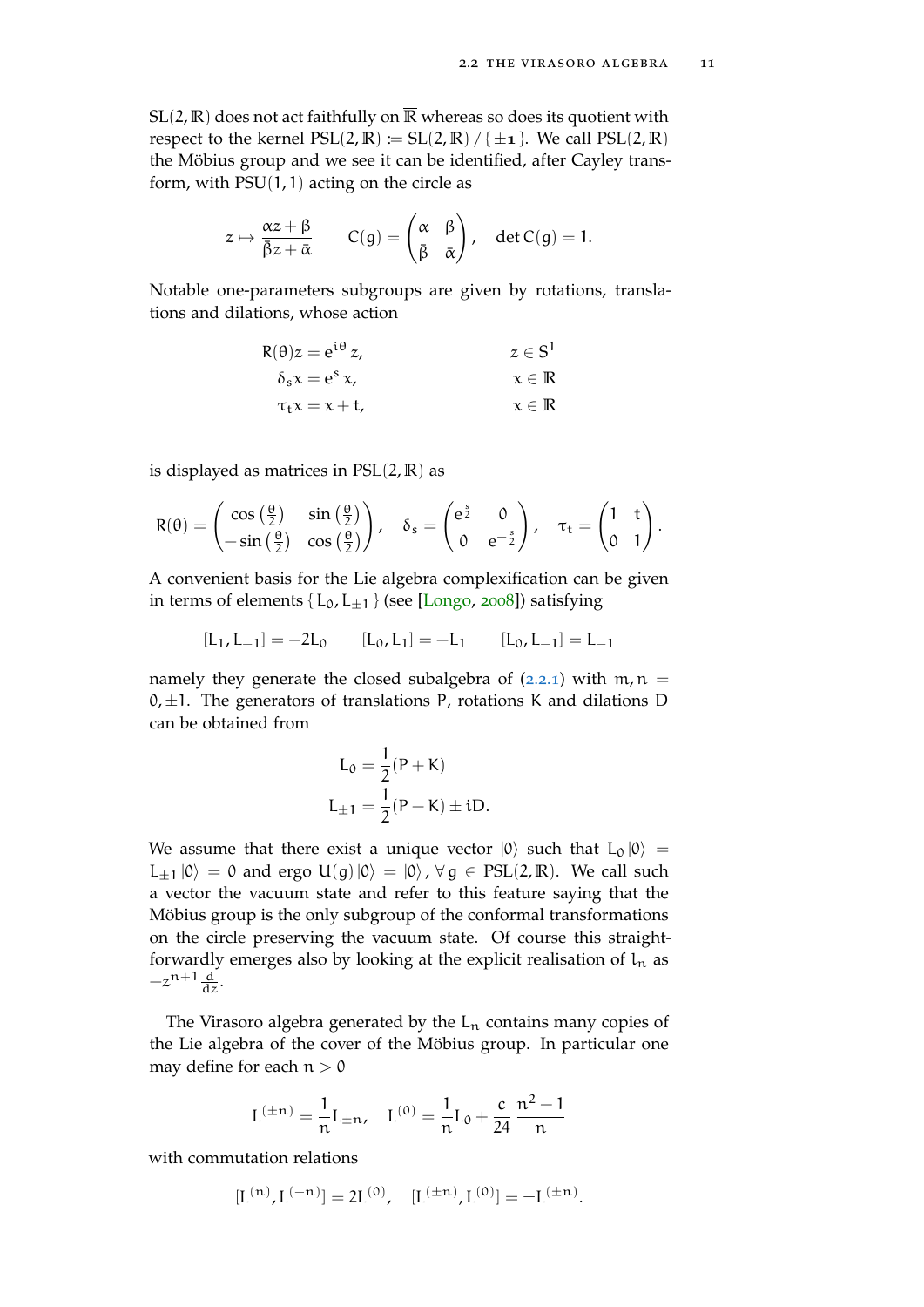$SL(2,\mathbb{R})$  does not act faithfully on  $\overline{\mathbb{R}}$  whereas so does its quotient with respect to the kernel  $PSL(2, \mathbb{R}) := SL(2, \mathbb{R}) / \{\pm \mathbf{1}\}\$ . We call  $PSL(2, \mathbb{R})$ the Möbius group and we see it can be identified, after Cayley transform, with  $PSU(1, 1)$  acting on the circle as

$$
z \mapsto \frac{\alpha z + \beta}{\overline{\beta}z + \overline{\alpha}} \qquad C(g) = \begin{pmatrix} \alpha & \beta \\ \overline{\beta} & \overline{\alpha} \end{pmatrix}, \quad \det C(g) = 1.
$$

Notable one-parameters subgroups are given by rotations, translations and dilations, whose action

$$
R(\theta)z = e^{i\theta} z, \qquad z \in S^1
$$
  
\n
$$
\delta_s x = e^s x, \qquad x \in \mathbb{R}
$$
  
\n
$$
\tau_t x = x + t, \qquad x \in \mathbb{R}
$$

is displayed as matrices in PSL(2, **R**) as

$$
R(\theta)=\begin{pmatrix} \cos\left(\frac{\theta}{2}\right) & \sin\left(\frac{\theta}{2}\right) \\ -\sin\left(\frac{\theta}{2}\right) & \cos\left(\frac{\theta}{2}\right) \end{pmatrix}, \quad \delta_s=\begin{pmatrix} e^{\frac{s}{2}} & 0 \\ 0 & e^{-\frac{s}{2}} \end{pmatrix}, \quad \tau_t=\begin{pmatrix} 1 & t \\ 0 & 1 \end{pmatrix}.
$$

A convenient basis for the Lie algebra complexification can be given in terms of elements  $\{L_0, L_{\pm 1}\}$  (see [\[Longo,](#page-118-2) [2008](#page-118-2)]) satisfying

$$
[L_1, L_{-1}] = -2L_0 \qquad [L_0, L_1] = -L_1 \qquad [L_0, L_{-1}] = L_{-1}
$$

namely they generate the closed subalgebra of  $(2.2.1)$  $(2.2.1)$  $(2.2.1)$  with  $m, n =$  $0, \pm 1$ . The generators of translations P, rotations K and dilations D can be obtained from

$$
L_0 = \frac{1}{2}(P + K)
$$
  
\n
$$
L_{\pm 1} = \frac{1}{2}(P - K) \pm iD.
$$

We assume that there exist a unique vector  $|0\rangle$  such that  $L_0 |0\rangle =$  $L_{\pm 1} |0\rangle = 0$  and ergo  $U(g)|0\rangle = |0\rangle$ ,  $\forall g \in PSL(2,\mathbb{R})$ . We call such a vector the vacuum state and refer to this feature saying that the Möbius group is the only subgroup of the conformal transformations on the circle preserving the vacuum state. Of course this straightforwardly emerges also by looking at the explicit realisation of  $l_n$  as  $-z^{n+1} \frac{d}{dz}$ .

The Virasoro algebra generated by the  $L_n$  contains many copies of the Lie algebra of the cover of the Möbius group. In particular one may define for each  $n > 0$ 

$$
L^{(\pm n)} = \frac{1}{n} L_{\pm n}, \quad L^{(0)} = \frac{1}{n} L_0 + \frac{c}{24} \, \frac{n^2 - 1}{n}
$$

with commutation relations

$$
[L^{(n)}, L^{(-n)}] = 2L^{(0)}, \quad [L^{(\pm n)}, L^{(0)}] = \pm L^{(\pm n)}.
$$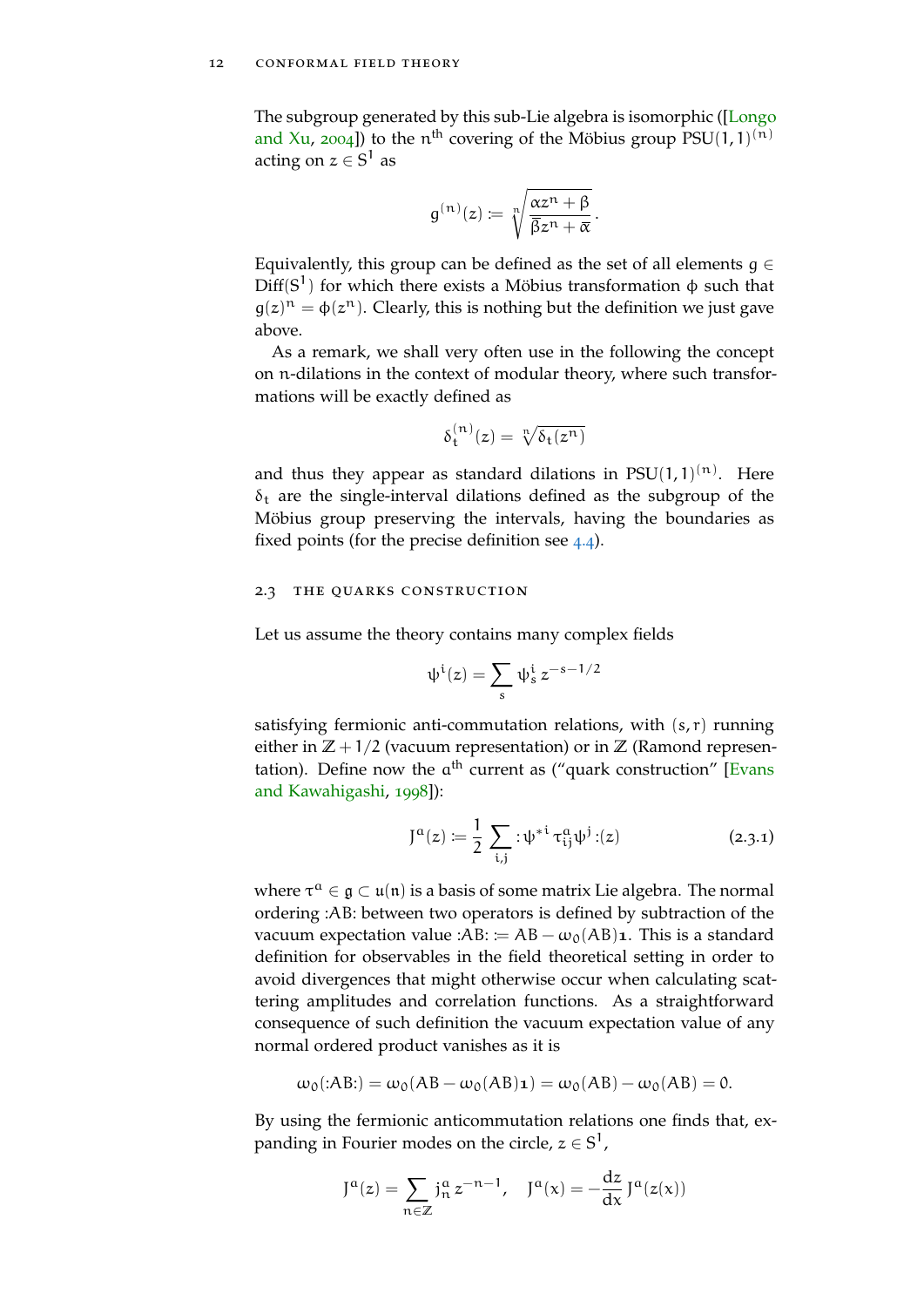The subgroup generated by this sub-Lie algebra is isomorphic ([\[Longo](#page-118-3) [and Xu,](#page-118-3) [2004](#page-118-3)]) to the n<sup>th</sup> covering of the Möbius group  $PSU(1,1)^{(n)}$ acting on  $z \in S^1$  as

$$
g^{(n)}(z) \coloneqq \sqrt[n]{\frac{\alpha z^n + \beta}{\overline{\beta} z^n + \overline{\alpha}}}.
$$

Equivalently, this group can be defined as the set of all elements  $g \in$  $Diff(S<sup>1</sup>)$  for which there exists a Möbius transformation  $\phi$  such that  $g(z)^n = \phi(z^n)$ . Clearly, this is nothing but the definition we just gave above.

As a remark, we shall very often use in the following the concept on n-dilations in the context of modular theory, where such transformations will be exactly defined as

$$
\delta_t^{(n)}(z) = \sqrt[n]{\delta_t(z^n)}
$$

and thus they appear as standard dilations in  $PSU(1,1)^{(n)}$ . Here  $\delta_t$  are the single-interval dilations defined as the subgroup of the Möbius group preserving the intervals, having the boundaries as fixed points (for the precise definition see [4](#page-47-0).4).

## <span id="page-23-0"></span>2.3 the quarks construction

Let us assume the theory contains many complex fields

$$
\psi^i(z)=\sum_s\psi^i_s\,z^{-s-1/2}
$$

satisfying fermionic anti-commutation relations, with  $(s, r)$  running either in  $\mathbb{Z} + 1/2$  (vacuum representation) or in  $\mathbb{Z}$  (Ramond represen-tation). Define now the a<sup>th</sup> current as ("quark construction" [\[Evans](#page-117-1) [and Kawahigashi,](#page-117-1) [1998](#page-117-1)]):

$$
J^{a}(z) \coloneqq \frac{1}{2} \sum_{i,j} : \psi^{*i} \tau_{ij}^{a} \psi^{j} : (z)
$$
 (2.3.1)

where  $\tau^a \in \mathfrak{g} \subset \mathfrak{u}(\mathfrak{n})$  is a basis of some matrix Lie algebra. The normal ordering :AB: between two operators is defined by subtraction of the vacuum expectation value : $AB$ :  $= AB - \omega_0(AB)$ 1. This is a standard definition for observables in the field theoretical setting in order to avoid divergences that might otherwise occur when calculating scattering amplitudes and correlation functions. As a straightforward consequence of such definition the vacuum expectation value of any normal ordered product vanishes as it is

$$
\omega_0(\mathbf{AB}) = \omega_0(AB - \omega_0(AB)\mathbf{1}) = \omega_0(AB) - \omega_0(AB) = 0.
$$

By using the fermionic anticommutation relations one finds that, expanding in Fourier modes on the circle,  $z \in \text{S}^1$  ,

$$
J^{\alpha}(z) = \sum_{n \in \mathbb{Z}} j_n^{\alpha} z^{-n-1}, \quad J^{\alpha}(x) = -\frac{dz}{dx} J^{\alpha}(z(x))
$$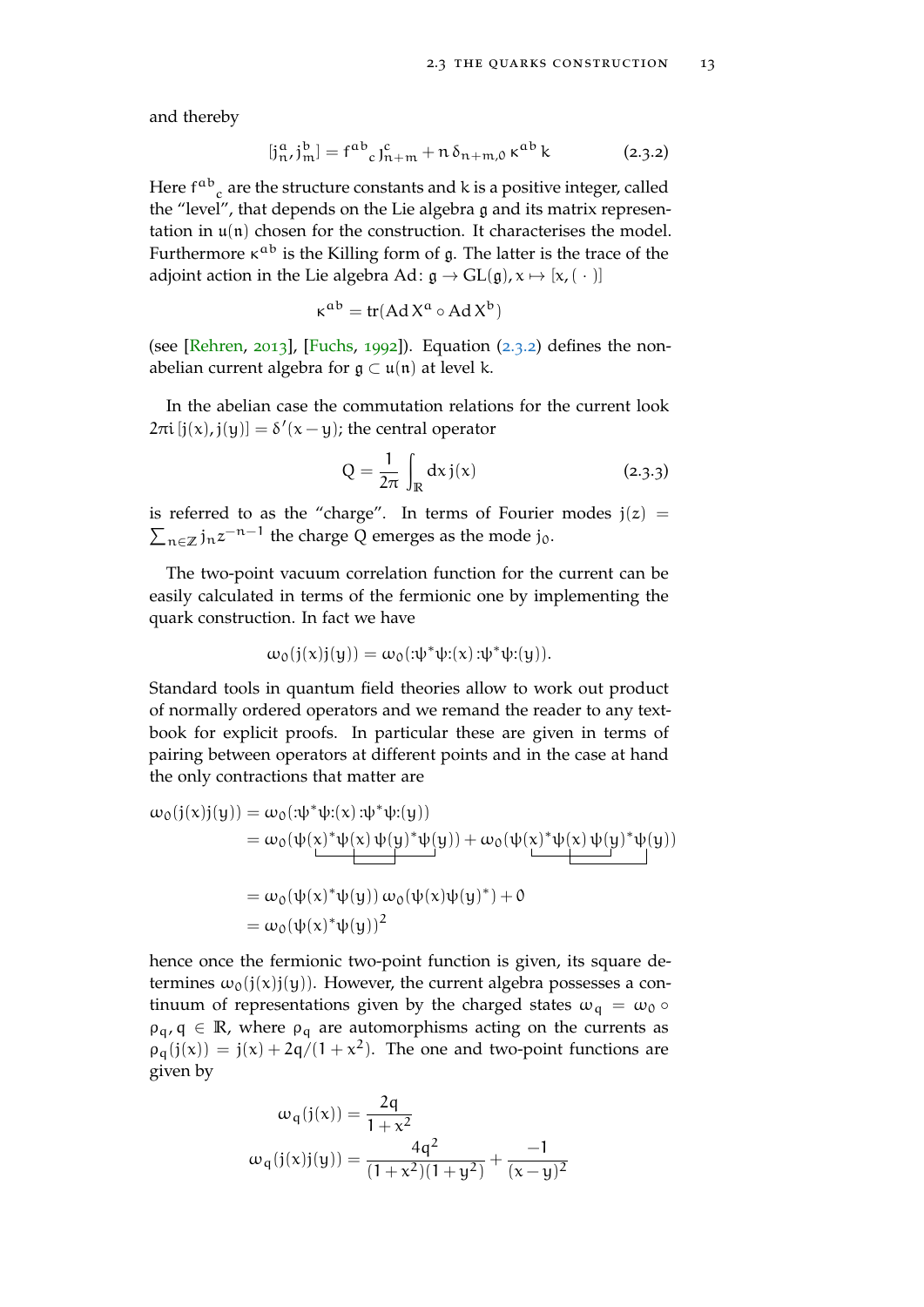and thereby

<span id="page-24-0"></span>
$$
[j_{n'}^{a}j_{m}^{b}] = f^{ab}_{c}j_{n+m}^{c} + n \delta_{n+m,0} \kappa^{ab} k
$$
 (2.3.2)

Here  $f^{ab}{}_c$  are the structure constants and k is a positive integer, called the "level", that depends on the Lie algebra g and its matrix representation in  $\mathfrak{u}(\mathfrak{n})$  chosen for the construction. It characterises the model. Furthermore  $\kappa^{ab}$  is the Killing form of  $\mathfrak g$ . The latter is the trace of the adjoint action in the Lie algebra Ad:  $\mathfrak{g} \to GL(\mathfrak{g}), x \mapsto [x, (-)]$ 

$$
\kappa^{\alpha b}=tr(Ad\,X^\alpha\circ Ad\,X^b)
$$

(see [\[Rehren,](#page-119-4) [2013](#page-119-4)], [\[Fuchs,](#page-117-5) [1992](#page-117-5)]). Equation  $(2.3.2)$  $(2.3.2)$  $(2.3.2)$  defines the nonabelian current algebra for  $\mathfrak{g} \subset \mathfrak{u}(\mathfrak{n})$  at level k.

In the abelian case the commutation relations for the current look  $2\pi i$  [j(x), j(y)] =  $\delta'(x-y)$ ; the central operator

$$
Q = \frac{1}{2\pi} \int_{\mathbb{R}} dx j(x) \qquad (2.3.3)
$$

is referred to as the "charge". In terms of Fourier modes  $j(z)$  =  $\sum_{n \in \mathbb{Z}} j_n z^{-n-1}$  the charge Q emerges as the mode j<sub>0</sub>.

The two-point vacuum correlation function for the current can be easily calculated in terms of the fermionic one by implementing the quark construction. In fact we have

$$
\omega_0(j(x)j(y)) = \omega_0(\mathbf{p}^*\psi(\mathbf{x})\mathbf{p}^*\psi(\mathbf{y})).
$$

Standard tools in quantum field theories allow to work out product of normally ordered operators and we remand the reader to any textbook for explicit proofs. In particular these are given in terms of pairing between operators at different points and in the case at hand the only contractions that matter are

$$
\omega_0(j(x)j(y)) = \omega_0(:\psi^*\psi:(x):\psi^*\psi:(y))
$$
  
=  $\omega_0(\psi(x)^*\psi(x)\psi(y)^*\psi(y)) + \omega_0(\psi(x)^*\psi(x)\psi(y)^*\psi(y))$   
=  $\omega_0(\psi(x)^*\psi(y))\omega_0(\psi(x)\psi(y)^*) + 0$   
=  $\omega_0(\psi(x)^*\psi(y))^2$ 

hence once the fermionic two-point function is given, its square determines  $\omega_0(i(x)(y))$ . However, the current algebra possesses a continuum of representations given by the charged states  $\omega_{q} = \omega_{0} \circ$  $\rho_q$ ,  $q \in \mathbb{R}$ , where  $\rho_q$  are automorphisms acting on the currents as  $\rho_q(j(x)) = j(x) + 2q/(1 + x^2)$ . The one and two-point functions are given by

$$
\omega_q(j(x)) = \frac{2q}{1 + x^2}
$$

$$
\omega_q(j(x)j(y)) = \frac{4q^2}{(1 + x^2)(1 + y^2)} + \frac{-1}{(x - y)^2}
$$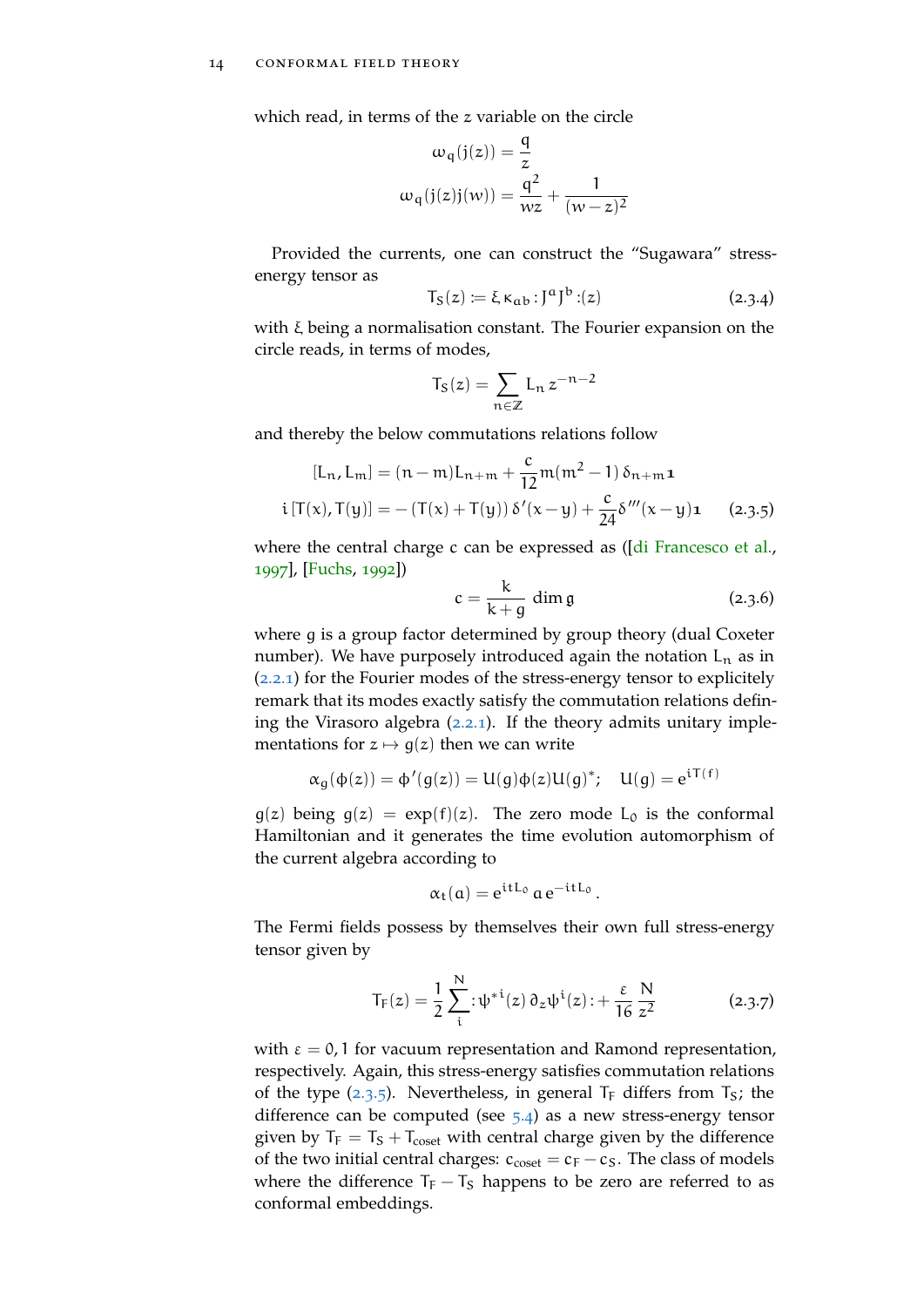which read, in terms of the z variable on the circle

$$
\omega_q(j(z)) = \frac{q}{z}
$$

$$
\omega_q(j(z)j(w)) = \frac{q^2}{wz} + \frac{1}{(w-z)^2}
$$

Provided the currents, one can construct the "Sugawara" stressenergy tensor as

<span id="page-25-2"></span>
$$
T_S(z) \coloneqq \xi \kappa_{ab} : J^a J^b : (z) \tag{2.3.4}
$$

with ξ being a normalisation constant. The Fourier expansion on the circle reads, in terms of modes,

$$
T_S(z)=\sum_{n\in\mathbb{Z}}L_n\,z^{-n-2}
$$

and thereby the below commutations relations follow

$$
[L_n, L_m] = (n - m)L_{n+m} + \frac{c}{12}m(m^2 - 1)\delta_{n+m}\mathbf{1}
$$
  
i $[T(x), T(y)] = -(T(x) + T(y))\delta'(x - y) + \frac{c}{24}\delta'''(x - y)\mathbf{1}$  (2.3.5)

where the central charge c can be expressed as ([\[di Francesco et al.,](#page-117-2) [1997](#page-117-2)], [\[Fuchs,](#page-117-5) [1992](#page-117-5)])

<span id="page-25-1"></span>
$$
c = \frac{k}{k+g} \dim \mathfrak{g} \tag{2.3.6}
$$

where g is a group factor determined by group theory (dual Coxeter number). We have purposely introduced again the notation  $L_n$  as in ([2](#page-21-2).2.1) for the Fourier modes of the stress-energy tensor to explicitely remark that its modes exactly satisfy the commutation relations defining the Virasoro algebra ([2](#page-21-2).2.1). If the theory admits unitary implementations for  $z \mapsto g(z)$  then we can write

$$
\alpha_g(\varphi(z)) = \varphi'(g(z)) = U(g)\varphi(z)U(g)^{*}; \quad U(g) = e^{iT(f)}
$$

 $g(z)$  being  $g(z) = \exp(f)(z)$ . The zero mode L<sub>0</sub> is the conformal Hamiltonian and it generates the time evolution automorphism of the current algebra according to

$$
\alpha_t(a) = e^{itL_0} \, a \, e^{-itL_0} \, .
$$

The Fermi fields possess by themselves their own full stress-energy tensor given by

$$
T_F(z) = \frac{1}{2} \sum_{i}^{N} \, : \psi^{*i}(z) \, \partial_z \psi^i(z) : + \frac{\varepsilon}{16} \frac{N}{z^2}
$$
 (2.3.7)

<span id="page-25-0"></span>with  $\varepsilon = 0$ , 1 for vacuum representation and Ramond representation, respectively. Again, this stress-energy satisfies commutation relations of the type ([2](#page-25-1).3.5). Nevertheless, in general  $T_F$  differs from  $T_S$ ; the difference can be computed (see [5](#page-97-0).4) as a new stress-energy tensor given by  $T_F = T_S + T_{\text{coset}}$  with central charge given by the difference of the two initial central charges:  $c_{\text{coset}} = c_F - c_S$ . The class of models where the difference  $T_F - T_S$  happens to be zero are referred to as conformal embeddings.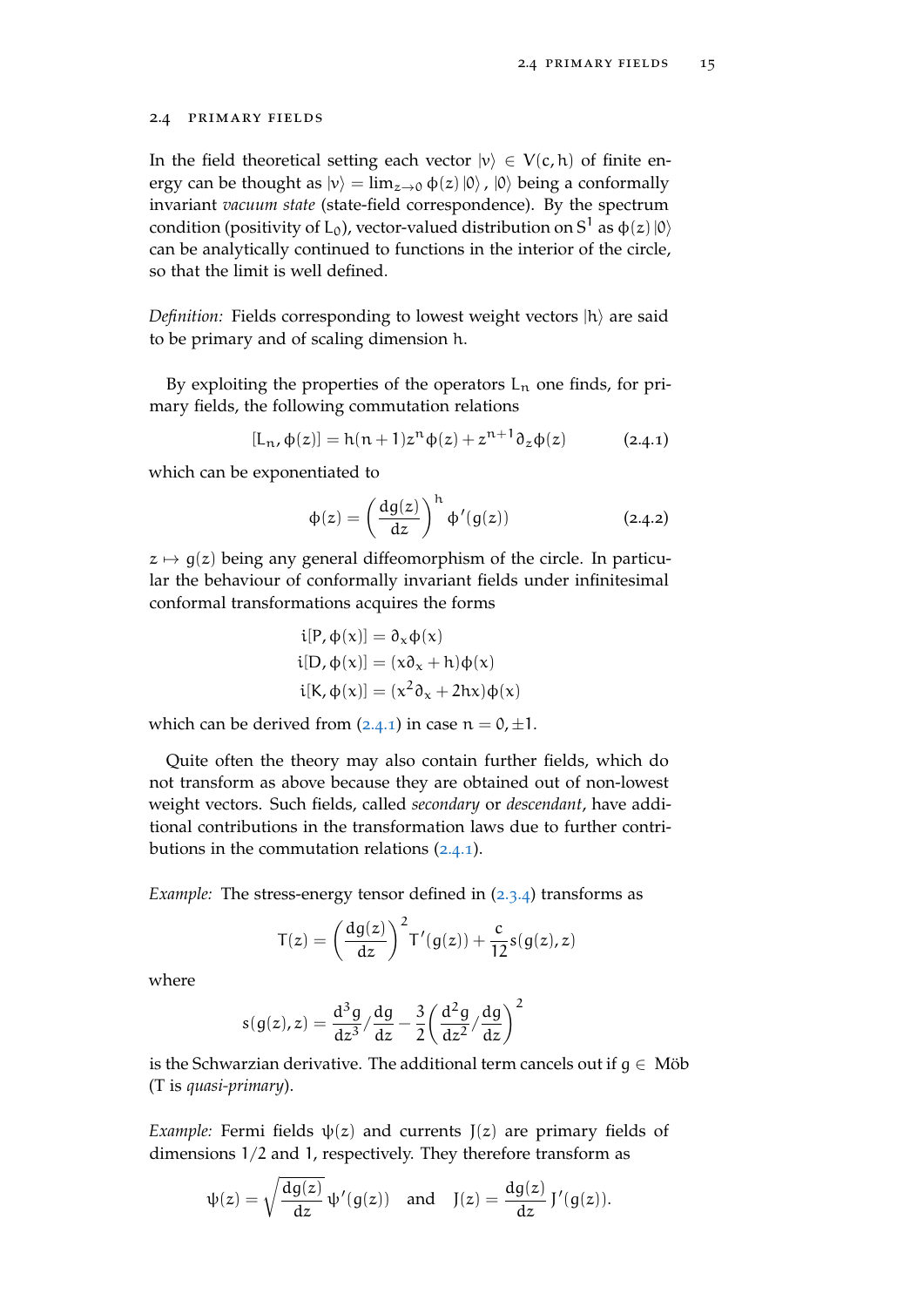#### 2.4 primary fields

In the field theoretical setting each vector  $|v\rangle \in V(c, h)$  of finite energy can be thought as  $|v\rangle = \lim_{z\to 0} \phi(z) |0\rangle$ ,  $|0\rangle$  being a conformally invariant *vacuum state* (state-field correspondence). By the spectrum condition (positivity of L<sub>0</sub>), vector-valued distribution on S<sup>1</sup> as φ(z) |0 $\rangle$ can be analytically continued to functions in the interior of the circle, so that the limit is well defined.

*Definition:* Fields corresponding to lowest weight vectors  $|h\rangle$  are said to be primary and of scaling dimension h.

By exploiting the properties of the operators  $L_n$  one finds, for primary fields, the following commutation relations

<span id="page-26-1"></span>
$$
[L_n, \phi(z)] = h(n+1)z^n \phi(z) + z^{n+1} \partial_z \phi(z)
$$
 (2.4.1)

which can be exponentiated to

$$
\phi(z) = \left(\frac{dg(z)}{dz}\right)^h \phi'(g(z)) \tag{2.4.2}
$$

 $z \mapsto q(z)$  being any general diffeomorphism of the circle. In particular the behaviour of conformally invariant fields under infinitesimal conformal transformations acquires the forms

$$
i[P, \phi(x)] = \partial_x \phi(x)
$$
  
\n
$$
i[D, \phi(x)] = (x\partial_x + h)\phi(x)
$$
  
\n
$$
i[K, \phi(x)] = (x^2\partial_x + 2hx)\phi(x)
$$

which can be derived from  $(2.4.1)$  $(2.4.1)$  $(2.4.1)$  in case  $n = 0, \pm 1$ .

Quite often the theory may also contain further fields, which do not transform as above because they are obtained out of non-lowest weight vectors. Such fields, called *secondary* or *descendant*, have additional contributions in the transformation laws due to further contributions in the commutation relations ([2](#page-26-1).4.1).

*Example:* The stress-energy tensor defined in  $(2.3.4)$  $(2.3.4)$  $(2.3.4)$  transforms as

$$
T(z) = \left(\frac{dg(z)}{dz}\right)^2 T'(g(z)) + \frac{c}{12}s(g(z), z)
$$

where

$$
s(g(z), z) = \frac{d^3g}{dz^3} / \frac{dg}{dz} - \frac{3}{2} \left( \frac{d^2g}{dz^2} / \frac{dg}{dz} \right)^2
$$

is the Schwarzian derivative. The additional term cancels out if  $q \in M$ öb (T is *quasi-primary*).

*Example:* Fermi fields  $\psi(z)$  and currents  $J(z)$  are primary fields of dimensions 1/2 and 1, respectively. They therefore transform as

<span id="page-26-0"></span>
$$
\psi(z) = \sqrt{\frac{dg(z)}{dz}} \psi'(g(z)) \quad \text{and} \quad J(z) = \frac{dg(z)}{dz} J'(g(z)).
$$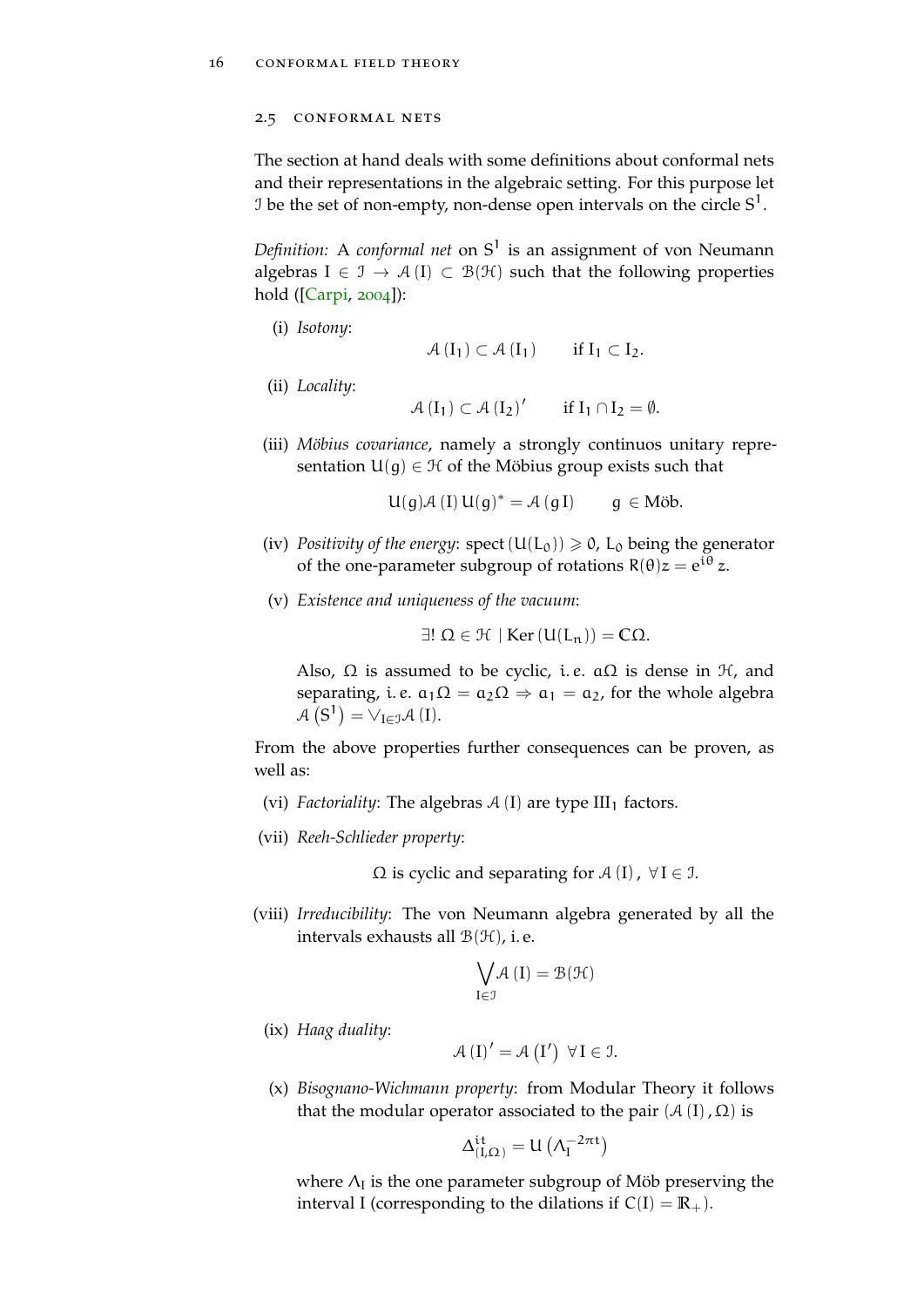#### 2.5 CONFORMAL NETS

The section at hand deals with some definitions about conformal nets and their representations in the algebraic setting. For this purpose let I be the set of non-empty, non-dense open intervals on the circle  $\text{S}^1.$ 

Definition: A conformal net on S<sup>1</sup> is an assignment of von Neumann algebras  $I \in \mathcal{I} \to \mathcal{A}(I) \subset \mathcal{B}(\mathcal{H})$  such that the following properties hold ([\[Carpi,](#page-117-6) [2004](#page-117-6)]):

(i) *Isotony*:

$$
\mathcal{A} (I_1) \subset \mathcal{A} (I_1) \quad \text{if } I_1 \subset I_2.
$$

(ii) *Locality*:

$$
\mathcal{A}(\mathrm{I}_1)\subset\mathcal{A}(\mathrm{I}_2)'\qquad\text{if }\mathrm{I}_1\cap\mathrm{I}_2=\emptyset.
$$

(iii) *Möbius covariance*, namely a strongly continuos unitary representation  $U(g) \in \mathcal{H}$  of the Möbius group exists such that

 $U(g) \mathcal{A} (I) U(g)^* = \mathcal{A} (g I)$  g  $\in$  Möb.

- (iv) *Positivity of the energy*: spect  $(U(L_0)) \ge 0$ ,  $L_0$  being the generator of the one-parameter subgroup of rotations  $R(\theta)z = e^{i\theta} z$ .
- (v) *Existence and uniqueness of the vacuum*:

$$
\exists! \ \Omega \in \mathcal{H} \ | \ Ker\left(U(L_n)\right) = C\Omega.
$$

Also,  $\Omega$  is assumed to be cyclic, i.e.  $a\Omega$  is dense in  $H$ , and separating, i.e.  $a_1 \Omega = a_2 \Omega \Rightarrow a_1 = a_2$ , for the whole algebra  $\mathcal{A} \left( \mathsf{S}^1 \right) = \vee_{\mathrm{I} \in \mathbb{J}} \mathcal{A} \left( \mathrm{I} \right).$ 

From the above properties further consequences can be proven, as well as:

- (vi) *Factoriality*: The algebras  $A(I)$  are type  $III<sub>1</sub>$  factors.
- (vii) *Reeh-Schlieder property*:

 $Ω$  is cyclic and separating for  $A$  (I),  $∀I ∈ θ$ .

(viii) *Irreducibility*: The von Neumann algebra generated by all the intervals exhausts all  $\mathcal{B}(\mathcal{H})$ , i.e.

$$
\bigvee_{I \in \mathcal{I}} \mathcal{A} (I) = \mathcal{B}(\mathcal{H})
$$

(ix) *Haag duality*:

$$
\mathcal{A} (I)' = \mathcal{A} (I') \ \forall I \in \mathcal{I}.
$$

(x) *Bisognano-Wichmann property*: from Modular Theory it follows that the modular operator associated to the pair  $(A (I), \Omega)$  is

$$
\Delta_{(I,\Omega)}^{it}=U\left(\Lambda_{I}^{-2\pi t}\right)
$$

where  $\Lambda_{\rm I}$  is the one parameter subgroup of Möb preserving the interval I (corresponding to the dilations if  $C(I) = \mathbb{R}_+$ ).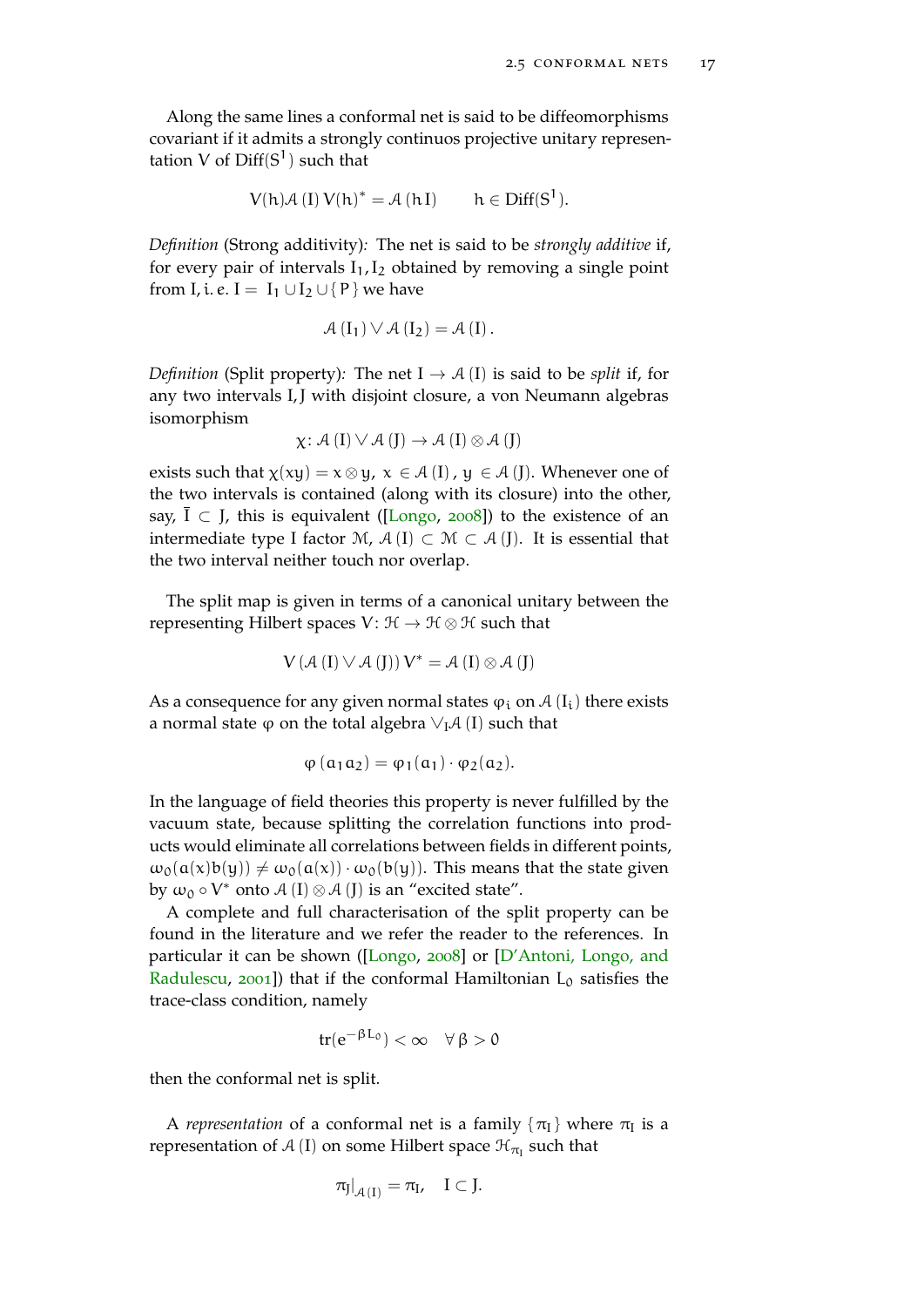Along the same lines a conformal net is said to be diffeomorphisms covariant if it admits a strongly continuos projective unitary representation V of  $\text{Diff}(S^1)$  such that

$$
V(h)\mathcal{A} (I) V(h)^* = \mathcal{A} (hI) \qquad h \in Diff(S^1).
$$

*Definition* (Strong additivity)*:* The net is said to be *strongly additive* if, for every pair of intervals  $I_1, I_2$  obtained by removing a single point from I, i. e. I =  $I_1 \cup I_2 \cup \{P\}$  we have

$$
\mathcal{A} (I_1) \vee \mathcal{A} (I_2) = \mathcal{A} (I).
$$

*Definition* (Split property): The net  $I \rightarrow A(I)$  is said to be *split* if, for any two intervals I, J with disjoint closure, a von Neumann algebras isomorphism

$$
\chi \colon \mathcal{A} \left( I \right) \vee \mathcal{A} \left( J \right) \to \mathcal{A} \left( I \right) \otimes \mathcal{A} \left( J \right)
$$

exists such that  $\chi(xy) = x \otimes y$ ,  $x \in \mathcal{A}$  (I),  $y \in \mathcal{A}$  (I). Whenever one of the two intervals is contained (along with its closure) into the other, say,  $\overline{I} \subset J$ , this is equivalent ([\[Longo,](#page-118-2) [2008](#page-118-2)]) to the existence of an intermediate type I factor M,  $A(I) \subset M \subset A(I)$ . It is essential that the two interval neither touch nor overlap.

The split map is given in terms of a canonical unitary between the representing Hilbert spaces V:  $\mathcal{H} \to \mathcal{H} \otimes \mathcal{H}$  such that

$$
V(\mathcal{A} (I) \vee \mathcal{A} (J)) V^* = \mathcal{A} (I) \otimes \mathcal{A} (J)
$$

As a consequence for any given normal states  $\varphi_i$  on  $\mathcal{A} (I_i)$  there exists a normal state  $\varphi$  on the total algebra  $\vee_I \mathcal{A}$  (I) such that

$$
\varphi(\alpha_1\alpha_2)=\varphi_1(\alpha_1)\cdot\varphi_2(\alpha_2).
$$

In the language of field theories this property is never fulfilled by the vacuum state, because splitting the correlation functions into products would eliminate all correlations between fields in different points,  $\omega_0(a(x)b(y)) \neq \omega_0(a(x)) \cdot \omega_0(b(y))$ . This means that the state given by  $\omega_0 \circ V^*$  onto  $\mathcal{A} (\mathrm{I}) \otimes \mathcal{A} (\mathrm{J})$  is an "excited state".

A complete and full characterisation of the split property can be found in the literature and we refer the reader to the references. In particular it can be shown ([\[Longo,](#page-118-2) [2008](#page-118-2)] or [\[D'Antoni, Longo, and](#page-117-7) [Radulescu,](#page-117-7) [2001](#page-117-7)]) that if the conformal Hamiltonian  $L_0$  satisfies the trace-class condition, namely

$$
\text{tr}(e^{-\beta L_0}) < \infty \quad \forall \, \beta > 0
$$

then the conformal net is split.

A *representation* of a conformal net is a family  $\{\pi_{\text{I}}\}$  where  $\pi_{\text{I}}$  is a representation of  $\mathcal{A}$  (I) on some Hilbert space  $\mathcal{H}_{\pi_I}$  such that

$$
\pi_J|_{\mathcal{A}(I)} = \pi_I, \quad I \subset J.
$$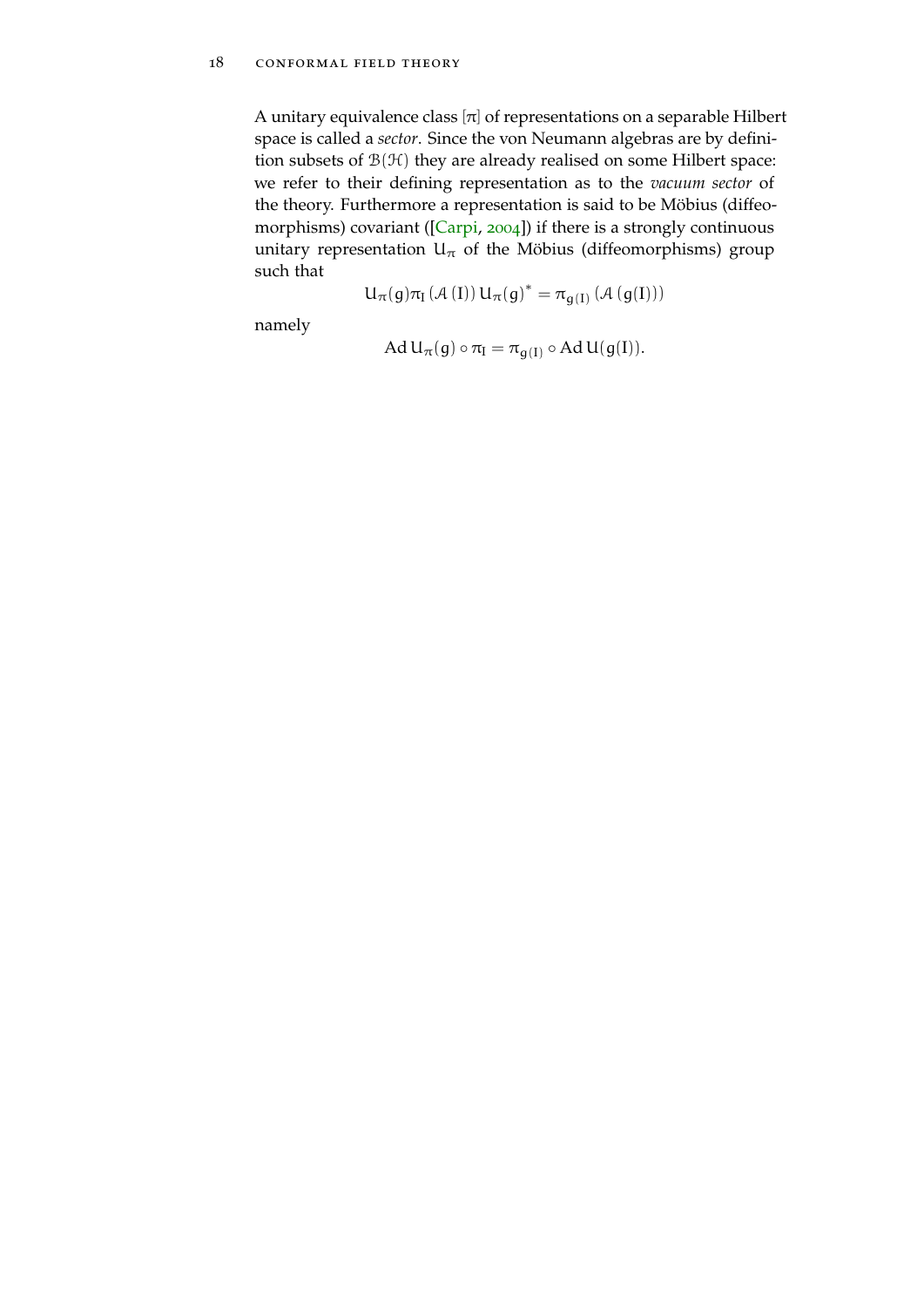A unitary equivalence class  $[\pi]$  of representations on a separable Hilbert space is called a *sector*. Since the von Neumann algebras are by definition subsets of  $\mathcal{B}(\mathcal{H})$  they are already realised on some Hilbert space: we refer to their defining representation as to the *vacuum sector* of the theory. Furthermore a representation is said to be Möbius (diffeo-morphisms) covariant ([\[Carpi,](#page-117-6) [2004](#page-117-6)]) if there is a strongly continuous unitary representation  $U_{\pi}$  of the Möbius (diffeomorphisms) group such that

$$
U_{\pi}(g)\pi_{I}\left(\mathcal{A}\left(I\right)\right)U_{\pi}(g)^{*}=\pi_{g\left(I\right)}\left(\mathcal{A}\left(g(I)\right)\right)
$$

namely

$$
Ad U_{\pi}(g) \circ \pi_I = \pi_{g(I)} \circ Ad U(g(I)).
$$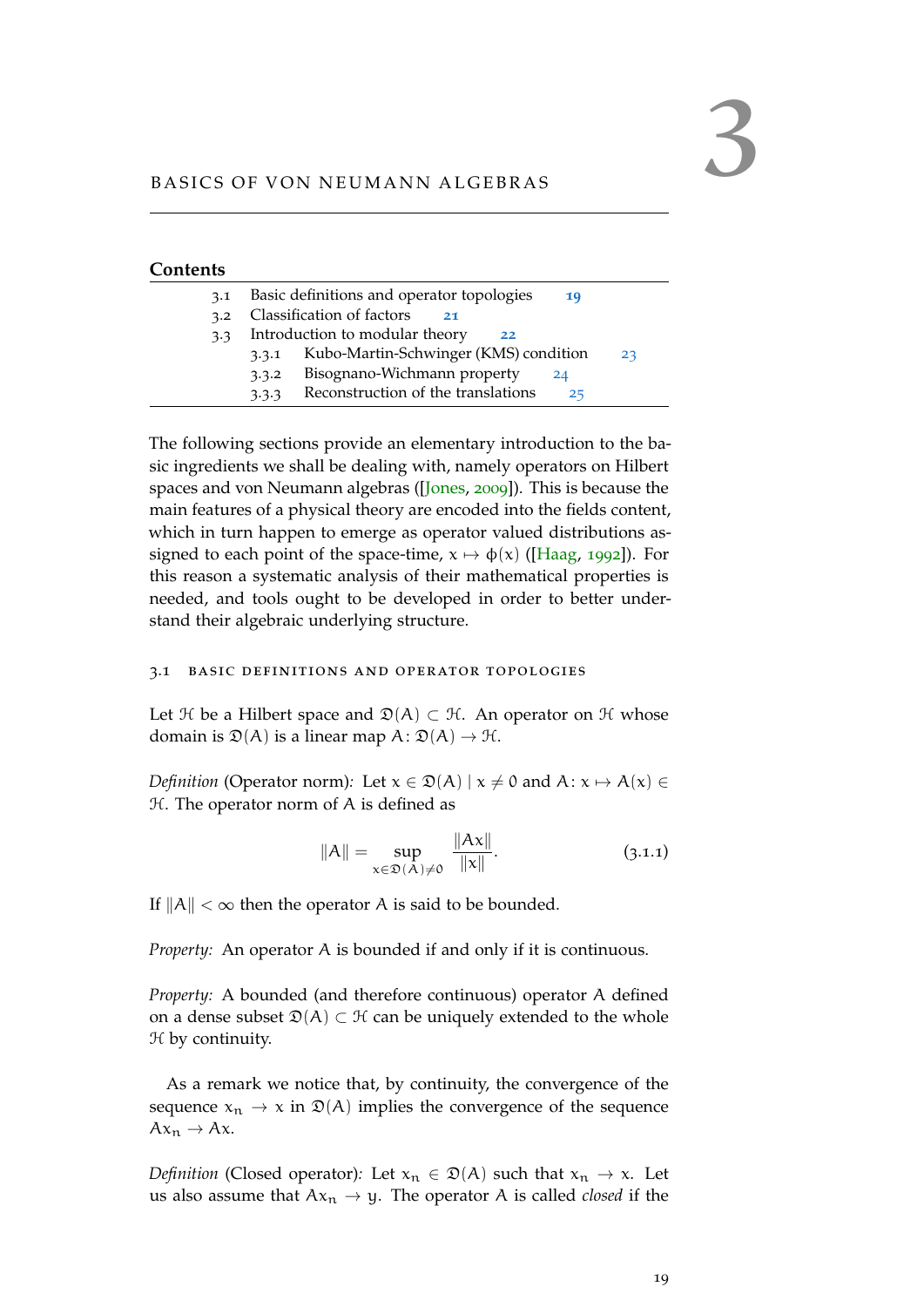<span id="page-30-0"></span>

| <b>Contents</b> |                                                      |  |
|-----------------|------------------------------------------------------|--|
| 3.1             | Basic definitions and operator topologies<br>19      |  |
| 3.2             | Classification of factors<br>21                      |  |
| 3.3             | Introduction to modular theory<br>22                 |  |
|                 | Kubo-Martin-Schwinger (KMS) condition<br>3.3.1<br>23 |  |
|                 | Bisognano-Wichmann property<br>3.3.2<br>24           |  |
|                 | Reconstruction of the translations<br>3.3.3<br>25    |  |

The following sections provide an elementary introduction to the basic ingredients we shall be dealing with, namely operators on Hilbert spaces and von Neumann algebras ([\[Jones,](#page-118-4) [2009](#page-118-4)]). This is because the main features of a physical theory are encoded into the fields content, which in turn happen to emerge as operator valued distributions assigned to each point of the space-time,  $x \mapsto \phi(x)$  ([\[Haag,](#page-118-0) [1992](#page-118-0)]). For this reason a systematic analysis of their mathematical properties is needed, and tools ought to be developed in order to better understand their algebraic underlying structure.

# <span id="page-30-1"></span>3.1 basic definitions and operator topologies

Let H be a Hilbert space and  $\mathfrak{D}(A) \subset \mathfrak{H}$ . An operator on H whose domain is  $\mathfrak{D}(A)$  is a linear map  $A: \mathfrak{D}(A) \to \mathfrak{H}$ .

*Definition* (Operator norm): Let  $x \in \mathfrak{D}(A) \mid x \neq 0$  and  $A: x \mapsto A(x) \in$ H. The operator norm of A is defined as

<span id="page-30-2"></span>
$$
\|A\| = \sup_{x \in \mathfrak{D}(A) \neq 0} \frac{\|Ax\|}{\|x\|}.
$$
 (3.1.1)

If  $||A|| < \infty$  then the operator A is said to be bounded.

*Property:* An operator A is bounded if and only if it is continuous.

*Property:* A bounded (and therefore continuous) operator A defined on a dense subset  $\mathfrak{D}(A) \subset \mathfrak{H}$  can be uniquely extended to the whole H by continuity.

As a remark we notice that, by continuity, the convergence of the sequence  $x_n \to x$  in  $\mathfrak{D}(A)$  implies the convergence of the sequence  $Ax_n \rightarrow Ax$ .

*Definition* (Closed operator): Let  $x_n \in \mathcal{D}(A)$  such that  $x_n \to x$ . Let us also assume that  $Ax_n \rightarrow y$ . The operator A is called *closed* if the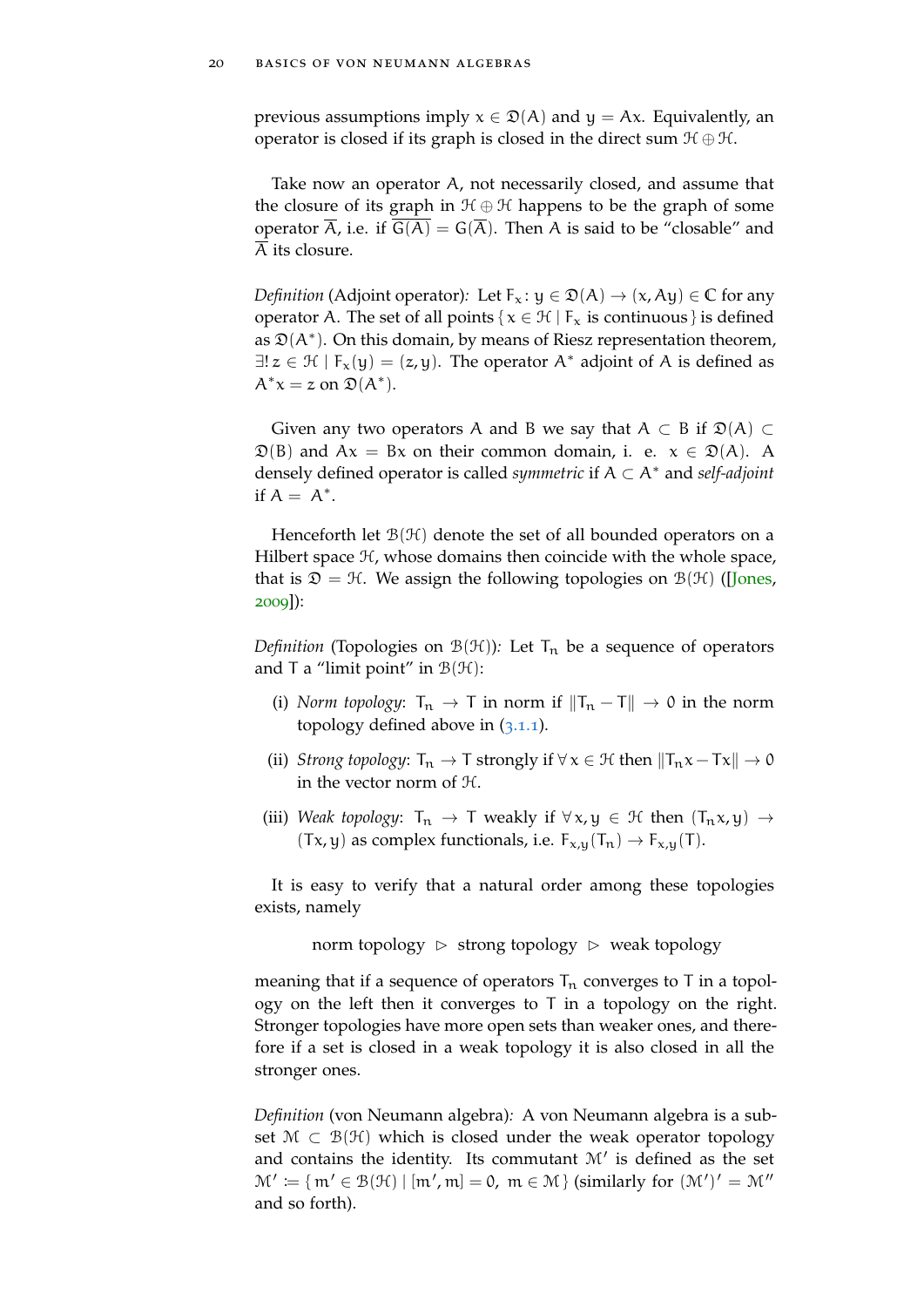previous assumptions imply  $x \in \mathcal{D}(A)$  and  $y = Ax$ . Equivalently, an operator is closed if its graph is closed in the direct sum  $\mathcal{H} \oplus \mathcal{H}$ .

Take now an operator A, not necessarily closed, and assume that the closure of its graph in  $H \oplus H$  happens to be the graph of some operator  $\overline{A}$ , i.e. if  $\overline{G(A)} = G(\overline{A})$ . Then A is said to be "closable" and  $\overline{A}$  its closure.

*Definition* (Adjoint operator): Let  $F_x : y \in \mathfrak{D}(A) \rightarrow (x, Ay) \in \mathbb{C}$  for any operator A. The set of all points { $x \in \mathcal{H} \mid F_x$  is continuous } is defined as  $\mathfrak{D}(A^*)$ . On this domain, by means of Riesz representation theorem,  $\exists ! z \in \mathcal{H} \mid F_x(y) = (z, y)$ . The operator A<sup>\*</sup> adjoint of A is defined as  $A^*x = z$  on  $\mathfrak{D}(A^*)$ .

Given any two operators A and B we say that  $A \subset B$  if  $\mathfrak{D}(A) \subset$  $\mathfrak{D}(B)$  and  $Ax = Bx$  on their common domain, i. e.  $x \in \mathfrak{D}(A)$ . A densely defined operator is called *symmetric* if A ⊂ A<sup>∗</sup> and *self-adjoint* if  $A = A^*$ .

Henceforth let  $\mathcal{B}(\mathcal{H})$  denote the set of all bounded operators on a Hilbert space  $H$ , whose domains then coincide with the whole space, that is  $\mathfrak{D} = \mathfrak{H}$ . We assign the following topologies on  $\mathcal{B}(\mathcal{H})$  ([\[Jones,](#page-118-4) [2009](#page-118-4)]):

*Definition* (Topologies on  $\mathcal{B}(\mathcal{H})$ ): Let  $T_n$  be a sequence of operators and T a "limit point" in  $\mathcal{B}(\mathcal{H})$ :

- (i) *Norm topology*:  $T_n \to T$  in norm if  $||T_n T|| \to 0$  in the norm topology defined above in ([3](#page-30-2).1.1).
- (ii) *Strong topology*:  $T_n \to T$  strongly if  $\forall x \in \mathcal{H}$  then  $||T_n x Tx|| \to 0$ in the vector norm of H.
- (iii) *Weak topology*:  $T_n \to T$  weakly if  $\forall x, y \in H$  then  $(T_n x, y) \to$  $(Tx, y)$  as complex functionals, i.e.  $F_{x,y}(T_n) \rightarrow F_{x,y}(T)$ .

It is easy to verify that a natural order among these topologies exists, namely

norm topology  $\triangleright$  strong topology  $\triangleright$  weak topology

meaning that if a sequence of operators  $T_n$  converges to T in a topology on the left then it converges to  $T$  in a topology on the right. Stronger topologies have more open sets than weaker ones, and therefore if a set is closed in a weak topology it is also closed in all the stronger ones.

*Definition* (von Neumann algebra)*:* A von Neumann algebra is a subset  $M \subset \mathcal{B}(\mathcal{H})$  which is closed under the weak operator topology and contains the identity. Its commutant  $\mathcal{M}'$  is defined as the set  $\mathcal{M}' \coloneqq {\{ \mathfrak{m}' \in \mathcal{B}(\mathcal{H}) \mid [\mathfrak{m}',\mathfrak{m}] = 0, \mathfrak{m} \in \mathcal{M} \}}$  (similarly for  $(\mathcal{M}')' = \mathcal{M}''$ and so forth).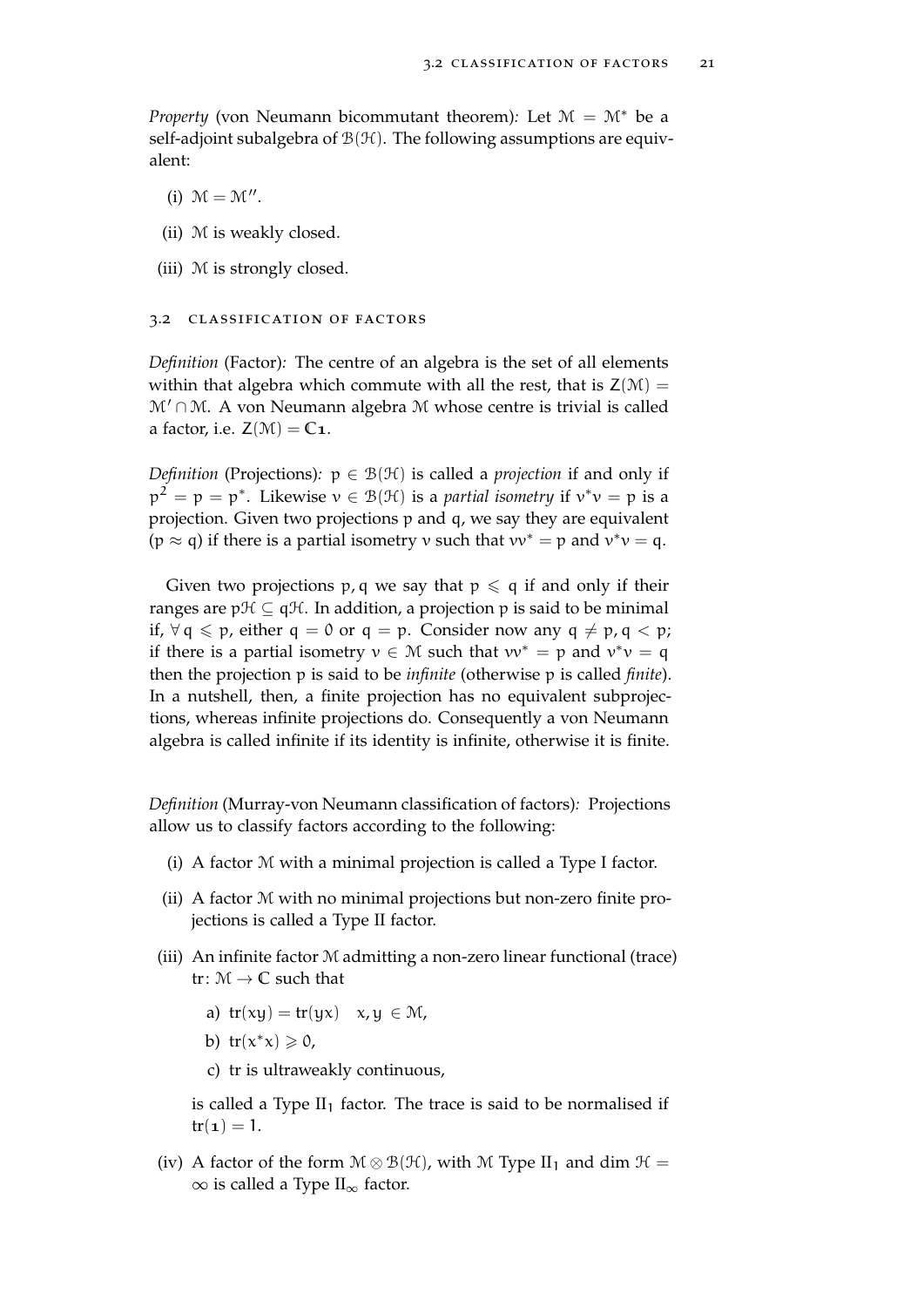*Property* (von Neumann bicommutant theorem): Let  $M = M^*$  be a self-adjoint subalgebra of  $\mathcal{B}(\mathcal{H})$ . The following assumptions are equivalent:

- (i)  $\mathcal{M} = \mathcal{M}''$ .
- (ii) M is weakly closed.
- (iii) M is strongly closed.

### <span id="page-32-0"></span>3.2 classification of factors

*Definition* (Factor)*:* The centre of an algebra is the set of all elements within that algebra which commute with all the rest, that is  $Z(\mathcal{M}) =$  $M' \cap M$ . A von Neumann algebra M whose centre is trivial is called a factor, i.e.  $Z(\mathcal{M}) = \mathbb{C}_1$ .

*Definition* (Projections):  $p \in \mathcal{B}(\mathcal{H})$  is called a *projection* if and only if  $p^2 = p = p^*$ . Likewise  $v \in \mathcal{B}(\mathcal{H})$  is a *partial isometry* if  $v^*v = p$  is a projection. Given two projections p and q, we say they are equivalent  $(p \approx q)$  if there is a partial isometry v such that  $vv^* = p$  and  $v^*v = q$ .

Given two projections p, q we say that  $p \le q$  if and only if their ranges are  $p\mathcal{H} \subseteq q\mathcal{H}$ . In addition, a projection p is said to be minimal if,  $\forall q \leq p$ , either q = 0 or q = p. Consider now any q ≠ p, q < p; if there is a partial isometry  $v \in M$  such that  $vv^* = p$  and  $v^*v = q$ then the projection p is said to be *infinite* (otherwise p is called *finite*). In a nutshell, then, a finite projection has no equivalent subprojections, whereas infinite projections do. Consequently a von Neumann algebra is called infinite if its identity is infinite, otherwise it is finite.

*Definition* (Murray-von Neumann classification of factors)*:* Projections allow us to classify factors according to the following:

- (i) A factor M with a minimal projection is called a Type I factor.
- (ii) A factor M with no minimal projections but non-zero finite projections is called a Type II factor.
- (iii) An infinite factor M admitting a non-zero linear functional (trace) tr:  $M \rightarrow \mathbb{C}$  such that
	- a)  $tr(xy) = tr(yx)$   $x, y \in M$ ,
	- b)  $tr(x^*x) \geq 0$ ,

c) tr is ultraweakly continuous,

is called a Type  $II_1$  factor. The trace is said to be normalised if  $tr(1) = 1.$ 

(iv) A factor of the form  $M \otimes B(H)$ , with M Type II<sub>1</sub> and dim  $H =$  $\infty$  is called a Type II<sub>∞</sub> factor.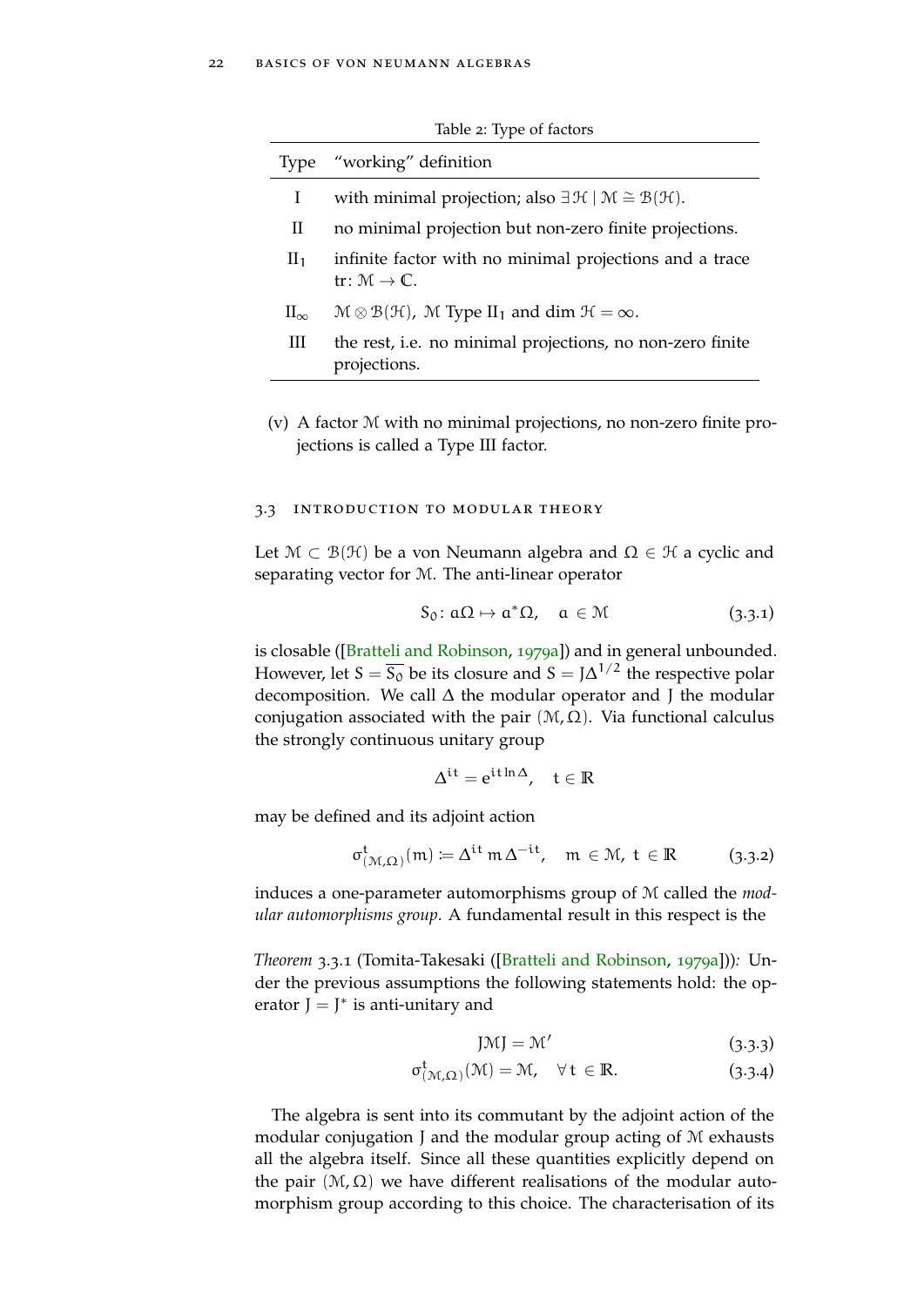| $1000 - 17000$   |                                                                                                          |  |  |
|------------------|----------------------------------------------------------------------------------------------------------|--|--|
| <b>Type</b>      | "working" definition                                                                                     |  |  |
| $\mathbf{I}$     | with minimal projection; also $\exists \mathcal{H} \mid \mathcal{M} \cong \mathcal{B}(\mathcal{H})$ .    |  |  |
| $\mathbf{\Pi}$   | no minimal projection but non-zero finite projections.                                                   |  |  |
| $\prod_1$        | infinite factor with no minimal projections and a trace<br>tr: $\mathcal{M} \rightarrow \mathbb{C}$ .    |  |  |
| $\prod_{\infty}$ | $\mathcal{M} \otimes \mathcal{B}(\mathcal{H})$ , M Type II <sub>1</sub> and dim $\mathcal{H} = \infty$ . |  |  |
| Ш                | the rest, <i>i.e.</i> no minimal projections, no non-zero finite<br>projections.                         |  |  |

Table 2: Type of factors

(v) A factor M with no minimal projections, no non-zero finite projections is called a Type III factor.

#### <span id="page-33-0"></span>3.3 introduction to modular theory

Let  $M \subset \mathcal{B}(\mathcal{H})$  be a von Neumann algebra and  $\Omega \in \mathcal{H}$  a cyclic and separating vector for M. The anti-linear operator

<span id="page-33-1"></span>
$$
S_0: \mathfrak{a}\Omega \mapsto \mathfrak{a}^*\Omega, \quad \mathfrak{a} \in \mathfrak{M} \tag{3.3.1}
$$

is closable ([\[Bratteli and Robinson,](#page-116-4) [1979](#page-116-4)a]) and in general unbounded. However, let  $S = \overline{S_0}$  be its closure and  $S = J\Delta^{1/2}$  the respective polar decomposition. We call  $\Delta$  the modular operator and J the modular conjugation associated with the pair  $(M, Ω)$ . Via functional calculus the strongly continuous unitary group

$$
\Delta^{\text{it}} = e^{\text{it}\ln\Delta}, \quad t \in \mathbb{R}
$$

may be defined and its adjoint action

$$
\sigma^t_{(\mathcal{M},\Omega)}(m)\coloneqq \Delta^{\text{it}}\, m\, \Delta^{-\text{it}}, \quad m\in\mathcal{M},\ t\in\mathbb{R} \tag{3.3.2}
$$

induces a one-parameter automorphisms group of M called the *modular automorphisms group*. A fundamental result in this respect is the

*Theorem* 3.3.1 (Tomita-Takesaki ([\[Bratteli and Robinson,](#page-116-4) [1979](#page-116-4)a]))*:* Under the previous assumptions the following statements hold: the operator  $J = J^*$  is anti-unitary and

$$
J\mathcal{M}J = \mathcal{M}' \tag{3.3.3}
$$

$$
\sigma^{\mathbf{t}}_{(\mathcal{M}, \Omega)}(\mathcal{M}) = \mathcal{M}, \quad \forall \, \mathbf{t} \in \mathbb{R}.
$$

The algebra is sent into its commutant by the adjoint action of the modular conjugation J and the modular group acting of M exhausts all the algebra itself. Since all these quantities explicitly depend on the pair  $(M, Ω)$  we have different realisations of the modular automorphism group according to this choice. The characterisation of its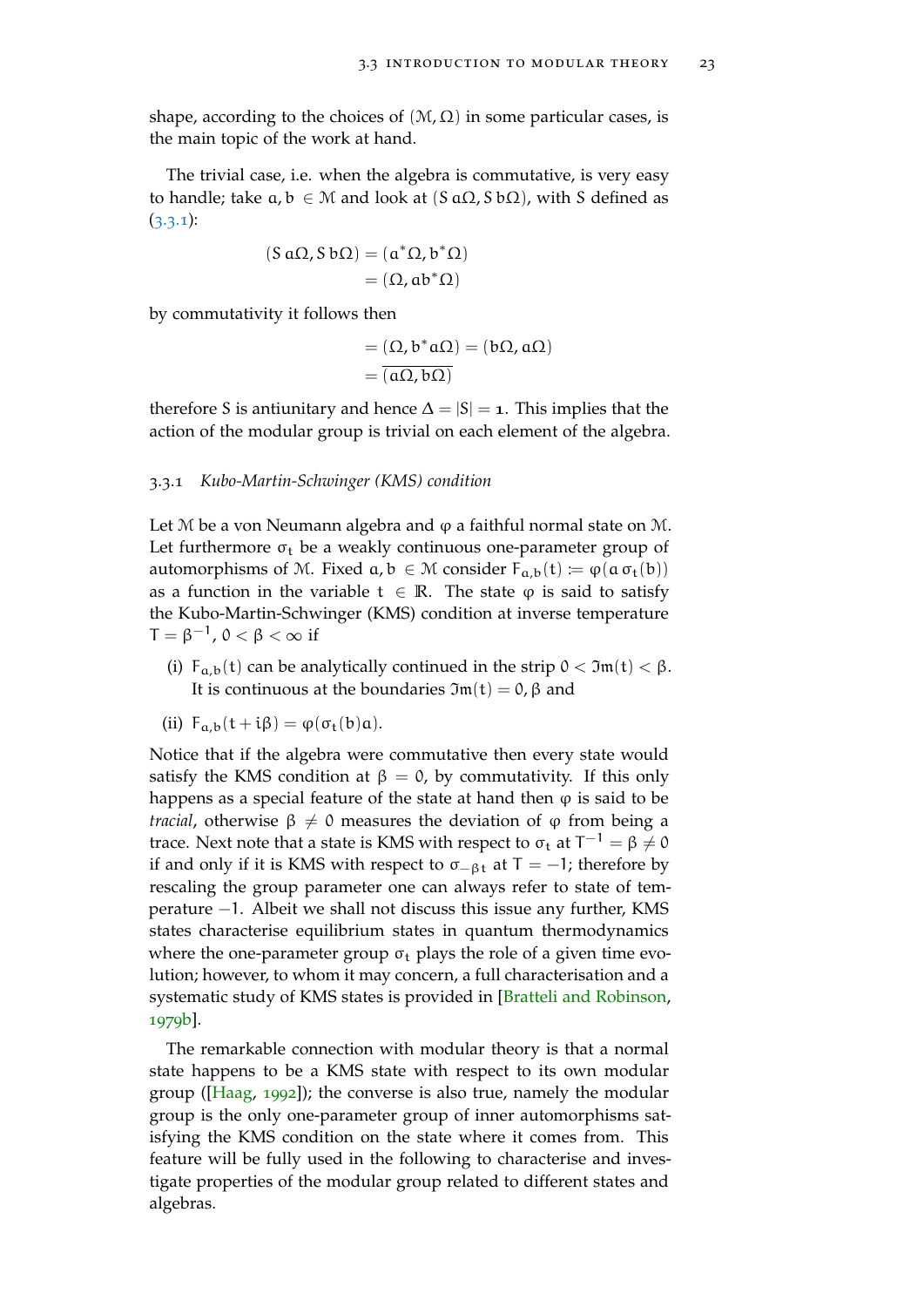shape, according to the choices of  $(M, \Omega)$  in some particular cases, is the main topic of the work at hand.

The trivial case, i.e. when the algebra is commutative, is very easy to handle; take  $a, b \in M$  and look at  $(S \alpha \Omega, S \alpha \Omega)$ , with S defined as  $(3.3.1)$  $(3.3.1)$  $(3.3.1)$ :

$$
(S \, a\Omega, S \, b\Omega) = (a^*\Omega, b^*\Omega) = (\Omega, ab^*\Omega)
$$

by commutativity it follows then

$$
= (\Omega, b^* \mathfrak{a} \Omega) = (b \Omega, \mathfrak{a} \Omega)
$$

$$
= \overline{(\mathfrak{a} \Omega, \mathfrak{b} \Omega)}
$$

therefore S is antiunitary and hence  $\Delta = |S| = 1$ . This implies that the action of the modular group is trivial on each element of the algebra.

### <span id="page-34-0"></span>3.3.1 *Kubo-Martin-Schwinger (KMS) condition*

Let M be a von Neumann algebra and  $\varphi$  a faithful normal state on M. Let furthermore  $\sigma_t$  be a weakly continuous one-parameter group of automorphisms of M. Fixed  $a, b \in M$  consider  $F_{a,b}(t) \coloneqq \varphi(a \sigma_t(b))$ as a function in the variable  $t \in \mathbb{R}$ . The state  $\varphi$  is said to satisfy the Kubo-Martin-Schwinger (KMS) condition at inverse temperature  $T = \beta^{-1}$ ,  $0 < \beta < \infty$  if

(i)  $F_{a,b}(t)$  can be analytically continued in the strip  $0 < \mathfrak{Im}(t) < \beta$ . It is continuous at the boundaries  $\mathfrak{Im}(t) = 0$ ,  $\beta$  and

(ii) 
$$
F_{a,b}(t+i\beta) = \varphi(\sigma_t(b)a)
$$
.

Notice that if the algebra were commutative then every state would satisfy the KMS condition at  $\beta = 0$ , by commutativity. If this only happens as a special feature of the state at hand then  $\varphi$  is said to be *tracial*, otherwise  $\beta \neq 0$  measures the deviation of  $\varphi$  from being a trace. Next note that a state is KMS with respect to  $\sigma_{\text{t}}$  at T $^{-1} = \beta \neq 0$ if and only if it is KMS with respect to  $\sigma$ <sub>−βt</sub> at T = −1; therefore by rescaling the group parameter one can always refer to state of temperature −1. Albeit we shall not discuss this issue any further, KMS states characterise equilibrium states in quantum thermodynamics where the one-parameter group  $\sigma_t$  plays the role of a given time evolution; however, to whom it may concern, a full characterisation and a systematic study of KMS states is provided in [\[Bratteli and Robinson,](#page-116-5) [1979](#page-116-5)b].

<span id="page-34-1"></span>The remarkable connection with modular theory is that a normal state happens to be a KMS state with respect to its own modular group ([\[Haag,](#page-118-0) [1992](#page-118-0)]); the converse is also true, namely the modular group is the only one-parameter group of inner automorphisms satisfying the KMS condition on the state where it comes from. This feature will be fully used in the following to characterise and investigate properties of the modular group related to different states and algebras.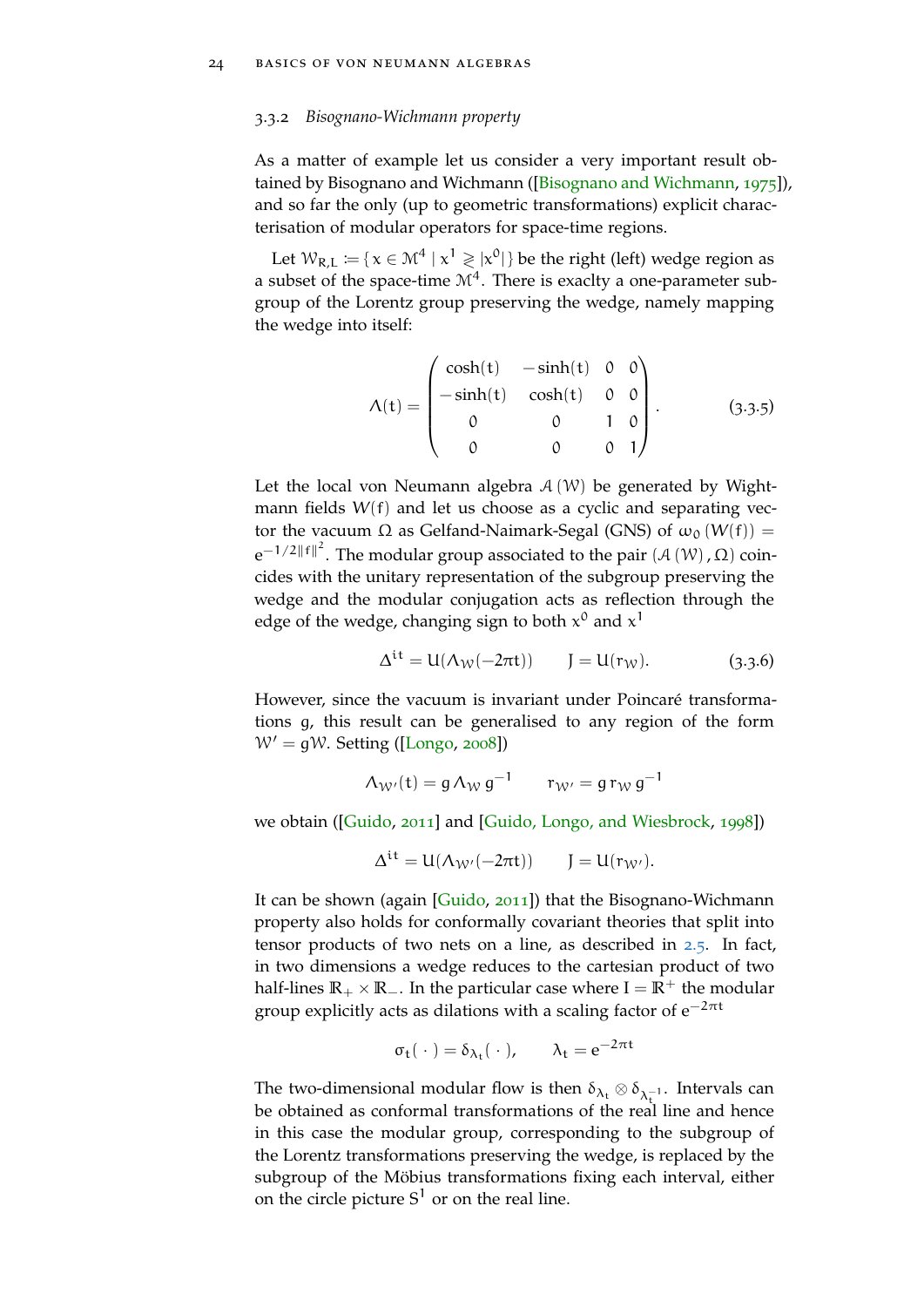#### 3.3.2 *Bisognano-Wichmann property*

As a matter of example let us consider a very important result ob-tained by Bisognano and Wichmann ([\[Bisognano and Wichmann,](#page-116-6) [1975](#page-116-6)]), and so far the only (up to geometric transformations) explicit characterisation of modular operators for space-time regions.

Let  $W_{R,L} \coloneqq \{x \in \mathcal{M}^4 \mid x^1 \geqslant |x^0|\}$  be the right (left) wedge region as a subset of the space-time  $\mathcal{M}^4$ . There is exaclty a one-parameter subgroup of the Lorentz group preserving the wedge, namely mapping the wedge into itself:

$$
\Lambda(t) = \begin{pmatrix}\n\cosh(t) & -\sinh(t) & 0 & 0 \\
-\sinh(t) & \cosh(t) & 0 & 0 \\
0 & 0 & 1 & 0 \\
0 & 0 & 0 & 1\n\end{pmatrix}.
$$
\n(3.3.5)

Let the local von Neumann algebra  $A(W)$  be generated by Wightmann fields W(f) and let us choose as a cyclic and separating vector the vacuum Ω as Gelfand-Naimark-Segal (GNS) of  $ω_0$  ( $W(f)$ ) =  $e^{-1/2||f||^2}$ . The modular group associated to the pair  $(A(W), \Omega)$  coincides with the unitary representation of the subgroup preserving the wedge and the modular conjugation acts as reflection through the edge of the wedge, changing sign to both  $x^0$  and  $x^1$ 

$$
\Delta^{\text{it}} = U(\Lambda_W(-2\pi t)) \qquad J = U(r_W). \tag{3.3.6}
$$

However, since the vacuum is invariant under Poincaré transformations g, this result can be generalised to any region of the form  $W' = qW$ . Setting ([\[Longo,](#page-118-2) [2008](#page-118-2)])

$$
\Lambda_{\mathcal{W}'}(t) = g \Lambda_{\mathcal{W}} g^{-1} \qquad r_{\mathcal{W}'} = g r_{\mathcal{W}} g^{-1}
$$

we obtain ([\[Guido,](#page-117-8) [2011](#page-117-8)] and [\[Guido, Longo, and Wiesbrock,](#page-118-5) [1998](#page-118-5)])

$$
\Delta^{it} = U(\Lambda_{\mathcal{W}'}(-2\pi t)) \qquad J = U(r_{\mathcal{W}'}).
$$

It can be shown (again [\[Guido,](#page-117-8) [2011](#page-117-8)]) that the Bisognano-Wichmann property also holds for conformally covariant theories that split into tensor products of two nets on a line, as described in [2](#page-26-0).5. In fact, in two dimensions a wedge reduces to the cartesian product of two half-lines  $\mathbb{R}_+$  ×  $\mathbb{R}_-$ . In the particular case where I =  $\mathbb{R}^+$  the modular group explicitly acts as dilations with a scaling factor of  $e^{-2\pi t}$ 

$$
\sigma_t(\ \cdot\ )=\delta_{\lambda_t}(\ \cdot\ ),\qquad \lambda_t=e^{-2\pi t}
$$

The two-dimensional modular flow is then  $\delta_{\lambda_{\tau}} \otimes \delta_{\lambda_{\tau}^{-1}}$ . Intervals can be obtained as conformal transformations of the real line and hence in this case the modular group, corresponding to the subgroup of the Lorentz transformations preserving the wedge, is replaced by the subgroup of the Möbius transformations fixing each interval, either on the circle picture  $S^1$  or on the real line.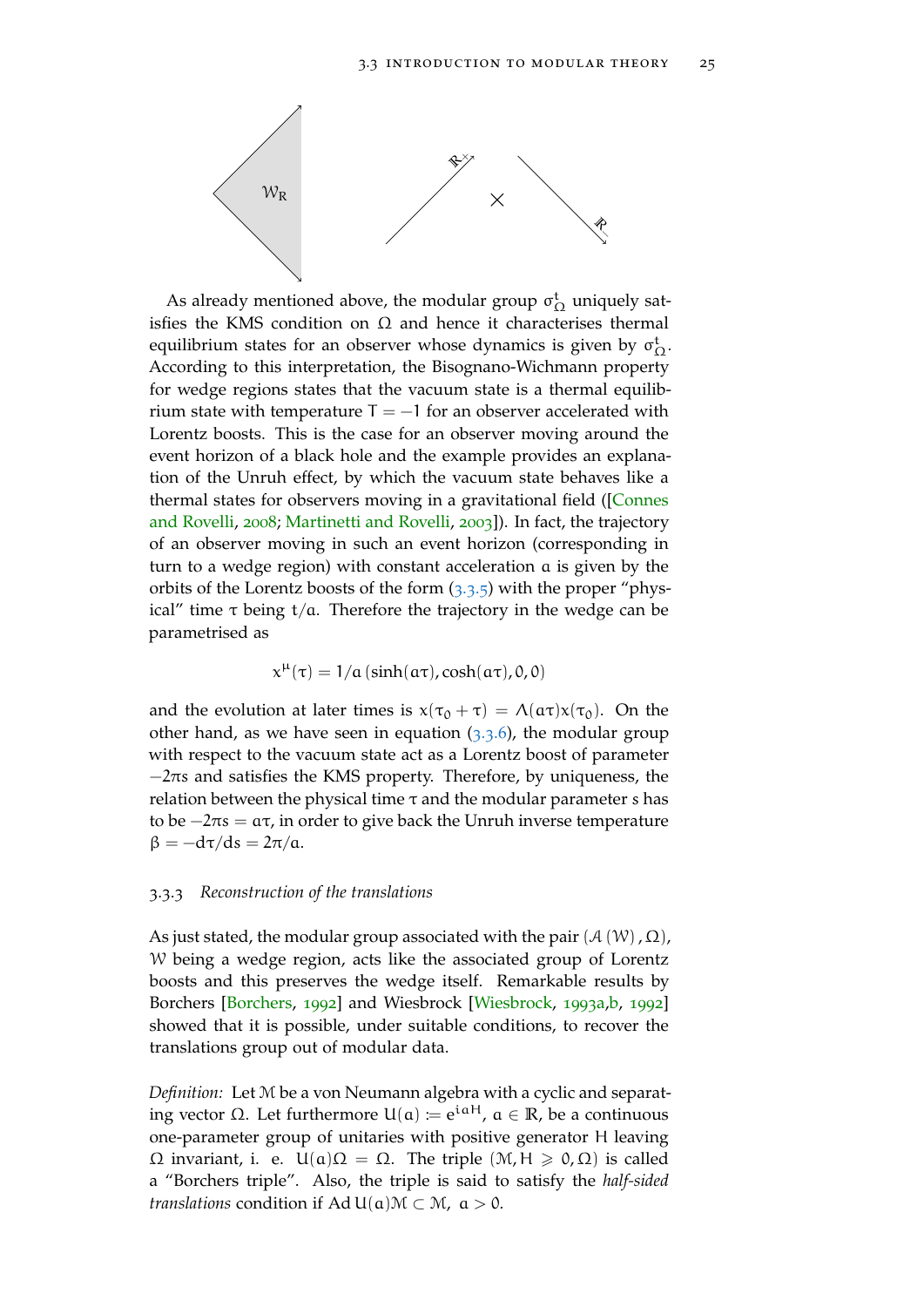

As already mentioned above, the modular group  $\sigma_{\Omega}^{\rm t}$  uniquely satisfies the KMS condition on  $Ω$  and hence it characterises thermal equilibrium states for an observer whose dynamics is given by  $\sigma_{\Omega}^{\rm t}$ . According to this interpretation, the Bisognano-Wichmann property for wedge regions states that the vacuum state is a thermal equilibrium state with temperature  $T = -1$  for an observer accelerated with Lorentz boosts. This is the case for an observer moving around the event horizon of a black hole and the example provides an explanation of the Unruh effect, by which the vacuum state behaves like a thermal states for observers moving in a gravitational field ([\[Connes](#page-117-0) [and Rovelli,](#page-117-0) [2008](#page-117-0); [Martinetti and Rovelli,](#page-118-0) [2003](#page-118-0)]). In fact, the trajectory of an observer moving in such an event horizon (corresponding in turn to a wedge region) with constant acceleration a is given by the orbits of the Lorentz boosts of the form  $(3.3.5)$  $(3.3.5)$  $(3.3.5)$  with the proper "physical" time  $τ$  being  $t/a$ . Therefore the trajectory in the wedge can be parametrised as

$$
x^\mu(\tau)=1/a\,(\text{sinh}(\alpha\tau),\text{cosh}(\alpha\tau),0,0)
$$

and the evolution at later times is  $x(\tau_0 + \tau) = \Lambda(\alpha \tau)x(\tau_0)$ . On the other hand, as we have seen in equation  $(3.3.6)$  $(3.3.6)$  $(3.3.6)$ , the modular group with respect to the vacuum state act as a Lorentz boost of parameter  $-2\pi s$  and satisfies the KMS property. Therefore, by uniqueness, the relation between the physical time  $\tau$  and the modular parameter s has to be  $-2\pi s = a\tau$ , in order to give back the Unruh inverse temperature  $β = -dτ/ds = 2π/a.$ 

### 3.3.3 *Reconstruction of the translations*

As just stated, the modular group associated with the pair  $(A(W), \Omega)$ , W being a wedge region, acts like the associated group of Lorentz boosts and this preserves the wedge itself. Remarkable results by Borchers [\[Borchers,](#page-116-0) [1992](#page-116-0)] and Wiesbrock [\[Wiesbrock,](#page-119-0) [1993](#page-119-0)a[,b,](#page-119-1) [1992](#page-119-2)] showed that it is possible, under suitable conditions, to recover the translations group out of modular data.

*Definition:* Let M be a von Neumann algebra with a cyclic and separating vector Ω. Let furthermore  $U(α) := e^{iaH}$ ,  $α ∈ ℝ$ , be a continuous one-parameter group of unitaries with positive generator H leaving  $Ω$  invariant, i. e. U(a) $Ω = Ω$ . The triple (M, H  $≥$  0,  $Ω$ ) is called a "Borchers triple". Also, the triple is said to satisfy the *half-sided translations* condition if  $Ad U(a)M \subset M$ ,  $a > 0$ .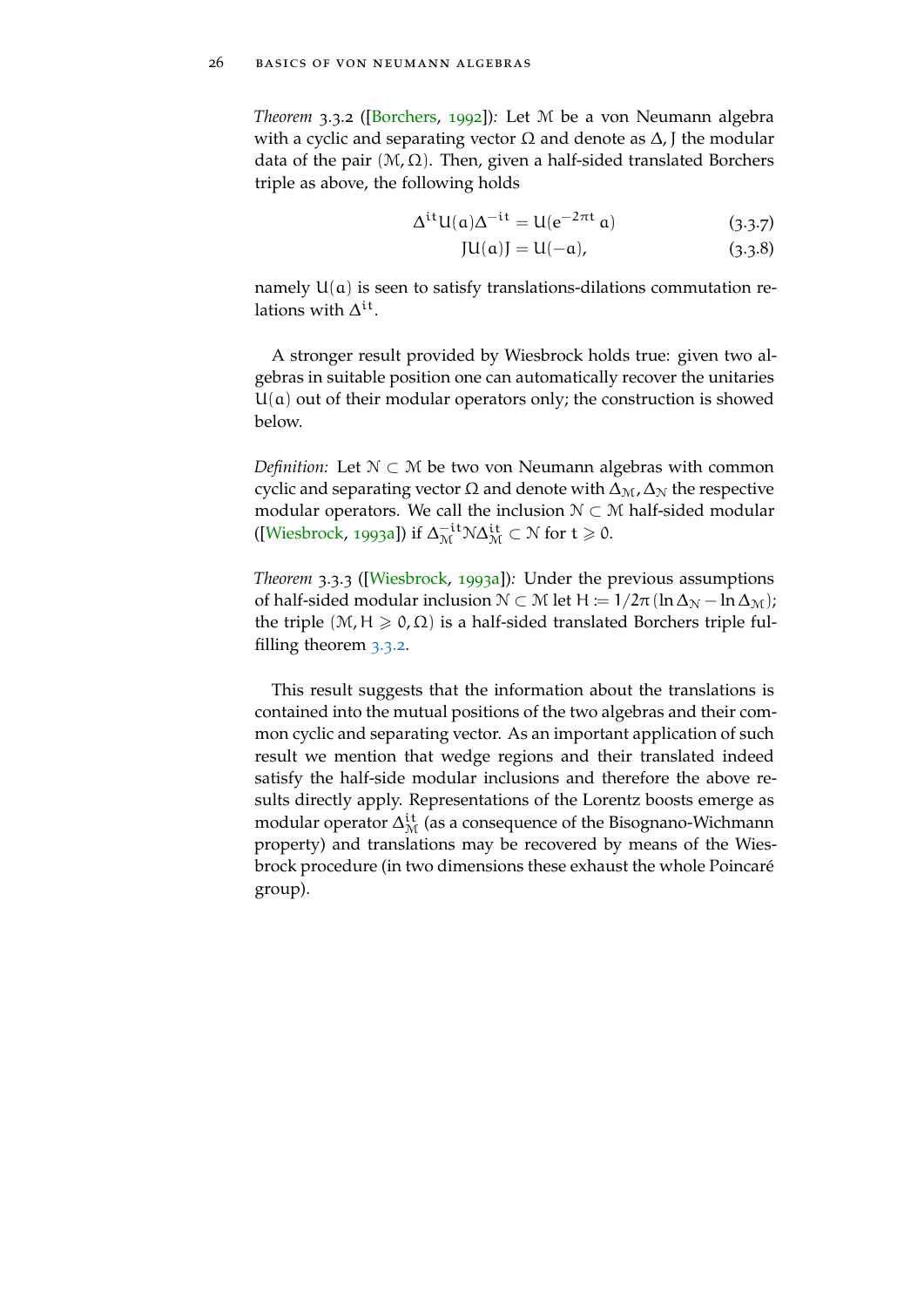<span id="page-37-0"></span>*Theorem* 3.3.2 ([\[Borchers,](#page-116-0) [1992](#page-116-0)])*:* Let M be a von Neumann algebra with a cyclic and separating vector  $Ω$  and denote as  $Δ$ , I the modular data of the pair  $(M, \Omega)$ . Then, given a half-sided translated Borchers triple as above, the following holds

$$
\Delta^{\text{it}} U(a) \Delta^{-\text{it}} = U(e^{-2\pi t} a) \tag{3.3.7}
$$

$$
JU(a)J = U(-a), \qquad (3.3.8)
$$

namely  $U(a)$  is seen to satisfy translations-dilations commutation relations with  $\Delta^{\text{it}}$ .

A stronger result provided by Wiesbrock holds true: given two algebras in suitable position one can automatically recover the unitaries  $U(a)$  out of their modular operators only; the construction is showed below.

*Definition:* Let  $N \subset M$  be two von Neumann algebras with common cyclic and separating vector  $\Omega$  and denote with  $\Delta_{\mathcal{M}}$ ,  $\Delta_{\mathcal{N}}$  the respective modular operators. We call the inclusion  $N \subset M$  half-sided modular ([\[Wiesbrock,](#page-119-0) [1993](#page-119-0)a]) if  $\Delta_{\mathcal{M}}^{-it} \mathbb{N} \Delta_{\mathcal{M}}^{it} \subset \mathcal{N}$  for  $t \geq 0$ .

*Theorem* 3.3.3 ([\[Wiesbrock,](#page-119-0) [1993](#page-119-0)a])*:* Under the previous assumptions of half-sided modular inclusion  $\mathcal{N} \subset \mathcal{M}$  let  $H := 1/2\pi (\ln \Delta_{\mathcal{N}} - \ln \Delta_{\mathcal{M}})$ ; the triple  $(M, H \geq 0, \Omega)$  is a half-sided translated Borchers triple fulfilling theorem [3](#page-37-0).3.2.

This result suggests that the information about the translations is contained into the mutual positions of the two algebras and their common cyclic and separating vector. As an important application of such result we mention that wedge regions and their translated indeed satisfy the half-side modular inclusions and therefore the above results directly apply. Representations of the Lorentz boosts emerge as modular operator  $\Delta_{\mathcal{M}}^{\mathfrak{it}}$  (as a consequence of the Bisognano-Wichmann property) and translations may be recovered by means of the Wiesbrock procedure (in two dimensions these exhaust the whole Poincaré group).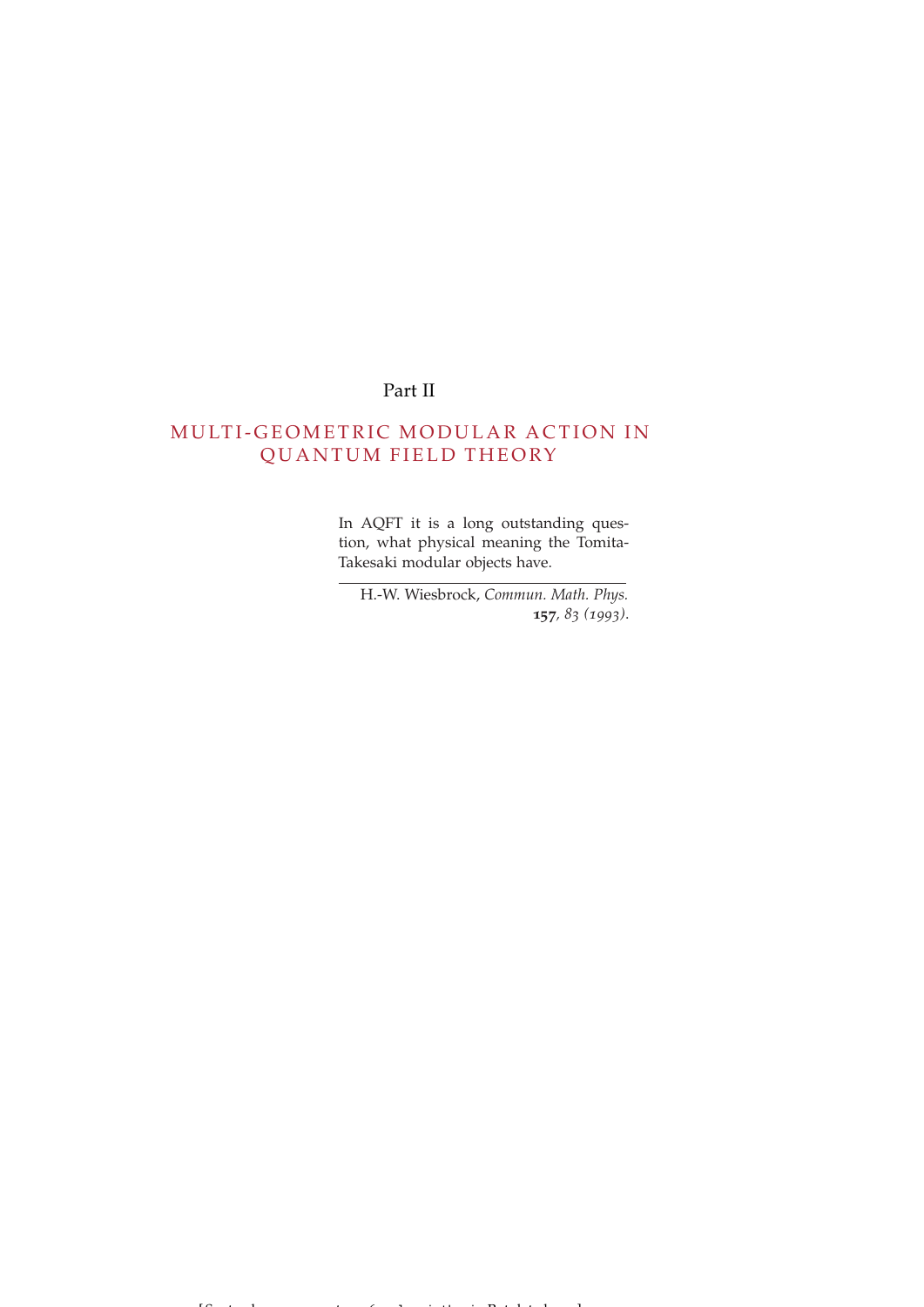## Part II

# MULTI-GEOMETRIC MODULAR ACTION IN QUANTUM FIELD THEORY

In AQFT it is a long outstanding question, what physical meaning the Tomita-Takesaki modular objects have.

H.-W. Wiesbrock, *Commun. Math. Phys.* **157***, 83 (1993)*.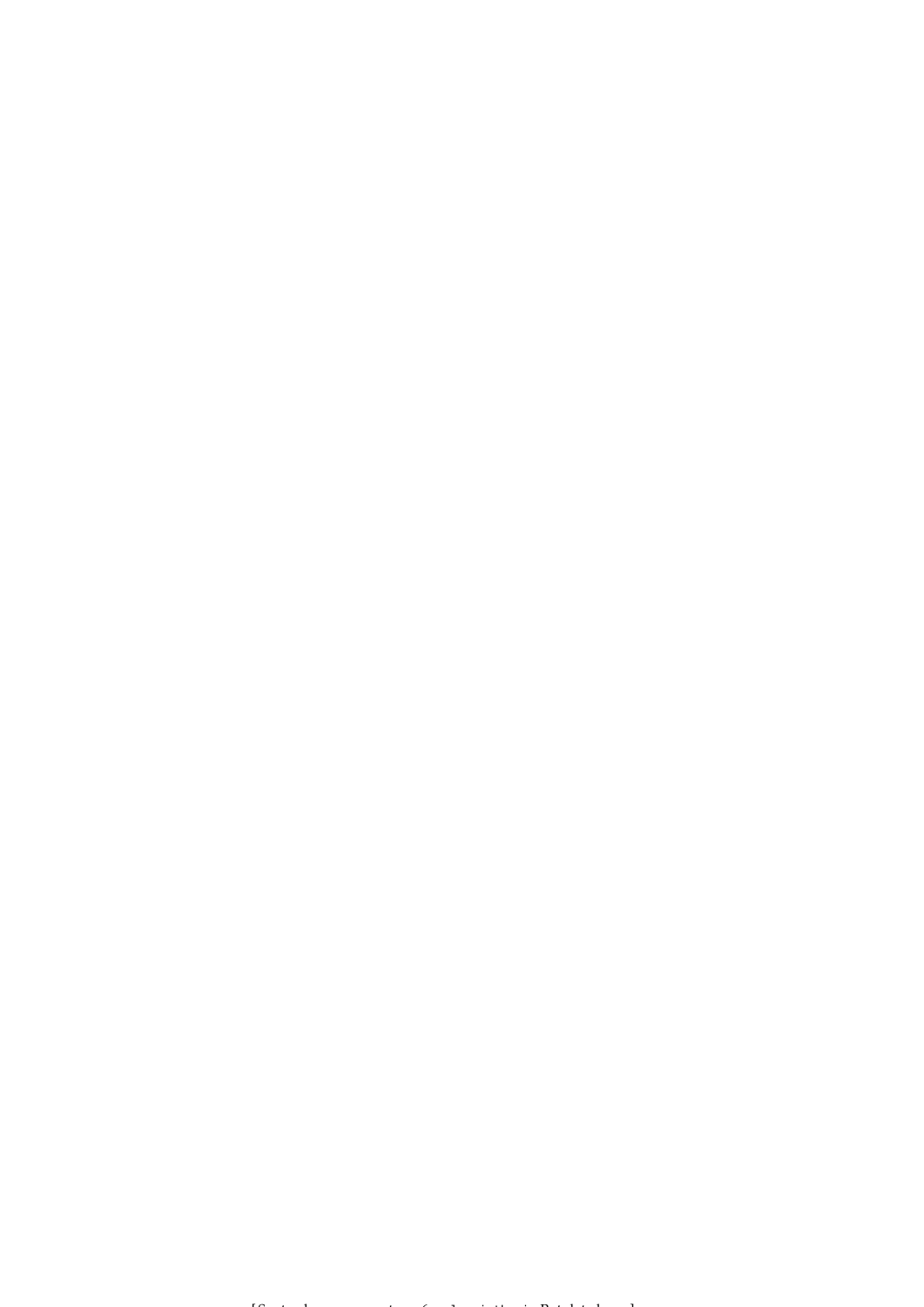$\begin{bmatrix} 1 & 0 & 1 \\ 0 & 1 & 1 \end{bmatrix}$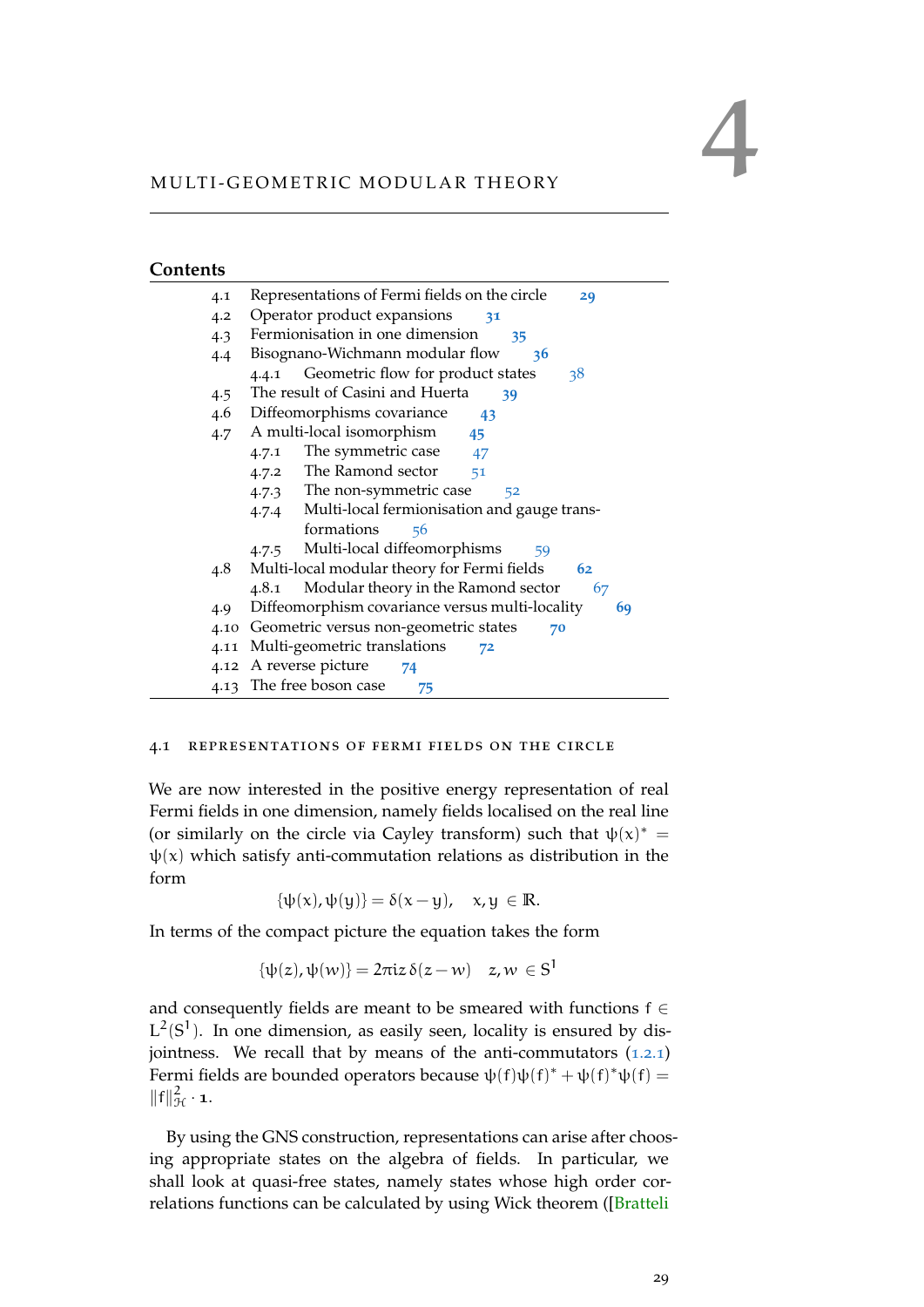# MULTI-GEOMETRIC MODULAR THEORY

### **Contents**

| 4.1  | Representations of Fermi fields on the circle<br>29   |
|------|-------------------------------------------------------|
| 4.2  | Operator product expansions<br>31                     |
| 4.3  | Fermionisation in one dimension<br>35                 |
| 4.4  | Bisognano-Wichmann modular flow<br>36                 |
|      | Geometric flow for product states<br>4.4.1<br>38      |
| 4.5  | The result of Casini and Huerta<br>39                 |
| 4.6  | Diffeomorphisms covariance<br>43                      |
| 4.7  | A multi-local isomorphism<br>45                       |
|      | 4.7.1 The symmetric case 47                           |
|      | 4.7.2 The Ramond sector 51                            |
|      | 4.7.3 The non-symmetric case<br>52                    |
|      | Multi-local fermionisation and gauge trans-<br>4.7.4  |
|      | formations<br>56                                      |
|      | Multi-local diffeomorphisms<br>4.7.5<br>59            |
| 4.8  | Multi-local modular theory for Fermi fields<br>62     |
|      | Modular theory in the Ramond sector<br>4.8.1<br>67    |
| 4.9  | Diffeomorphism covariance versus multi-locality<br>69 |
| 4.10 | Geometric versus non-geometric states<br>70           |
| 4.11 | Multi-geometric translations<br>72                    |
| 4.12 | A reverse picture<br>74                               |
| 4.13 | The free boson case<br>75                             |

#### <span id="page-40-0"></span>4.1 representations of fermi fields on the circle

We are now interested in the positive energy representation of real Fermi fields in one dimension, namely fields localised on the real line (or similarly on the circle via Cayley transform) such that  $\psi(x)^* =$  $\psi(x)$  which satisfy anti-commutation relations as distribution in the form

$$
\{\psi(x), \psi(y)\} = \delta(x-y), \quad x, y \in \mathbb{R}.
$$

In terms of the compact picture the equation takes the form

$$
\{\psi(z),\psi(w)\} = 2\pi i z \, \delta(z-w) \quad z,w \in S^1
$$

and consequently fields are meant to be smeared with functions  $f \in$  $L^2(S^1)$ . In one dimension, as easily seen, locality is ensured by disjointness. We recall that by means of the anti-commutators  $(1.2.1)$  $(1.2.1)$  $(1.2.1)$ Fermi fields are bounded operators because  $\psi(f)\psi(f)^* + \psi(f)^*\psi(f) =$  $||f||_{\mathcal{H}}^2 \cdot \mathbf{1}.$ 

By using the GNS construction, representations can arise after choosing appropriate states on the algebra of fields. In particular, we shall look at quasi-free states, namely states whose high order cor[relations functions can be calculated by using Wick theorem \(\[Bratteli](#page-116-1)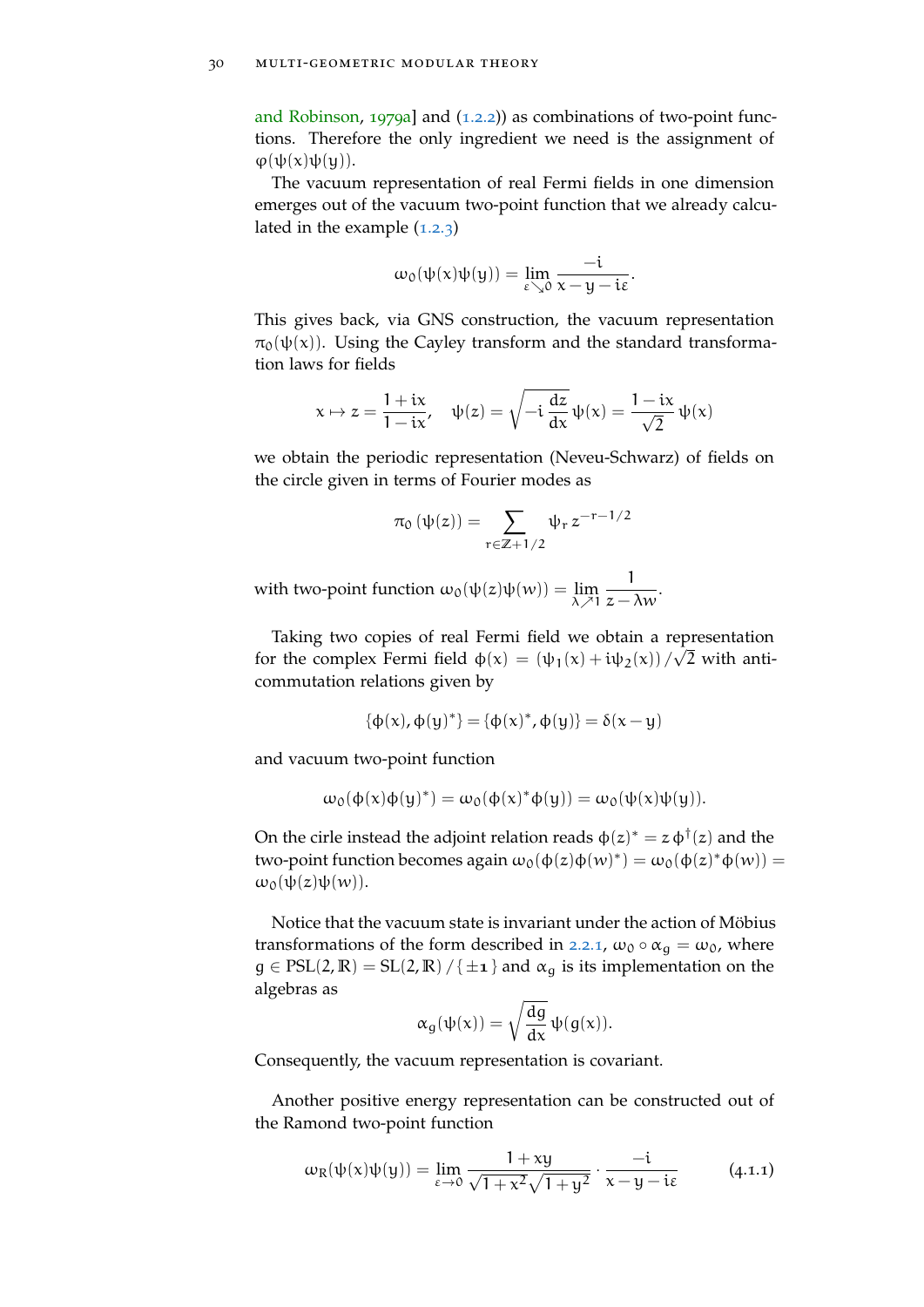[and Robinson,](#page-116-1) [1979](#page-116-1)a] and ([1](#page-16-1).2.2)) as combinations of two-point functions. Therefore the only ingredient we need is the assignment of  $\varphi(\psi(x)\psi(y)).$ 

The vacuum representation of real Fermi fields in one dimension emerges out of the vacuum two-point function that we already calculated in the example  $(1.2.3)$  $(1.2.3)$  $(1.2.3)$ 

$$
\omega_0(\psi(x)\psi(y))=\lim_{\epsilon\searrow 0}\frac{-i}{x-y-i\epsilon}.
$$

This gives back, via GNS construction, the vacuum representation  $\pi_0(\psi(x))$ . Using the Cayley transform and the standard transformation laws for fields

$$
x \mapsto z = \frac{1 + ix}{1 - ix}, \quad \psi(z) = \sqrt{-i \frac{dz}{dx}} \psi(x) = \frac{1 - ix}{\sqrt{2}} \psi(x)
$$

we obtain the periodic representation (Neveu-Schwarz) of fields on the circle given in terms of Fourier modes as

$$
\pi_0(\psi(z)) = \sum_{r \in \mathbb{Z}+1/2} \psi_r z^{-r-1/2}
$$

with two-point function  $\omega_0(\psi(z)\psi(w)) = \lim_{\lambda \nearrow 1}$ 1  $\frac{1}{z - \lambda w}$ .

Taking two copies of real Fermi field we obtain a representation for the complex Fermi field  $\phi(x) = (\psi_1(x) + i\psi_2(x))/\sqrt{2}$  with anticommutation relations given by

$$
\{\varphi(x),\varphi(y)^*\} = \{\varphi(x)^*,\varphi(y)\} = \delta(x-y)
$$

and vacuum two-point function

$$
\omega_0(\varphi(x)\varphi(y)^*) = \omega_0(\varphi(x)^*\varphi(y)) = \omega_0(\psi(x)\psi(y)).
$$

On the cirle instead the adjoint relation reads  $\phi(z)^* = z \phi^{\dagger}(z)$  and the two-point function becomes again  $\omega_0(\phi(z)\phi(w)^*) = \omega_0(\phi(z)^*\phi(w)) =$  $\omega_0(\psi(z)\psi(w)).$ 

Notice that the vacuum state is invariant under the action of Möbius transformations of the form described in [2](#page-21-0).2.1,  $\omega_0 \circ \alpha_q = \omega_0$ , where  $g \in PSL(2,\mathbb{R}) = SL(2,\mathbb{R}) / \{\pm \mathbf{1}\}\$ and  $\alpha_g$  is its implementation on the algebras as

$$
\alpha_g(\psi(x))=\sqrt{\frac{dg}{dx}}\,\psi(g(x)).
$$

Consequently, the vacuum representation is covariant.

Another positive energy representation can be constructed out of the Ramond two-point function

<span id="page-41-0"></span>
$$
\omega_{R}(\psi(x)\psi(y)) = \lim_{\epsilon \to 0} \frac{1 + xy}{\sqrt{1 + x^2}\sqrt{1 + y^2}} \cdot \frac{-i}{x - y - i\epsilon} \tag{4.1.1}
$$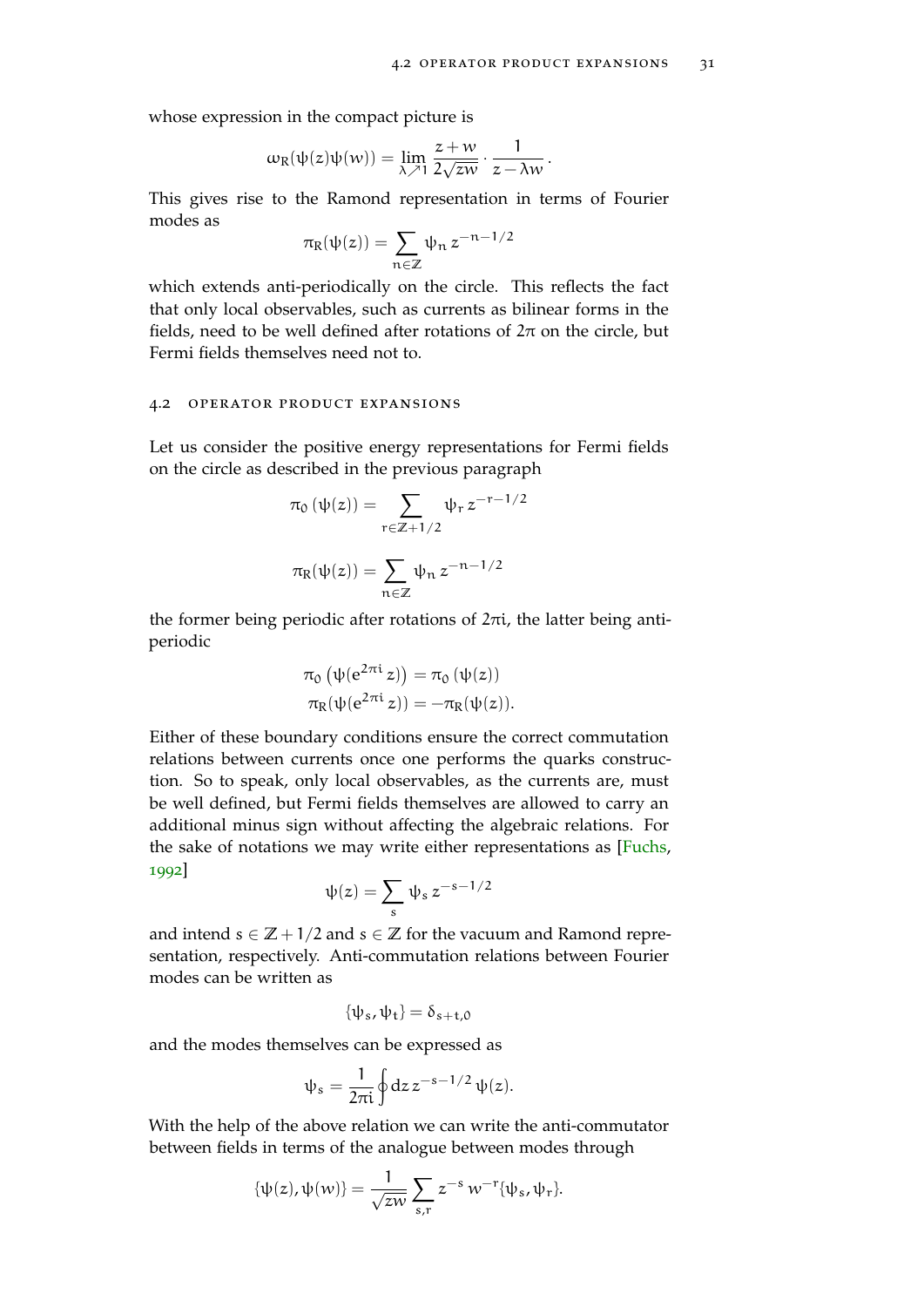whose expression in the compact picture is

$$
\omega_{R}(\psi(z)\psi(w))=\lim_{\lambda\nearrow 1}\frac{z+w}{2\sqrt{zw}}\cdot\frac{1}{z-\lambda w}.
$$

This gives rise to the Ramond representation in terms of Fourier modes as

$$
\pi_R(\psi(z))=\sum_{n\in\mathbb{Z}}\psi_n\,z^{-n-1/2}
$$

which extends anti-periodically on the circle. This reflects the fact that only local observables, such as currents as bilinear forms in the fields, need to be well defined after rotations of  $2\pi$  on the circle, but Fermi fields themselves need not to.

#### <span id="page-42-0"></span>4.2 operator product expansions

Let us consider the positive energy representations for Fermi fields on the circle as described in the previous paragraph

$$
\pi_0(\psi(z)) = \sum_{r \in \mathbb{Z}+1/2} \psi_r z^{-r-1/2}
$$

$$
\pi_R(\psi(z)) = \sum_{n \in \mathbb{Z}} \psi_n z^{-n-1/2}
$$

the former being periodic after rotations of  $2\pi i$ , the latter being antiperiodic

$$
\pi_0 \left( \psi(e^{2\pi i} z) \right) = \pi_0 \left( \psi(z) \right)
$$

$$
\pi_R(\psi(e^{2\pi i} z)) = -\pi_R(\psi(z)).
$$

Either of these boundary conditions ensure the correct commutation relations between currents once one performs the quarks construction. So to speak, only local observables, as the currents are, must be well defined, but Fermi fields themselves are allowed to carry an additional minus sign without affecting the algebraic relations. For the sake of notations we may write either representations as [\[Fuchs,](#page-117-1) [1992](#page-117-1)]

$$
\psi(z)=\sum_s\psi_s\,z^{-s-1/2}
$$

and intend  $s \in \mathbb{Z} + 1/2$  and  $s \in \mathbb{Z}$  for the vacuum and Ramond representation, respectively. Anti-commutation relations between Fourier modes can be written as

$$
\{\psi_s,\psi_t\}=\delta_{s+t,0}
$$

and the modes themselves can be expressed as

$$
\psi_s = \frac{1}{2\pi i} \oint dz \, z^{-s-1/2} \, \psi(z).
$$

With the help of the above relation we can write the anti-commutator between fields in terms of the analogue between modes through

$$
\{\psi(z),\psi(w)\}=\frac{1}{\sqrt{zw}}\sum_{s,r}z^{-s}w^{-r}\{\psi_s,\psi_r\}.
$$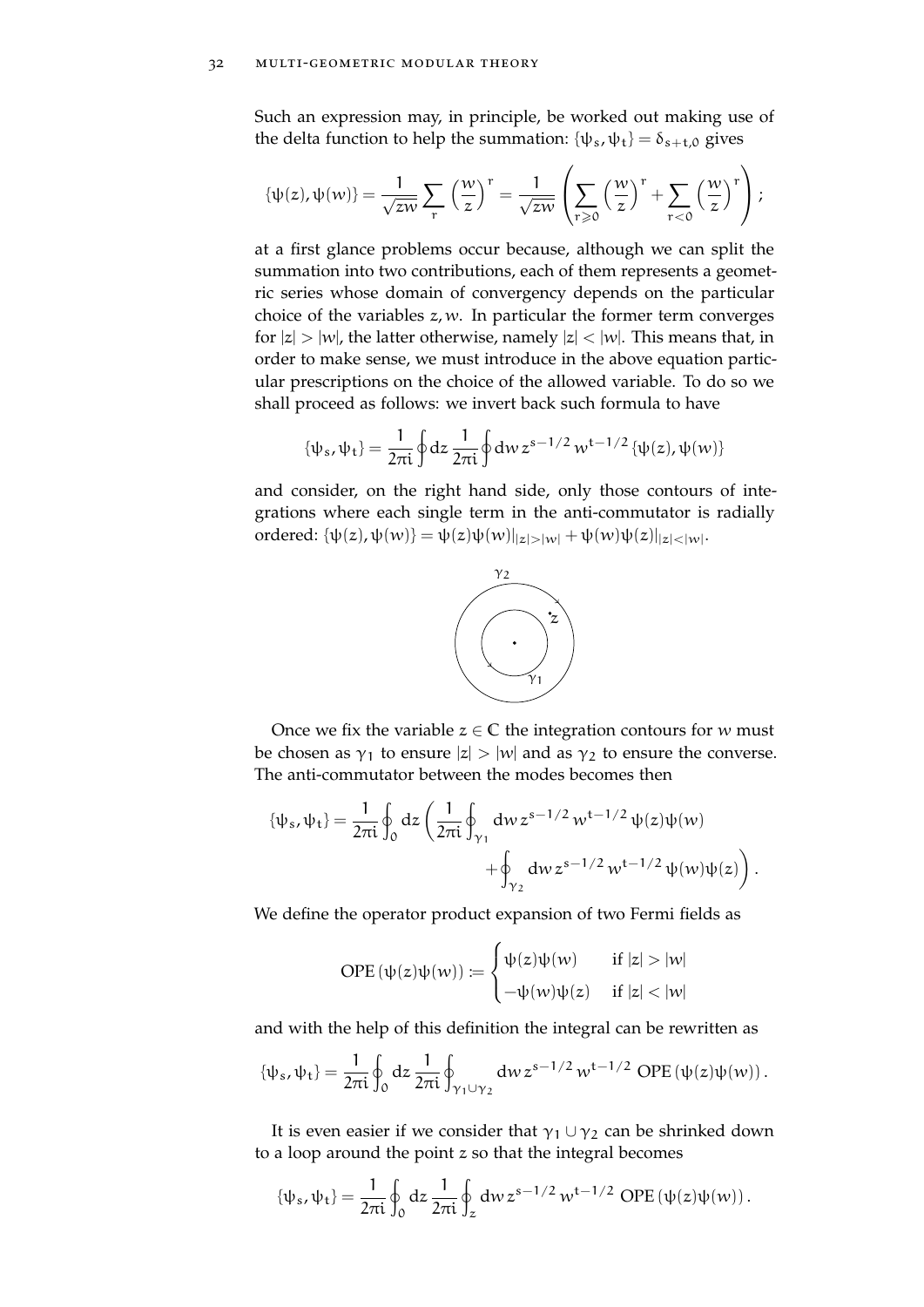Such an expression may, in principle, be worked out making use of the delta function to help the summation:  $\{\psi_s, \psi_t\} = \delta_{s+t,0}$  gives

$$
\{\psi(z),\psi(w)\}=\frac{1}{\sqrt{zw}}\sum_{r}\left(\frac{w}{z}\right)^{r}=\frac{1}{\sqrt{zw}}\left(\sum_{r\geqslant 0}\left(\frac{w}{z}\right)^{r}+\sum_{r<0}\left(\frac{w}{z}\right)^{r}\right);
$$

at a first glance problems occur because, although we can split the summation into two contributions, each of them represents a geometric series whose domain of convergency depends on the particular choice of the variables  $z, w$ . In particular the former term converges for  $|z| > |w|$ , the latter otherwise, namely  $|z| < |w|$ . This means that, in order to make sense, we must introduce in the above equation particular prescriptions on the choice of the allowed variable. To do so we shall proceed as follows: we invert back such formula to have

$$
\{\psi_s, \psi_t\} = \frac{1}{2\pi i} \oint dz \frac{1}{2\pi i} \oint dw \, z^{s-1/2} \, w^{t-1/2} \{ \psi(z), \psi(w) \}
$$

and consider, on the right hand side, only those contours of integrations where each single term in the anti-commutator is radially ordered:  $\{\psi(z), \psi(w)\} = \psi(z)\psi(w)|_{|z|>|w|} + \psi(w)\psi(z)|_{|z|<|w|}.$ 



Once we fix the variable  $z \in \mathbb{C}$  the integration contours for w must be chosen as  $\gamma_1$  to ensure  $|z| > |w|$  and as  $\gamma_2$  to ensure the converse. The anti-commutator between the modes becomes then

$$
\{\psi_s, \psi_t\} = \frac{1}{2\pi i} \oint_0 dz \left( \frac{1}{2\pi i} \oint_{\gamma_1} dw \, z^{s-1/2} \, w^{t-1/2} \, \psi(z) \psi(w) + \oint_{\gamma_2} dw \, z^{s-1/2} \, w^{t-1/2} \, \psi(w) \psi(z) \right).
$$

We define the operator product expansion of two Fermi fields as

$$
OPE(\psi(z)\psi(w))\coloneqq \begin{cases} \psi(z)\psi(w) & \text{ if } |z|>|w| \\ -\psi(w)\psi(z) & \text{ if } |z|<|w| \end{cases}
$$

and with the help of this definition the integral can be rewritten as

$$
\{\psi_s, \psi_t\} = \frac{1}{2\pi i} \oint_0 dz \frac{1}{2\pi i} \oint_{\gamma_1 \cup \gamma_2} dw \, z^{s-1/2} \, w^{t-1/2} \, \text{OPE} \left( \psi(z) \psi(w) \right).
$$

It is even easier if we consider that  $\gamma_1 \cup \gamma_2$  can be shrinked down to a loop around the point z so that the integral becomes

$$
\{\psi_s, \psi_t\} = \frac{1}{2\pi i} \oint_0 dz \, \frac{1}{2\pi i} \oint_z dw \, z^{s-1/2} \, w^{t-1/2} \, \text{OPE} \left( \psi(z) \psi(w) \right).
$$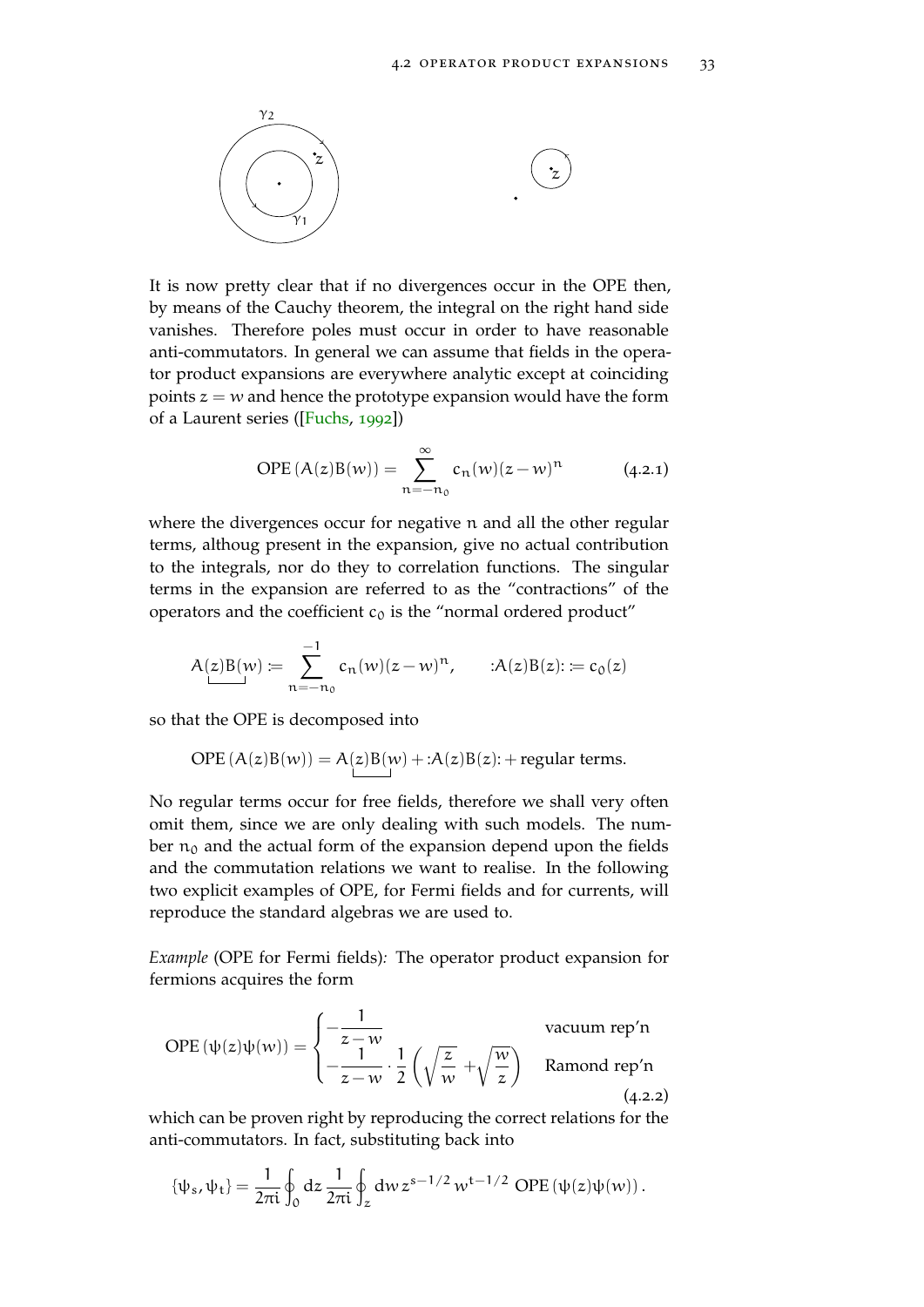

It is now pretty clear that if no divergences occur in the OPE then, by means of the Cauchy theorem, the integral on the right hand side vanishes. Therefore poles must occur in order to have reasonable anti-commutators. In general we can assume that fields in the operator product expansions are everywhere analytic except at coinciding points  $z = w$  and hence the prototype expansion would have the form of a Laurent series ([\[Fuchs,](#page-117-1) [1992](#page-117-1)])

$$
OPE(A(z)B(w)) = \sum_{n=-n_0}^{\infty} c_n(w)(z-w)^n
$$
 (4.2.1)

where the divergences occur for negative n and all the other regular terms, althoug present in the expansion, give no actual contribution to the integrals, nor do they to correlation functions. The singular terms in the expansion are referred to as the "contractions" of the operators and the coefficient  $c_0$  is the "normal ordered product"

$$
A(z)B(w) := \sum_{n=-n_0}^{-1} c_n(w)(z-w)^n, \qquad :A(z)B(z) := c_0(z)
$$

so that the OPE is decomposed into

$$
OPE(A(z)B(w)) = A(z)B(w) + :A(z)B(z): + regular terms.
$$

No regular terms occur for free fields, therefore we shall very often omit them, since we are only dealing with such models. The number  $n_0$  and the actual form of the expansion depend upon the fields and the commutation relations we want to realise. In the following two explicit examples of OPE, for Fermi fields and for currents, will reproduce the standard algebras we are used to.

*Example* (OPE for Fermi fields)*:* The operator product expansion for fermions acquires the form

<span id="page-44-0"></span>
$$
OPE(\psi(z)\psi(w)) = \begin{cases} -\frac{1}{z-w} & \text{vacuum rep'n} \\ -\frac{1}{z-w} \cdot \frac{1}{2} \left( \sqrt{\frac{z}{w}} + \sqrt{\frac{w}{z}} \right) & \text{Ramond rep'n} \\ (4.2.2) & \text{Quadrup (2.2.1)} \end{cases}
$$

which can be proven right by reproducing the correct relations for the anti-commutators. In fact, substituting back into

$$
\{\psi_s, \psi_t\} = \frac{1}{2\pi i} \oint_0 dz \frac{1}{2\pi i} \oint_z dw \, z^{s-1/2} \, w^{t-1/2} \, \text{OPE} \left( \psi(z) \psi(w) \right).
$$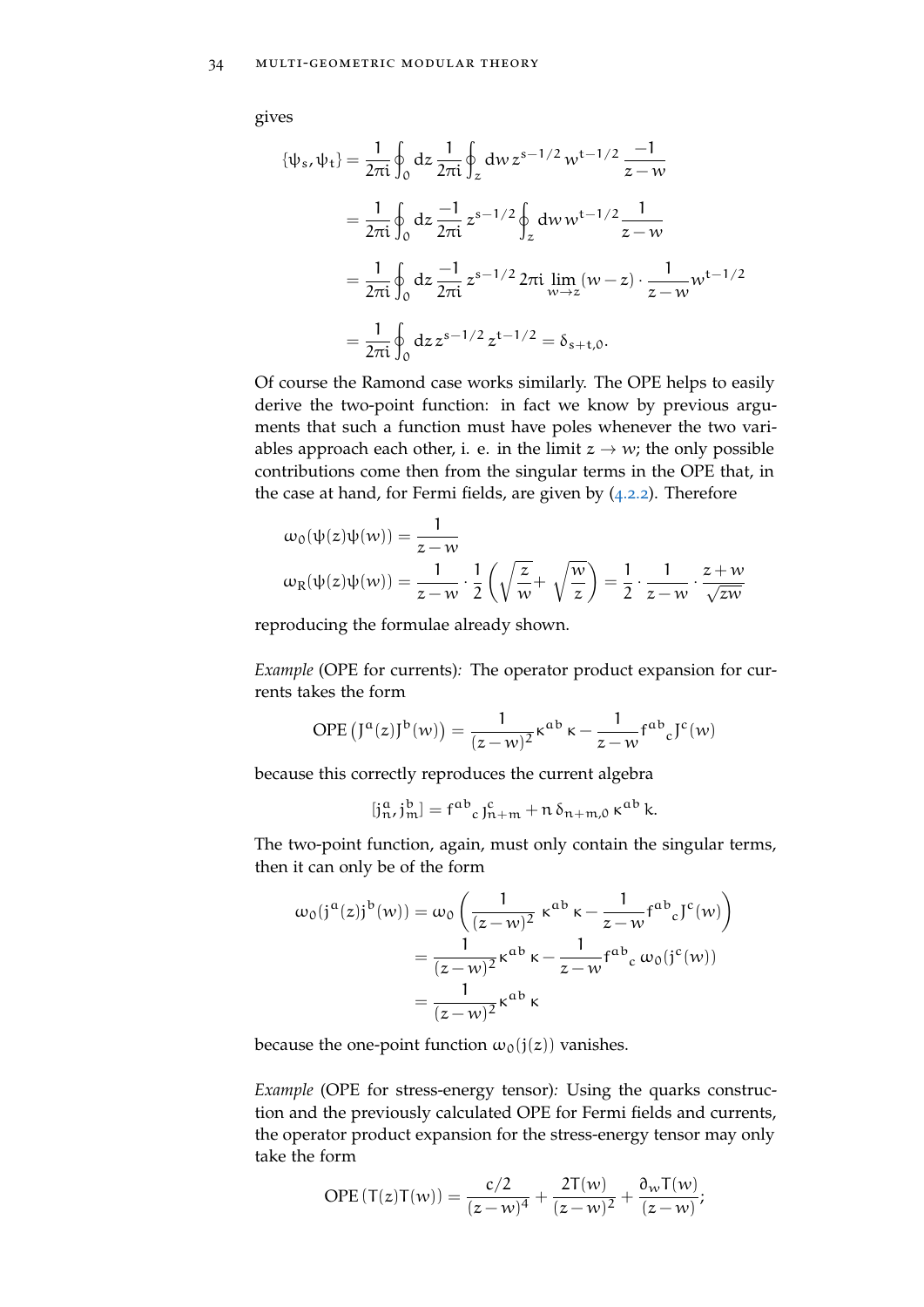gives

$$
\{\psi_s, \psi_t\} = \frac{1}{2\pi i} \oint_0 dz \frac{1}{2\pi i} \oint_z dw z^{s-1/2} w^{t-1/2} \frac{-1}{z-w}
$$
  
\n
$$
= \frac{1}{2\pi i} \oint_0 dz \frac{-1}{2\pi i} z^{s-1/2} \oint_z dw w^{t-1/2} \frac{1}{z-w}
$$
  
\n
$$
= \frac{1}{2\pi i} \oint_0 dz \frac{-1}{2\pi i} z^{s-1/2} 2\pi i \lim_{w \to z} (w - z) \cdot \frac{1}{z-w} w^{t-1/2}
$$
  
\n
$$
= \frac{1}{2\pi i} \oint_0 dz z^{s-1/2} z^{t-1/2} = \delta_{s+t,0}.
$$

Of course the Ramond case works similarly. The OPE helps to easily derive the two-point function: in fact we know by previous arguments that such a function must have poles whenever the two variables approach each other, i. e. in the limit  $z \rightarrow w$ ; the only possible contributions come then from the singular terms in the OPE that, in the case at hand, for Fermi fields, are given by  $(4.2.2)$  $(4.2.2)$  $(4.2.2)$ . Therefore

$$
\omega_0(\psi(z)\psi(w)) = \frac{1}{z-w}
$$
  

$$
\omega_R(\psi(z)\psi(w)) = \frac{1}{z-w} \cdot \frac{1}{2} \left( \sqrt{\frac{z}{w}} + \sqrt{\frac{w}{z}} \right) = \frac{1}{2} \cdot \frac{1}{z-w} \cdot \frac{z+w}{\sqrt{zw}}
$$

reproducing the formulae already shown.

*Example* (OPE for currents)*:* The operator product expansion for currents takes the form

$$
\text{OPE}\left(\int_a^a (z) \int_b^b (w) \right) = \frac{1}{(z-w)^2} \kappa^{ab} \kappa - \frac{1}{z-w} \int_a^a b^c \int_c^c (w)
$$

because this correctly reproduces the current algebra

$$
[j^a_n, j^b_m] = f^{ab}_{\phantom{ab}c} j^c_{n+m} + n \, \delta_{n+m,0} \, \kappa^{ab} \, k.
$$

The two-point function, again, must only contain the singular terms, then it can only be of the form

$$
\omega_0(j^{\alpha}(z))^b(w) = \omega_0 \left( \frac{1}{(z-w)^2} \kappa^{\alpha b} \kappa - \frac{1}{z-w} f^{\alpha b}{}_{c} J^{c}(w) \right)
$$

$$
= \frac{1}{(z-w)^2} \kappa^{\alpha b} \kappa - \frac{1}{z-w} f^{\alpha b}{}_{c} \omega_0(j^c(w))
$$

$$
= \frac{1}{(z-w)^2} \kappa^{\alpha b} \kappa
$$

because the one-point function  $\omega_0(j(z))$  vanishes.

*Example* (OPE for stress-energy tensor)*:* Using the quarks construction and the previously calculated OPE for Fermi fields and currents, the operator product expansion for the stress-energy tensor may only take the form

$$
OPE(T(z)T(w)) = \frac{c/2}{(z-w)^4} + \frac{2T(w)}{(z-w)^2} + \frac{\partial_w T(w)}{(z-w)};
$$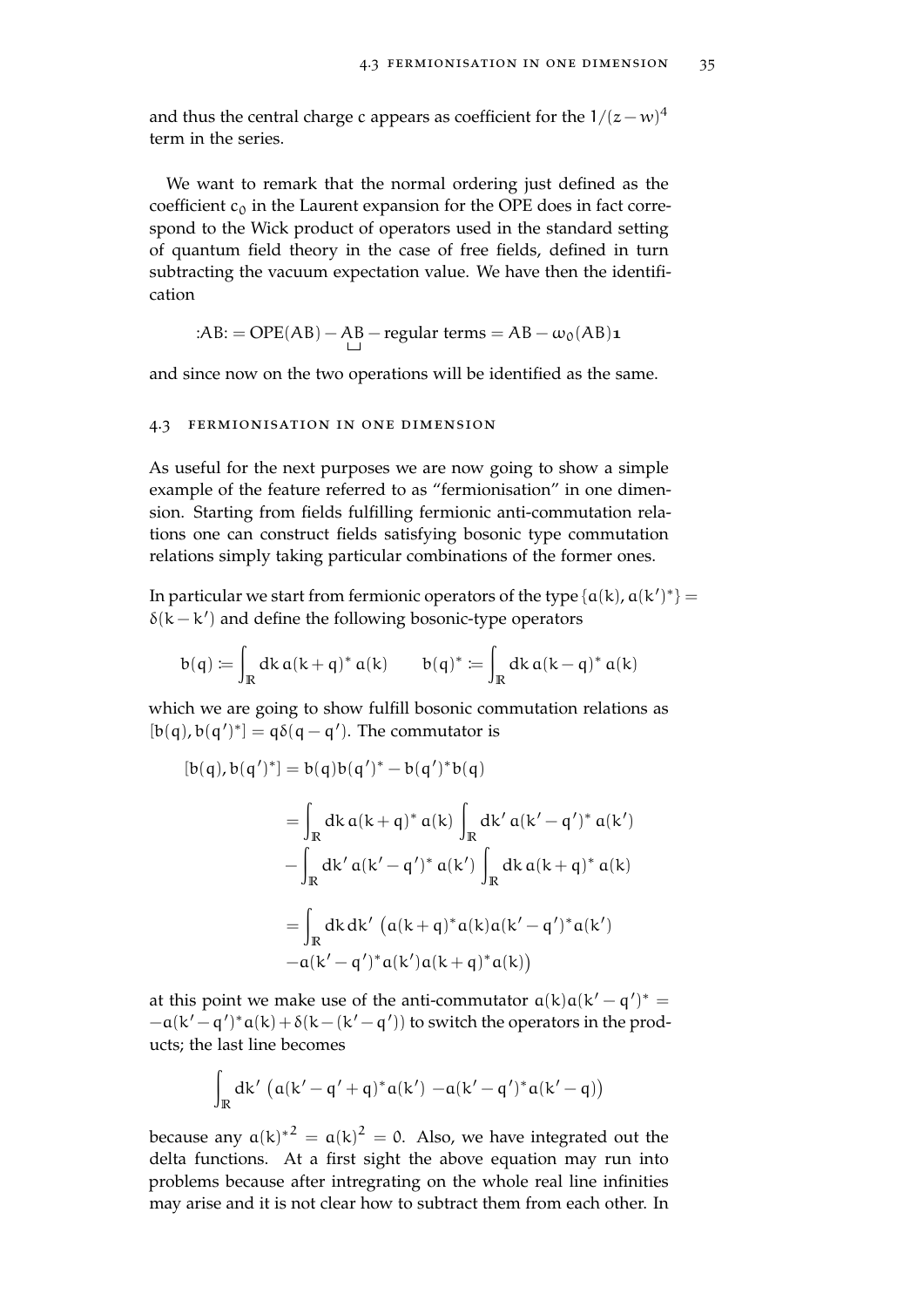and thus the central charge c appears as coefficient for the  $1/(z-w)^4$ term in the series.

We want to remark that the normal ordering just defined as the coefficient  $c_0$  in the Laurent expansion for the OPE does in fact correspond to the Wick product of operators used in the standard setting of quantum field theory in the case of free fields, defined in turn subtracting the vacuum expectation value. We have then the identification

$$
:AB: = OPE(AB) - AB - regular terms = AB - \omega_0(AB)\mathbf{1}
$$

<span id="page-46-0"></span>and since now on the two operations will be identified as the same.

#### 4.3 fermionisation in one dimension

As useful for the next purposes we are now going to show a simple example of the feature referred to as "fermionisation" in one dimension. Starting from fields fulfilling fermionic anti-commutation relations one can construct fields satisfying bosonic type commutation relations simply taking particular combinations of the former ones.

In particular we start from fermionic operators of the type  $\{a(k), a(k')^*\} =$  $\delta(k - k')$  and define the following bosonic-type operators

$$
b(q) \coloneqq \int_\mathbb{R} dk\, a(k+q)^*\, a(k) \qquad b(q)^* \coloneqq \int_\mathbb{R} dk\, a(k-q)^*\, a(k)
$$

which we are going to show fulfill bosonic commutation relations as  $[b(q), b(q')^*] = q\delta(q - q')$ . The commutator is

$$
[b(q), b(q')^*] = b(q)b(q')^* - b(q')^*b(q)
$$
  
\n
$$
= \int_{\mathbb{R}} dk a(k+q)^* a(k) \int_{\mathbb{R}} dk' a(k'-q')^* a(k')
$$
  
\n
$$
- \int_{\mathbb{R}} dk' a(k'-q')^* a(k') \int_{\mathbb{R}} dk a(k+q)^* a(k)
$$
  
\n
$$
= \int_{\mathbb{R}} dk dk' (a(k+q)^* a(k)a(k'-q')^* a(k')
$$
  
\n
$$
-a(k'-q')^* a(k') a(k+q)^* a(k))
$$

at this point we make use of the anti-commutator  $a(k)a(k'-q')^* =$  $-a(k'-q')^*a(k) + \delta(k-(k'-q'))$  to switch the operators in the products; the last line becomes

$$
\int_{\mathbb{R}}dk'\,\left(a(k'-q'+q)^*\alpha(k')\right.-a(k'-q')^*\alpha(k'-q)\right)
$$

because any  $a(k)^{2} = a(k)^{2} = 0$ . Also, we have integrated out the delta functions. At a first sight the above equation may run into problems because after intregrating on the whole real line infinities may arise and it is not clear how to subtract them from each other. In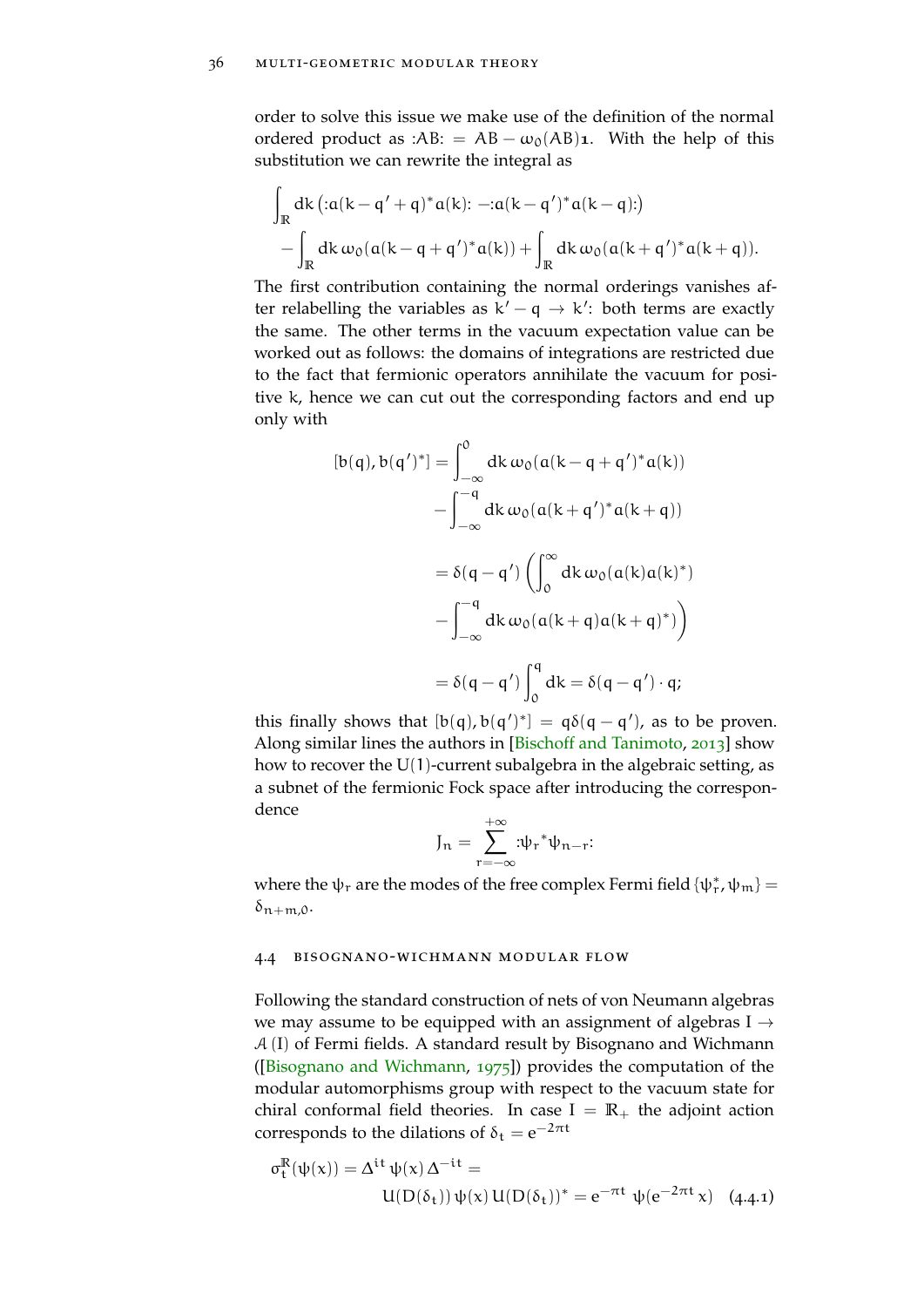order to solve this issue we make use of the definition of the normal ordered product as :AB: = AB –  $\omega_0$ (AB)1. With the help of this substitution we can rewrite the integral as

$$
\begin{aligned}&\int_\mathbb{R} dk\left( :a(k-q'+q)^*a(k): -:a(k-q')^*a(k-q) \right)\\& -\int_\mathbb{R} dk\,\omega_0(a(k-q+q')^*a(k)) + \int_\mathbb{R} dk\,\omega_0(a(k+q')^*a(k+q)).\end{aligned}
$$

The first contribution containing the normal orderings vanishes after relabelling the variables as  $k' - q \rightarrow k'$ : both terms are exactly the same. The other terms in the vacuum expectation value can be worked out as follows: the domains of integrations are restricted due to the fact that fermionic operators annihilate the vacuum for positive k, hence we can cut out the corresponding factors and end up only with

$$
[b(q), b(q')^*] = \int_{-\infty}^0 dk \omega_0(a(k-q+q')^*a(k))
$$
  

$$
- \int_{-\infty}^{-q} dk \omega_0(a(k+q')^*a(k+q))
$$
  

$$
= \delta(q-q') \left( \int_0^{\infty} dk \omega_0(a(k)a(k)^*)
$$
  

$$
- \int_{-\infty}^{-q} dk \omega_0(a(k+q)a(k+q)^*) \right)
$$
  

$$
= \delta(q-q') \int_0^q dk = \delta(q-q') \cdot q;
$$

this finally shows that  $[b(q), b(q')^*] = q\delta(q - q')$ , as to be proven. Along similar lines the authors in [\[Bischoff and Tanimoto,](#page-116-2) [2013](#page-116-2)] show how to recover the  $U(1)$ -current subalgebra in the algebraic setting, as a subnet of the fermionic Fock space after introducing the correspondence

$$
J_n = \sum_{r=-\infty}^{+\infty} :\!\!\psi_r\!\!\!\!\!\!\ast \psi_{n-r} \!\!:
$$

where the  $\psi_r$  are the modes of the free complex Fermi field  $\{\psi_r^*, \psi_m\} =$  $\delta_{n+m,0}$ .

#### <span id="page-47-0"></span>4.4 bisognano-wichmann modular flow

Following the standard construction of nets of von Neumann algebras we may assume to be equipped with an assignment of algebras I  $\rightarrow$  $A$  (I) of Fermi fields. A standard result by Bisognano and Wichmann ([\[Bisognano and Wichmann,](#page-116-3) [1975](#page-116-3)]) provides the computation of the modular automorphisms group with respect to the vacuum state for chiral conformal field theories. In case  $I = \mathbb{R}_+$  the adjoint action corresponds to the dilations of  $\delta_t = e^{-2\pi t}$ 

$$
\sigma_t^{\mathbb{R}}(\psi(x)) = \Delta^{\text{it}} \psi(x) \Delta^{-\text{it}} =
$$
  
 
$$
U(D(\delta_t)) \psi(x) U(D(\delta_t))^* = e^{-\pi t} \psi(e^{-2\pi t} x) \quad (4.4.1)
$$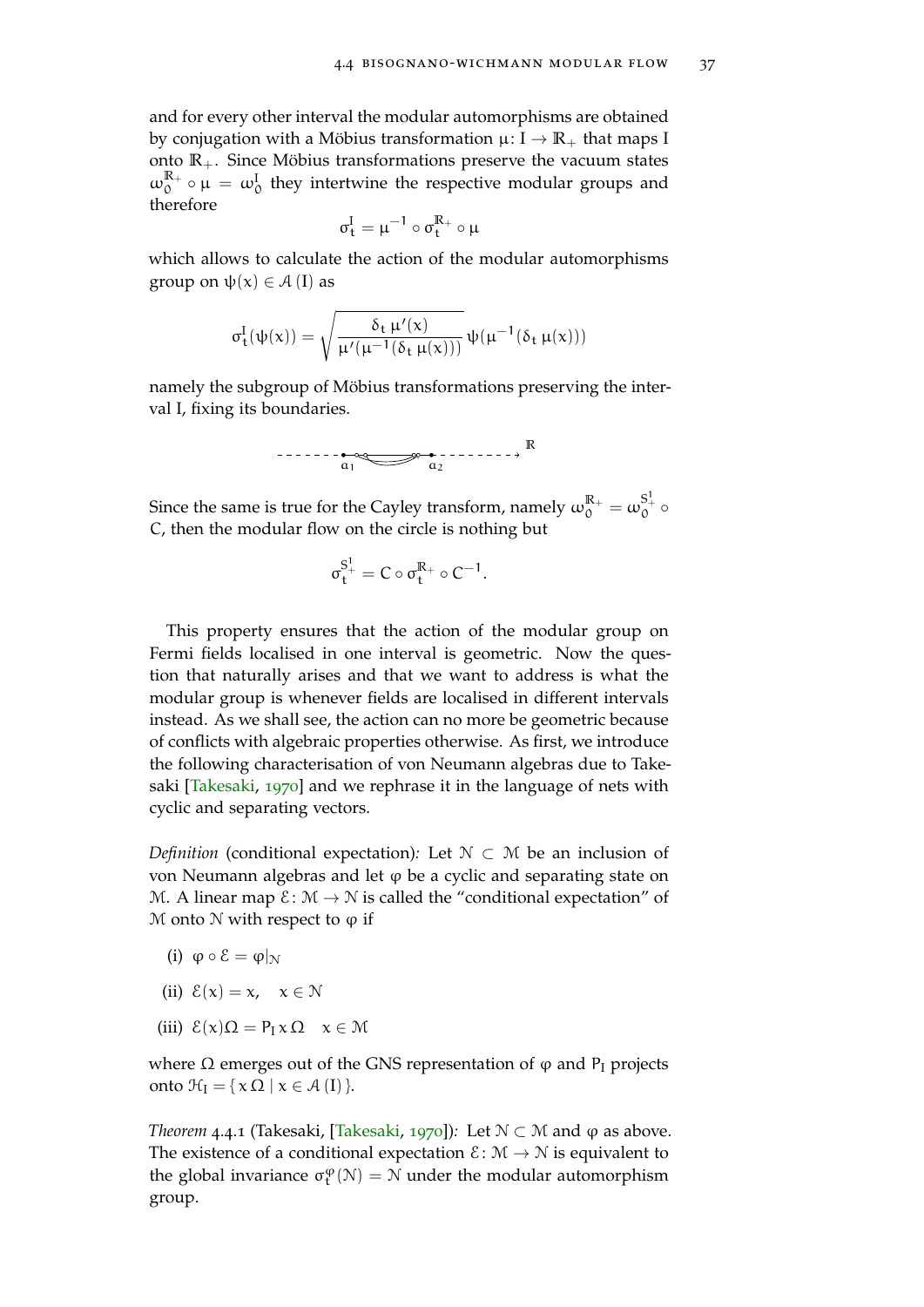and for every other interval the modular automorphisms are obtained by conjugation with a Möbius transformation  $\mu: I \to \mathbb{R}_+$  that maps I onto  $\mathbb{R}_+$ . Since Möbius transformations preserve the vacuum states  $\omega_{0}^{\mathbb{R}_{+}}$  $\int_0^{\mathbb{R}_+} \circ \mu = \omega_0^{\mathbb{I}}$  they intertwine the respective modular groups and therefore

$$
\sigma^I_t=\mu^{-1}\circ\sigma^{R_+}_t\circ\mu
$$

which allows to calculate the action of the modular automorphisms group on  $\psi(x) \in \mathcal{A}$  (I) as

$$
\sigma^I_t(\psi(x))=\sqrt{\frac{\delta_t\,\mu'(x)}{\mu'(\mu^{-1}(\delta_t\,\mu(x)))}}\,\psi(\mu^{-1}(\delta_t\,\mu(x)))
$$

namely the subgroup of Möbius transformations preserving the interval I, fixing its boundaries.

$$
\begin{array}{ccc}\n\cdot & \cdot & \cdot & \cdot & \cdot & \cdot & \mathbb{R} \\
\hline\na_1 & \mathbf{a}_2 & \mathbf{a}_3 & \mathbf{a}_4 & \mathbf{a}_5 & \mathbb{R} \\
\end{array}
$$

Since the same is true for the Cayley transform, namely  $\omega_0^{\mathbb{R}_+} = \omega_0^{\mathbb{S}^1_+}$   $\circ$ C, then the modular flow on the circle is nothing but

$$
\sigma_t^{S^1_+}=C\circ \sigma_t^{\mathbb{R}_+}\circ C^{-1}.
$$

This property ensures that the action of the modular group on Fermi fields localised in one interval is geometric. Now the question that naturally arises and that we want to address is what the modular group is whenever fields are localised in different intervals instead. As we shall see, the action can no more be geometric because of conflicts with algebraic properties otherwise. As first, we introduce the following characterisation of von Neumann algebras due to Takesaki [\[Takesaki,](#page-119-3) [1970](#page-119-3)] and we rephrase it in the language of nets with cyclic and separating vectors.

*Definition* (conditional expectation): Let  $\mathcal{N} \subset \mathcal{M}$  be an inclusion of von Neumann algebras and let  $\varphi$  be a cyclic and separating state on M. A linear map  $\mathcal{E}: \mathcal{M} \to \mathcal{N}$  is called the "conditional expectation" of M onto  $N$  with respect to  $\varphi$  if

- (i)  $\varphi \circ \mathcal{E} = \varphi|_{\mathcal{N}}$
- (ii)  $\mathcal{E}(x) = x, \quad x \in \mathbb{N}$
- (iii)  $\mathcal{E}(x)\Omega = P_1 x \Omega \quad x \in \mathcal{M}$

where Ω emerges out of the GNS representation of  $φ$  and  $P<sub>I</sub>$  projects onto  $\mathcal{H}_{I} = \{ \mathbf{x} \Omega \mid \mathbf{x} \in \mathcal{A} \in$  (I) }.

*Theorem* 4.4.1 (Takesaki, [\[Takesaki,](#page-119-3) [1970](#page-119-3)]): Let  $\mathcal{N} \subset \mathcal{M}$  and  $\varphi$  as above. The existence of a conditional expectation  $E: \mathcal{M} \to \mathcal{N}$  is equivalent to the global invariance  $\sigma_t^{\varphi}(\mathcal{N}) = \mathcal{N}$  under the modular automorphism group.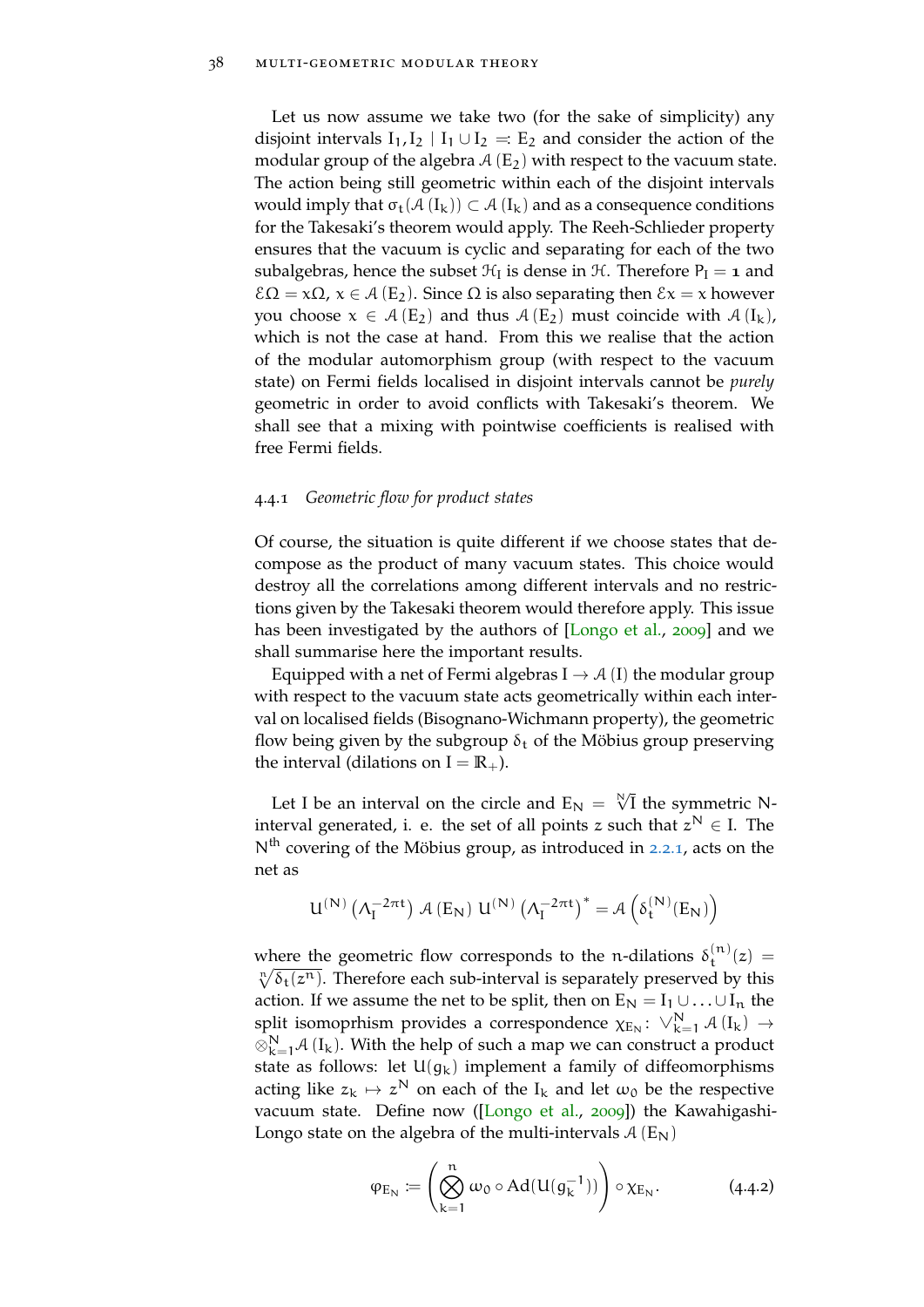Let us now assume we take two (for the sake of simplicity) any disjoint intervals  $I_1, I_2 \mid I_1 \cup I_2 =: E_2$  and consider the action of the modular group of the algebra  $A(E_2)$  with respect to the vacuum state. The action being still geometric within each of the disjoint intervals would imply that  $\sigma_t(A(I_k)) \subset A(I_k)$  and as a consequence conditions for the Takesaki's theorem would apply. The Reeh-Schlieder property ensures that the vacuum is cyclic and separating for each of the two subalgebras, hence the subset  $\mathcal{H}_I$  is dense in  $\mathcal{H}$ . Therefore  $P_I = \mathbf{1}$  and  $\mathcal{E}\Omega = x\Omega$ ,  $x \in \mathcal{A}(E_2)$ . Since  $\Omega$  is also separating then  $\mathcal{E}x = x$  however you choose  $x \in \mathcal{A}(E_2)$  and thus  $\mathcal{A}(E_2)$  must coincide with  $\mathcal{A}(I_k)$ , which is not the case at hand. From this we realise that the action of the modular automorphism group (with respect to the vacuum state) on Fermi fields localised in disjoint intervals cannot be *purely* geometric in order to avoid conflicts with Takesaki's theorem. We shall see that a mixing with pointwise coefficients is realised with free Fermi fields.

#### <span id="page-49-0"></span>4.4.1 *Geometric flow for product states*

Of course, the situation is quite different if we choose states that decompose as the product of many vacuum states. This choice would destroy all the correlations among different intervals and no restrictions given by the Takesaki theorem would therefore apply. This issue has been investigated by the authors of [\[Longo et al.,](#page-118-1) [2009](#page-118-1)] and we shall summarise here the important results.

Equipped with a net of Fermi algebras  $I \rightarrow A (I)$  the modular group with respect to the vacuum state acts geometrically within each interval on localised fields (Bisognano-Wichmann property), the geometric flow being given by the subgroup  $\delta_t$  of the Möbius group preserving the interval (dilations on  $I = \mathbb{R}_{+}$ ).

Let I be an interval on the circle and  $E_N = \sqrt[N]{I}$  the symmetric Ninterval generated, i. e. the set of all points z such that  $z^N \in I$ . The  $N<sup>th</sup>$  covering of the Möbius group, as introduced in [2](#page-21-0).2.1, acts on the net as

$$
U^{(N)}\left(\Lambda_{I}^{-2\pi t}\right)\, \mathcal{A}\left(E_{N}\right)\, U^{(N)}\left(\Lambda_{I}^{-2\pi t}\right)^{*}=\mathcal{A}\left(\delta_{t}^{(N)}(E_{N})\right)
$$

where the geometric flow corresponds to the n-dilations  $\delta_t^{(n)}$  $t^{(n)}(z) =$  $\sqrt[n]{\delta_t(z^n)}$ . Therefore each sub-interval is separately preserved by this action. If we assume the net to be split, then on  $E_N = I_1 \cup ... \cup I_n$  the split isomoprhism provides a correspondence  $\chi_{E_N}\colon \vee_{k=1}^N {\mathcal{A}}(I_k) \to$  $\otimes_{k=1}^{N} A(I_k)$ . With the help of such a map we can construct a product state as follows: let  $U(g_k)$  implement a family of diffeomorphisms acting like  $z_k \mapsto z^N$  on each of the I<sub>k</sub> and let  $\omega_0$  be the respective vacuum state. Define now ([\[Longo et al.,](#page-118-1) [2009](#page-118-1)]) the Kawahigashi-Longo state on the algebra of the multi-intervals  $A(E_N)$ 

<span id="page-49-1"></span>
$$
\varphi_{E_N} \coloneqq \left( \bigotimes_{k=1}^n \omega_0 \circ \mathrm{Ad}(\mathrm{U}(g_k^{-1})) \right) \circ \chi_{E_N}. \tag{4.4.2}
$$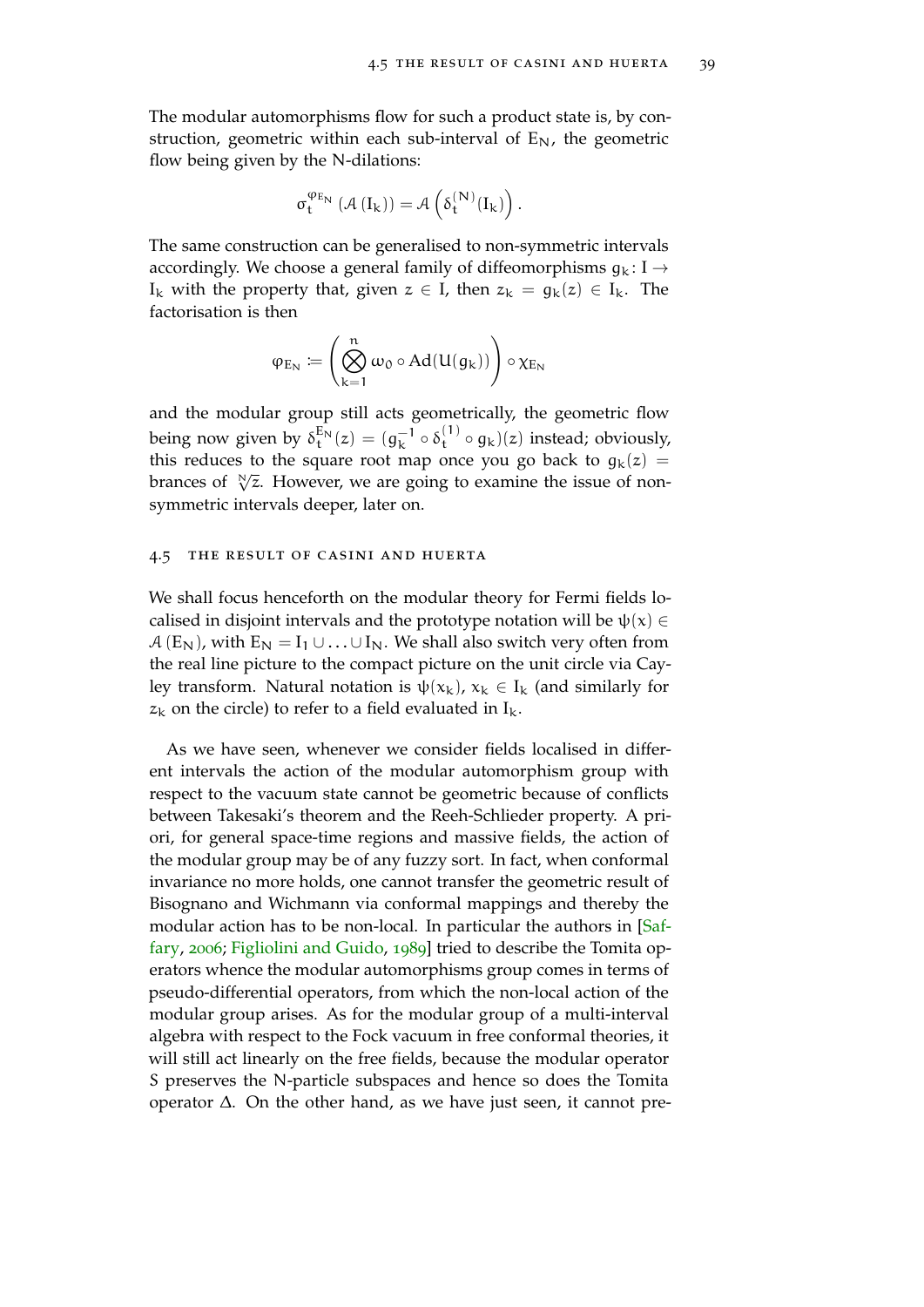The modular automorphisms flow for such a product state is, by construction, geometric within each sub-interval of  $E_N$ , the geometric flow being given by the N-dilations:

$$
\sigma_t^{\phi_{E_N}}\left(\mathcal{A}\left(I_k\right)\right)=\mathcal{A}\left(\delta_t^{(N)}(I_k)\right).
$$

The same construction can be generalised to non-symmetric intervals accordingly. We choose a general family of diffeomorphisms  $g_k: I \rightarrow$  $I_k$  with the property that, given  $z \in I$ , then  $z_k = g_k(z) \in I_k$ . The factorisation is then

$$
\phi_{E_N} \coloneqq \left(\bigotimes_{k=1}^n \omega_0 \circ Ad(U(g_k))\right) \circ \chi_{E_N}
$$

and the modular group still acts geometrically, the geometric flow being now given by  $\delta_{\mathsf{t}}^{\mathsf{En}}(z) = (g_{\mathsf{k}}^{-1} \circ \delta_{\mathsf{t}}^{(1)})$  $(t') \circ g_k(z)$  instead; obviously, this reduces to the square root map once you go back to  $g_k(z) =$ brances of  $\sqrt[N]{z}$ . However, we are going to examine the issue of nonsymmetric intervals deeper, later on.

#### <span id="page-50-0"></span>4.5 the result of casini and huerta

We shall focus henceforth on the modular theory for Fermi fields localised in disjoint intervals and the prototype notation will be  $\psi(x) \in$  $A(E_N)$ , with  $E_N = I_1 \cup ... \cup I_N$ . We shall also switch very often from the real line picture to the compact picture on the unit circle via Cayley transform. Natural notation is  $\psi(x_k)$ ,  $x_k \in I_k$  (and similarly for  $z_k$  on the circle) to refer to a field evaluated in  $I_k$ .

As we have seen, whenever we consider fields localised in different intervals the action of the modular automorphism group with respect to the vacuum state cannot be geometric because of conflicts between Takesaki's theorem and the Reeh-Schlieder property. A priori, for general space-time regions and massive fields, the action of the modular group may be of any fuzzy sort. In fact, when conformal invariance no more holds, one cannot transfer the geometric result of Bisognano and Wichmann via conformal mappings and thereby the modular action has to be non-local. In particular the authors in [\[Saf](#page-119-4)[fary,](#page-119-4) [2006](#page-119-4); [Figliolini and Guido,](#page-117-2) [1989](#page-117-2)] tried to describe the Tomita operators whence the modular automorphisms group comes in terms of pseudo-differential operators, from which the non-local action of the modular group arises. As for the modular group of a multi-interval algebra with respect to the Fock vacuum in free conformal theories, it will still act linearly on the free fields, because the modular operator S preserves the N-particle subspaces and hence so does the Tomita operator ∆. On the other hand, as we have just seen, it cannot pre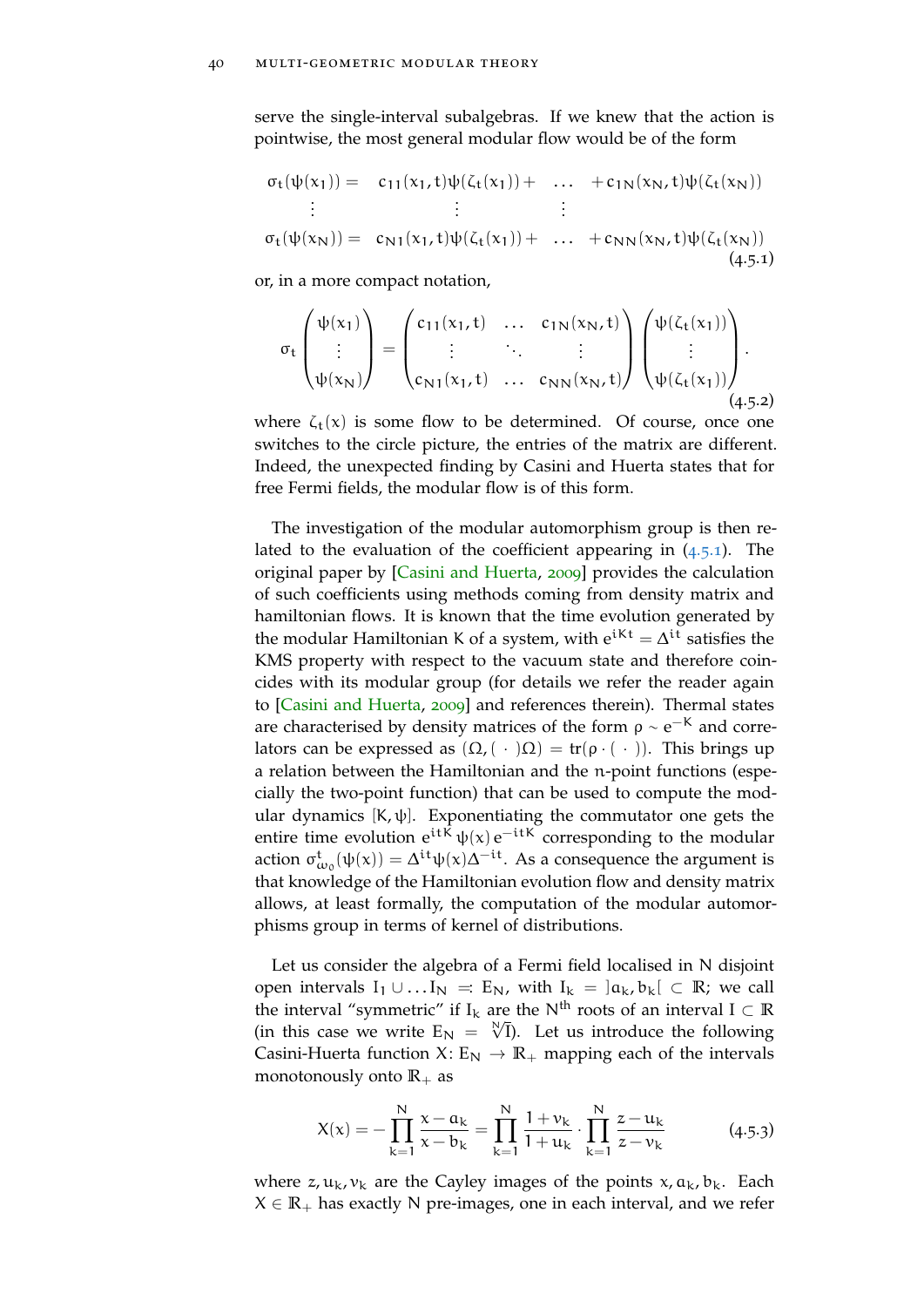serve the single-interval subalgebras. If we knew that the action is pointwise, the most general modular flow would be of the form

<span id="page-51-0"></span>
$$
\sigma_{t}(\psi(x_{1})) = c_{11}(x_{1}, t)\psi(\zeta_{t}(x_{1})) + \dots + c_{1N}(x_{N}, t)\psi(\zeta_{t}(x_{N}))
$$
\n
$$
\vdots \qquad \vdots \qquad \vdots
$$
\n
$$
\sigma_{t}(\psi(x_{N})) = c_{N1}(x_{1}, t)\psi(\zeta_{t}(x_{1})) + \dots + c_{NN}(x_{N}, t)\psi(\zeta_{t}(x_{N}))
$$
\n(4.5.1)

or, in a more compact notation,

$$
\sigma_t \begin{pmatrix} \psi(x_1) \\ \vdots \\ \psi(x_N) \end{pmatrix} = \begin{pmatrix} c_{11}(x_1, t) & \dots & c_{1N}(x_N, t) \\ \vdots & \ddots & \vdots \\ c_{N1}(x_1, t) & \dots & c_{NN}(x_N, t) \end{pmatrix} \begin{pmatrix} \psi(\zeta_t(x_1)) \\ \vdots \\ \psi(\zeta_t(x_1)) \end{pmatrix} .
$$
\n(4.5.2)

where  $\zeta_t(x)$  is some flow to be determined. Of course, once one switches to the circle picture, the entries of the matrix are different. Indeed, the unexpected finding by Casini and Huerta states that for free Fermi fields, the modular flow is of this form.

The investigation of the modular automorphism group is then related to the evaluation of the coefficient appearing in  $(4.5.1)$  $(4.5.1)$  $(4.5.1)$ . The original paper by [\[Casini and Huerta,](#page-117-3) [2009](#page-117-3)] provides the calculation of such coefficients using methods coming from density matrix and hamiltonian flows. It is known that the time evolution generated by the modular Hamiltonian K of a system, with  $e^{iKt} = \Delta^{it}$  satisfies the KMS property with respect to the vacuum state and therefore coincides with its modular group (for details we refer the reader again to [\[Casini and Huerta,](#page-117-3) [2009](#page-117-3)] and references therein). Thermal states are characterised by density matrices of the form  $\rho \sim e^{-K}$  and correlators can be expressed as  $(\Omega, (-)\Omega) = \text{tr}(\rho \cdot (-))$ . This brings up a relation between the Hamiltonian and the n-point functions (especially the two-point function) that can be used to compute the modular dynamics  $[K, \psi]$ . Exponentiating the commutator one gets the entire time evolution  $e^{itK}\psi(x)e^{-itK}$  corresponding to the modular action  $\sigma_{\omega_0}^{\rm t}(\psi(x)) = \Delta^{\rm it}\psi(x)\Delta^{-\rm it}$ . As a consequence the argument is that knowledge of the Hamiltonian evolution flow and density matrix allows, at least formally, the computation of the modular automorphisms group in terms of kernel of distributions.

Let us consider the algebra of a Fermi field localised in N disjoint open intervals  $I_1 \cup \ldots I_N =: E_N$ , with  $I_k = ]a_k, b_k[ \subset \mathbb{R}$ ; we call the interval "symmetric" if  $I_k$  are the N<sup>th</sup> roots of an interval  $I \subset \mathbb{R}$ The interval symmetric if  $I_k$  are the N<sup>-1</sup> roots of an interval  $I \subseteq \mathbb{R}$ <br>(in this case we write  $E_N = \sqrt[N]{I}$ ). Let us introduce the following Casini-Huerta function X:  $E_N \rightarrow \mathbb{R}_+$  mapping each of the intervals monotonously onto  $\mathbb{R}_+$  as

$$
X(x) = -\prod_{k=1}^{N} \frac{x - a_k}{x - b_k} = \prod_{k=1}^{N} \frac{1 + \nu_k}{1 + u_k} \cdot \prod_{k=1}^{N} \frac{z - u_k}{z - \nu_k}
$$
(4.5.3)

where  $z, u_k, v_k$  are the Cayley images of the points  $x, a_k, b_k$ . Each  $X \in \mathbb{R}_+$  has exactly N pre-images, one in each interval, and we refer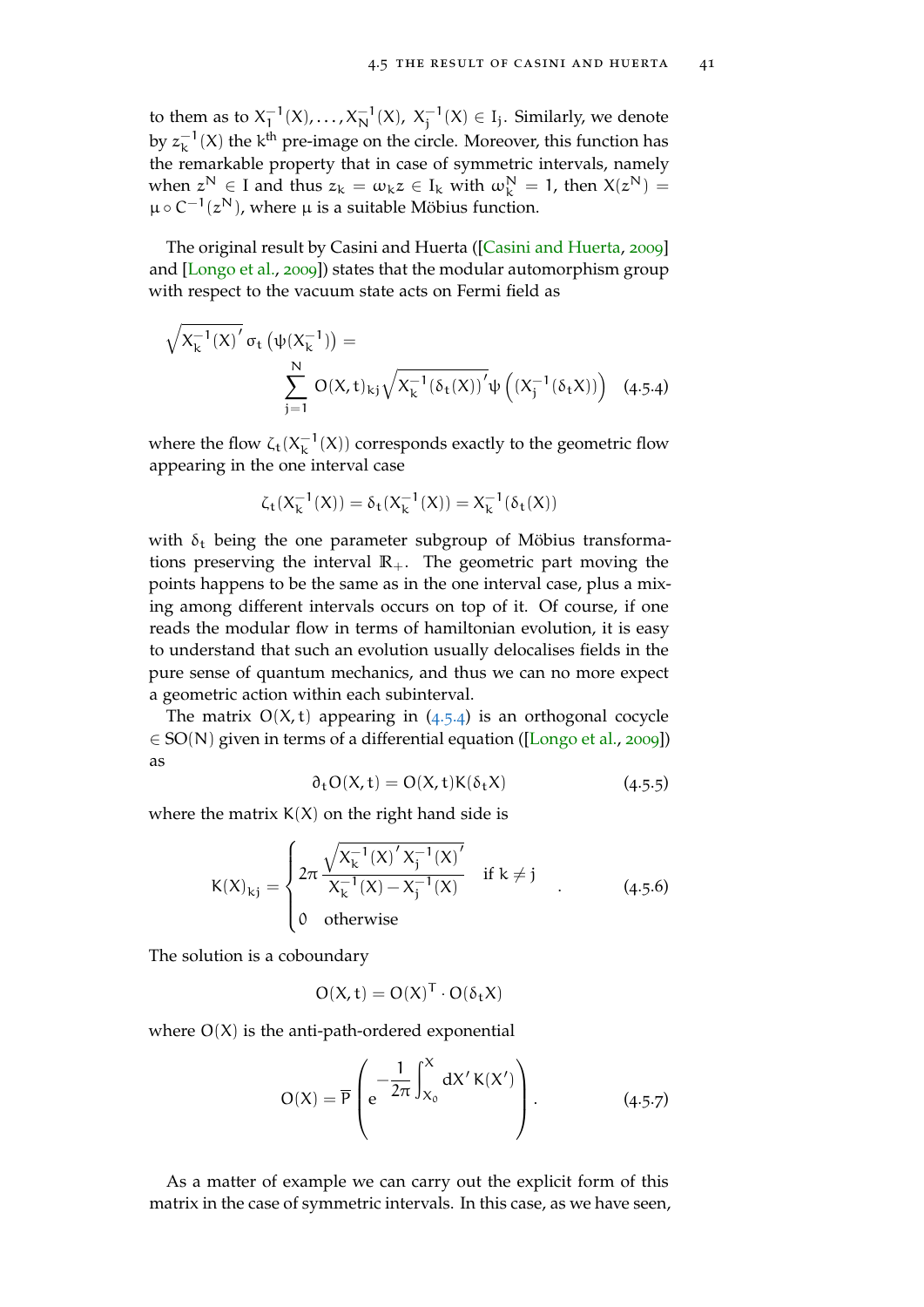to them as to  $X_1^{-1}(X), \ldots, X_N^{-1}(X), X_j^{-1}(X) \in I_j$ . Similarly, we denote by  $z_k^{-1}(X)$  the k<sup>th</sup> pre-image on the circle. Moreover, this function has the remarkable property that in case of symmetric intervals, namely when  $z^N \in I$  and thus  $z_k = \omega_k z \in I_k$  with  $\omega_k^N = 1$ , then  $X(z^N) =$  $\mu \circ C^{-1}(z^N)$ , where  $\mu$  is a suitable Möbius function.

The original result by Casini and Huerta ([\[Casini and Huerta,](#page-117-3) [2009](#page-117-3)] and [\[Longo et al.,](#page-118-1) [2009](#page-118-1)]) states that the modular automorphism group with respect to the vacuum state acts on Fermi field as

$$
\sqrt{{X_k^{-1}(X)}^{'}} \sigma_t (\psi(X_k^{-1})) = \\ \sum_{j=1}^N O(X,t)_{kj} \sqrt{{X_k^{-1}(\delta_t(X))}^{'}} \psi\left((X_j^{-1}(\delta_t X))\right) (4.5.4)
$$

where the flow  $\zeta_t(X_k^{-1}(X))$  corresponds exactly to the geometric flow appearing in the one interval case

<span id="page-52-0"></span>
$$
\zeta_t(X_k^{-1}(X)) = \delta_t(X_k^{-1}(X)) = X_k^{-1}(\delta_t(X))
$$

with  $\delta_t$  being the one parameter subgroup of Möbius transformations preserving the interval  $\mathbb{R}_+$ . The geometric part moving the points happens to be the same as in the one interval case, plus a mixing among different intervals occurs on top of it. Of course, if one reads the modular flow in terms of hamiltonian evolution, it is easy to understand that such an evolution usually delocalises fields in the pure sense of quantum mechanics, and thus we can no more expect a geometric action within each subinterval.

The matrix  $O(X, t)$  appearing in  $(4.5.4)$  $(4.5.4)$  $(4.5.4)$  is an orthogonal cocycle ∈ SO(N) given in terms of a differential equation ([\[Longo et al.,](#page-118-1) [2009](#page-118-1)]) as

<span id="page-52-1"></span>
$$
\partial_t O(X, t) = O(X, t)K(\delta_t X) \tag{4.5.5}
$$

where the matrix  $K(X)$  on the right hand side is

$$
K(X)_{kj} = \begin{cases} 2\pi \frac{\sqrt{X_k^{-1}(X)^\prime X_j^{-1}(X)^\prime}}{X_k^{-1}(X) - X_j^{-1}(X)} & \text{if } k \neq j \\ 0 & \text{otherwise} \end{cases}
$$
 (4.5.6)

The solution is a coboundary

$$
O(X,t) = O(X)^T \cdot O(\delta_t X)
$$

where  $O(X)$  is the anti-path-ordered exponential

$$
O(X) = \overline{P} \left( e^{-\frac{1}{2\pi} \int_{X_0}^{X} dX' K(X')} \right).
$$
 (4.5.7)

As a matter of example we can carry out the explicit form of this matrix in the case of symmetric intervals. In this case, as we have seen,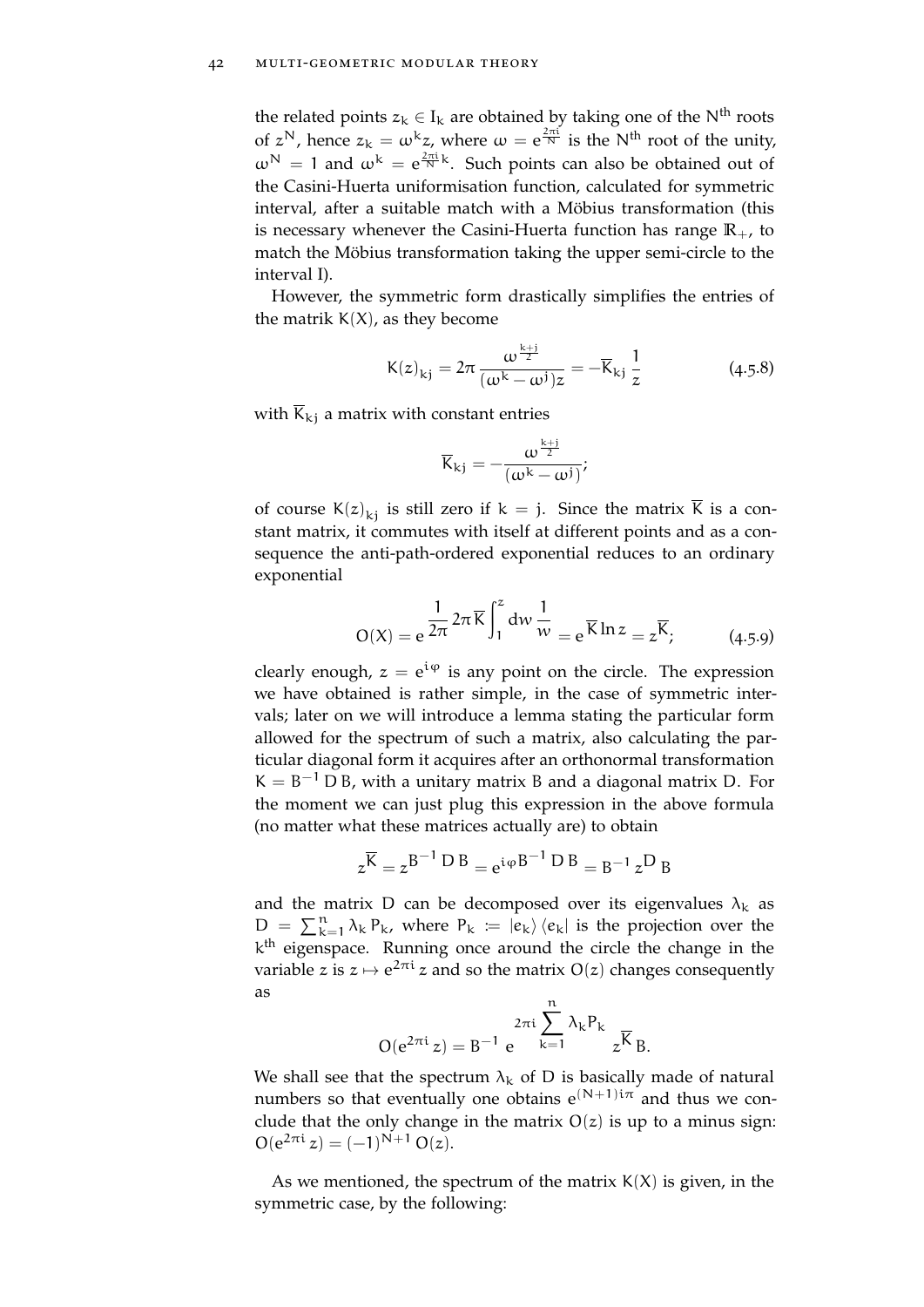the related points  $z_k \in I_k$  are obtained by taking one of the N<sup>th</sup> roots of  $z^N$ , hence  $z_k = \omega^k z$ , where  $\omega = e^{\frac{2\pi i}{N}}$  is the N<sup>th</sup> root of the unity,  $\omega^N = 1$  and  $\omega^k = e^{\frac{2\pi i}{N}k}$ . Such points can also be obtained out of the Casini-Huerta uniformisation function, calculated for symmetric interval, after a suitable match with a Möbius transformation (this is necessary whenever the Casini-Huerta function has range  $\mathbb{R}_+$ , to match the Möbius transformation taking the upper semi-circle to the interval I).

However, the symmetric form drastically simplifies the entries of the matrik  $K(X)$ , as they become

$$
K(z)_{kj} = 2\pi \frac{\omega^{\frac{k+j}{2}}}{(\omega^k - \omega^j)z} = -\overline{K}_{kj} \frac{1}{z}
$$
 (4.5.8)

with  $\overline{K}_{k,j}$  a matrix with constant entries

$$
\overline{K}_{kj}=-\frac{\omega^{\frac{k+j}{2}}}{(\omega^k-\omega^j)};
$$

of course  $K(z)_{ki}$  is still zero if  $k = j$ . Since the matrix  $\overline{K}$  is a constant matrix, it commutes with itself at different points and as a consequence the anti-path-ordered exponential reduces to an ordinary exponential

$$
O(X) = e^{\frac{1}{2\pi} 2\pi \overline{K} \int_1^z dw \frac{1}{w}} = e^{\overline{K} \ln z} = z^{\overline{K}};
$$
 (4.5.9)

clearly enough,  $z = e^{i\varphi}$  is any point on the circle. The expression we have obtained is rather simple, in the case of symmetric intervals; later on we will introduce a lemma stating the particular form allowed for the spectrum of such a matrix, also calculating the particular diagonal form it acquires after an orthonormal transformation  $K = B^{-1} D B$ , with a unitary matrix B and a diagonal matrix D. For the moment we can just plug this expression in the above formula (no matter what these matrices actually are) to obtain

$$
z^{\overline{K}} = z^{B^{-1} D B} = e^{i\varphi B^{-1} D B} = B^{-1} z^D B
$$

and the matrix D can be decomposed over its eigenvalues  $\lambda_k$  as  $D = \sum_{k=1}^{n} \lambda_k P_k$ , where  $P_k := |e_k\rangle \langle e_k|$  is the projection over the k<sup>th</sup> eigenspace. Running once around the circle the change in the variable z is  $z \mapsto e^{2\pi i} z$  and so the matrix  $O(z)$  changes consequently as

$$
O(e^{2\pi i}\,z)=B^{-1}\,e^{\displaystyle\sum_{k=1}^n \lambda_k P_k}\,z^{\overline{K}}\,B.
$$

We shall see that the spectrum  $\lambda_k$  of D is basically made of natural numbers so that eventually one obtains  $e^{(N+1)i\pi}$  and thus we conclude that the only change in the matrix  $O(z)$  is up to a minus sign:  $O(e^{2\pi i} z) = (-1)^{N+1} O(z).$ 

As we mentioned, the spectrum of the matrix  $K(X)$  is given, in the symmetric case, by the following: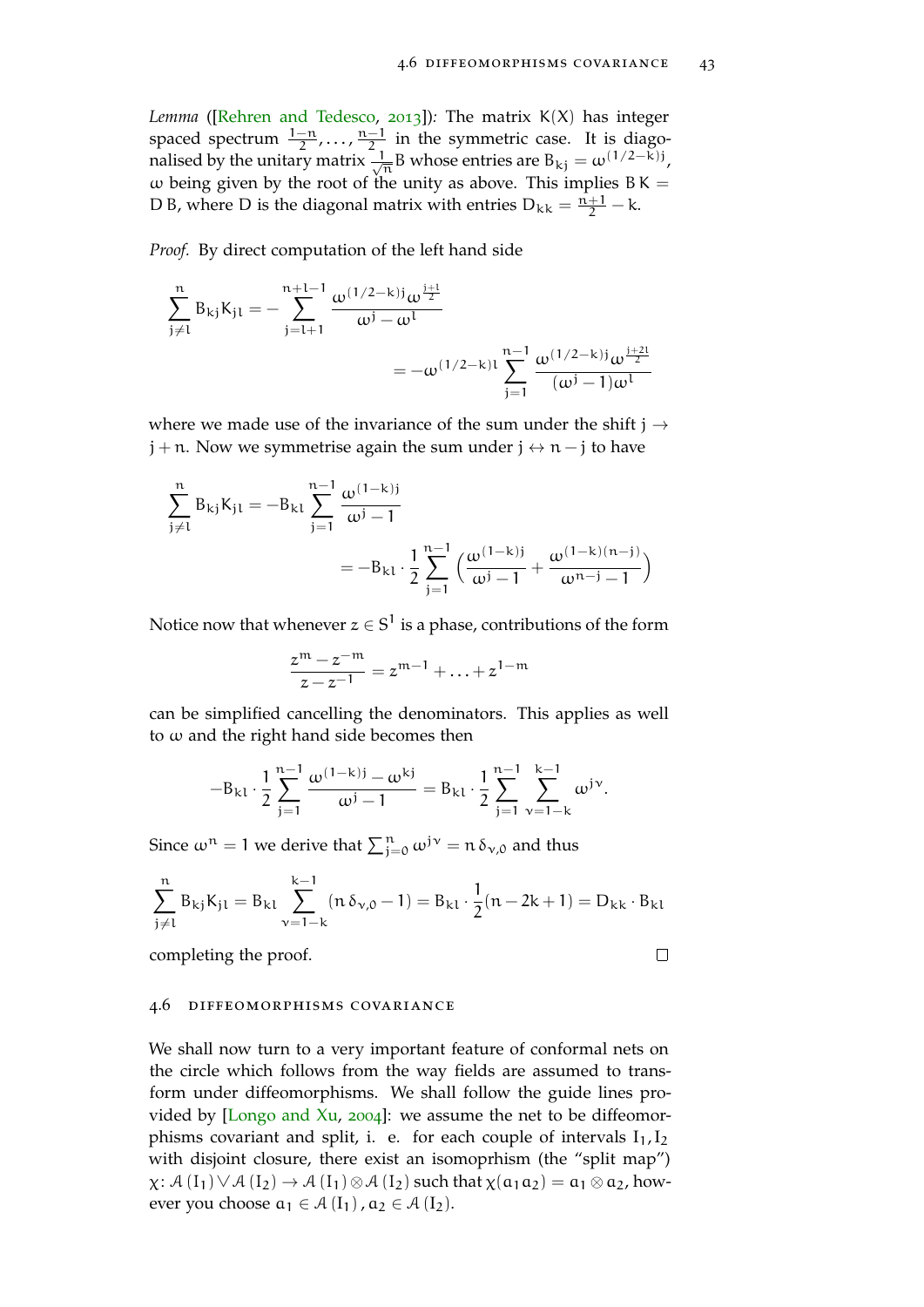*Lemma* ([\[Rehren and Tedesco,](#page-119-5) [2013](#page-119-5)])*:* The matrix K(X) has integer spaced spectrum  $\frac{1-n}{2}, \ldots, \frac{n-1}{2}$  $\frac{-1}{2}$  in the symmetric case. It is diagonalised by the unitary matrix  $\frac{1}{\sqrt{2}}$  $\frac{1}{n}$ B whose entries are B<sub>kj</sub> =  $\omega^{(1/2-k)j}$ , ω being given by the root of the unity as above. This implies  $B K =$ D B, where D is the diagonal matrix with entries  $D_{kk} = \frac{n+1}{2} - k$ .

*Proof.* By direct computation of the left hand side

$$
\begin{aligned} \sum_{j\neq l}^n B_{kj} K_{j1} &= -\sum_{j=l+1}^{n+l-1} \frac{\omega^{(1/2-k)j} \omega^{\frac{j+l}{2}}}{\omega^j - \omega^l} \\ &= -\omega^{(1/2-k)l} \sum_{j=1}^{n-1} \frac{\omega^{(1/2-k)j} \omega^{\frac{j+2l}{2}}}{(\omega^j-1)\omega^l} \end{aligned}
$$

where we made use of the invariance of the sum under the shift  $j \rightarrow$  $j + n$ . Now we symmetrise again the sum under  $j \leftrightarrow n - j$  to have

$$
\begin{aligned} \sum_{j\neq l}^n B_{kj} K_{jl} &= -B_{kl} \sum_{j=1}^{n-1} \frac{\omega^{(1-k)j}}{\omega^j-1} \\ &= -B_{kl} \cdot \frac{1}{2} \sum_{j=1}^{n-1} \Big( \frac{\omega^{(1-k)j}}{\omega^j-1} + \frac{\omega^{(1-k)(n-j)}}{\omega^{n-j}-1} \Big) \end{aligned}
$$

Notice now that whenever  $z \in \text{S}^1$  is a phase, contributions of the form

$$
\frac{z^m - z^{-m}}{z - z^{-1}} = z^{m-1} + \ldots + z^{1-m}
$$

can be simplified cancelling the denominators. This applies as well to  $\omega$  and the right hand side becomes then

$$
-B_{k l} \cdot \frac{1}{2} \sum_{j=1}^{n-1} \frac{\omega^{(1-k)j} - \omega^{k j}}{\omega^j-1} = B_{k l} \cdot \frac{1}{2} \sum_{j=1}^{n-1} \sum_{\nu=1-k}^{k-1} \omega^{j \nu}.
$$

Since  $\omega^n = 1$  we derive that  $\sum_{j=0}^n \omega^{j \nu} = n \, \delta_{\nu,0}$  and thus

$$
\sum_{j\neq l}^{n} B_{kj} K_{jl} = B_{kl} \sum_{\nu=1-k}^{k-1} (n \, \delta_{\nu,0} - 1) = B_{kl} \cdot \frac{1}{2} (n - 2k + 1) = D_{kk} \cdot B_{kl}
$$

completing the proof.

 $\Box$ 

#### <span id="page-54-0"></span>4.6 diffeomorphisms covariance

We shall now turn to a very important feature of conformal nets on the circle which follows from the way fields are assumed to transform under diffeomorphisms. We shall follow the guide lines provided by [\[Longo and Xu,](#page-118-2) [2004](#page-118-2)]: we assume the net to be diffeomorphisms covariant and split, i. e. for each couple of intervals  $I_1, I_2$ with disjoint closure, there exist an isomoprhism (the "split map")  $\chi: \mathcal{A}(\mathfrak{l}_1)\vee\mathcal{A}(\mathfrak{l}_2)\to\mathcal{A}(\mathfrak{l}_1)\otimes\mathcal{A}(\mathfrak{l}_2)$  such that  $\chi(\mathfrak{a}_1\mathfrak{a}_2)=\mathfrak{a}_1\otimes\mathfrak{a}_2$ , however you choose  $a_1 \in \mathcal{A}(\mathfrak{l}_1)$ ,  $a_2 \in \mathcal{A}(\mathfrak{l}_2)$ .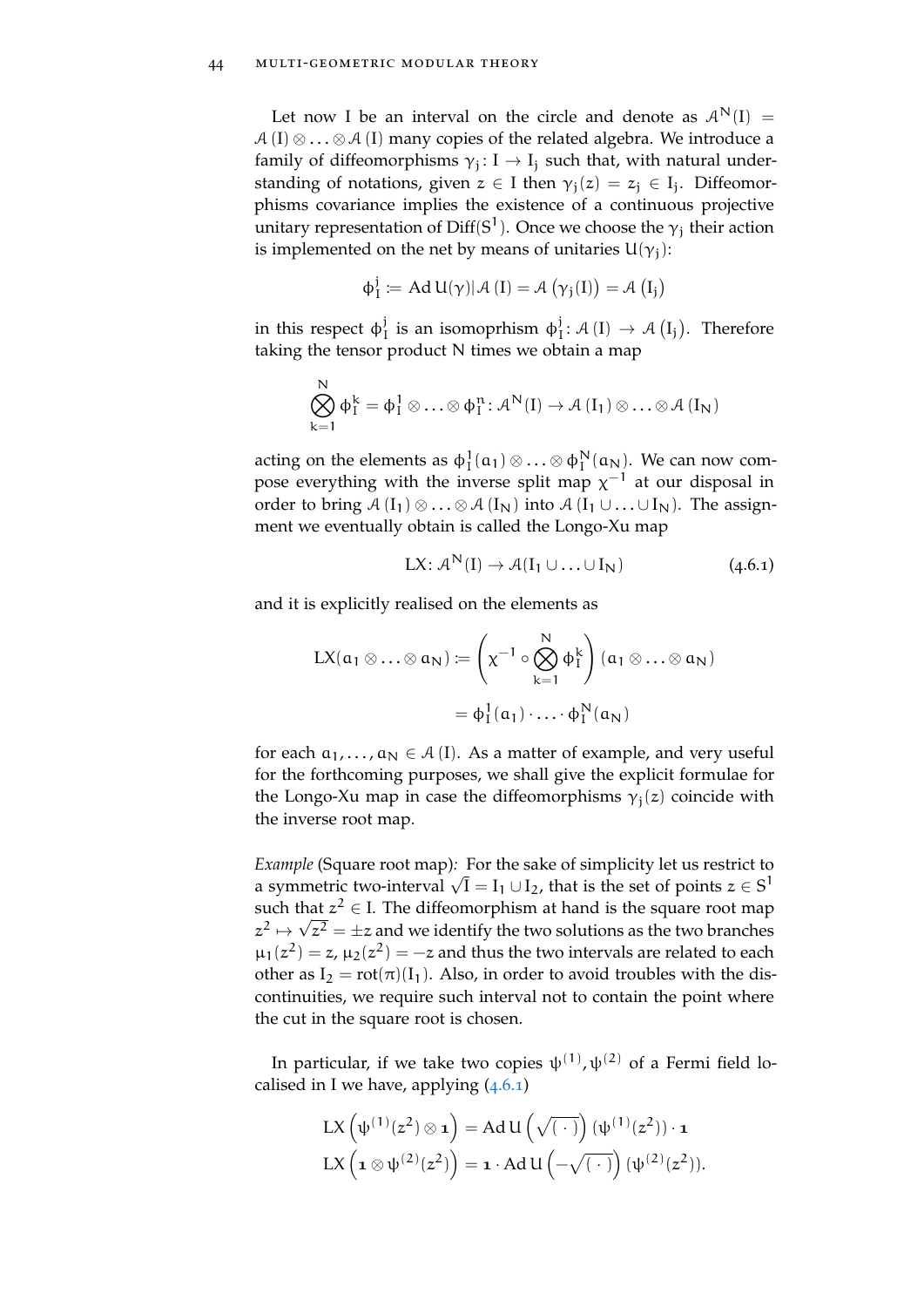#### 44 multi-geometric modular theory

Let now I be an interval on the circle and denote as  $A^N(I)$  =  $A$  (I)  $\otimes \ldots \otimes A$  (I) many copies of the related algebra. We introduce a family of diffeomorphisms  $\gamma_j: I \to I_j$  such that, with natural understanding of notations, given  $z \in I$  then  $\gamma_j(z) = z_j \in I_j$ . Diffeomorphisms covariance implies the existence of a continuous projective unitary representation of Diff(S<sup>1</sup>). Once we choose the  $\gamma_j$  their action is implemented on the net by means of unitaries  $U(\gamma_i)$ :

$$
\varphi_{I}^{j} \coloneqq \text{Ad}\,U(\gamma)|\,\mathcal{A}\,(I) = \mathcal{A}\left(\gamma_{j}(I)\right) = \mathcal{A}\left(I_{j}\right)
$$

in this respect  $\phi^{\dagger}_{\rm I}$  $j_I^j$  is an isomoprhism  $\phi_I^j$  $I_I^1$ :  $A(I) \rightarrow A(I_j)$ . Therefore taking the tensor product N times we obtain a map

$$
\bigotimes_{k=1}^{N} \varphi_{I}^{k} = \varphi_{I}^{1} \otimes \ldots \otimes \varphi_{I}^{n} \colon \mathcal{A}^{N}(I) \to \mathcal{A} (I_{1}) \otimes \ldots \otimes \mathcal{A} (I_{N})
$$

acting on the elements as  $\phi_I^1(\mathfrak{a}_1) \otimes \ldots \otimes \phi_I^N(\mathfrak{a}_N)$ . We can now compose everything with the inverse split map  $\chi^{-1}$  at our disposal in order to bring  $A(I_1) \otimes \ldots \otimes A(I_N)$  into  $A(I_1 \cup \ldots \cup I_N)$ . The assignment we eventually obtain is called the Longo-Xu map

<span id="page-55-0"></span>
$$
LX: \mathcal{A}^{N}(I) \to \mathcal{A}(I_{1} \cup \ldots \cup I_{N})
$$
 (4.6.1)

and it is explicitly realised on the elements as

$$
LX(a_1 \otimes \ldots \otimes a_N) := \left(\chi^{-1} \circ \bigotimes_{k=1}^N \varphi_1^k\right) (a_1 \otimes \ldots \otimes a_N)
$$

$$
= \varphi_1^1(a_1) \cdot \ldots \cdot \varphi_1^N(a_N)
$$

for each  $a_1, \ldots, a_N \in \mathcal{A}$  (I). As a matter of example, and very useful for the forthcoming purposes, we shall give the explicit formulae for the Longo-Xu map in case the diffeomorphisms  $\gamma_i(z)$  coincide with the inverse root map.

*Example* (Square root map)*:* For the sake of simplicity let us restrict to *Example* (Square root map): For the sake of simplicity let us restrict to a symmetric two-interval  $\sqrt{I} = I_1 \cup I_2$ , that is the set of points  $z \in S^1$ such that  $z^2 \in I$ . The diffeomorphism at hand is the square root map  $z^2\mapsto \sqrt{z^2}=\pm z$  and we identify the two solutions as the two branches  $\mu_1(z^2) = z$ ,  $\mu_2(z^2) = -z$  and thus the two intervals are related to each other as  $I_2 = rot(\pi)(I_1)$ . Also, in order to avoid troubles with the discontinuities, we require such interval not to contain the point where the cut in the square root is chosen.

In particular, if we take two copies  $\psi^{(1)}$ ,  $\psi^{(2)}$  of a Fermi field localised in I we have, applying  $(4.6.1)$  $(4.6.1)$  $(4.6.1)$ 

$$
LX(\psi^{(1)}(z^2) \otimes \mathbf{1}) = Ad U(\sqrt{(\cdot)}) (\psi^{(1)}(z^2)) \cdot \mathbf{1}
$$
  

$$
LX(\mathbf{1} \otimes \psi^{(2)}(z^2)) = \mathbf{1} \cdot Ad U(-\sqrt{(\cdot)}) (\psi^{(2)}(z^2)).
$$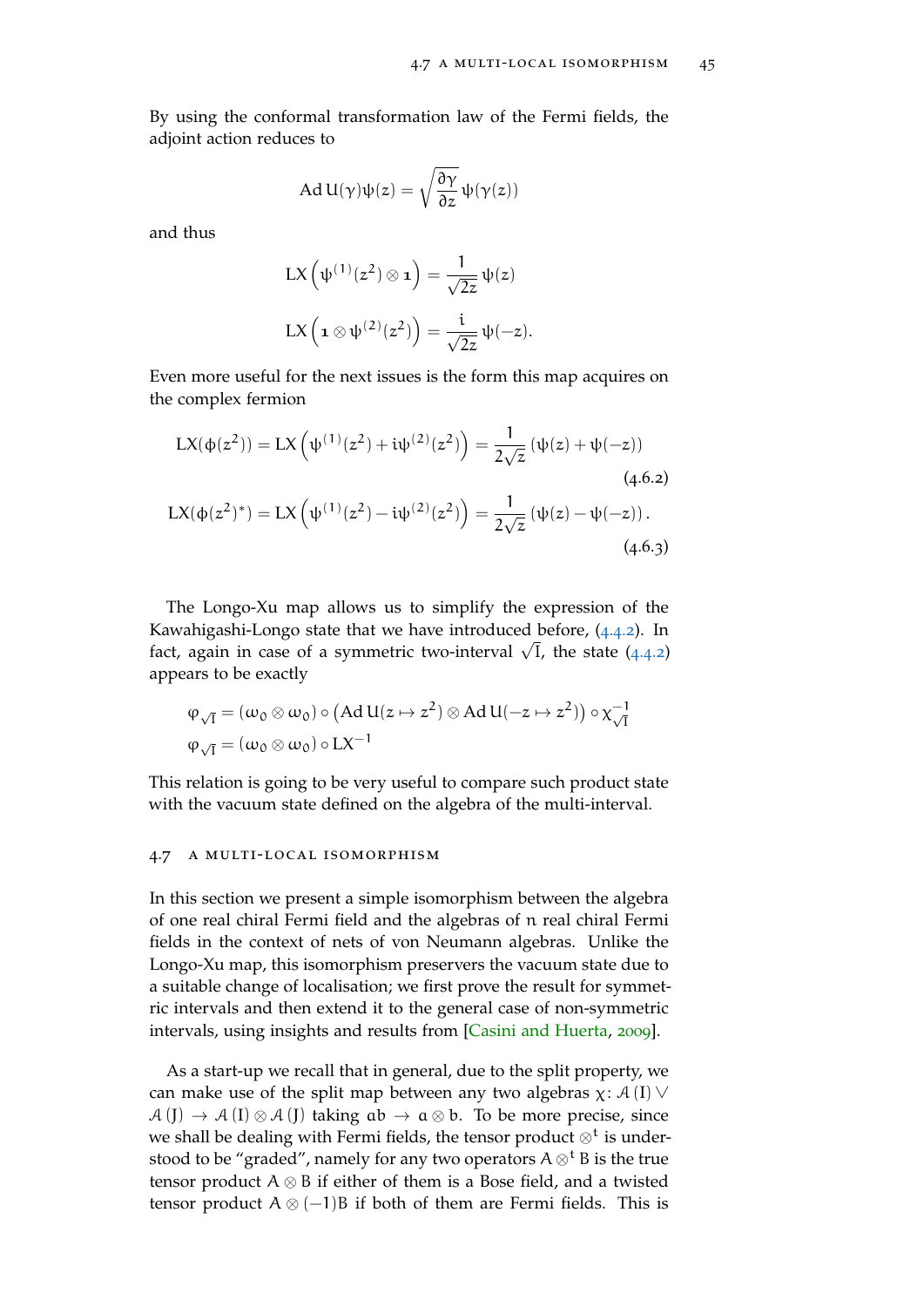By using the conformal transformation law of the Fermi fields, the adjoint action reduces to

$$
Ad\,U(\gamma)\psi(z)=\sqrt{\frac{\partial\gamma}{\partial z}}\psi(\gamma(z))
$$

and thus

$$
LX\left(\psi^{(1)}(z^2)\otimes\mathbf{1}\right) = \frac{1}{\sqrt{2z}}\,\psi(z)
$$

$$
LX\left(\mathbf{1}\otimes\psi^{(2)}(z^2)\right) = \frac{i}{\sqrt{2z}}\,\psi(-z).
$$

Even more useful for the next issues is the form this map acquires on the complex fermion

$$
LX(\phi(z^2)) = LX \left(\psi^{(1)}(z^2) + i\psi^{(2)}(z^2)\right) = \frac{1}{2\sqrt{z}} \left(\psi(z) + \psi(-z)\right)
$$
\n
$$
(4.6.2)
$$
\n
$$
LX(\phi(z^2)^*) = LX \left(\psi^{(1)}(z^2) - i\psi^{(2)}(z^2)\right) = \frac{1}{2\sqrt{z}} \left(\psi(z) - \psi(-z)\right).
$$
\n
$$
(4.6.3)
$$

The Longo-Xu map allows us to simplify the expression of the Kawahigashi-Longo state that we have introduced before, ([4](#page-49-1).4.2). In  $\alpha$  awaingasin-Longo state that we have introduced before, ([4](#page-49-1).4.2). In fact, again in case of a symmetric two-interval  $\sqrt{I}$ , the state (4.4.2) appears to be exactly

$$
\varphi_{\sqrt{I}} = (\omega_0 \otimes \omega_0) \circ (\text{Ad } U(z \mapsto z^2) \otimes \text{Ad } U(-z \mapsto z^2)) \circ \chi_{\sqrt{I}}^{-1}
$$
  

$$
\varphi_{\sqrt{I}} = (\omega_0 \otimes \omega_0) \circ LX^{-1}
$$

This relation is going to be very useful to compare such product state with the vacuum state defined on the algebra of the multi-interval.

#### <span id="page-56-0"></span>4.7 a multi-local isomorphism

In this section we present a simple isomorphism between the algebra of one real chiral Fermi field and the algebras of n real chiral Fermi fields in the context of nets of von Neumann algebras. Unlike the Longo-Xu map, this isomorphism preservers the vacuum state due to a suitable change of localisation; we first prove the result for symmetric intervals and then extend it to the general case of non-symmetric intervals, using insights and results from [\[Casini and Huerta,](#page-117-3) [2009](#page-117-3)].

As a start-up we recall that in general, due to the split property, we can make use of the split map between any two algebras  $\chi: \mathcal{A} \times \mathcal{A} \times \mathcal{A}$  $A(J) \rightarrow A(I) \otimes A(J)$  taking ab  $\rightarrow a \otimes b$ . To be more precise, since we shall be dealing with Fermi fields, the tensor product  $\otimes^{\text{t}}$  is understood to be "graded", namely for any two operators  $A \otimes^t B$  is the true tensor product  $A \otimes B$  if either of them is a Bose field, and a twisted tensor product  $A \otimes (-1)B$  if both of them are Fermi fields. This is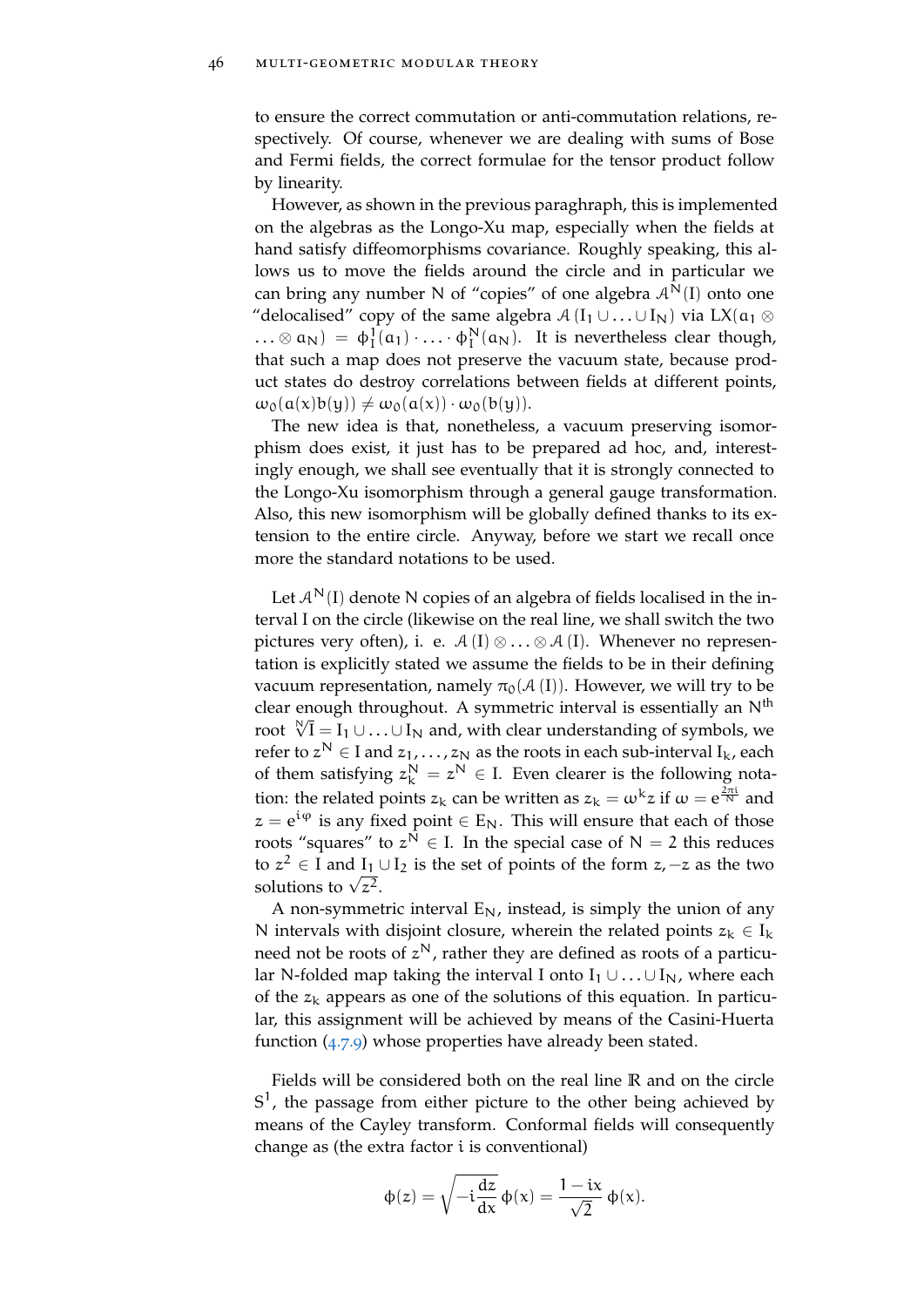to ensure the correct commutation or anti-commutation relations, respectively. Of course, whenever we are dealing with sums of Bose and Fermi fields, the correct formulae for the tensor product follow by linearity.

However, as shown in the previous paraghraph, this is implemented on the algebras as the Longo-Xu map, especially when the fields at hand satisfy diffeomorphisms covariance. Roughly speaking, this allows us to move the fields around the circle and in particular we can bring any number N of "copies" of one algebra  $A^N(I)$  onto one "delocalised" copy of the same algebra  $A(I_1 \cup ... \cup I_N)$  via LX( $a_1 \otimes$  $\ldots \otimes a_N$ ) =  $\phi^1_I(a_1) \cdot \ldots \cdot \phi^N_I(a_N)$ . It is nevertheless clear though, that such a map does not preserve the vacuum state, because product states do destroy correlations between fields at different points,  $\omega_0(a(x)b(y)) \neq \omega_0(a(x)) \cdot \omega_0(b(y)).$ 

The new idea is that, nonetheless, a vacuum preserving isomorphism does exist, it just has to be prepared ad hoc, and, interestingly enough, we shall see eventually that it is strongly connected to the Longo-Xu isomorphism through a general gauge transformation. Also, this new isomorphism will be globally defined thanks to its extension to the entire circle. Anyway, before we start we recall once more the standard notations to be used.

Let  $A^N(I)$  denote N copies of an algebra of fields localised in the interval I on the circle (likewise on the real line, we shall switch the two pictures very often), i. e.  $\mathcal{A}(\mathbf{I}) \otimes \ldots \otimes \mathcal{A}(\mathbf{I})$ . Whenever no representation is explicitly stated we assume the fields to be in their defining vacuum representation, namely  $\pi_0(A(I))$ . However, we will try to be clear enough throughout. A symmetric interval is essentially an  $N<sup>th</sup>$ clear enough unoughout. A symmetric mervar is essentially an iver-<br>root  $\sqrt[N]{I} = I_1 \cup ... \cup I_N$  and, with clear understanding of symbols, we refer to  $z^N \in I$  and  $z_1, \ldots, z_N$  as the roots in each sub-interval  $I_k$ , each of them satisfying  $z_k^N = z^N \in I$ . Even clearer is the following notation: the related points  $z_k$  can be written as  $z_k = \omega^k z$  if  $\omega = e^{\frac{2\pi i}{N}}$  and  $z = e^{i\varphi}$  is any fixed point  $\in E_N$ . This will ensure that each of those roots "squares" to  $z^N \in I$ . In the special case of  $N = 2$  this reduces to  $z^2 \in I$  and  $I_1 \cup I_2$  is the set of points of the form  $z, -z$  as the two to  $z^- \in I$  and  $I_1 \circ$ <br>solutions to  $\sqrt{z^2}$ .

A non-symmetric interval  $E_N$ , instead, is simply the union of any N intervals with disjoint closure, wherein the related points  $z_k \in I_k$ need not be roots of  $z^N$ , rather they are defined as roots of a particular N-folded map taking the interval I onto  $I_1 \cup ... \cup I_N$ , where each of the  $z_k$  appears as one of the solutions of this equation. In particular, this assignment will be achieved by means of the Casini-Huerta function ([4](#page-63-1).7.9) whose properties have already been stated.

Fields will be considered both on the real line **R** and on the circle  $S<sup>1</sup>$ , the passage from either picture to the other being achieved by means of the Cayley transform. Conformal fields will consequently change as (the extra factor i is conventional)

$$
\varphi(z) = \sqrt{-i\frac{dz}{dx}}\,\varphi(x) = \frac{1 - ix}{\sqrt{2}}\,\varphi(x).
$$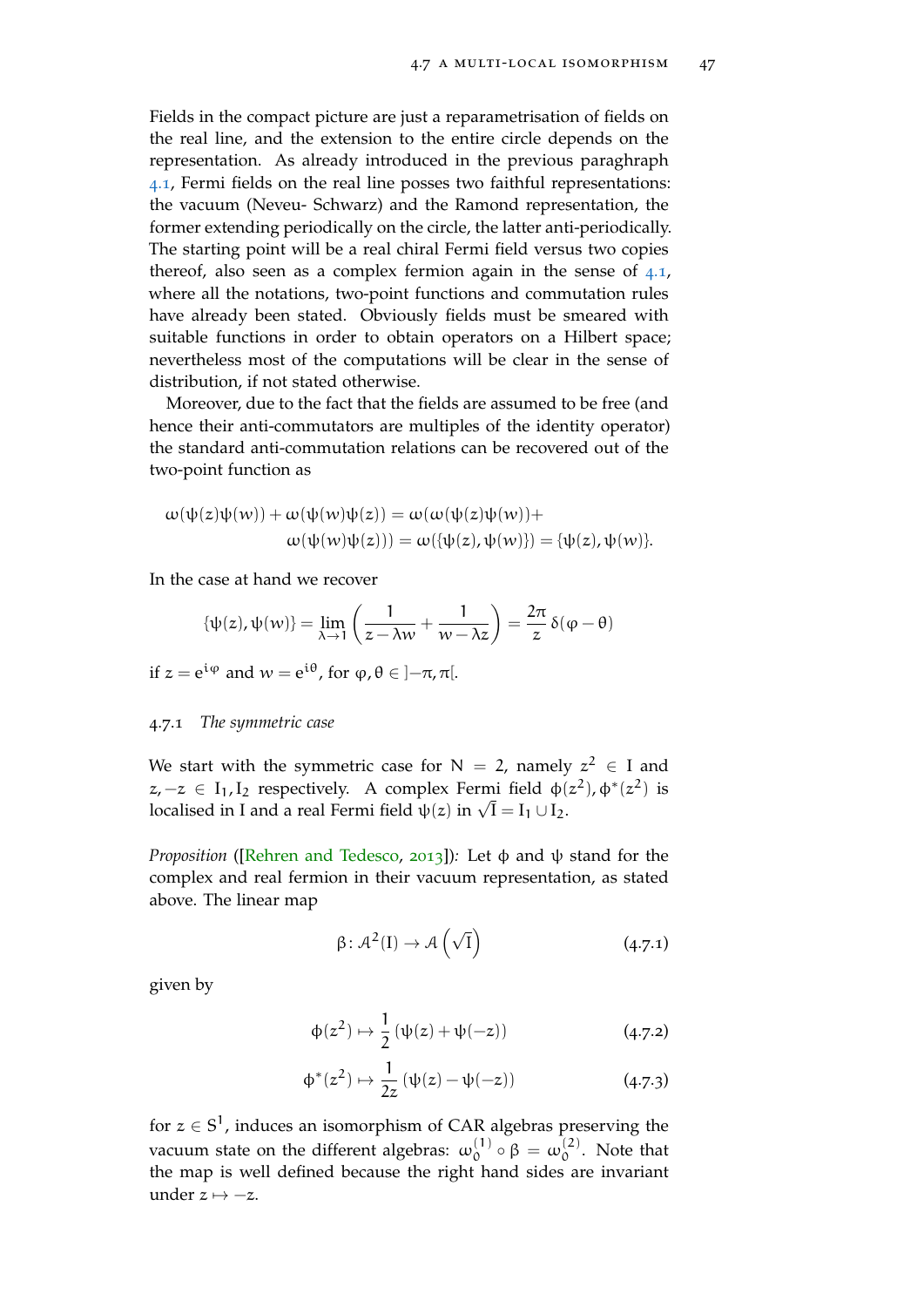Fields in the compact picture are just a reparametrisation of fields on the real line, and the extension to the entire circle depends on the representation. As already introduced in the previous paraghraph [4](#page-40-0).1, Fermi fields on the real line posses two faithful representations: the vacuum (Neveu- Schwarz) and the Ramond representation, the former extending periodically on the circle, the latter anti-periodically. The starting point will be a real chiral Fermi field versus two copies thereof, also seen as a complex fermion again in the sense of [4](#page-40-0).1, where all the notations, two-point functions and commutation rules have already been stated. Obviously fields must be smeared with suitable functions in order to obtain operators on a Hilbert space; nevertheless most of the computations will be clear in the sense of distribution, if not stated otherwise.

Moreover, due to the fact that the fields are assumed to be free (and hence their anti-commutators are multiples of the identity operator) the standard anti-commutation relations can be recovered out of the two-point function as

$$
\omega(\psi(z)\psi(w)) + \omega(\psi(w)\psi(z)) = \omega(\omega(\psi(z)\psi(w)) +
$$
  

$$
\omega(\psi(w)\psi(z))) = \omega(\{\psi(z), \psi(w)\}) = \{\psi(z), \psi(w)\}.
$$

In the case at hand we recover

$$
\{\psi(z), \psi(w)\} = \lim_{\lambda \to 1} \left( \frac{1}{z - \lambda w} + \frac{1}{w - \lambda z} \right) = \frac{2\pi}{z} \delta(\phi - \theta)
$$

<span id="page-58-0"></span>if  $z = e^{i\varphi}$  and  $w = e^{i\theta}$ , for  $\varphi$ ,  $\theta \in [-\pi, \pi[$ .

#### 4.7.1 *The symmetric case*

We start with the symmetric case for  $N = 2$ , namely  $z^2 \in I$  and  $z$ , −z ∈ I<sub>1</sub>, I<sub>2</sub> respectively. A complex Fermi field  $\phi(z^2)$ ,  $\phi^*(z^2)$  is  $\alpha$ ,  $-\alpha \in \mathbb{1}_1$ ,  $\mathbb{1}_2$  respectively. A complex refinition field  $\psi(x)$  in  $\sqrt{I} = I_1 \cup I_2$ .

*Proposition* ([\[Rehren and Tedesco,](#page-119-5) [2013](#page-119-5)]): Let φ and ψ stand for the complex and real fermion in their vacuum representation, as stated above. The linear map

<span id="page-58-1"></span>
$$
\beta: \mathcal{A}^2(I) \to \mathcal{A}\left(\sqrt{I}\right) \tag{4.7.1}
$$

given by

$$
\Phi(z^2) \mapsto \frac{1}{2} \left( \psi(z) + \psi(-z) \right) \tag{4.7.2}
$$

$$
\phi^*(z^2) \mapsto \frac{1}{2z} \left( \psi(z) - \psi(-z) \right) \tag{4.7.3}
$$

for  $z \in S^1$ , induces an isomorphism of CAR algebras preserving the vacuum state on the different algebras:  $\omega_0^{(1)}$  $\phi_0^{(1)} \circ \beta = \omega_0^{(2)}$  $\int_{0}^{2}$ . Note that the map is well defined because the right hand sides are invariant under  $z \mapsto -z$ .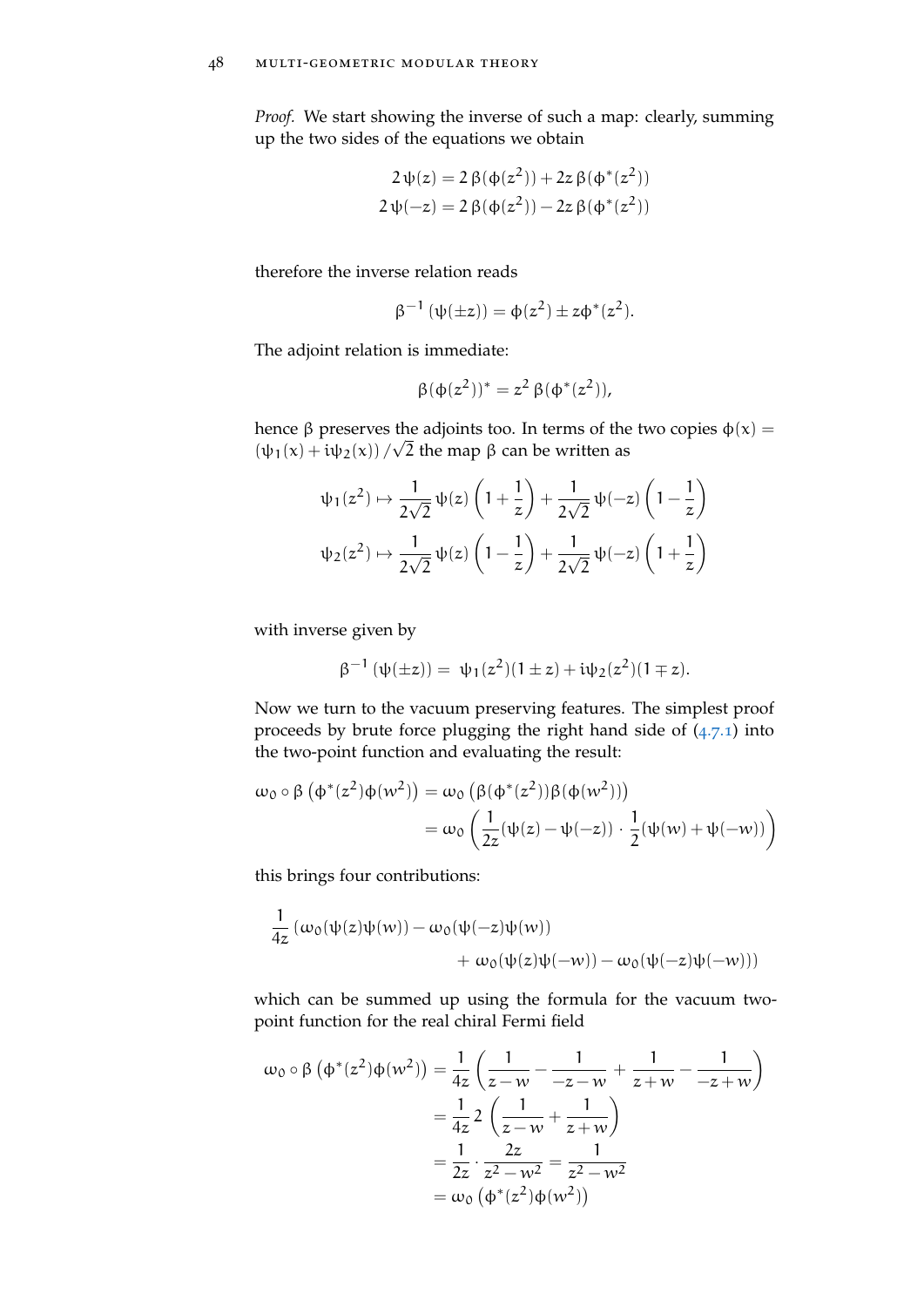*Proof.* We start showing the inverse of such a map: clearly, summing up the two sides of the equations we obtain

$$
2\psi(z) = 2\beta(\phi(z^2)) + 2z\beta(\phi^*(z^2))
$$
  

$$
2\psi(-z) = 2\beta(\phi(z^2)) - 2z\beta(\phi^*(z^2))
$$

 $\overline{a}$ 

therefore the inverse relation reads

$$
\beta^{-1}(\psi(\pm z)) = \phi(z^2) \pm z\phi^*(z^2).
$$

The adjoint relation is immediate:

$$
\beta(\varphi(z^2))^* = z^2 \,\beta(\varphi^*(z^2)),
$$

hence β preserves the adjoints too. In terms of the two copies  $\phi(x) = \frac{1}{2\pi\epsilon_0}$  $(\psi_1(x) + i\psi_2(x))/\sqrt{2}$  the map  $\beta$  can be written as

$$
\psi_1(z^2) \mapsto \frac{1}{2\sqrt{2}} \psi(z) \left(1 + \frac{1}{z}\right) + \frac{1}{2\sqrt{2}} \psi(-z) \left(1 - \frac{1}{z}\right)
$$
  

$$
\psi_2(z^2) \mapsto \frac{1}{2\sqrt{2}} \psi(z) \left(1 - \frac{1}{z}\right) + \frac{1}{2\sqrt{2}} \psi(-z) \left(1 + \frac{1}{z}\right)
$$

with inverse given by

$$
\beta^{-1}(\psi(\pm z)) = \psi_1(z^2)(1 \pm z) + i\psi_2(z^2)(1 \mp z).
$$

Now we turn to the vacuum preserving features. The simplest proof proceeds by brute force plugging the right hand side of  $(4.7.1)$  $(4.7.1)$  $(4.7.1)$  into the two-point function and evaluating the result:

$$
\omega_0 \circ \beta \left( \phi^*(z^2) \phi(w^2) \right) = \omega_0 \left( \beta(\phi^*(z^2)) \beta(\phi(w^2)) \right)
$$

$$
= \omega_0 \left( \frac{1}{2z} (\psi(z) - \psi(-z)) \cdot \frac{1}{2} (\psi(w) + \psi(-w)) \right)
$$

this brings four contributions:

$$
\frac{1}{4z} (\omega_0(\psi(z)\psi(w)) - \omega_0(\psi(-z)\psi(w)) \n+ \omega_0(\psi(z)\psi(-w)) - \omega_0(\psi(-z)\psi(-w)))
$$

which can be summed up using the formula for the vacuum twopoint function for the real chiral Fermi field

$$
\omega_0 \circ \beta \left( \phi^*(z^2) \phi(w^2) \right) = \frac{1}{4z} \left( \frac{1}{z - w} - \frac{1}{-z - w} + \frac{1}{z + w} - \frac{1}{-z + w} \right)
$$

$$
= \frac{1}{4z} 2 \left( \frac{1}{z - w} + \frac{1}{z + w} \right)
$$

$$
= \frac{1}{2z} \cdot \frac{2z}{z^2 - w^2} = \frac{1}{z^2 - w^2}
$$

$$
= \omega_0 \left( \phi^*(z^2) \phi(w^2) \right)
$$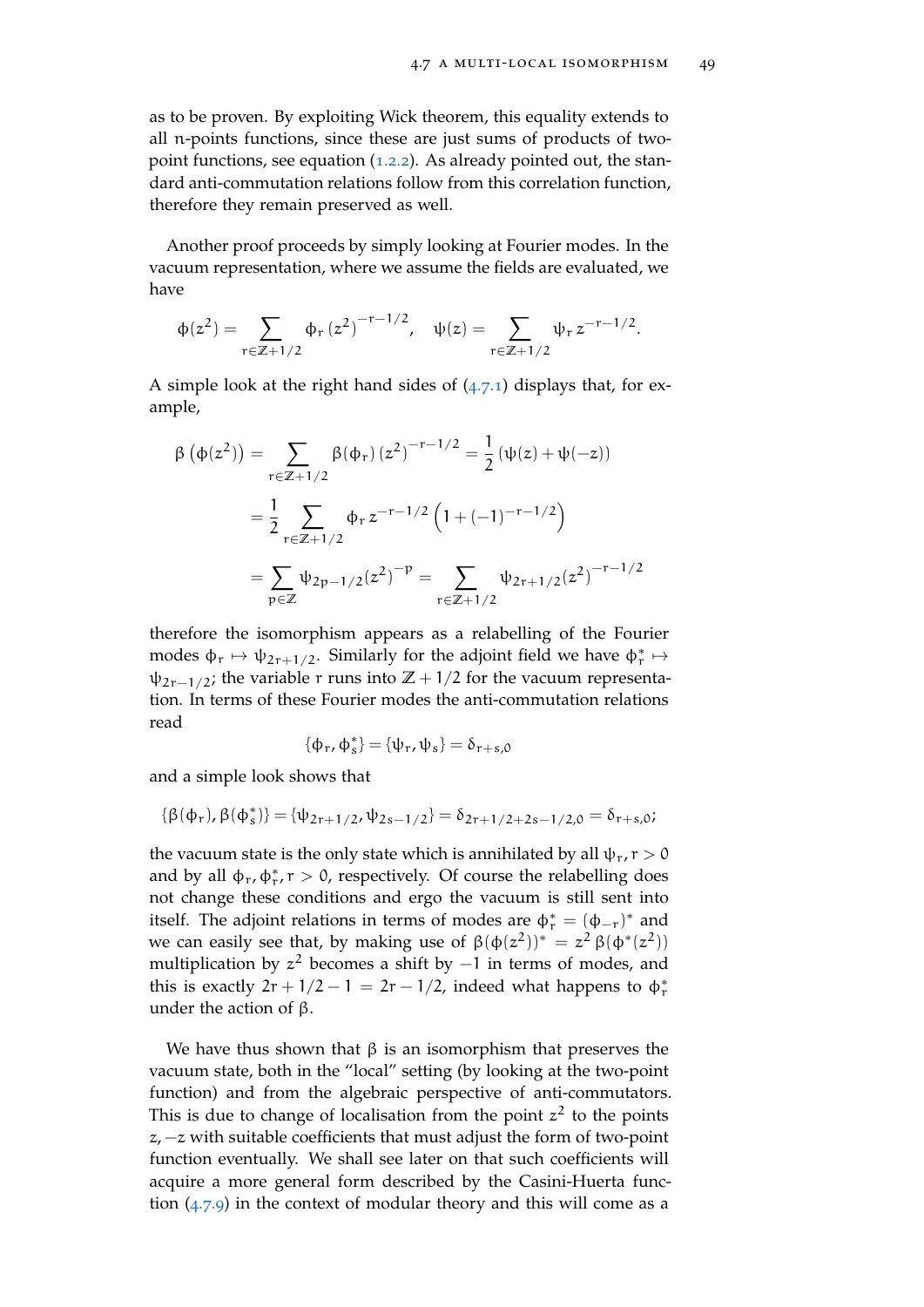as to be proven. By exploiting Wick theorem, this equality extends to all n-points functions, since these are just sums of products of twopoint functions, see equation ([1](#page-16-1).2.2). As already pointed out, the standard anti-commutation relations follow from this correlation function, therefore they remain preserved as well.

Another proof proceeds by simply looking at Fourier modes. In the vacuum representation, where we assume the fields are evaluated, we have

$$
\Phi(z^2) = \sum_{r \in \mathbb{Z}+1/2} \Phi_r(z^2)^{-r-1/2}, \quad \psi(z) = \sum_{r \in \mathbb{Z}+1/2} \Psi_r z^{-r-1/2}.
$$

A simple look at the right hand sides of  $(4.7.1)$  $(4.7.1)$  $(4.7.1)$  displays that, for example,

$$
\beta (\phi(z^2)) = \sum_{r \in \mathbb{Z}+1/2} \beta(\phi_r) (z^2)^{-r-1/2} = \frac{1}{2} (\psi(z) + \psi(-z))
$$
  
=  $\frac{1}{2} \sum_{r \in \mathbb{Z}+1/2} \phi_r z^{-r-1/2} (1 + (-1)^{-r-1/2})$   
=  $\sum_{p \in \mathbb{Z}} \psi_{2p-1/2} (z^2)^{-p} = \sum_{r \in \mathbb{Z}+1/2} \psi_{2r+1/2} (z^2)^{-r-1/2}$ 

therefore the isomorphism appears as a relabelling of the Fourier modes  $\phi_r \mapsto \psi_{2r+1/2}$ . Similarly for the adjoint field we have  $\phi_r^* \mapsto$  $\psi_{2r-1/2}$ ; the variable r runs into  $\mathbb{Z} + 1/2$  for the vacuum representation. In terms of these Fourier modes the anti-commutation relations read

$$
\{\varphi_r,\varphi_s^*\}=\{\psi_r,\psi_s\}=\delta_{r+s,0}
$$

and a simple look shows that

$$
\{\beta(\varphi_r), \beta(\varphi_s^*)\} = \{\psi_{2r+1/2}, \psi_{2s-1/2}\} = \delta_{2r+1/2+2s-1/2,0} = \delta_{r+s,0};
$$

the vacuum state is the only state which is annihilated by all  $\psi_r$ ,  $r > 0$ and by all  $\phi_r$ ,  $\phi^*_r$ ,  $r > 0$ , respectively. Of course the relabelling does not change these conditions and ergo the vacuum is still sent into itself. The adjoint relations in terms of modes are  $\phi^*_r = (\phi_{-r})^*$  and we can easily see that, by making use of  $\beta(\phi(z^2))^* = z^2 \beta(\phi^*(z^2))$ multiplication by  $z^2$  becomes a shift by  $-1$  in terms of modes, and this is exactly  $2r + 1/2 - 1 = 2r - 1/2$ , indeed what happens to  $\phi_r^*$ under the action of  $β$ .

We have thus shown that  $\beta$  is an isomorphism that preserves the vacuum state, both in the "local" setting (by looking at the two-point function) and from the algebraic perspective of anti-commutators. This is due to change of localisation from the point  $z^2$  to the points  $z, -z$  with suitable coefficients that must adjust the form of two-point function eventually. We shall see later on that such coefficients will acquire a more general form described by the Casini-Huerta function ([4](#page-63-1).7.9) in the context of modular theory and this will come as a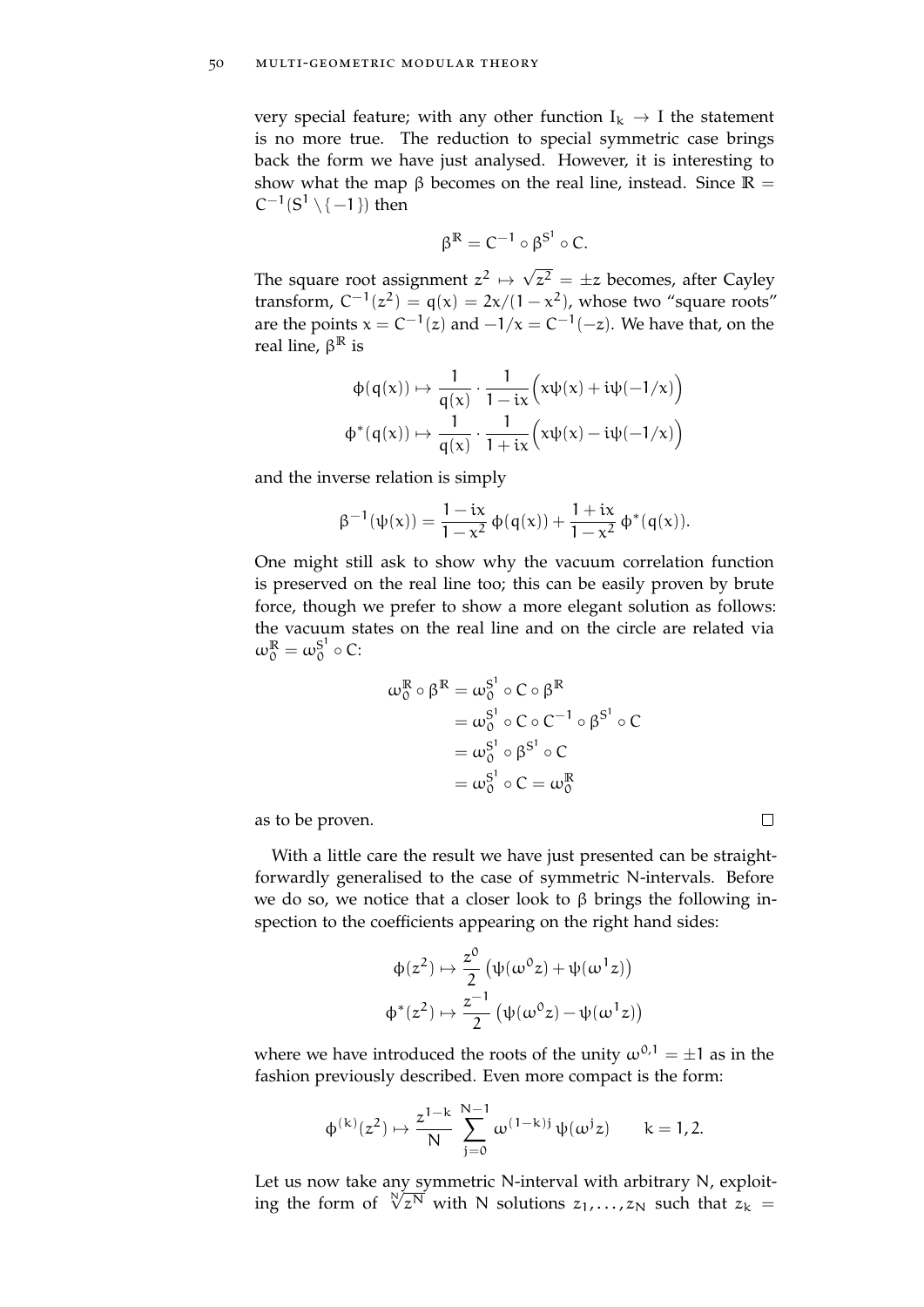very special feature; with any other function  $I_k \rightarrow I$  the statement is no more true. The reduction to special symmetric case brings back the form we have just analysed. However, it is interesting to show what the map  $\beta$  becomes on the real line, instead. Since  $\mathbb{R} =$  $C^{-1}(S^1 \setminus \{-1\})$  then

$$
\beta^{\mathbb{R}}=C^{-1}\circ\beta^{S^1}\circ C.
$$

The square root assignment  $z^2 \mapsto$ √  $\zeta z^2 = \pm z$  becomes, after Cayley transform,  $C^{-1}(z^2) = q(x) = 2x/(1-x^2)$ , whose two "square roots" are the points  $x = C^{-1}(z)$  and  $-1/x = C^{-1}(-z)$ . We have that, on the real line, β **<sup>R</sup>** is

$$
\varphi(q(x)) \mapsto \frac{1}{q(x)} \cdot \frac{1}{1-ix} \Big( x \psi(x) + i \psi(-1/x) \Big)
$$

$$
\varphi^*(q(x)) \mapsto \frac{1}{q(x)} \cdot \frac{1}{1+ix} \Big( x \psi(x) - i \psi(-1/x) \Big)
$$

and the inverse relation is simply

$$
\beta^{-1}(\psi(x)) = \frac{1-ix}{1-x^2}\,\varphi(q(x)) + \frac{1+ix}{1-x^2}\,\varphi^*(q(x)).
$$

One might still ask to show why the vacuum correlation function is preserved on the real line too; this can be easily proven by brute force, though we prefer to show a more elegant solution as follows: the vacuum states on the real line and on the circle are related via  $\omega_0^{\mathbb{R}} = \omega_0^{\mathbb{S}^1}$  $S^{\prime} \circ C$ :

$$
\omega_0^R \circ \beta^R = \omega_0^{S^1} \circ C \circ \beta^R
$$
  
=  $\omega_0^{S^1} \circ C \circ C^{-1} \circ \beta^{S^1} \circ C$   
=  $\omega_0^{S^1} \circ \beta^{S^1} \circ C$   
=  $\omega_0^{S^1} \circ C = \omega_0^R$ 

as to be proven.

With a little care the result we have just presented can be straightforwardly generalised to the case of symmetric N-intervals. Before we do so, we notice that a closer look to β brings the following inspection to the coefficients appearing on the right hand sides:

$$
\Phi(z^2) \mapsto \frac{z^0}{2} \left( \psi(\omega^0 z) + \psi(\omega^1 z) \right)
$$

$$
\Phi^*(z^2) \mapsto \frac{z^{-1}}{2} \left( \psi(\omega^0 z) - \psi(\omega^1 z) \right)
$$

where we have introduced the roots of the unity  $\omega^{0,1} = \pm 1$  as in the fashion previously described. Even more compact is the form:

$$
\varphi^{(k)}(z^2) \mapsto \frac{z^{1-k}}{N} \sum_{j=0}^{N-1} \omega^{(1-k)j} \psi(\omega^j z) \qquad k = 1, 2.
$$

Let us now take any symmetric N-interval with arbitrary N, exploit-Let us now take any symmetric in-interval with arbitrary in, exploiting the form of  $\sqrt[N]{z^N}$  with N solutions  $z_1, \ldots, z_N$  such that  $z_k =$ 

 $\Box$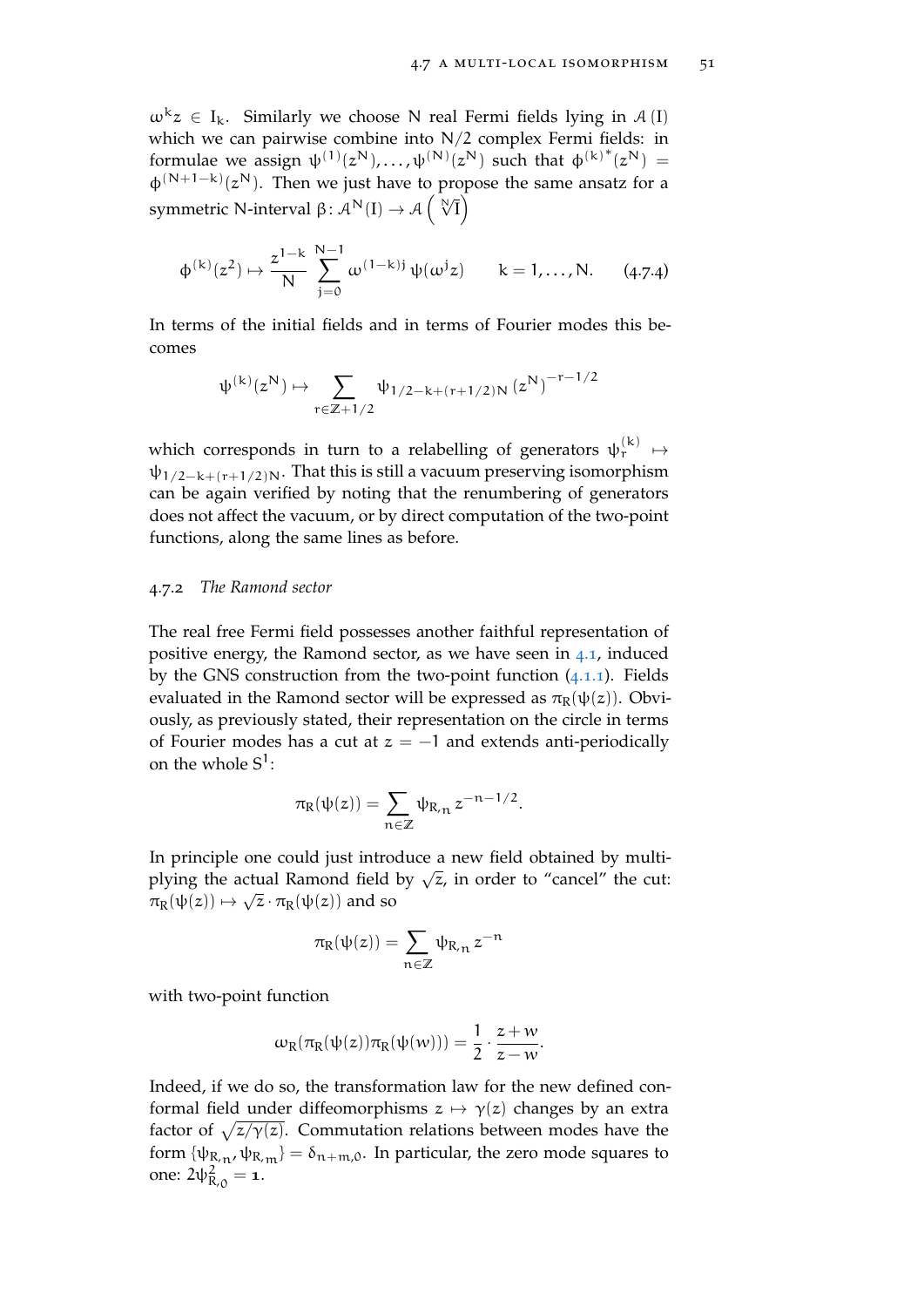$\omega^k z \in I_k$ . Similarly we choose N real Fermi fields lying in A(I) which we can pairwise combine into N/2 complex Fermi fields: in formulae we assign  $\psi^{(1)}(z^N), \ldots, \psi^{(N)}(z^N)$  such that  $\phi^{(k)*}(z^N) =$  $\phi^{(N+1-k)}(z^N)$ . Then we just have to propose the same ansatz for a  $\gamma$  (Σ). Then we fast have to prop<br>symmetric N-interval β:  $A^N(I)$  →  $A(\sqrt[N]{I})$ 

<span id="page-62-1"></span>
$$
\varphi^{(k)}(z^2) \mapsto \frac{z^{1-k}}{N} \sum_{j=0}^{N-1} \omega^{(1-k)j} \psi(\omega^j z) \qquad k = 1, ..., N. \tag{4.7.4}
$$

In terms of the initial fields and in terms of Fourier modes this becomes

$$
\psi^{(k)}(z^N) \mapsto \sum_{r \in \mathbb{Z}+1/2} \psi_{1/2-k+(r+1/2)N} (z^N)^{-r-1/2}
$$

which corresponds in turn to a relabelling of generators  $\mathfrak{p}_\mathsf{r}^{(\mathsf{k})}\,\mapsto\,$  $\psi_{1/2-k+(r+1/2)N}$ . That this is still a vacuum preserving isomorphism can be again verified by noting that the renumbering of generators does not affect the vacuum, or by direct computation of the two-point functions, along the same lines as before.

#### <span id="page-62-0"></span>4.7.2 *The Ramond sector*

The real free Fermi field possesses another faithful representation of positive energy, the Ramond sector, as we have seen in [4](#page-40-0).1, induced by the GNS construction from the two-point function  $(4.1.1)$  $(4.1.1)$  $(4.1.1)$ . Fields evaluated in the Ramond sector will be expressed as  $\pi_R(\psi(z))$ . Obviously, as previously stated, their representation on the circle in terms of Fourier modes has a cut at  $z = -1$  and extends anti-periodically on the whole  $S^1$ :

$$
\pi_R(\psi(z)) = \sum_{n \in \mathbb{Z}} \psi_{R,n} z^{-n-1/2}.
$$

In principle one could just introduce a new field obtained by multiplying the actual Ramond field by  $\sqrt{z}$ , in order to "cancel" the cut:  $\pi_{\mathrm{R}}(\psi(z)) \mapsto \sqrt{z} \cdot \pi_{\mathrm{R}}(\psi(z))$  and so

$$
\pi_R(\psi(z))=\sum_{n\in\mathbb{Z}}\psi_{R,n}\,z^{-n}
$$

with two-point function

$$
\omega_R(\pi_R(\psi(z))\pi_R(\psi(w)))=\frac{1}{2}\cdot\frac{z+w}{z-w}.
$$

Indeed, if we do so, the transformation law for the new defined conformal field under diffeomorphisms  $z \mapsto \gamma(z)$  changes by an extra factor of  $\sqrt{z/\gamma(z)}$ . Commutation relations between modes have the form  $\{\psi_{R,n}, \psi_{R,m}\} = \delta_{n+m,0}$ . In particular, the zero mode squares to one:  $2\psi_{R,0}^2 = \mathbf{1}$ .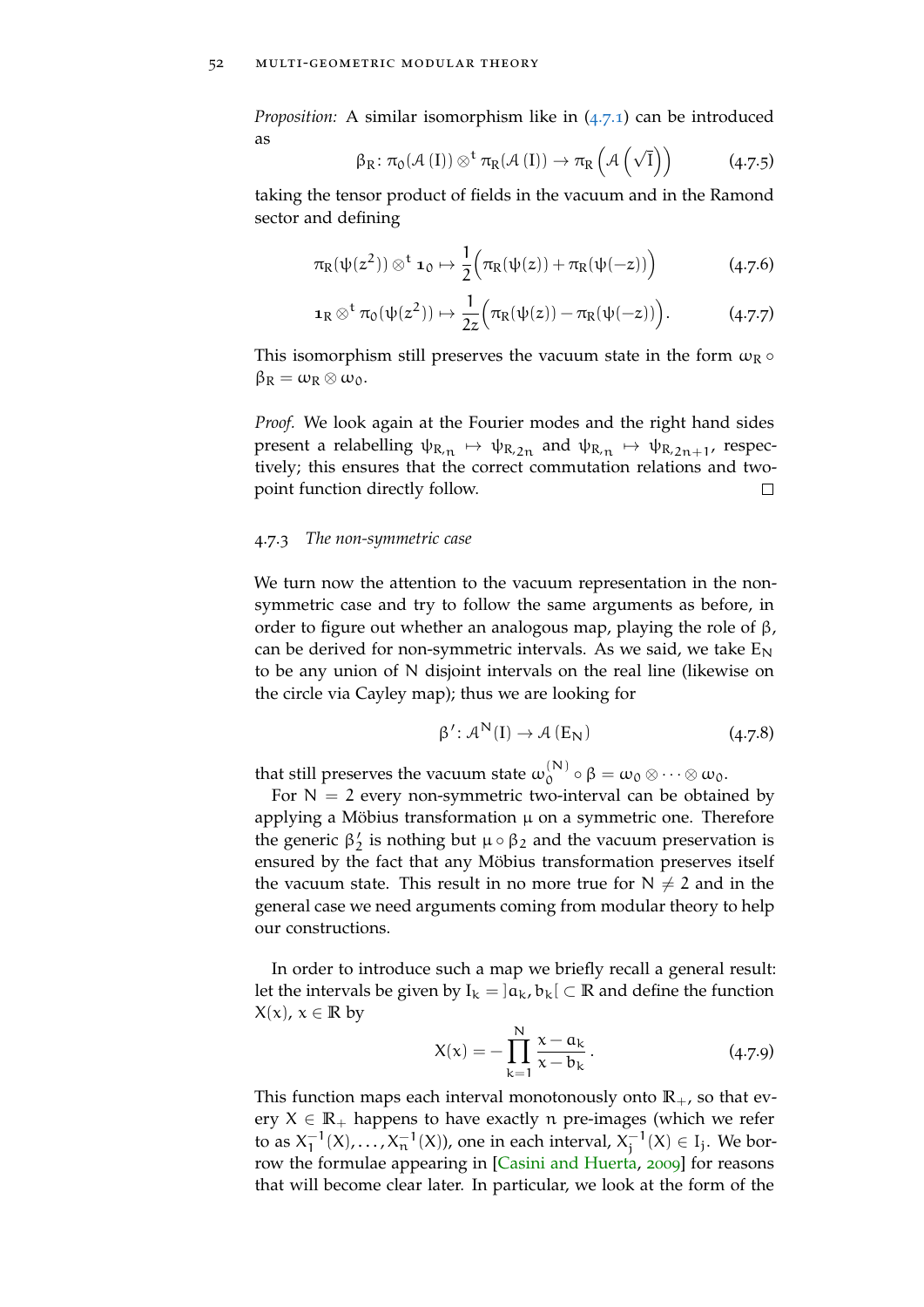*Proposition:* A similar isomorphism like in ([4](#page-58-1).7.1) can be introduced as

<span id="page-63-2"></span>
$$
\beta_R\colon \pi_0(\mathcal{A}\:(I))\otimes^t\pi_R(\mathcal{A}\:(I))\to \pi_R\left(\mathcal{A}\left(\sqrt{I}\right)\right)\qquad \qquad (4.7.5)
$$

taking the tensor product of fields in the vacuum and in the Ramond sector and defining

$$
\pi_{\mathsf{R}}(\psi(z^2)) \otimes^{\mathsf{t}} \mathbf{1}_0 \mapsto \frac{1}{2} \Big( \pi_{\mathsf{R}}(\psi(z)) + \pi_{\mathsf{R}}(\psi(-z)) \Big) \tag{4.7.6}
$$

$$
\mathbf{1}_{R} \otimes^{\mathsf{t}} \pi_{0}(\psi(z^{2})) \mapsto \frac{1}{2z} \Big( \pi_{R}(\psi(z)) - \pi_{R}(\psi(-z)) \Big). \tag{4.7.7}
$$

This isomorphism still preserves the vacuum state in the form  $\omega_R \circ$  $\beta_R = \omega_R \otimes \omega_0$ .

*Proof.* We look again at the Fourier modes and the right hand sides present a relabelling  $\psi_{R,n} \mapsto \psi_{R,2n}$  and  $\psi_{R,n} \mapsto \psi_{R,2n+1}$ , respectively; this ensures that the correct commutation relations and twopoint function directly follow.  $\Box$ 

#### <span id="page-63-0"></span>4.7.3 *The non-symmetric case*

We turn now the attention to the vacuum representation in the nonsymmetric case and try to follow the same arguments as before, in order to figure out whether an analogous map, playing the role of β, can be derived for non-symmetric intervals. As we said, we take  $E_N$ to be any union of N disjoint intervals on the real line (likewise on the circle via Cayley map); thus we are looking for

$$
\beta': \mathcal{A}^{N}(I) \to \mathcal{A}(E_{N})
$$
\n(4.7.8)

that still preserves the vacuum state  $\omega_0^{(N)}$  $\int_0^{N} \circ \beta = \omega_0 \otimes \cdots \otimes \omega_0.$ 

For  $N = 2$  every non-symmetric two-interval can be obtained by applying a Möbius transformation  $\mu$  on a symmetric one. Therefore the generic  $\beta'_2$  is nothing but  $\mu \circ \beta_2$  and the vacuum preservation is ensured by the fact that any Möbius transformation preserves itself the vacuum state. This result in no more true for  $N \neq 2$  and in the general case we need arguments coming from modular theory to help our constructions.

In order to introduce such a map we briefly recall a general result: let the intervals be given by  $I_k = \vert a_k, b_k \vert \subset \mathbb{R}$  and define the function  $X(x)$ ,  $x \in \mathbb{R}$  by

<span id="page-63-1"></span>
$$
X(x) = -\prod_{k=1}^{N} \frac{x - a_k}{x - b_k}.
$$
 (4.7.9)

This function maps each interval monotonously onto  $\mathbb{R}_+$ , so that every  $X \in \mathbb{R}_+$  happens to have exactly n pre-images (which we refer to as  $X_1^{-1}(X), \ldots, X_n^{-1}(X)$ , one in each interval,  $X_j^{-1}(X) \in I_j$ . We borrow the formulae appearing in [\[Casini and Huerta,](#page-117-3) [2009](#page-117-3)] for reasons that will become clear later. In particular, we look at the form of the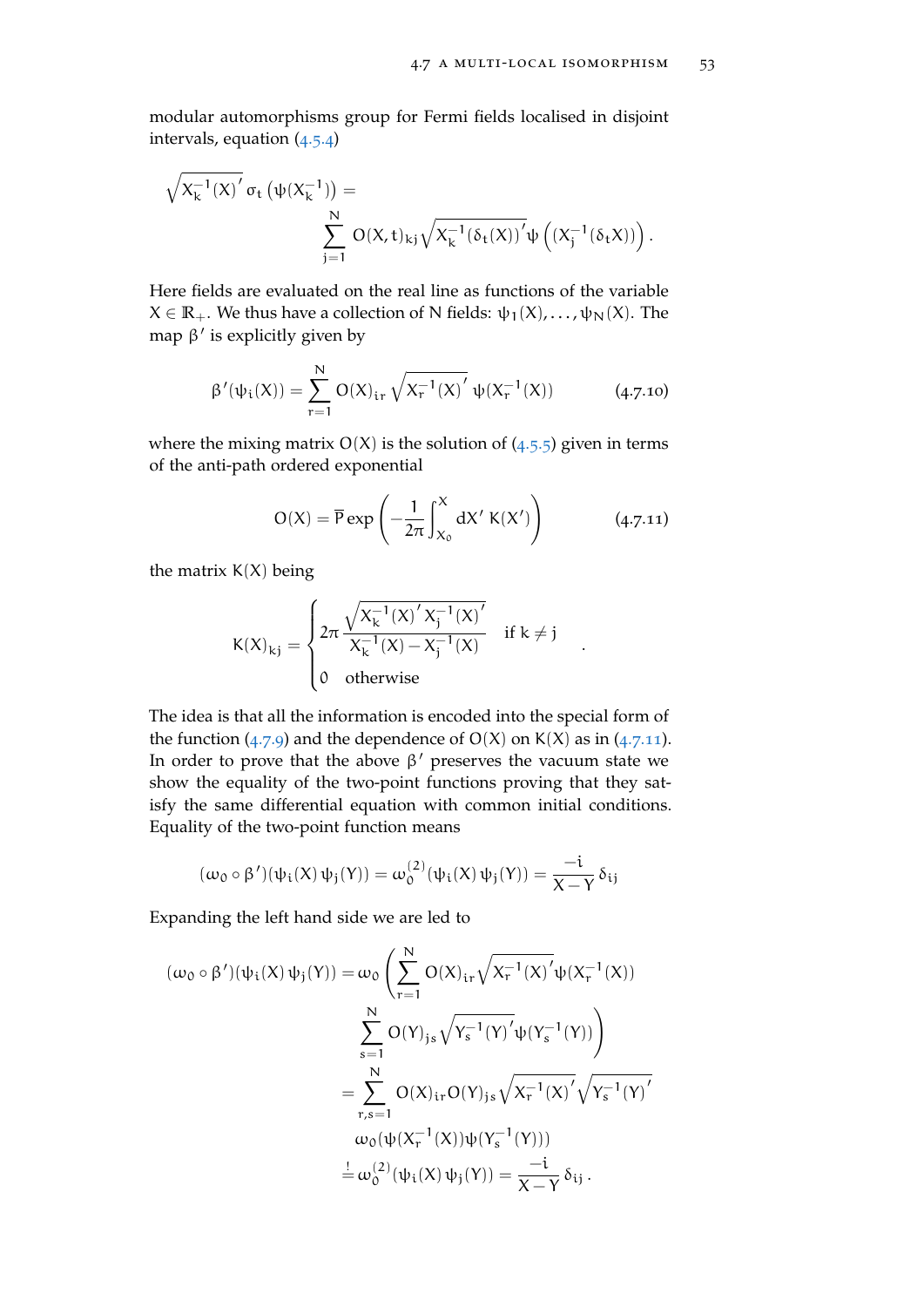modular automorphisms group for Fermi fields localised in disjoint intervals, equation ([4](#page-52-0).5.4)

$$
\begin{aligned}\sqrt{X_k^{-1}(X)}'\,\sigma_t\left(\psi(X_k^{-1})\right)&=\sum_{j=1}^N\,O(X,t)_{kj}\sqrt{X_k^{-1}(\delta_t(X))'}\psi\left((X_j^{-1}(\delta_tX))\right).\end{aligned}
$$

Here fields are evaluated on the real line as functions of the variable  $X \in \mathbb{R}_+$ . We thus have a collection of N fields:  $\psi_1(X), \ldots, \psi_N(X)$ . The map  $\beta'$  is explicitly given by

<span id="page-64-1"></span>
$$
\beta'(\psi_i(X)) = \sum_{r=1}^{N} O(X)_{ir} \sqrt{X_r^{-1}(X)}' \psi(X_r^{-1}(X))
$$
 (4.7.10)

where the mixing matrix  $O(X)$  is the solution of  $(4.5.5)$  $(4.5.5)$  $(4.5.5)$  given in terms of the anti-path ordered exponential

<span id="page-64-0"></span>
$$
O(X) = \overline{P} \exp\left(-\frac{1}{2\pi} \int_{X_0}^{X} dX' K(X')\right)
$$
 (4.7.11)

.

the matrix  $K(X)$  being

$$
K(X)_{kj} = \begin{cases} 2\pi \frac{\sqrt{X_k^{-1}(X)' X_j^{-1}(X)'} }{X_k^{-1}(X) - X_j^{-1}(X)} & \text{if } k \neq j \\ 0 & \text{otherwise} \end{cases}
$$

The idea is that all the information is encoded into the special form of the function ([4](#page-63-1).7.9) and the dependence of  $O(X)$  on  $K(X)$  as in (4.7.[11](#page-64-0)). In order to prove that the above  $\beta'$  preserves the vacuum state we show the equality of the two-point functions proving that they satisfy the same differential equation with common initial conditions. Equality of the two-point function means

$$
(\omega_0 \circ \beta')(\psi_i(X)\psi_j(Y)) = \omega_0^{(2)}(\psi_i(X)\psi_j(Y)) = \frac{-i}{X-Y} \delta_{ij}
$$

Expanding the left hand side we are led to

$$
(\omega_0 \circ \beta')(\psi_i(X)\psi_j(Y)) = \omega_0 \left( \sum_{r=1}^N O(X)_{i r} \sqrt{{X_r}^{-1}(X)}'\psi(X_r^{-1}(X)) \right)
$$
  

$$
= \sum_{s=1}^N O(Y)_{j s} \sqrt{{Y_s}^{-1}(Y)}'\psi(Y_s^{-1}(Y)) \right)
$$
  

$$
= \sum_{r,s=1}^N O(X)_{i r} O(Y)_{j s} \sqrt{{X_r}^{-1}(X)}'\sqrt{{Y_s}^{-1}(Y)}'
$$
  

$$
\omega_0(\psi(X_r^{-1}(X))\psi(Y_s^{-1}(Y)))
$$
  

$$
\stackrel{!}{=} \omega_0^{(2)}(\psi_i(X)\psi_j(Y)) = \frac{-i}{X-Y} \delta_{ij}.
$$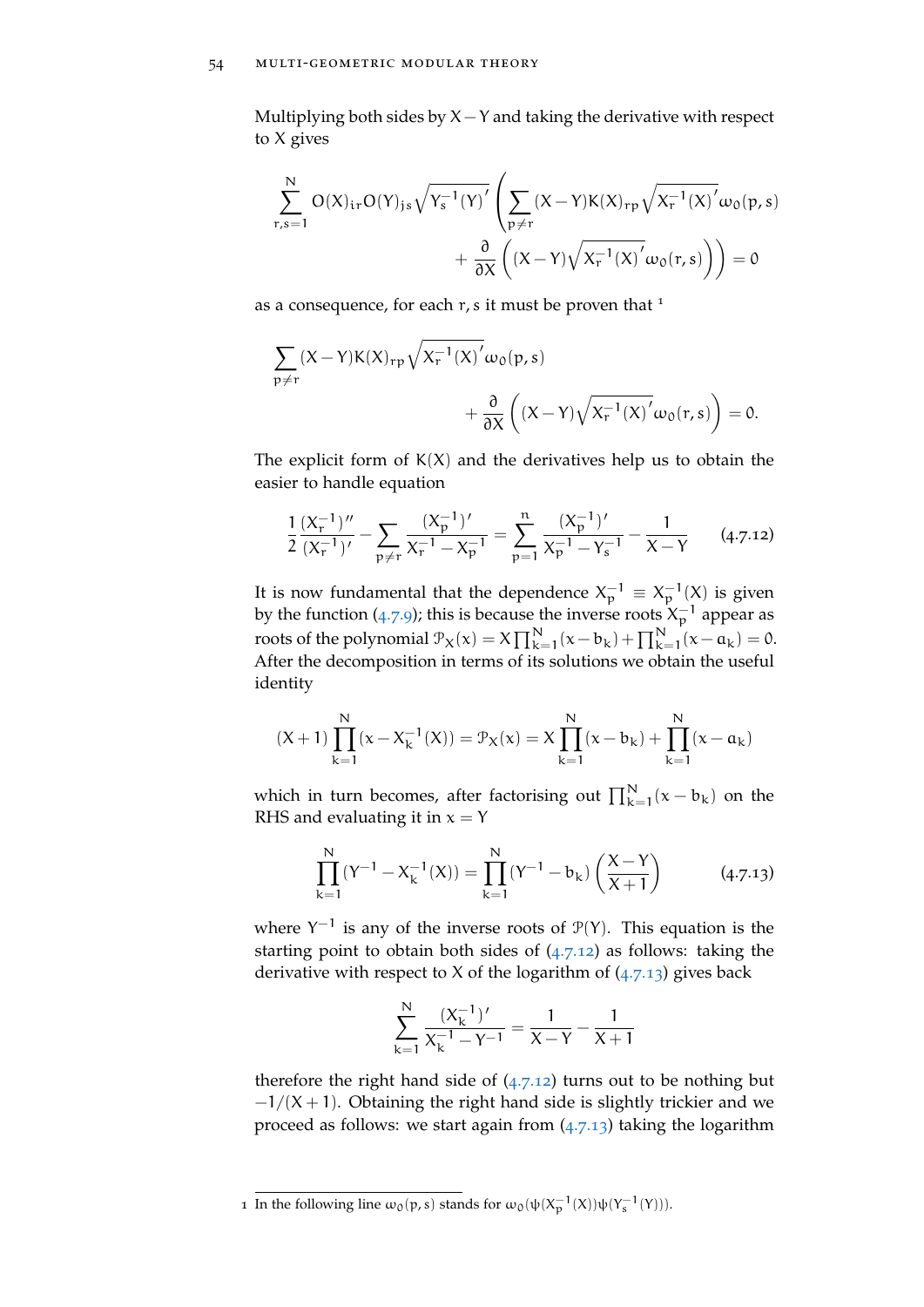Multiplying both sides by  $X - Y$  and taking the derivative with respect to X gives

$$
\begin{aligned} \sum_{r,s=1}^N O(X)_{ir}O(Y)_{js}\sqrt{Y_s^{-1}(Y)'}&\left(\sum_{p\neq r}(X-Y)K(X)_{rp}\sqrt{X_r^{-1}(X)'}\omega_0(p,s)\right.\\&\left.+\left.\frac{\partial}{\partial X}\left((X-Y)\sqrt{X_r^{-1}(X)'}\omega_0(r,s)\right)\right)=0\end{aligned}
$$

as a consequence, for each  $r$ , s it must be proven that  $1$ 

$$
\begin{aligned} \sum_{p \neq r} (X-Y) K(X)_{rp} \sqrt{X_{r}^{-1}(X)}' \omega_{0}(p,s) \\ &+ \frac{\partial}{\partial X} \left( (X-Y) \sqrt{X_{r}^{-1}(X)}' \omega_{0}(r,s) \right) = 0. \end{aligned}
$$

The explicit form of  $K(X)$  and the derivatives help us to obtain the easier to handle equation

<span id="page-65-0"></span>
$$
\frac{1}{2} \frac{(X_{\mathbf{r}}^{-1})^{\prime\prime}}{(X_{\mathbf{r}}^{-1})^{\prime}} - \sum_{\mathbf{p} \neq \mathbf{r}} \frac{(X_{\mathbf{p}}^{-1})^{\prime}}{X_{\mathbf{r}}^{-1} - X_{\mathbf{p}}^{-1}} = \sum_{\mathbf{p} = 1}^{n} \frac{(X_{\mathbf{p}}^{-1})^{\prime}}{X_{\mathbf{p}}^{-1} - Y_{\mathbf{s}}^{-1}} - \frac{1}{X - Y} \tag{4.7.12}
$$

It is now fundamental that the dependence  $X_p^{-1} \equiv X_p^{-1}(X)$  is given by the function ([4](#page-63-1).7.9); this is because the inverse roots  $X_p^{-1}$  appear as roots of the polynomial  $\mathcal{P}_X(x) = X \prod_{k=1}^N (x - b_k) + \prod_{k=1}^N (x - a_k) = 0.$ After the decomposition in terms of its solutions we obtain the useful identity

$$
(X+1)\prod_{k=1}^N(x-X_k^{-1}(X))=\mathcal{P}_X(x)=X\prod_{k=1}^N(x-b_k)+\prod_{k=1}^N(x-a_k)
$$

which in turn becomes, after factorising out  $\prod_{k=1}^{N}(x-b_k)$  on the RHS and evaluating it in  $x = Y$ 

<span id="page-65-1"></span>
$$
\prod_{k=1}^{N} (Y^{-1} - X_k^{-1}(X)) = \prod_{k=1}^{N} (Y^{-1} - b_k) \left(\frac{X - Y}{X + 1}\right)
$$
(4.7.13)

where  $Y^{-1}$  is any of the inverse roots of  $\mathcal{P}(Y)$ . This equation is the starting point to obtain both sides of  $(4.7.12)$  $(4.7.12)$  $(4.7.12)$  as follows: taking the derivative with respect to X of the logarithm of  $(4.7.13)$  $(4.7.13)$  $(4.7.13)$  gives back

$$
\sum_{k=1}^{N} \frac{(X_k^{-1})'}{X_k^{-1} - Y^{-1}} = \frac{1}{X - Y} - \frac{1}{X + 1}
$$

therefore the right hand side of  $(4.7.12)$  $(4.7.12)$  $(4.7.12)$  turns out to be nothing but  $-1/(X + 1)$ . Obtaining the right hand side is slightly trickier and we proceed as follows: we start again from  $(4.7.13)$  $(4.7.13)$  $(4.7.13)$  taking the logarithm

<sup>1</sup> In the following line  $\omega_0(p, s)$  stands for  $\omega_0(\psi(X_p^{-1}(X))\psi(Y_s^{-1}(Y))).$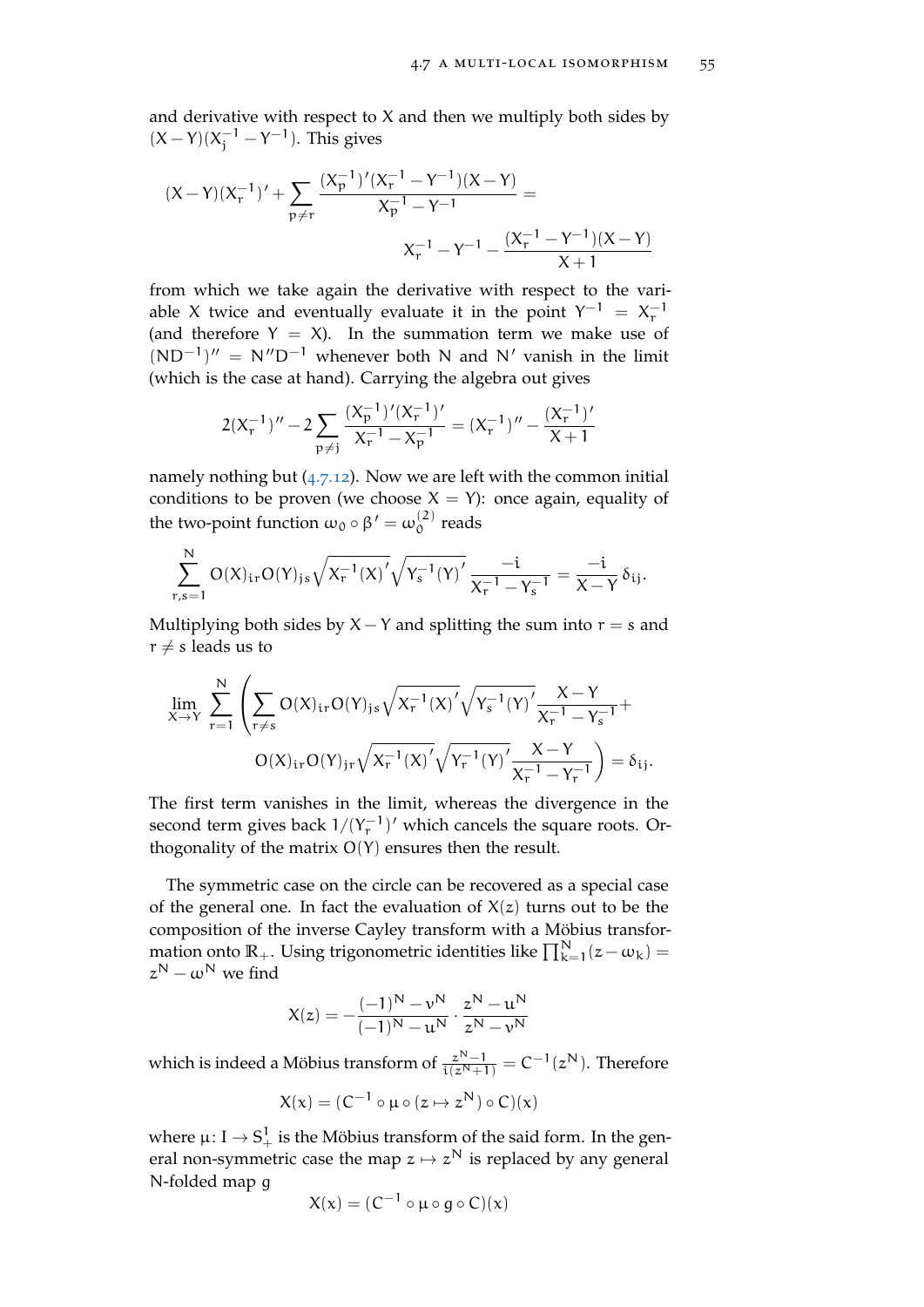and derivative with respect to  $X$  and then we multiply both sides by  $(X - Y)(X_j^{-1} - Y^{-1})$ . This gives

$$
\begin{aligned} (X-Y)(X_{r}^{-1})'+\sum_{p\neq r}\frac{(X_{p}^{-1})'(X_{r}^{-1}-Y^{-1})(X-Y)}{X_{p}^{-1}-Y^{-1}}=\\ X_{r}^{-1}-Y^{-1}-\frac{(X_{r}^{-1}-Y^{-1})(X-Y)}{X+1} \end{aligned}
$$

from which we take again the derivative with respect to the variable X twice and eventually evaluate it in the point  $Y^{-1} = X_T^{-1}$ (and therefore  $Y = X$ ). In the summation term we make use of  $(ND^{-1})'' = N''D^{-1}$  whenever both N and N' vanish in the limit (which is the case at hand). Carrying the algebra out gives

$$
2(X_r^{-1})'' - 2\sum_{p \neq j} \frac{(X_p^{-1})'(X_r^{-1})'}{X_r^{-1} - X_p^{-1}} = (X_r^{-1})'' - \frac{(X_r^{-1})'}{X+1}
$$

namely nothing but  $(4.7.12)$  $(4.7.12)$  $(4.7.12)$ . Now we are left with the common initial conditions to be proven (we choose  $X = Y$ ): once again, equality of the two-point function  $\omega_0 \circ \beta' = \omega_0^{(2)}$  $\int_{0}^{(2)}$  reads

$$
\sum_{r,s=1}^{N} O(X)_{ir} O(Y)_{js} \sqrt{X_{r}^{-1}(X)}' \sqrt{Y_{s}^{-1}(Y)}' \frac{-i}{X_{r}^{-1} - Y_{s}^{-1}} = \frac{-i}{X - Y} \delta_{ij}.
$$

Multiplying both sides by  $X - Y$  and splitting the sum into  $r = s$  and  $r \neq s$  leads us to

$$
\lim_{X \to Y} \sum_{r=1}^{N} \left( \sum_{r \neq s} O(X)_{ir} O(Y)_{js} \sqrt{X_r^{-1}(X)}' \sqrt{Y_s^{-1}(Y)}' \frac{X - Y}{X_r^{-1} - Y_s^{-1}} + O(X)_{ir} O(Y)_{jr} \sqrt{X_r^{-1}(X)}' \sqrt{Y_r^{-1}(Y)}' \frac{X - Y}{X_r^{-1} - Y_r^{-1}} \right) = \delta_{ij}.
$$

The first term vanishes in the limit, whereas the divergence in the second term gives back  $1/(Y_r^{-1})'$  which cancels the square roots. Orthogonality of the matrix  $O(Y)$  ensures then the result.

The symmetric case on the circle can be recovered as a special case of the general one. In fact the evaluation of  $X(z)$  turns out to be the composition of the inverse Cayley transform with a Möbius transformation onto  $\mathbb{R}_+$ . Using trigonometric identities like  $\prod_{k=1}^N(z-\omega_k)=$  $z^N - \omega^N$  we find

$$
X(z) = -\frac{(-1)^{N} - v^{N}}{(-1)^{N} - u^{N}} \cdot \frac{z^{N} - u^{N}}{z^{N} - v^{N}}
$$

which is indeed a Möbius transform of  $\frac{z^N-1}{i(z^N+1)} = C^{-1}(z^N)$ . Therefore

$$
X(x) = (C^{-1} \circ \mu \circ (z \mapsto z^N) \circ C)(x)
$$

where  $\mu\colon I\to \mathsf{S}^1_+$  is the Möbius transform of the said form. In the general non-symmetric case the map  $z \mapsto z^N$  is replaced by any general N-folded map g

$$
X(x) = (C^{-1} \circ \mu \circ g \circ C)(x)
$$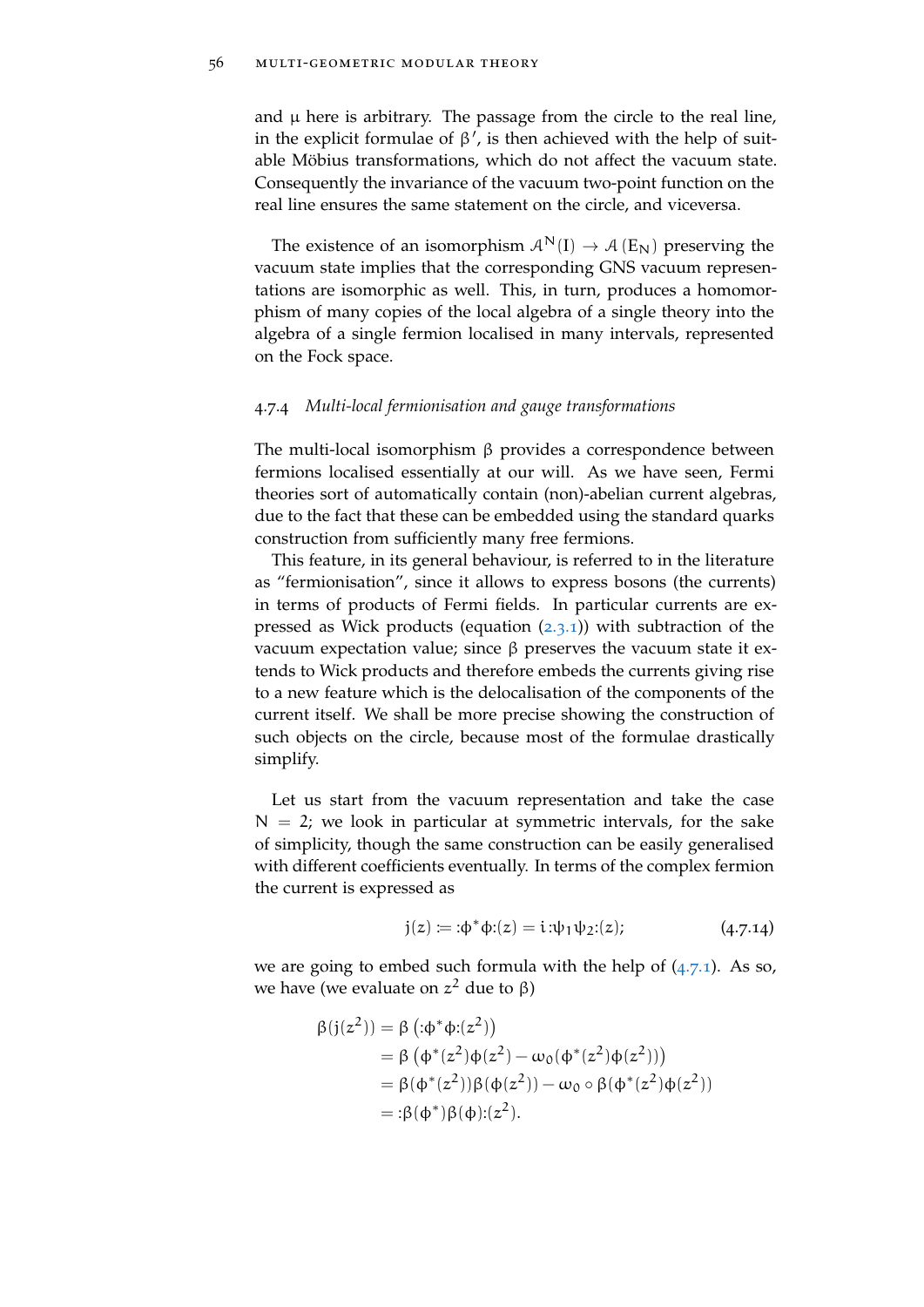and  $\mu$  here is arbitrary. The passage from the circle to the real line, in the explicit formulae of  $\beta'$ , is then achieved with the help of suitable Möbius transformations, which do not affect the vacuum state. Consequently the invariance of the vacuum two-point function on the real line ensures the same statement on the circle, and viceversa.

The existence of an isomorphism  $A^{N}(I) \rightarrow A(E_{N})$  preserving the vacuum state implies that the corresponding GNS vacuum representations are isomorphic as well. This, in turn, produces a homomorphism of many copies of the local algebra of a single theory into the algebra of a single fermion localised in many intervals, represented on the Fock space.

#### <span id="page-67-0"></span>4.7.4 *Multi-local fermionisation and gauge transformations*

The multi-local isomorphism β provides a correspondence between fermions localised essentially at our will. As we have seen, Fermi theories sort of automatically contain (non)-abelian current algebras, due to the fact that these can be embedded using the standard quarks construction from sufficiently many free fermions.

This feature, in its general behaviour, is referred to in the literature as "fermionisation", since it allows to express bosons (the currents) in terms of products of Fermi fields. In particular currents are expressed as Wick products (equation ([2](#page-23-0).3.1)) with subtraction of the vacuum expectation value; since β preserves the vacuum state it extends to Wick products and therefore embeds the currents giving rise to a new feature which is the delocalisation of the components of the current itself. We shall be more precise showing the construction of such objects on the circle, because most of the formulae drastically simplify.

Let us start from the vacuum representation and take the case  $N = 2$ ; we look in particular at symmetric intervals, for the sake of simplicity, though the same construction can be easily generalised with different coefficients eventually. In terms of the complex fermion the current is expressed as

$$
j(z) \coloneqq :\phi^*\phi:(z) = i:\psi_1\psi_2:(z);
$$
 (4.7.14)

we are going to embed such formula with the help of  $(4.7.1)$  $(4.7.1)$  $(4.7.1)$ . As so, we have (we evaluate on  $z^2$  due to  $\beta$ )

$$
\beta(j(z^2)) = \beta (:\phi^* \phi:(z^2)) \n= \beta (\phi^*(z^2) \phi(z^2) - \omega_0(\phi^*(z^2) \phi(z^2))) \n= \beta (\phi^*(z^2)) \beta (\phi(z^2)) - \omega_0 \circ \beta (\phi^*(z^2) \phi(z^2)) \n= : \beta(\phi^*) \beta(\phi): (z^2).
$$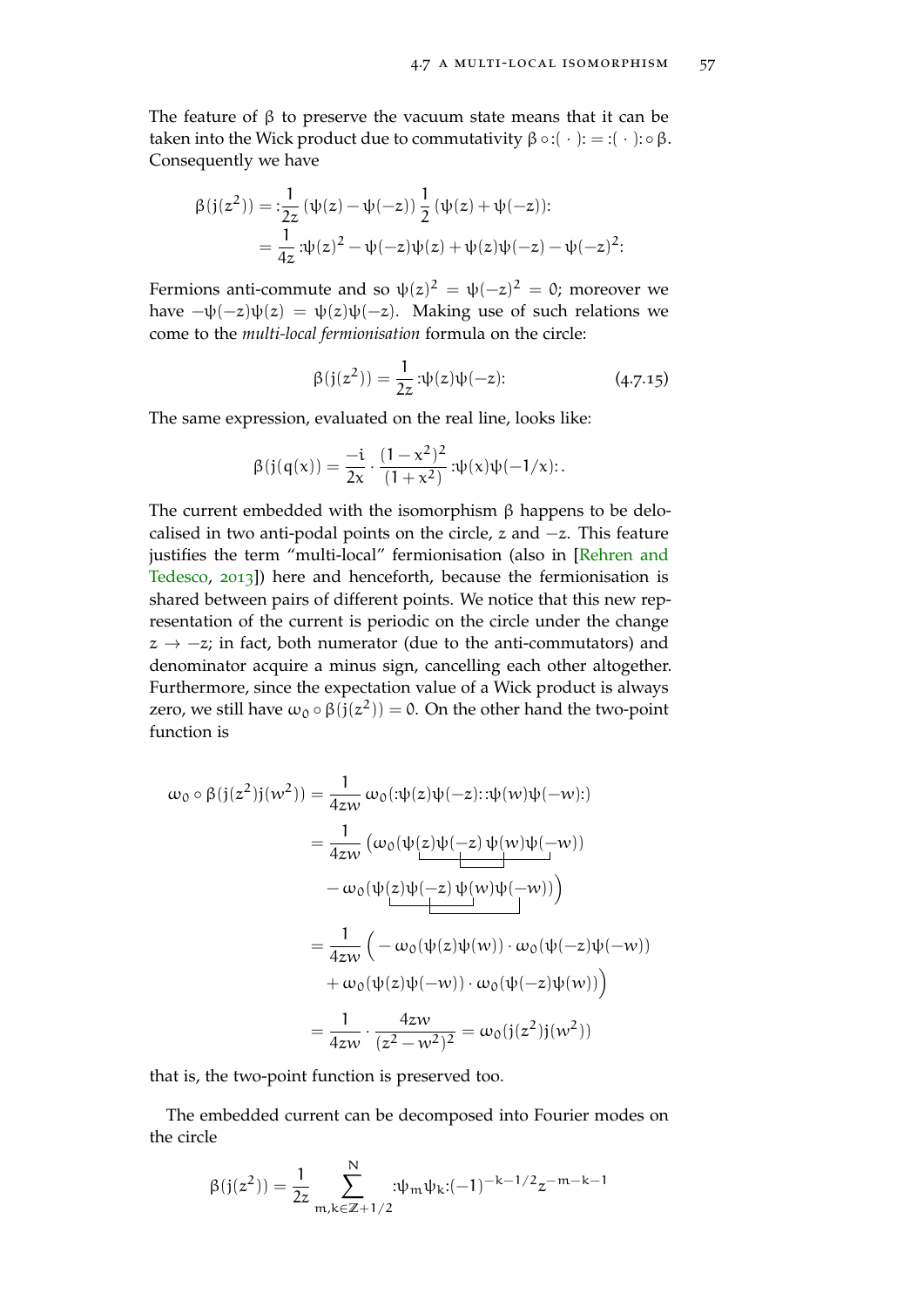The feature of  $\beta$  to preserve the vacuum state means that it can be taken into the Wick product due to commutativity  $β ∘ : ( · ) : = : ( · ) : ∘ β$ . Consequently we have

$$
\beta(j(z^2)) = \frac{1}{2z} (\psi(z) - \psi(-z)) \frac{1}{2} (\psi(z) + \psi(-z))
$$
  
= 
$$
\frac{1}{4z} \cdot \psi(z)^2 - \psi(-z)\psi(z) + \psi(z)\psi(-z) - \psi(-z)^2
$$

Fermions anti-commute and so  $\psi(z)^2 = \psi(-z)^2 = 0$ ; moreover we have  $-\psi(-z)\psi(z) = \psi(z)\psi(-z)$ . Making use of such relations we come to the *multi-local fermionisation* formula on the circle:

$$
\beta(j(z^2)) = \frac{1}{2z} : \psi(z)\psi(-z): \tag{4.7.15}
$$

The same expression, evaluated on the real line, looks like:

$$
\beta(j(q(x)) = \frac{-i}{2x} \cdot \frac{(1-x^2)^2}{(1+x^2)} \cdot \psi(x)\psi(-1/x) \cdot .
$$

The current embedded with the isomorphism  $\beta$  happens to be delocalised in two anti-podal points on the circle,  $z$  and  $-z$ . This feature justifies the term "multi-local" fermionisation (also in [\[Rehren and](#page-119-5) [Tedesco,](#page-119-5) [2013](#page-119-5)]) here and henceforth, because the fermionisation is shared between pairs of different points. We notice that this new representation of the current is periodic on the circle under the change  $z \rightarrow -z$ ; in fact, both numerator (due to the anti-commutators) and denominator acquire a minus sign, cancelling each other altogether. Furthermore, since the expectation value of a Wick product is always zero, we still have  $\omega_0 \circ \beta(j(z^2)) = 0$ . On the other hand the two-point function is

$$
\omega_0 \circ \beta(j(z^2)j(w^2)) = \frac{1}{4zw} \omega_0(:\psi(z)\psi(-z):\psi(w)\psi(-w))
$$
  
\n
$$
= \frac{1}{4zw} \left(\omega_0(\psi(z)\psi(-z)\psi(w)\psi(-w))\right)
$$
  
\n
$$
- \omega_0(\psi(z)\psi(-z)\psi(w)\psi(-w))
$$
  
\n
$$
= \frac{1}{4zw} \left(-\omega_0(\psi(z)\psi(w))\cdot\omega_0(\psi(-z)\psi(-w))\right)
$$
  
\n
$$
+ \omega_0(\psi(z)\psi(-w))\cdot\omega_0(\psi(-z)\psi(w))
$$
  
\n
$$
= \frac{1}{4zw} \cdot \frac{4zw}{(z^2 - w^2)^2} = \omega_0(j(z^2)j(w^2))
$$

that is, the two-point function is preserved too.

The embedded current can be decomposed into Fourier modes on the circle

$$
\beta(j(z^2)) = \frac{1}{2z} \sum_{m,k \in \mathbb{Z}+1/2}^{N} : \psi_m \psi_k : (-1)^{-k-1/2} z^{-m-k-1}
$$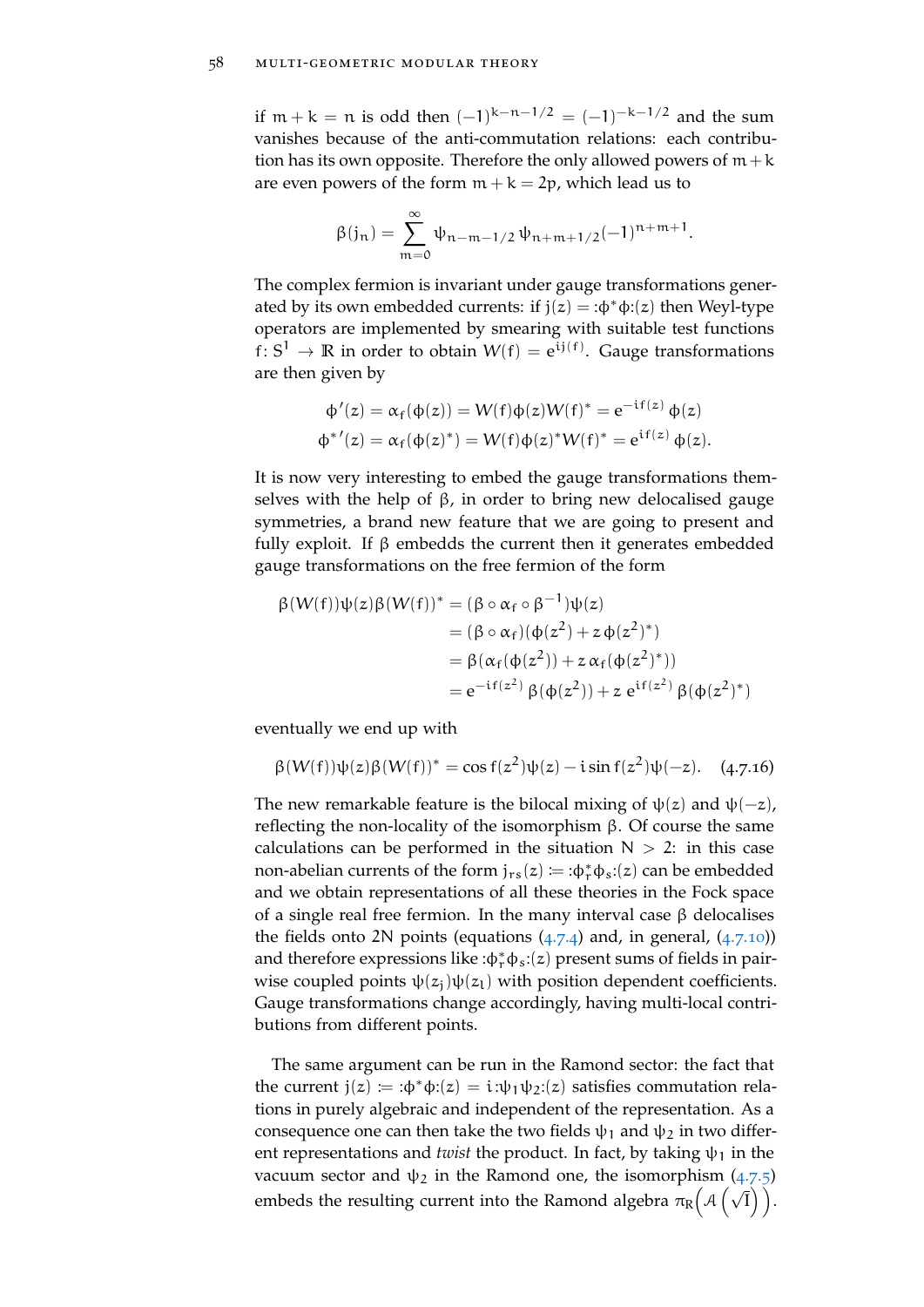#### 58 multi-geometric modular theory

 $\mathbb{R}^2$ 

if  $m + k = n$  is odd then  $(-1)^{k-n-1/2} = (-1)^{-k-1/2}$  and the sum vanishes because of the anti-commutation relations: each contribution has its own opposite. Therefore the only allowed powers of  $m+k$ are even powers of the form  $m + k = 2p$ , which lead us to

$$
\beta(j_n) = \sum_{m=0}^{\infty} \psi_{n-m-1/2} \psi_{n+m+1/2}(-1)^{n+m+1}.
$$

The complex fermion is invariant under gauge transformations generated by its own embedded currents: if  $j(z) = :\phi^*\phi:(z)$  then Weyl-type operators are implemented by smearing with suitable test functions  $f: S^1 \to \mathbb{R}$  in order to obtain  $W(f) = e^{i j(f)}$ . Gauge transformations are then given by

$$
\phi'(z) = \alpha_f(\phi(z)) = W(f)\phi(z)W(f)^* = e^{-if(z)} \phi(z)
$$
  

$$
\phi^{*'}(z) = \alpha_f(\phi(z)^*) = W(f)\phi(z)^*W(f)^* = e^{if(z)} \phi(z).
$$

It is now very interesting to embed the gauge transformations themselves with the help of  $\beta$ , in order to bring new delocalised gauge symmetries, a brand new feature that we are going to present and fully exploit. If β embedds the current then it generates embedded gauge transformations on the free fermion of the form

$$
\beta(W(f))\psi(z)\beta(W(f))^* = (\beta \circ \alpha_f \circ \beta^{-1})\psi(z)
$$
  
\n
$$
= (\beta \circ \alpha_f)(\phi(z^2) + z\phi(z^2)^*)
$$
  
\n
$$
= \beta(\alpha_f(\phi(z^2)) + z\alpha_f(\phi(z^2)^*))
$$
  
\n
$$
= e^{-if(z^2)}\beta(\phi(z^2)) + z e^{if(z^2)}\beta(\phi(z^2)^*)
$$

eventually we end up with

$$
\beta(W(f))\psi(z)\beta(W(f))^* = \cos f(z^2)\psi(z) - i\sin f(z^2)\psi(-z). \quad (4.7.16)
$$

The new remarkable feature is the bilocal mixing of  $\psi(z)$  and  $\psi(-z)$ , reflecting the non-locality of the isomorphism β. Of course the same calculations can be performed in the situation  $N > 2$ : in this case non-abelian currents of the form  $j_{rs}(z) \coloneqq \phi_r^* \phi_s$ : $(z)$  can be embedded and we obtain representations of all these theories in the Fock space of a single real free fermion. In the many interval case β delocalises the fields onto 2N points (equations  $(4.7.4)$  $(4.7.4)$  $(4.7.4)$  and, in general,  $(4.7.10)$  $(4.7.10)$  $(4.7.10)$ ) and therefore expressions like : $\phi_r^* \phi_s$ :(z) present sums of fields in pairwise coupled points  $\psi(z_i)\psi(z_i)$  with position dependent coefficients. Gauge transformations change accordingly, having multi-local contributions from different points.

The same argument can be run in the Ramond sector: the fact that the current  $j(z) := :\!\phi^*\phi:(z) = i:\!\psi_1\psi_2:(z)$  satisfies commutation relations in purely algebraic and independent of the representation. As a consequence one can then take the two fields  $\psi_1$  and  $\psi_2$  in two different representations and *twist* the product. In fact, by taking  $\psi_1$  in the vacuum sector and  $\psi_2$  in the Ramond one, the isomorphism ([4](#page-63-2).7.5) embeds the resulting current into the Ramond algebra  $\pi_R(A(\sqrt{I}))$ .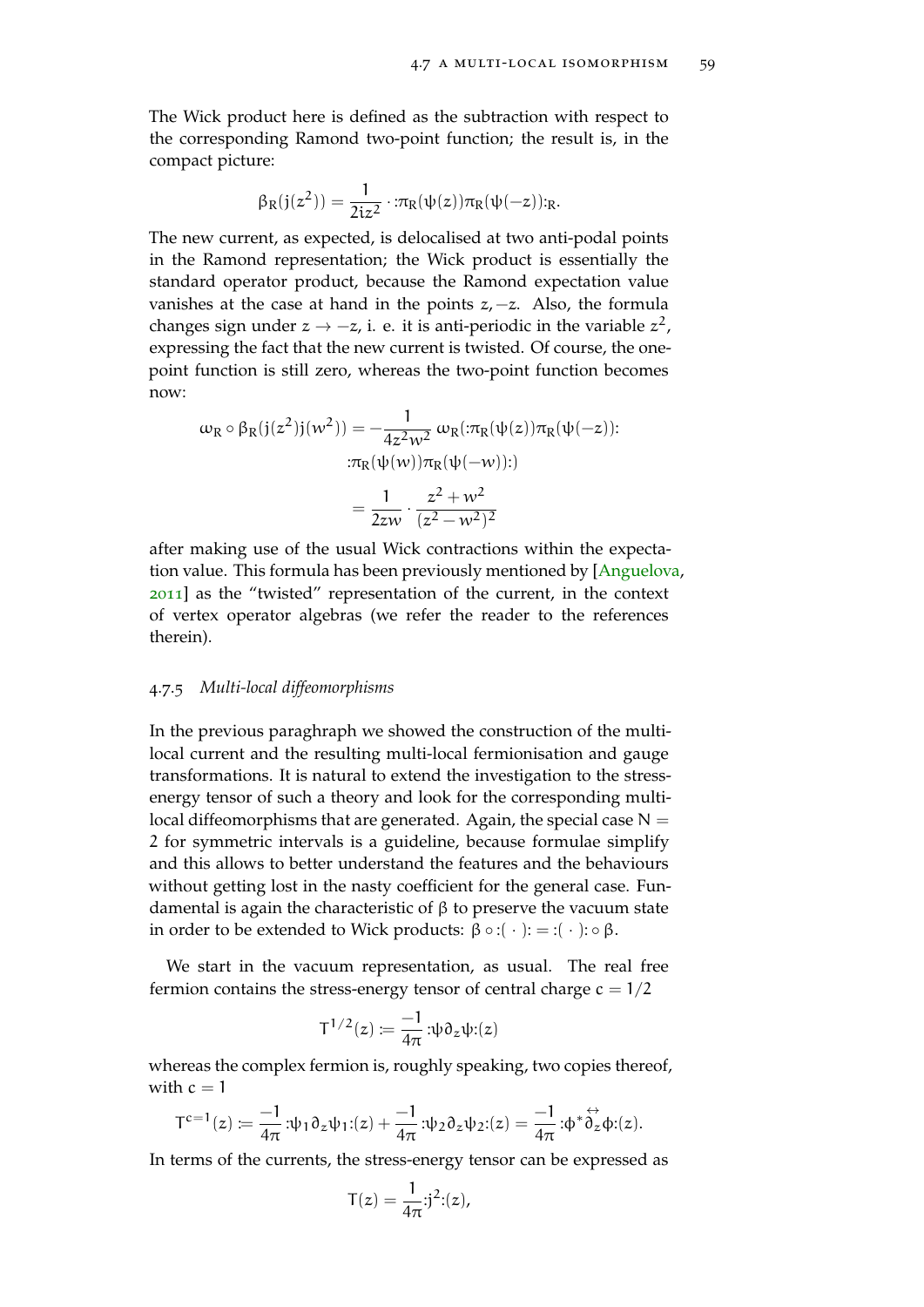The Wick product here is defined as the subtraction with respect to the corresponding Ramond two-point function; the result is, in the compact picture:

$$
\beta_R(j(z^2))=\frac{1}{2iz^2}\cdot :\!\!\pi_R(\psi(z))\pi_R(\psi(-z))\!\!:\_R.
$$

The new current, as expected, is delocalised at two anti-podal points in the Ramond representation; the Wick product is essentially the standard operator product, because the Ramond expectation value vanishes at the case at hand in the points  $z, -z$ . Also, the formula changes sign under  $z \rightarrow -z$ , i. e. it is anti-periodic in the variable  $z^2$ , expressing the fact that the new current is twisted. Of course, the onepoint function is still zero, whereas the two-point function becomes now:

$$
\omega_{R} \circ \beta_{R}(j(z^{2})j(w^{2})) = -\frac{1}{4z^{2}w^{2}} \omega_{R}(\pi_{R}(\psi(z))\pi_{R}(\psi(-z)) : \n\cdot \pi_{R}(\psi(w))\pi_{R}(\psi(-w)) : \n= \frac{1}{2zw} \cdot \frac{z^{2} + w^{2}}{(z^{2} - w^{2})^{2}}
$$

after making use of the usual Wick contractions within the expectation value. This formula has been previously mentioned by [\[Anguelova,](#page-116-4) [2011](#page-116-4)] as the "twisted" representation of the current, in the context of vertex operator algebras (we refer the reader to the references therein).

### <span id="page-70-0"></span>4.7.5 *Multi-local diffeomorphisms*

In the previous paraghraph we showed the construction of the multilocal current and the resulting multi-local fermionisation and gauge transformations. It is natural to extend the investigation to the stressenergy tensor of such a theory and look for the corresponding multilocal diffeomorphisms that are generated. Again, the special case  $N =$ 2 for symmetric intervals is a guideline, because formulae simplify and this allows to better understand the features and the behaviours without getting lost in the nasty coefficient for the general case. Fundamental is again the characteristic of β to preserve the vacuum state in order to be extended to Wick products:  $\beta \circ : (-): = :(-): \circ \beta$ .

We start in the vacuum representation, as usual. The real free fermion contains the stress-energy tensor of central charge  $c = 1/2$ 

$$
T^{1/2}(z) \coloneqq \frac{-1}{4\pi} \!:\! \psi \partial_z \psi{:}(z)
$$

whereas the complex fermion is, roughly speaking, two copies thereof, with  $c = 1$ 

$$
T^{c=1}(z) \coloneqq \frac{-1}{4\pi} \cdot \psi_1 \partial_z \psi_1 \cdot (z) + \frac{-1}{4\pi} \cdot \psi_2 \partial_z \psi_2 \cdot (z) = \frac{-1}{4\pi} \cdot \phi^* \overset{\leftrightarrow}{\partial_z} \phi \cdot (z).
$$

In terms of the currents, the stress-energy tensor can be expressed as

$$
T(z) = \frac{1}{4\pi} :j^2:(z),
$$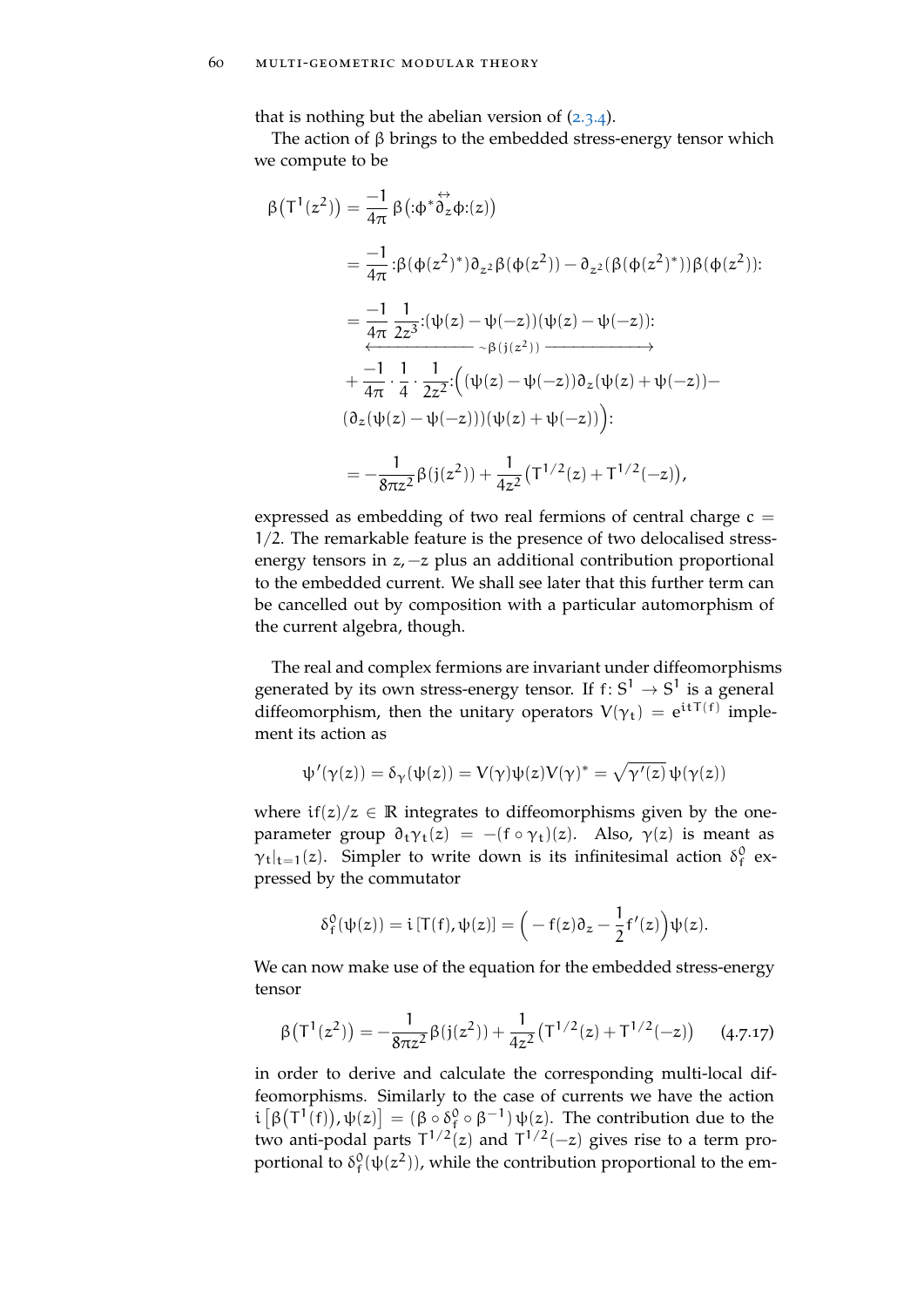that is nothing but the abelian version of  $(2.3.4)$  $(2.3.4)$  $(2.3.4)$ .

The action of β brings to the embedded stress-energy tensor which we compute to be

$$
\beta(T^1(z^2)) = \frac{-1}{4\pi} \beta (:\phi^*\partial_z \phi:(z))
$$
  
\n
$$
= \frac{-1}{4\pi} :\beta(\phi(z^2)^*)\partial_{z^2}\beta(\phi(z^2)) - \partial_{z^2}(\beta(\phi(z^2)^*))\beta(\phi(z^2)):
$$
  
\n
$$
= \frac{-1}{4\pi} \frac{1}{2z^3} : (\psi(z) - \psi(-z))(\psi(z) - \psi(-z)):
$$
  
\n
$$
+ \frac{-1}{4\pi} \cdot \frac{1}{4} \cdot \frac{1}{2z^2} : ((\psi(z) - \psi(-z))\partial_z(\psi(z) + \psi(-z)) - (\partial_z(\psi(z) - \psi(-z)))(\psi(z) + \psi(-z))).
$$
  
\n
$$
= -\frac{1}{8\pi z^2} \beta (j(z^2)) + \frac{1}{4z^2} (T^{1/2}(z) + T^{1/2}(-z)),
$$

expressed as embedding of two real fermions of central charge  $c =$ 1/2. The remarkable feature is the presence of two delocalised stressenergy tensors in  $z, -z$  plus an additional contribution proportional to the embedded current. We shall see later that this further term can be cancelled out by composition with a particular automorphism of the current algebra, though.

The real and complex fermions are invariant under diffeomorphisms generated by its own stress-energy tensor. If  $f: S^1 \to S^1$  is a general diffeomorphism, then the unitary operators  $V(\gamma_t) = e^{itT(f)}$  implement its action as

$$
\psi'(\gamma(z)) = \delta_{\gamma}(\psi(z)) = V(\gamma)\psi(z)V(\gamma)^{*} = \sqrt{\gamma'(z)}\,\psi(\gamma(z))
$$

where  $if(z)/z \in \mathbb{R}$  integrates to diffeomorphisms given by the oneparameter group  $\partial_t \gamma_t(z) = -(f \circ \gamma_t)(z)$ . Also,  $\gamma(z)$  is meant as  $\gamma_t|_{t=1}(z)$ . Simpler to write down is its infinitesimal action  $\delta_f^0$  expressed by the commutator

$$
\delta_f^0(\psi(z)) = \mathrm{i} \left[ \mathsf{T}(\mathsf{f}), \psi(z) \right] = \Big( -\mathsf{f}(z) \partial_z - \frac{1}{2} \mathsf{f}'(z) \Big) \psi(z).
$$

We can now make use of the equation for the embedded stress-energy tensor

$$
\beta(T^1(z^2)) = -\frac{1}{8\pi z^2}\beta(j(z^2)) + \frac{1}{4z^2}(T^{1/2}(z) + T^{1/2}(-z)) \qquad (4.7.17)
$$

in order to derive and calculate the corresponding multi-local diffeomorphisms. Similarly to the case of currents we have the action  $i \left[ \beta \left( T^1(f) \right), \psi(z) \right] = (\beta \circ \delta_f^0 \circ \beta^{-1}) \psi(z)$ . The contribution due to the two anti-podal parts  $T^{1/2}(z)$  and  $T^{1/2}(-z)$  gives rise to a term proportional to  $\delta_f^0(\psi(z^2))$ , while the contribution proportional to the em-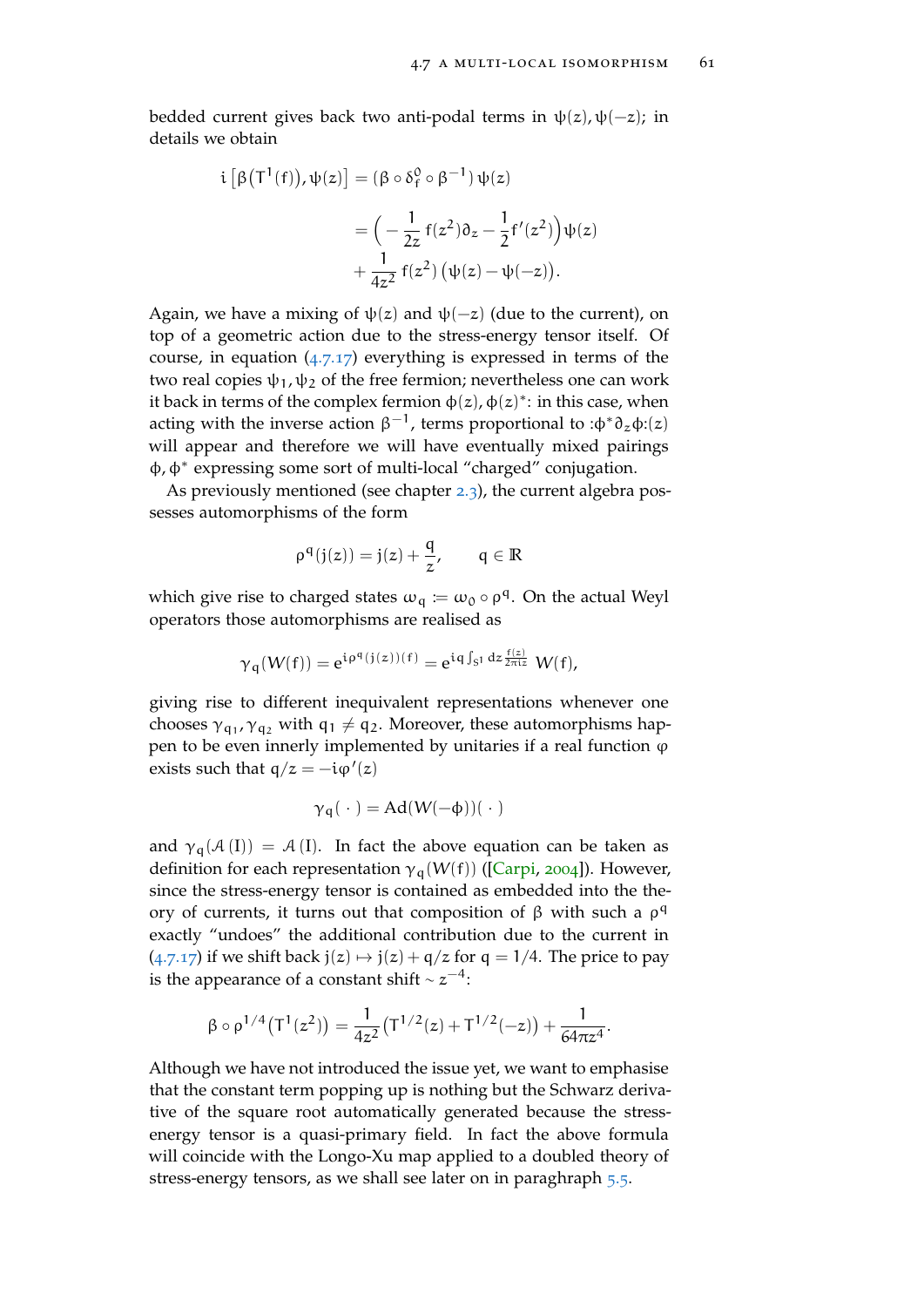bedded current gives back two anti-podal terms in  $\psi(z)$ ,  $\psi(-z)$ ; in details we obtain

$$
i\left[\beta\left(T^1(f)\right),\psi(z)\right] = (\beta \circ \delta_f^0 \circ \beta^{-1})\psi(z)
$$

$$
= \left(-\frac{1}{2z}f(z^2)\partial_z - \frac{1}{2}f'(z^2)\right)\psi(z)
$$

$$
+ \frac{1}{4z^2}f(z^2)\left(\psi(z) - \psi(-z)\right).
$$

Again, we have a mixing of  $\psi(z)$  and  $\psi(-z)$  (due to the current), on top of a geometric action due to the stress-energy tensor itself. Of course, in equation  $(4.7.17)$  $(4.7.17)$  $(4.7.17)$  everything is expressed in terms of the two real copies  $ψ_1$ ,  $ψ_2$  of the free fermion; nevertheless one can work it back in terms of the complex fermion  $\phi(z)$ ,  $\phi(z)^*$ : in this case, when acting with the inverse action  $\beta^{-1}$ , terms proportional to :φ\* $\partial_z \phi$ :(*z*) will appear and therefore we will have eventually mixed pairings φ, φ<sup>∗</sup> expressing some sort of multi-local "charged" conjugation.

As previously mentioned (see chapter [2](#page-23-0).3), the current algebra possesses automorphisms of the form

$$
\rho^q(j(z))=j(z)+\frac{q}{z}, \qquad q\in\mathbb{R}
$$

which give rise to charged states  $\omega_q := \omega_0 \circ \rho^q$ . On the actual Weyl operators those automorphisms are realised as

$$
\gamma_{q}(W(f)) = e^{i \rho^{q}(j(z))(f)} = e^{i q \int_{S^1} dz \frac{f(z)}{2\pi i z} W(f)},
$$

giving rise to different inequivalent representations whenever one chooses  $\gamma_{q_1}, \gamma_{q_2}$  with  $q_1 \neq q_2$ . Moreover, these automorphisms happen to be even innerly implemented by unitaries if a real function  $\varphi$ exists such that  $q/z = -i\varphi'(z)$ 

$$
\gamma_q(\cdot) = \mathrm{Ad}(W(-\varphi))(\cdot)
$$

and  $\gamma_{\mathfrak{a}}(\mathcal{A}(I)) = \mathcal{A}(I)$ . In fact the above equation can be taken as definition for each representation  $\gamma_q(W(f))$  ([\[Carpi,](#page-117-0) [2004](#page-117-0)]). However, since the stress-energy tensor is contained as embedded into the theory of currents, it turns out that composition of  $\beta$  with such a  $\rho^q$ exactly "undoes" the additional contribution due to the current in (4.7.[17](#page-71-0)) if we shift back  $j(z) \mapsto j(z) + q/z$  for  $q = 1/4$ . The price to pay is the appearance of a constant shift  $\sim z^{-4}$ :

$$
\beta \circ \rho^{1/4} (T^1(z^2)) = \frac{1}{4z^2} (T^{1/2}(z) + T^{1/2}(-z)) + \frac{1}{64\pi z^4}.
$$

Although we have not introduced the issue yet, we want to emphasise that the constant term popping up is nothing but the Schwarz derivative of the square root automatically generated because the stressenergy tensor is a quasi-primary field. In fact the above formula will coincide with the Longo-Xu map applied to a doubled theory of stress-energy tensors, as we shall see later on in paraghraph [5](#page-98-0).5.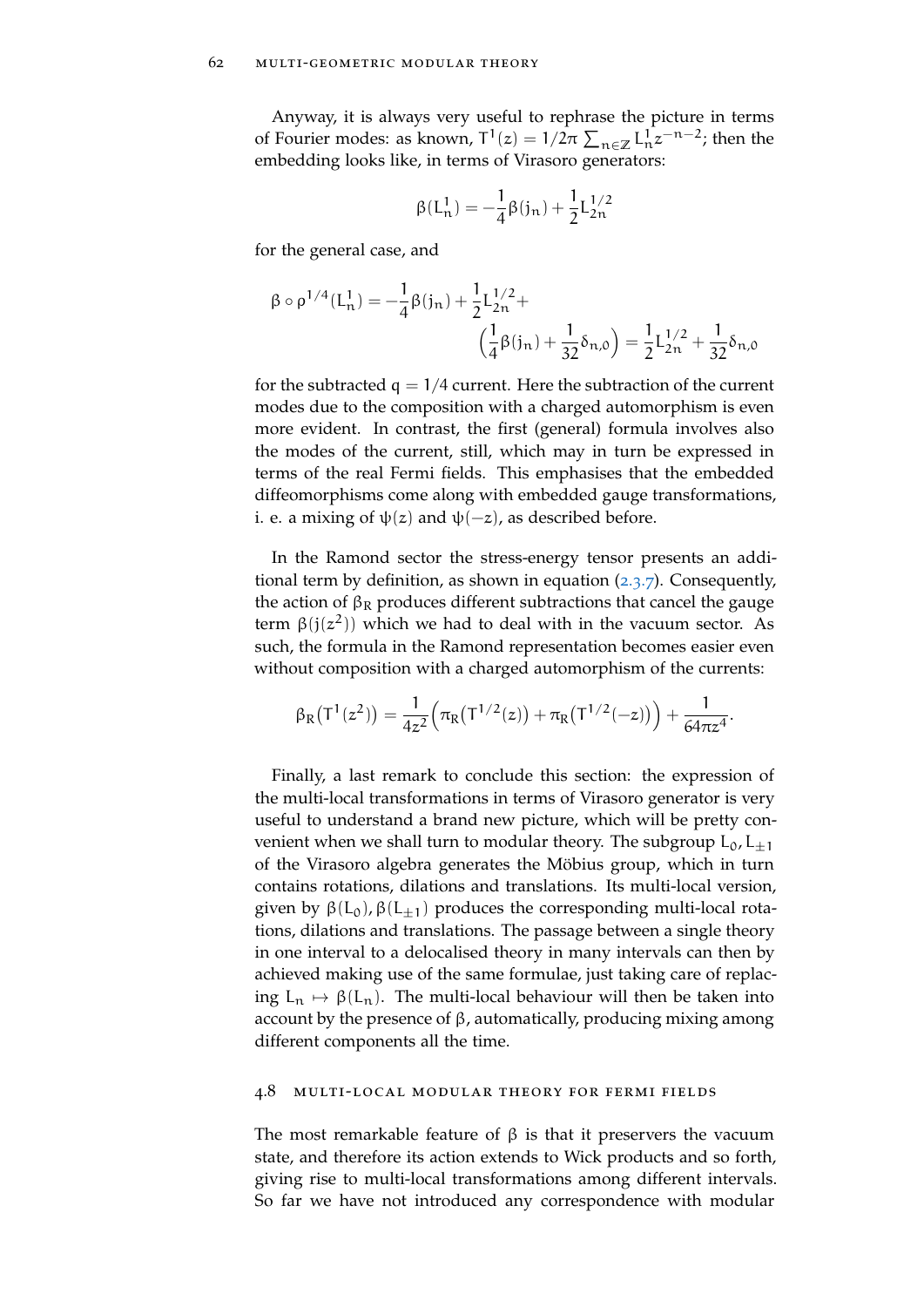Anyway, it is always very useful to rephrase the picture in terms of Fourier modes: as known,  $T^1(z) = 1/2\pi \sum_{n \in \mathbb{Z}} L^1_n z^{-n-2}$ ; then the embedding looks like, in terms of Virasoro generators:

$$
\beta(L_n^1) = -\frac{1}{4}\beta(j_n) + \frac{1}{2}L_{2n}^{1/2}
$$

for the general case, and

$$
\beta \circ \rho^{1/4}(L_n^1) = -\frac{1}{4}\beta(j_n) + \frac{1}{2}L_{2n}^{1/2} + \left(\frac{1}{4}\beta(j_n) + \frac{1}{32}\delta_{n,0}\right) = \frac{1}{2}L_{2n}^{1/2} + \frac{1}{32}\delta_{n,0}
$$

for the subtracted  $q = 1/4$  current. Here the subtraction of the current modes due to the composition with a charged automorphism is even more evident. In contrast, the first (general) formula involves also the modes of the current, still, which may in turn be expressed in terms of the real Fermi fields. This emphasises that the embedded diffeomorphisms come along with embedded gauge transformations, i. e. a mixing of  $\psi(z)$  and  $\psi(-z)$ , as described before.

In the Ramond sector the stress-energy tensor presents an additional term by definition, as shown in equation ([2](#page-25-0).3.7). Consequently, the action of  $\beta_R$  produces different subtractions that cancel the gauge term  $β(j(z<sup>2</sup>))$  which we had to deal with in the vacuum sector. As such, the formula in the Ramond representation becomes easier even without composition with a charged automorphism of the currents:

$$
\beta_R\big(T^1(z^2)\big)=\frac{1}{4z^2}\Big(\pi_R\big(T^{1/2}(z)\big)+\pi_R\big(T^{1/2}(-z)\big)\Big)+\frac{1}{64\pi z^4}.
$$

Finally, a last remark to conclude this section: the expression of the multi-local transformations in terms of Virasoro generator is very useful to understand a brand new picture, which will be pretty convenient when we shall turn to modular theory. The subgroup  $L_0$ ,  $L_{+1}$ of the Virasoro algebra generates the Möbius group, which in turn contains rotations, dilations and translations. Its multi-local version, given by  $\beta(L_0)$ ,  $\beta(L_{+1})$  produces the corresponding multi-local rotations, dilations and translations. The passage between a single theory in one interval to a delocalised theory in many intervals can then by achieved making use of the same formulae, just taking care of replacing  $L_n \mapsto \beta(L_n)$ . The multi-local behaviour will then be taken into account by the presence of  $\beta$ , automatically, producing mixing among different components all the time.

#### 4.8 multi-local modular theory for fermi fields

The most remarkable feature of  $\beta$  is that it preservers the vacuum state, and therefore its action extends to Wick products and so forth, giving rise to multi-local transformations among different intervals. So far we have not introduced any correspondence with modular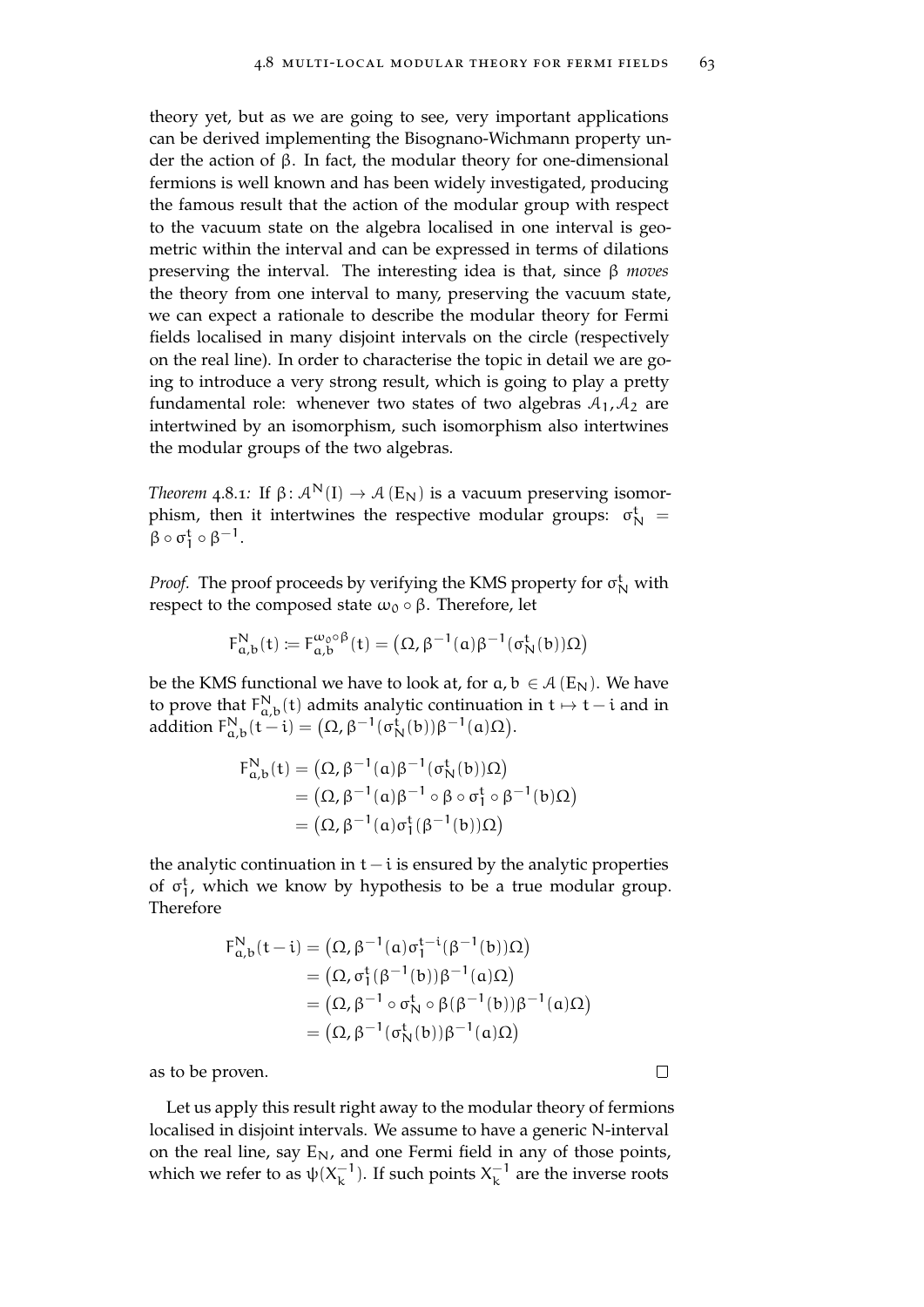theory yet, but as we are going to see, very important applications can be derived implementing the Bisognano-Wichmann property under the action of β. In fact, the modular theory for one-dimensional fermions is well known and has been widely investigated, producing the famous result that the action of the modular group with respect to the vacuum state on the algebra localised in one interval is geometric within the interval and can be expressed in terms of dilations preserving the interval. The interesting idea is that, since β *moves* the theory from one interval to many, preserving the vacuum state, we can expect a rationale to describe the modular theory for Fermi fields localised in many disjoint intervals on the circle (respectively on the real line). In order to characterise the topic in detail we are going to introduce a very strong result, which is going to play a pretty fundamental role: whenever two states of two algebras  $A_1$ ,  $A_2$  are intertwined by an isomorphism, such isomorphism also intertwines the modular groups of the two algebras.

*Theorem* 4.8.1: If  $\beta$ :  $\mathcal{A}^{N}(I) \rightarrow \mathcal{A}(E_{N})$  is a vacuum preserving isomorphism, then it intertwines the respective modular groups:  $\sigma_N^t$  =  $\beta \circ \sigma_1^t \circ \beta^{-1}$ .

*Proof.* The proof proceeds by verifying the KMS property for  $\sigma_N^{\rm t}$  with respect to the composed state  $ω_0 \circ β$ . Therefore, let

$$
F^N_{\alpha,b}(t)\coloneqq F^{\omega_0\circ\beta}_{\alpha,b}(t)=\left(\Omega,\beta^{-1}(\alpha)\beta^{-1}(\sigma_N^t(b))\Omega\right)
$$

be the KMS functional we have to look at, for  $a, b \in A(E_N)$ . We have to prove that  $F^N_{a,b}(t)$  admits analytic continuation in  $t \mapsto t - i$  and in addition  $F_{a,b}^{N}(t-i) = (\Omega, \beta^{-1}(\sigma_{N}^{t}(b))\beta^{-1}(a)\Omega).$ 

$$
F_{\alpha,b}^N(t) = (\Omega, \beta^{-1}(\alpha)\beta^{-1}(\sigma_N^t(b))\Omega)
$$
  
= (\Omega, \beta^{-1}(\alpha)\beta^{-1} \circ \beta \circ \sigma\_1^t \circ \beta^{-1}(b)\Omega)  
= (\Omega, \beta^{-1}(\alpha)\sigma\_1^t(\beta^{-1}(b))\Omega)

the analytic continuation in  $t - i$  is ensured by the analytic properties of  $\sigma_1^t$ , which we know by hypothesis to be a true modular group. Therefore

$$
F_{\alpha,b}^N(t-i) = (\Omega, \beta^{-1}(\alpha)\sigma_1^{t-i}(\beta^{-1}(b))\Omega)
$$
  
= (\Omega, \sigma\_1^t(\beta^{-1}(b))\beta^{-1}(\alpha)\Omega)  
= (\Omega, \beta^{-1} \circ \sigma\_N^t \circ \beta(\beta^{-1}(b))\beta^{-1}(\alpha)\Omega)  
= (\Omega, \beta^{-1}(\sigma\_N^t(b))\beta^{-1}(\alpha)\Omega)

as to be proven.

Let us apply this result right away to the modular theory of fermions localised in disjoint intervals. We assume to have a generic N-interval on the real line, say  $E_N$ , and one Fermi field in any of those points, which we refer to as  $\psi(X_k^{-1})$ . If such points  $X_k^{-1}$  are the inverse roots

 $\Box$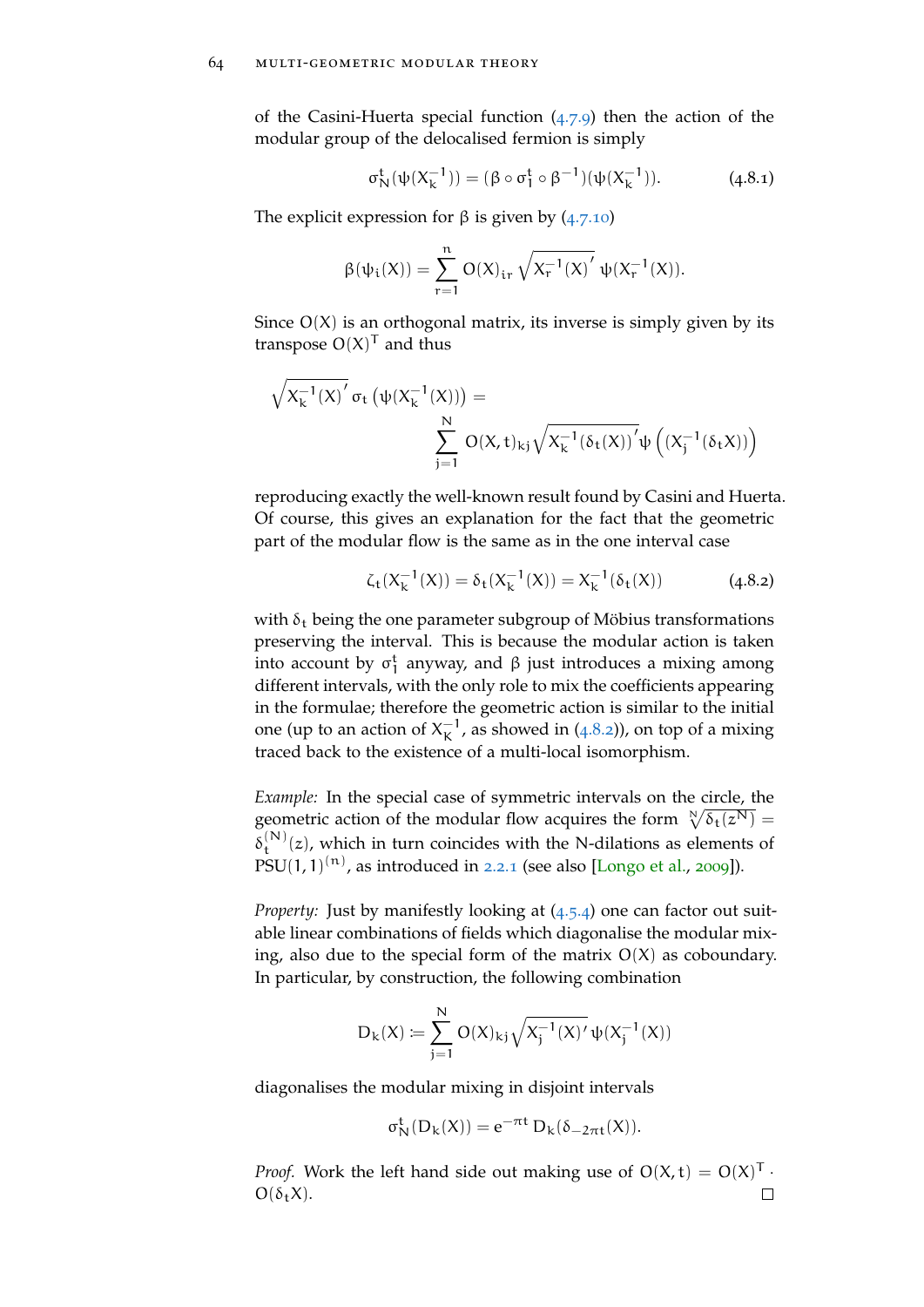of the Casini-Huerta special function  $(4.7.9)$  $(4.7.9)$  $(4.7.9)$  then the action of the modular group of the delocalised fermion is simply

<span id="page-75-1"></span>
$$
\sigma_N^{\mathbf{t}}(\psi(X_k^{-1})) = (\beta \circ \sigma_1^{\mathbf{t}} \circ \beta^{-1})(\psi(X_k^{-1})). \tag{4.8.1}
$$

The explicit expression for  $\beta$  is given by (4.7.[10](#page-64-0))

$$
\beta(\psi_i(X)) = \sum_{r=1}^n O(X)_{ir} \sqrt{{X_r^{-1}(X)}^{'}} \psi({X_r^{-1}(X)}).
$$

Since  $O(X)$  is an orthogonal matrix, its inverse is simply given by its transpose  $O(X)^T$  and thus

$$
\begin{aligned}\sqrt{{X_k^{-1}(X)}^{'}}\,\sigma_t\left(\psi(X_k^{-1}(X))\right)=\\ \sum_{j=1}^N\,O(X,t)_{kj}\sqrt{{X_k^{-1}(\delta_t(X))}^{'}}\psi\left((X_j^{-1}(\delta_tX))\right)\end{aligned}
$$

reproducing exactly the well-known result found by Casini and Huerta. Of course, this gives an explanation for the fact that the geometric part of the modular flow is the same as in the one interval case

<span id="page-75-0"></span>
$$
\zeta_{t}(X_{k}^{-1}(X)) = \delta_{t}(X_{k}^{-1}(X)) = X_{k}^{-1}(\delta_{t}(X))
$$
\n(4.8.2)

with  $\delta_t$  being the one parameter subgroup of Möbius transformations preserving the interval. This is because the modular action is taken into account by  $\sigma_1^t$  anyway, and  $\beta$  just introduces a mixing among different intervals, with the only role to mix the coefficients appearing in the formulae; therefore the geometric action is similar to the initial one (up to an action of  $X^{-1}_{K}$ , as showed in ([4](#page-75-0).8.2)), on top of a mixing traced back to the existence of a multi-local isomorphism.

*Example:* In the special case of symmetric intervals on the circle, the geometric action of the modular flow acquires the form  $\sqrt[N]{\delta_t(z^N)}$  =  $\delta_{\rm t}^{\rm (N)}$  $t^{(N)}(z)$ , which in turn coincides with the N-dilations as elements of  $PSU(1, 1)^{(n)}$ , as introduced in [2](#page-21-0).2.1 (see also [\[Longo et al.,](#page-118-0) [2009](#page-118-0)]).

*Property:* Just by manifestly looking at  $(4.5.4)$  $(4.5.4)$  $(4.5.4)$  one can factor out suitable linear combinations of fields which diagonalise the modular mixing, also due to the special form of the matrix  $O(X)$  as coboundary. In particular, by construction, the following combination

$$
D_k(X) \coloneqq \sum_{j=1}^N O(X)_{kj} \sqrt{X_j^{-1}(X)'} \, \psi(X_j^{-1}(X))
$$

diagonalises the modular mixing in disjoint intervals

$$
\sigma_N^t(D_k(X)) = e^{-\pi t} D_k(\delta_{-2\pi t}(X)).
$$

*Proof.* Work the left hand side out making use of  $O(X, t) = O(X)^{T}$ .  $O(\delta_t X)$ .  $\Box$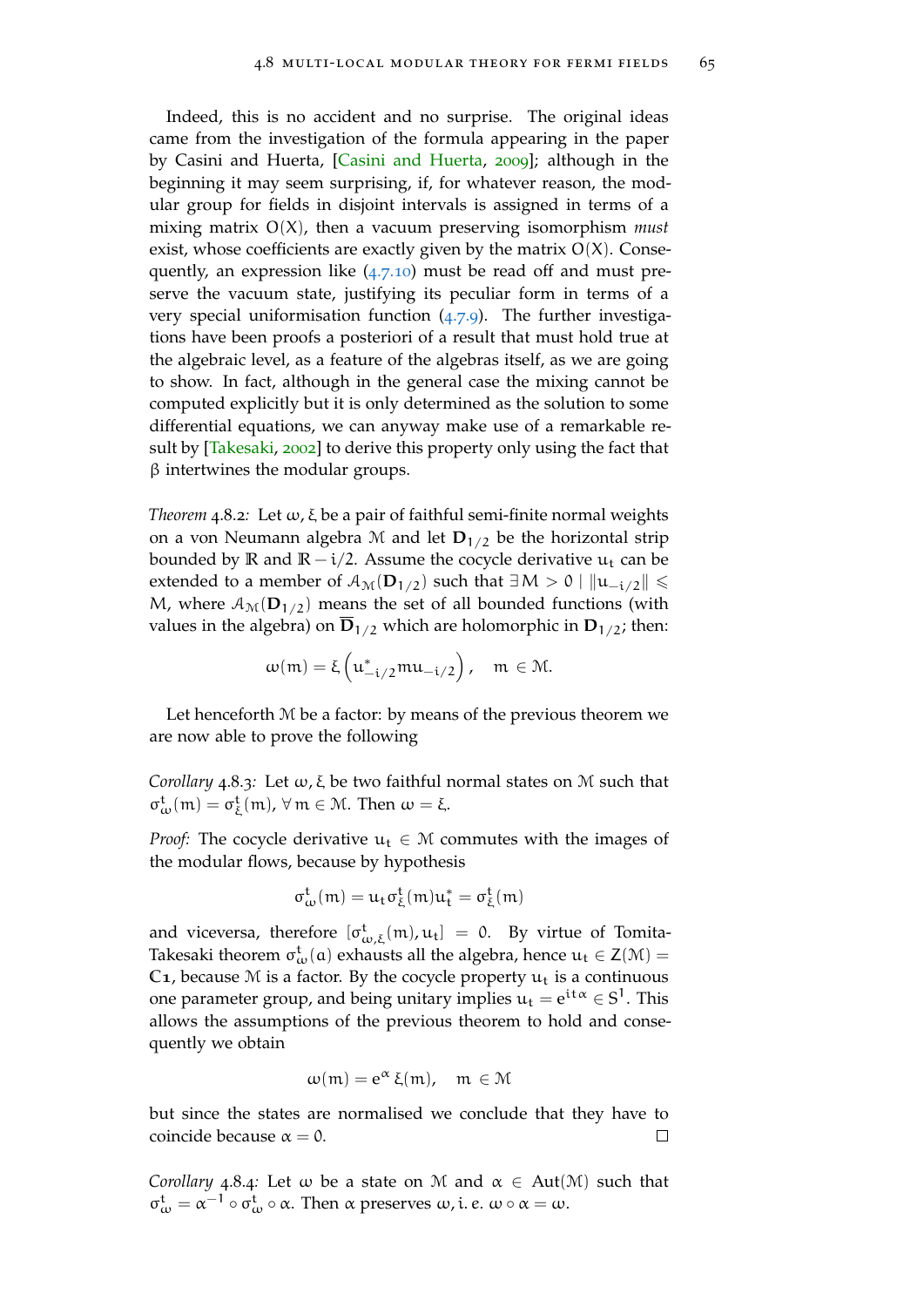Indeed, this is no accident and no surprise. The original ideas came from the investigation of the formula appearing in the paper by Casini and Huerta, [\[Casini and Huerta,](#page-117-1) [2009](#page-117-1)]; although in the beginning it may seem surprising, if, for whatever reason, the modular group for fields in disjoint intervals is assigned in terms of a mixing matrix O(X), then a vacuum preserving isomorphism *must* exist, whose coefficients are exactly given by the matrix  $O(X)$ . Consequently, an expression like (4.7.[10](#page-64-0)) must be read off and must preserve the vacuum state, justifying its peculiar form in terms of a very special uniformisation function ([4](#page-63-0).7.9). The further investigations have been proofs a posteriori of a result that must hold true at the algebraic level, as a feature of the algebras itself, as we are going to show. In fact, although in the general case the mixing cannot be computed explicitly but it is only determined as the solution to some differential equations, we can anyway make use of a remarkable result by [\[Takesaki,](#page-119-0) [2002](#page-119-0)] to derive this property only using the fact that  $β$  intertwines the modular groups.

*Theorem* 4.8.2*:* Let ω, ξ be a pair of faithful semi-finite normal weights on a von Neumann algebra M and let  $D_{1/2}$  be the horizontal strip bounded by **R** and  $\mathbb{R} - i/2$ . Assume the cocycle derivative  $u_t$  can be extended to a member of  $\mathcal{A}_{\mathcal{M}}(\mathbf{D}_{1/2})$  such that  $\exists M > 0 \mid ||\mathbf{u}_{-i/2}||$  ≤ M, where  $A_{\mathcal{M}}(\mathbf{D}_{1/2})$  means the set of all bounded functions (with values in the algebra) on  $\overline{D}_{1/2}$  which are holomorphic in  $D_{1/2}$ ; then:

$$
\omega(\mathfrak{m})=\xi\left(u^*_{-i/2}\mathfrak{m} u_{-i/2}\right),\quad \mathfrak{m}\,\in \mathfrak{M}.
$$

Let henceforth M be a factor: by means of the previous theorem we are now able to prove the following

<span id="page-76-0"></span>*Corollary* 4.8.3*:* Let ω, ξ be two faithful normal states on M such that  $σ<sup>t</sup><sub>ω</sub>(m) = σ<sup>t</sup><sub>ξ</sub>(m)$ , ∀m ∈ M. Then  $ω = ξ$ .

*Proof:* The cocycle derivative  $u_t \in M$  commutes with the images of the modular flows, because by hypothesis

$$
\sigma_\omega^t(\mathfrak{m})=\mathfrak{u}_t\sigma_\xi^t(\mathfrak{m})\mathfrak{u}_t^*=\sigma_\xi^t(\mathfrak{m})
$$

and viceversa, therefore  $[\sigma_{\omega,\xi}^{\rm t}(m),u_{\rm t}] = 0$ . By virtue of Tomita-Takesaki theorem  $\sigma_{\omega}^{\rm t}(\mathfrak{a})$  exhausts all the algebra, hence  $\mathfrak{u}_{\rm t}\in\mathsf{Z}(\mathfrak{M})=$  $\mathbb{C}_1$ , because M is a factor. By the cocycle property  $u_t$  is a continuous one parameter group, and being unitary implies  $\mathfrak{u}_{\mathsf{t}} = \mathrm{e}^{\mathrm{i} \mathsf{t} \mathsf{\alpha}} \in \mathrm{S}^1.$  This allows the assumptions of the previous theorem to hold and consequently we obtain

$$
\omega(\mathfrak{m})=e^{\alpha}\,\xi(\mathfrak{m}),\quad \mathfrak{m}\,\in \mathfrak{M}
$$

but since the states are normalised we conclude that they have to coincide because  $\alpha = 0$ .  $\Box$ 

*Corollary* 4.8.4*:* Let  $\omega$  be a state on M and  $\alpha \in Aut(M)$  such that  $\sigma_{\omega}^{\rm t} = \alpha^{-1} \circ \sigma_{\omega}^{\rm t} \circ \alpha$ . Then α preserves  $\omega$ , i. e.  $\omega \circ \alpha = \omega$ .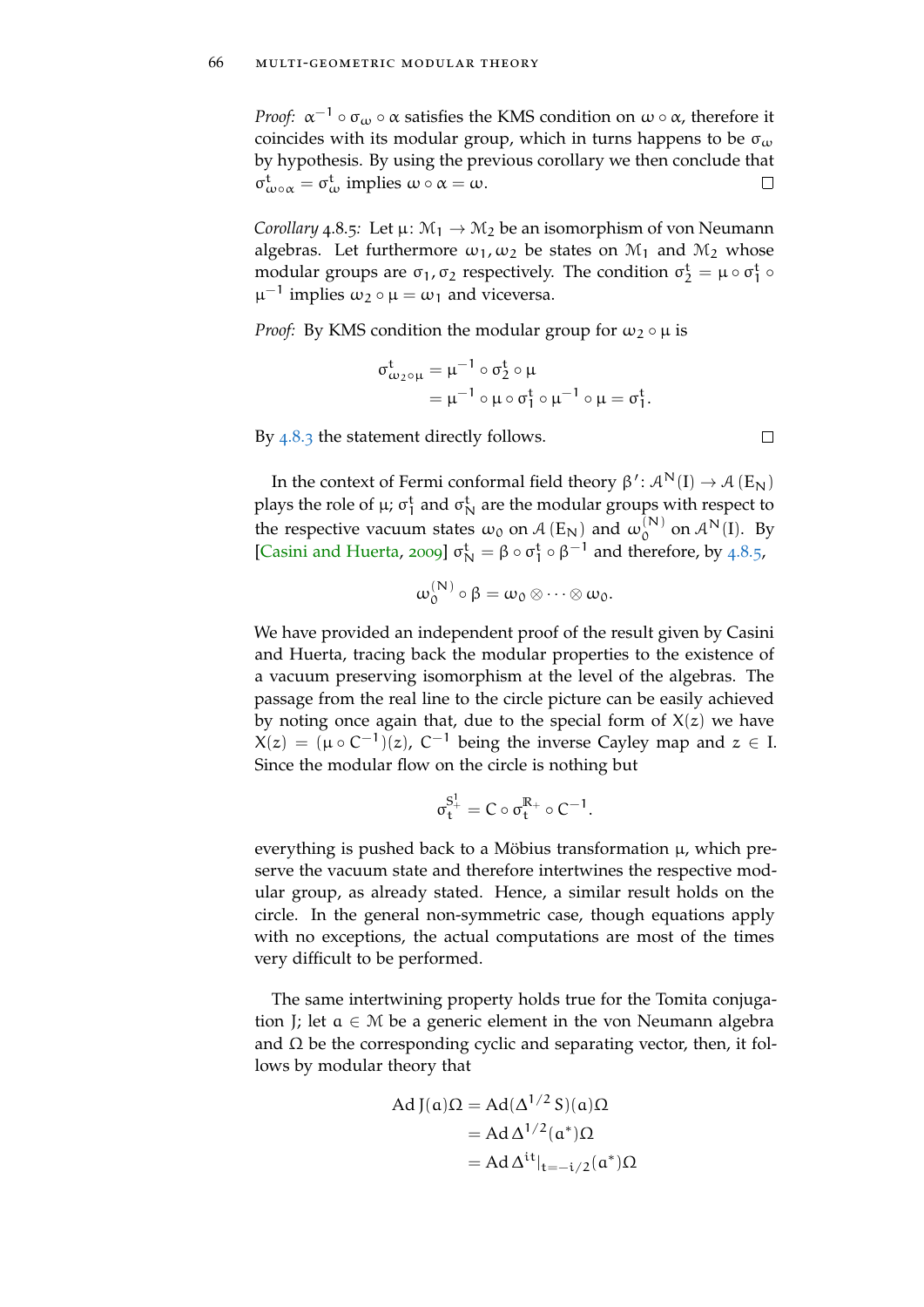## 66 multi-geometric modular theory

*Proof:*  $\alpha^{-1} \circ \sigma_\omega \circ \alpha$  satisfies the KMS condition on  $\omega \circ \alpha$ , therefore it coincides with its modular group, which in turns happens to be  $\sigma_{\omega}$ by hypothesis. By using the previous corollary we then conclude that  $\sigma_{\omega \circ \alpha}^{\mathsf{t}} = \sigma_{\omega}^{\mathsf{t}}$  implies  $\omega \circ \alpha = \omega$ .  $\Box$ 

<span id="page-77-0"></span>*Corollary* 4.8.5*:* Let  $\mu$ :  $\mathcal{M}_1 \rightarrow \mathcal{M}_2$  be an isomorphism of von Neumann algebras. Let furthermore  $\omega_1, \omega_2$  be states on  $\mathcal{M}_1$  and  $\mathcal{M}_2$  whose modular groups are  $\sigma_1$ ,  $\sigma_2$  respectively. The condition  $\sigma_2^t = \mu \circ \sigma_1^t \circ$  $\mu^{-1}$  implies  $\omega_2 \circ \mu = \omega_1$  and viceversa.

*Proof:* By KMS condition the modular group for  $\omega_2 \circ \mu$  is

$$
\begin{aligned} \sigma_{\omega_2 \circ \mu}^t &= \mu^{-1} \circ \sigma_2^t \circ \mu \\ &= \mu^{-1} \circ \mu \circ \sigma_1^t \circ \mu^{-1} \circ \mu = \sigma_1^t. \end{aligned}
$$

By [4](#page-76-0).8.3 the statement directly follows.

In the context of Fermi conformal field theory  $\beta' : A^N(I) \to A(E_N)$ plays the role of  $\mu$ ;  $\sigma_1^t$  and  $\sigma_N^t$  are the modular groups with respect to the respective vacuum states  $\omega_0$  on  $\mathcal{A}(\mathbb{E}_N)$  and  $\omega_0^{(N)}$  $_0^{(N)}$  on  $\mathcal{A}^N(I)$ . By [\[Casini and Huerta,](#page-117-1) [2009](#page-117-1)]  $\sigma_N^t = \beta \circ \sigma_1^t \circ \beta^{-1}$  and therefore, by [4](#page-77-0).8.5,

$$
\omega_0^{(N)} \circ \beta = \omega_0 \otimes \cdots \otimes \omega_0.
$$

We have provided an independent proof of the result given by Casini and Huerta, tracing back the modular properties to the existence of a vacuum preserving isomorphism at the level of the algebras. The passage from the real line to the circle picture can be easily achieved by noting once again that, due to the special form of  $X(z)$  we have  $X(z) = (\mu \circ C^{-1})(z)$ ,  $C^{-1}$  being the inverse Cayley map and  $z \in I$ . Since the modular flow on the circle is nothing but

$$
\sigma_t^{S^1_+}=C\circ \sigma_t^{I\!R_+}\circ C^{-1}.
$$

everything is pushed back to a Möbius transformation  $\mu$ , which preserve the vacuum state and therefore intertwines the respective modular group, as already stated. Hence, a similar result holds on the circle. In the general non-symmetric case, though equations apply with no exceptions, the actual computations are most of the times very difficult to be performed.

The same intertwining property holds true for the Tomita conjugation J; let  $a \in \mathcal{M}$  be a generic element in the von Neumann algebra and  $\Omega$  be the corresponding cyclic and separating vector, then, it follows by modular theory that

$$
Ad J(a)\Omega = Ad(\Delta^{1/2} S)(a)\Omega
$$
  
=  $Ad \Delta^{1/2}(a^*)\Omega$   
=  $Ad \Delta^{it}|_{t=-i/2}(a^*)\Omega$ 

 $\Box$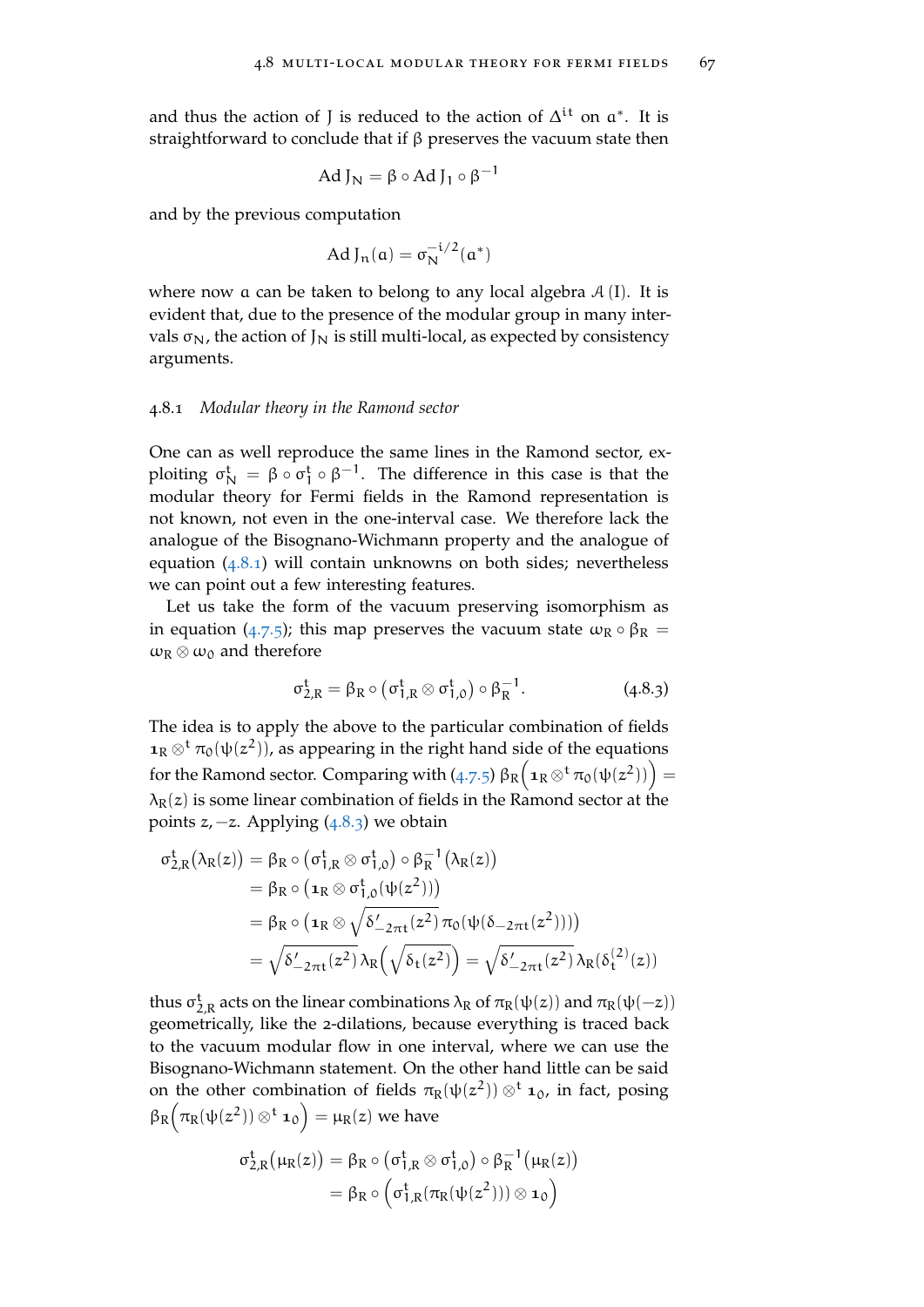and thus the action of J is reduced to the action of  $\Delta$ <sup>it</sup> on  $\mathfrak{a}^*$ . It is straightforward to conclude that if β preserves the vacuum state then

$$
Ad J_N = \beta \circ Ad J_1 \circ \beta^{-1}
$$

and by the previous computation

$$
Ad J_n(a) = \sigma_N^{-i/2}(a^*)
$$

where now a can be taken to belong to any local algebra  $A(I)$ . It is evident that, due to the presence of the modular group in many intervals  $\sigma_N$ , the action of  $J_N$  is still multi-local, as expected by consistency arguments.

## 4.8.1 *Modular theory in the Ramond sector*

One can as well reproduce the same lines in the Ramond sector, exploiting  $\sigma_N^t = \beta \circ \sigma_1^t \circ \beta^{-1}$ . The difference in this case is that the modular theory for Fermi fields in the Ramond representation is not known, not even in the one-interval case. We therefore lack the analogue of the Bisognano-Wichmann property and the analogue of equation ([4](#page-75-1).8.1) will contain unknowns on both sides; nevertheless we can point out a few interesting features.

Let us take the form of the vacuum preserving isomorphism as in equation ([4](#page-63-1).7.5); this map preserves the vacuum state  $\omega_R \circ \beta_R =$  $\omega_R \otimes \omega_0$  and therefore

<span id="page-78-0"></span>
$$
\sigma_{2,R}^{\mathbf{t}} = \beta_R \circ \left( \sigma_{1,R}^{\mathbf{t}} \otimes \sigma_{1,0}^{\mathbf{t}} \right) \circ \beta_R^{-1}.
$$
 (4.8.3)

The idea is to apply the above to the particular combination of fields  $\mathbf{1}_R \otimes^{\mathsf{t}} \pi_0(\psi(z^2))$ , as appearing in the right hand side of the equations for the Ramond sector. Comparing with ([4](#page-63-1).7.5)  $\beta_R\Big(\mathbf{1}_R\!\otimes^t\!\pi_0(\psi(z^2))\Big)=$  $\lambda_{\rm R}(z)$  is some linear combination of fields in the Ramond sector at the points  $z, -z$ . Applying  $(4.8.3)$  $(4.8.3)$  $(4.8.3)$  we obtain

$$
\sigma_{2,R}^{t}(\lambda_{R}(z)) = \beta_{R} \circ (\sigma_{1,R}^{t} \otimes \sigma_{1,0}^{t}) \circ \beta_{R}^{-1}(\lambda_{R}(z))
$$
  
\n
$$
= \beta_{R} \circ (\mathbf{1}_{R} \otimes \sigma_{1,0}^{t}(\psi(z^{2})))
$$
  
\n
$$
= \beta_{R} \circ (\mathbf{1}_{R} \otimes \sqrt{\delta'_{-2\pi t}(z^{2})} \pi_{0}(\psi(\delta_{-2\pi t}(z^{2})))
$$
  
\n
$$
= \sqrt{\delta'_{-2\pi t}(z^{2})} \lambda_{R}(\sqrt{\delta_{t}(z^{2})}) = \sqrt{\delta'_{-2\pi t}(z^{2})} \lambda_{R}(\delta_{t}^{(2)}(z))
$$

thus  $\sigma_{2,R}^t$  acts on the linear combinations  $\lambda_R$  of  $\pi_R(\psi(z))$  and  $\pi_R(\psi(-z))$ geometrically, like the 2-dilations, because everything is traced back to the vacuum modular flow in one interval, where we can use the Bisognano-Wichmann statement. On the other hand little can be said on the other combination of fields  $\pi_R(\psi(z^2)) \otimes^{\mathsf{t}} \mathbf{1}_0$ , in fact, posing  $\beta_R(\pi_R(\psi(z^2)) \otimes^{\mathrm{t}} \mathbf{1}_0) = \mu_R(z)$  we have

$$
\sigma_{2,R}^{\mathsf{t}}(\mu_R(z)) = \beta_R \circ (\sigma_{1,R}^{\mathsf{t}} \otimes \sigma_{1,0}^{\mathsf{t}}) \circ \beta_R^{-1}(\mu_R(z))
$$

$$
= \beta_R \circ (\sigma_{1,R}^{\mathsf{t}}(\pi_R(\psi(z^2))) \otimes \mathbf{1}_0)
$$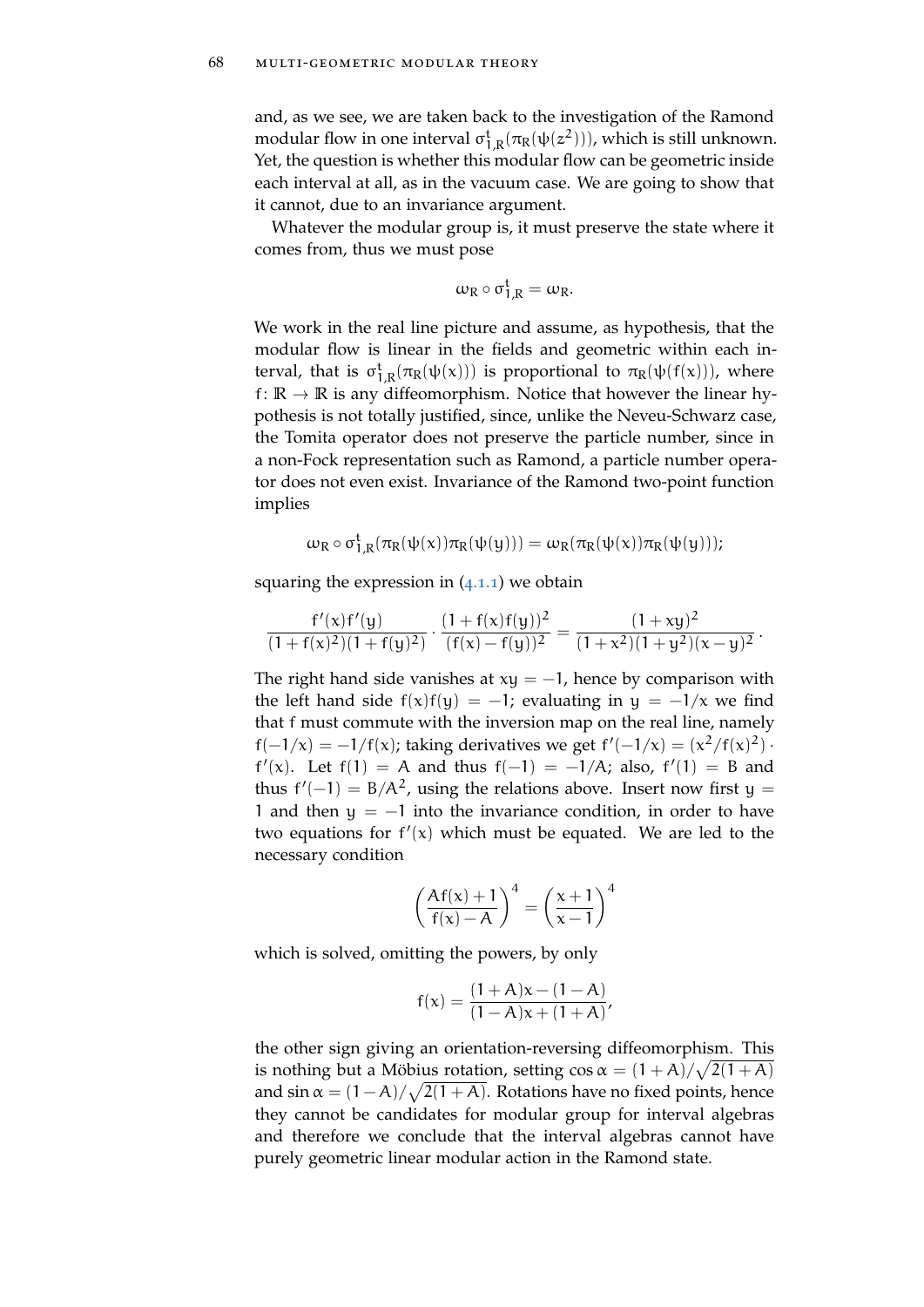and, as we see, we are taken back to the investigation of the Ramond modular flow in one interval  $\sigma_{1,R}^{\mathsf{t}}(\pi_{R}(\psi(z^{2})))$ , which is still unknown. Yet, the question is whether this modular flow can be geometric inside each interval at all, as in the vacuum case. We are going to show that it cannot, due to an invariance argument.

Whatever the modular group is, it must preserve the state where it comes from, thus we must pose

$$
\omega_R\circ\sigma_{1,R}^t=\omega_R.
$$

We work in the real line picture and assume, as hypothesis, that the modular flow is linear in the fields and geometric within each interval, that is  $\sigma_{1,R}^t(\pi_R(\psi(x)))$  is proportional to  $\pi_R(\psi(f(x)))$ , where f:  $\mathbb{R} \to \mathbb{R}$  is any diffeomorphism. Notice that however the linear hypothesis is not totally justified, since, unlike the Neveu-Schwarz case, the Tomita operator does not preserve the particle number, since in a non-Fock representation such as Ramond, a particle number operator does not even exist. Invariance of the Ramond two-point function implies

$$
\omega_R \circ \sigma_{1,R}^t(\pi_R(\psi(x))\pi_R(\psi(y))) = \omega_R(\pi_R(\psi(x))\pi_R(\psi(y))) ;
$$

squaring the expression in  $(4.1.1)$  $(4.1.1)$  $(4.1.1)$  we obtain

$$
\frac{f'(x)f'(y)}{(1+f(x)^2)(1+f(y)^2)} \cdot \frac{(1+f(x)f(y))^2}{(f(x)-f(y))^2} = \frac{(1+xy)^2}{(1+x^2)(1+y^2)(x-y)^2}.
$$

The right hand side vanishes at  $xy = -1$ , hence by comparison with the left hand side  $f(x)f(y) = -1$ ; evaluating in  $y = -1/x$  we find that f must commute with the inversion map on the real line, namely  $f(-1/x) = -1/f(x)$ ; taking derivatives we get  $f'(-1/x) = (x^2/f(x)^2)$ . f'(x). Let  $f(1) = A$  and thus  $f(-1) = -1/A$ ; also,  $f'(1) = B$  and thus  $f'(-1) = B/A^2$ , using the relations above. Insert now first  $y =$ 1 and then  $y = -1$  into the invariance condition, in order to have two equations for  $f'(x)$  which must be equated. We are led to the necessary condition

$$
\left(\frac{Af(x)+1}{f(x)-A}\right)^4 = \left(\frac{x+1}{x-1}\right)^4
$$

which is solved, omitting the powers, by only

$$
f(x) = \frac{(1+A)x - (1-A)}{(1-A)x + (1+A)}
$$

the other sign giving an orientation-reversing diffeomorphism. This is nothing but a Möbius rotation, setting  $\cos \alpha = (1 + A)/\sqrt{2(1 + A)}$ and sin  $\alpha = (1 - A)/\sqrt{2(1 + A)}$ . Rotations have no fixed points, hence they cannot be candidates for modular group for interval algebras and therefore we conclude that the interval algebras cannot have purely geometric linear modular action in the Ramond state.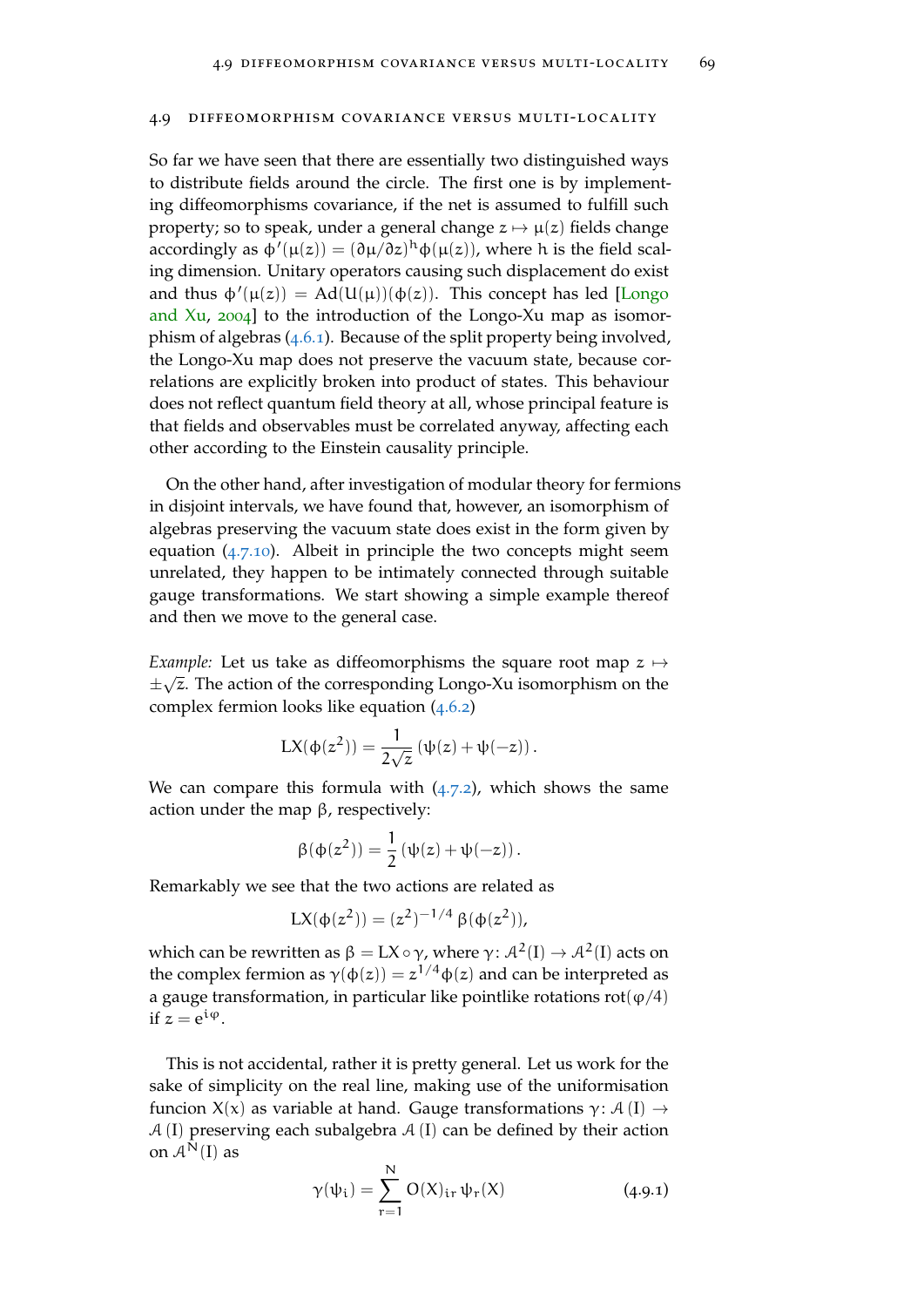#### 4.9 diffeomorphism covariance versus multi-locality

So far we have seen that there are essentially two distinguished ways to distribute fields around the circle. The first one is by implementing diffeomorphisms covariance, if the net is assumed to fulfill such property; so to speak, under a general change  $z \mapsto \mu(z)$  fields change accordingly as  $\phi'(\mu(z)) = (\partial \mu/\partial z)^h \phi(\mu(z))$ , where h is the field scaling dimension. Unitary operators causing such displacement do exist and thus  $\phi'(\mu(z)) = \text{Ad}(\mathsf{U}(\mu))(\phi(z))$ . This concept has led [\[Longo](#page-118-1) [and Xu,](#page-118-1) [2004](#page-118-1)] to the introduction of the Longo-Xu map as isomorphism of algebras ([4](#page-55-0).6.1). Because of the split property being involved, the Longo-Xu map does not preserve the vacuum state, because correlations are explicitly broken into product of states. This behaviour does not reflect quantum field theory at all, whose principal feature is that fields and observables must be correlated anyway, affecting each other according to the Einstein causality principle.

On the other hand, after investigation of modular theory for fermions in disjoint intervals, we have found that, however, an isomorphism of algebras preserving the vacuum state does exist in the form given by equation (4.7.[10](#page-64-0)). Albeit in principle the two concepts might seem unrelated, they happen to be intimately connected through suitable gauge transformations. We start showing a simple example thereof and then we move to the general case.

*Example:* Let us take as diffeomorphisms the square root map  $z \mapsto$  $\pm \sqrt{z}.$  The action of the corresponding Longo-Xu isomorphism on the complex fermion looks like equation ([4](#page-56-0).6.2)

$$
LX(\varphi(z^2)) = \frac{1}{2\sqrt{z}} \left( \psi(z) + \psi(-z) \right).
$$

We can compare this formula with  $(4.7.2)$  $(4.7.2)$  $(4.7.2)$ , which shows the same action under the map β, respectively:

$$
\beta(\phi(z^2)) = \frac{1}{2} \left( \psi(z) + \psi(-z) \right).
$$

Remarkably we see that the two actions are related as

$$
LX(\phi(z^2)) = (z^2)^{-1/4} \beta(\phi(z^2)),
$$

which can be rewritten as  $\beta = LX \circ \gamma$ , where  $\gamma \colon {\mathcal A}^2(\mathrm{I}) \to {\mathcal A}^2(\mathrm{I})$  acts on the complex fermion as  $\gamma(\phi(z)) = z^{1/4} \phi(z)$  and can be interpreted as a gauge transformation, in particular like pointlike rotations  $rot(\varphi/4)$ if  $z = e^{i\varphi}$ .

This is not accidental, rather it is pretty general. Let us work for the sake of simplicity on the real line, making use of the uniformisation funcion  $X(x)$  as variable at hand. Gauge transformations  $\gamma: \mathcal{A}(\mathbf{I}) \to$  $A$  (I) preserving each subalgebra  $A$  (I) can be defined by their action on  $\mathcal{A}^N(I)$  as

<span id="page-80-0"></span>
$$
\gamma(\psi_{i}) = \sum_{r=1}^{N} O(X)_{ir} \psi_{r}(X)
$$
 (4.9.1)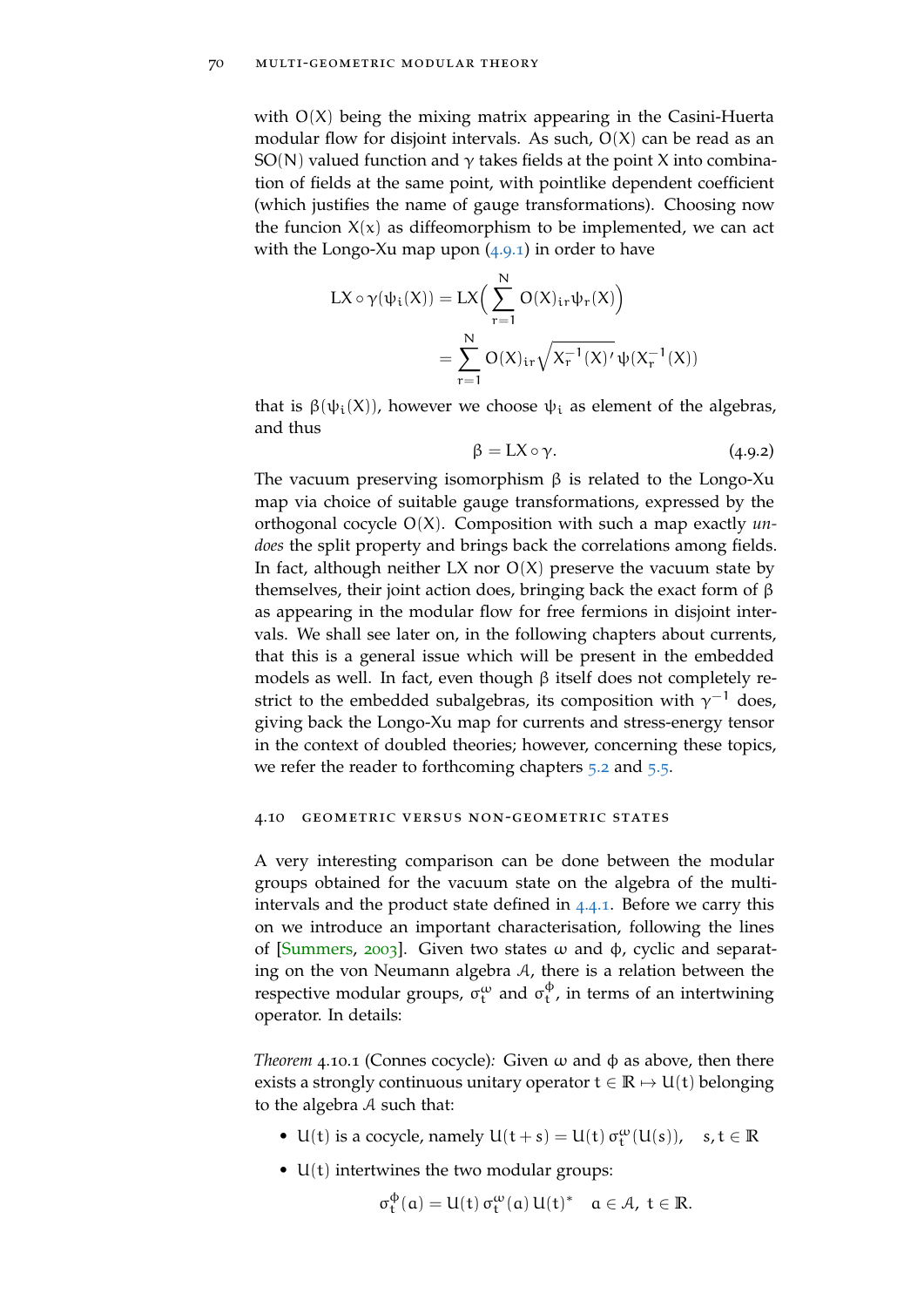#### 70 multi-geometric modular theory

with  $O(X)$  being the mixing matrix appearing in the Casini-Huerta modular flow for disjoint intervals. As such,  $O(X)$  can be read as an SO(N) valued function and  $\gamma$  takes fields at the point X into combination of fields at the same point, with pointlike dependent coefficient (which justifies the name of gauge transformations). Choosing now the funcion  $X(x)$  as diffeomorphism to be implemented, we can act with the Longo-Xu map upon  $(4.9.1)$  $(4.9.1)$  $(4.9.1)$  in order to have

$$
LX \circ \gamma(\psi_i(X)) = LX \Big( \sum_{r=1}^{N} O(X)_{ir} \psi_r(X) \Big)
$$
  
= 
$$
\sum_{r=1}^{N} O(X)_{ir} \sqrt{X_r^{-1}(X)'} \psi(X_r^{-1}(X))
$$

that is  $\beta(\psi_i(X))$ , however we choose  $\psi_i$  as element of the algebras, and thus

$$
\beta = LX \circ \gamma. \tag{4.9.2}
$$

The vacuum preserving isomorphism  $\beta$  is related to the Longo-Xu map via choice of suitable gauge transformations, expressed by the orthogonal cocycle O(X). Composition with such a map exactly *undoes* the split property and brings back the correlations among fields. In fact, although neither LX nor  $O(X)$  preserve the vacuum state by themselves, their joint action does, bringing back the exact form of  $\beta$ as appearing in the modular flow for free fermions in disjoint intervals. We shall see later on, in the following chapters about currents, that this is a general issue which will be present in the embedded models as well. In fact, even though  $\beta$  itself does not completely restrict to the embedded subalgebras, its composition with  $\gamma^{-1}$  does, giving back the Longo-Xu map for currents and stress-energy tensor in the context of doubled theories; however, concerning these topics, we refer the reader to forthcoming chapters [5](#page-98-0).2 and 5.5.

## 4.10 geometric versus non-geometric states

A very interesting comparison can be done between the modular groups obtained for the vacuum state on the algebra of the multiintervals and the product state defined in [4](#page-49-0).4.1. Before we carry this on we introduce an important characterisation, following the lines of [\[Summers,](#page-119-1) [2003](#page-119-1)]. Given two states  $ω$  and  $φ$ , cyclic and separating on the von Neumann algebra A, there is a relation between the respective modular groups,  $\sigma_t^{\omega}$  and  $\sigma_t^{\phi}$  $\mathbf{t}^{\phi}$ , in terms of an intertwining operator. In details:

*Theorem* 4.10.1 (Connes cocycle)*:* Given ω and φ as above, then there exists a strongly continuous unitary operator  $t \in \mathbb{R} \mapsto U(t)$  belonging to the algebra A such that:

- U(t) is a cocycle, namely  $U(t + s) = U(t) \sigma_t^{\omega}(U(s))$ ,  $s, t \in \mathbb{R}$
- $\bullet$  U(t) intertwines the two modular groups:

$$
\sigma_t^\varphi(\mathfrak{a})=U(t)\,\sigma_t^\omega(\mathfrak{a})\,U(t)^*\quad \mathfrak{a}\in\mathcal{A},\;t\in\mathbb{R}.
$$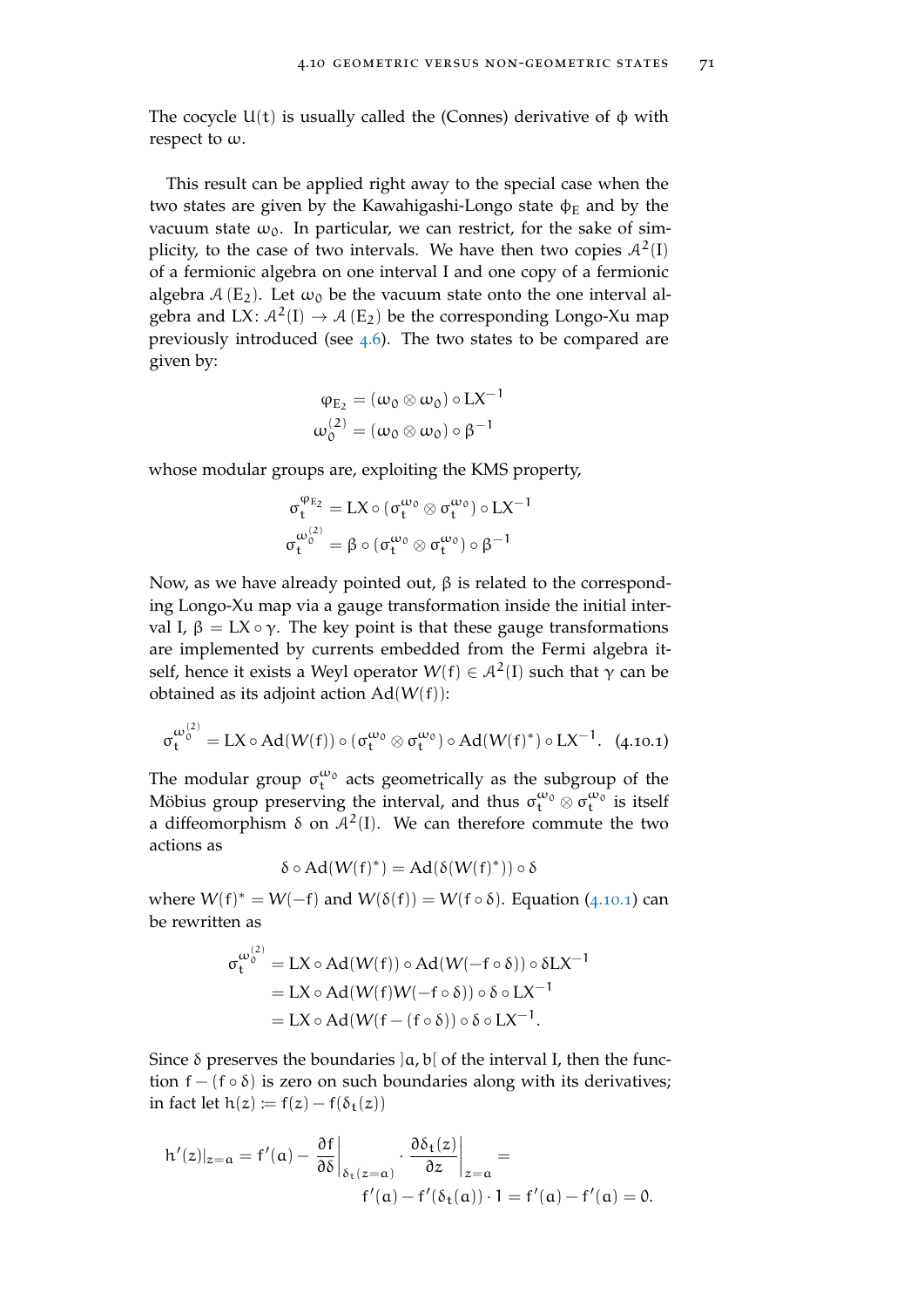The cocycle  $U(t)$  is usually called the (Connes) derivative of  $\phi$  with respect to  $\omega$ .

This result can be applied right away to the special case when the two states are given by the Kawahigashi-Longo state  $\phi_E$  and by the vacuum state  $\omega_0$ . In particular, we can restrict, for the sake of simplicity, to the case of two intervals. We have then two copies  $\mathcal{A}^2(I)$ of a fermionic algebra on one interval I and one copy of a fermionic algebra  $A(E_2)$ . Let  $\omega_0$  be the vacuum state onto the one interval algebra and LX:  $\mathcal{A}^2(I) \to \mathcal{A} (E_2)$  be the corresponding Longo-Xu map previously introduced (see [4](#page-54-0).6). The two states to be compared are given by:

$$
\varphi_{E_2} = (\omega_0 \otimes \omega_0) \circ LX^{-1}
$$

$$
\omega_0^{(2)} = (\omega_0 \otimes \omega_0) \circ \beta^{-1}
$$

whose modular groups are, exploiting the KMS property,

$$
\begin{aligned} \sigma_t^{\phi_{E_2}} &= LX \circ (\sigma_t^{\omega_0} \otimes \sigma_t^{\omega_0}) \circ LX^{-1} \\ \sigma_t^{\omega_0^{(2)}} &= \beta \circ (\sigma_t^{\omega_0} \otimes \sigma_t^{\omega_0}) \circ \beta^{-1} \end{aligned}
$$

Now, as we have already pointed out, β is related to the corresponding Longo-Xu map via a gauge transformation inside the initial interval I,  $β = LX ∘ γ$ . The key point is that these gauge transformations are implemented by currents embedded from the Fermi algebra itself, hence it exists a Weyl operator  $W(f) \in \mathcal{A}^2(I)$  such that  $\gamma$  can be obtained as its adjoint action  $Ad(W(f))$ :

<span id="page-82-0"></span>
$$
\sigma_t^{\omega_0^{(2)}} = LX \circ Ad(W(f)) \circ (\sigma_t^{\omega_0} \otimes \sigma_t^{\omega_0}) \circ Ad(W(f)^*) \circ LX^{-1}.
$$
 (4.10.1)

The modular group  $\sigma_t^{\omega_0}$  acts geometrically as the subgroup of the Möbius group preserving the interval, and thus  $\sigma_t^{\omega_0} \otimes \sigma_t^{\omega_0}$  is itself a diffeomorphism  $\delta$  on  $\mathcal{A}^2(I)$ . We can therefore commute the two actions as

$$
\delta\circ Ad(W(f)^*)=Ad(\delta(W(f)^*))\circ\delta
$$

where  $W(f)^* = W(-f)$  and  $W(\delta(f)) = W(f \circ \delta)$ . Equation (4.[10](#page-82-0).1) can be rewritten as

$$
\sigma_{t}^{\omega_{0}^{(\alpha)}} = LX \circ Ad(W(f)) \circ Ad(W(-f \circ \delta)) \circ \delta LX^{-1}
$$
  
= LX \circ Ad(W(f)W(-f \circ \delta)) \circ \delta \circ LX^{-1}  
= LX \circ Ad(W(f - (f \circ \delta)) \circ \delta \circ LX^{-1}.

 $(2)$ 

Since  $\delta$  preserves the boundaries  $]a, b[$  of the interval I, then the function f – (f ∘  $\delta$ ) is zero on such boundaries along with its derivatives; in fact let  $h(z) := f(z) - f(\delta_t(z))$ 

$$
h'(z)|_{z=a} = f'(a) - \frac{\partial f}{\partial \delta} \Big|_{\delta_{\mathfrak{t}}(z=a)} \cdot \frac{\partial \delta_{\mathfrak{t}}(z)}{\partial z} \Big|_{z=a} =
$$
  

$$
f'(a) - f'(\delta_{\mathfrak{t}}(a)) \cdot 1 = f'(a) - f'(a) = 0.
$$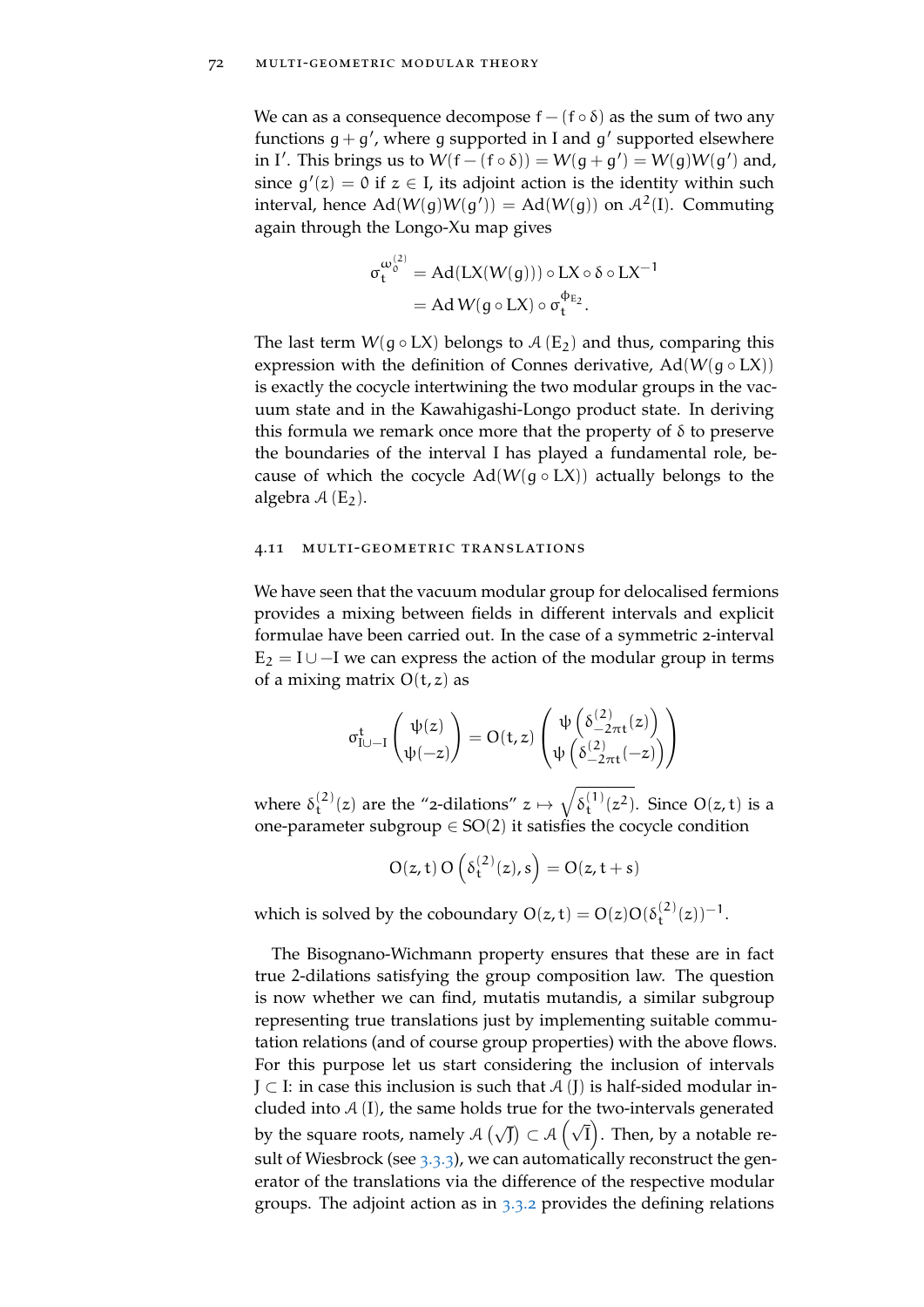#### 72 multi-geometric modular theory

We can as a consequence decompose  $f - (f \circ \delta)$  as the sum of two any functions  $g + g'$ , where g supported in I and g' supported elsewhere in I'. This brings us to  $W(f - (f \circ \delta)) = W(g + g') = W(g)W(g')$  and, since  $g'(z) = 0$  if  $z \in I$ , its adjoint action is the identity within such interval, hence  $Ad(W(g)W(g')) = Ad(W(g))$  on  $\mathcal{A}^2(I)$ . Commuting again through the Longo-Xu map gives

$$
\sigma_t^{\omega_0^{(2)}} = \mathrm{Ad}(\mathrm{LX}(W(g))) \circ \mathrm{LX} \circ \delta \circ \mathrm{LX}^{-1}
$$

$$
= \mathrm{Ad} \, W(g \circ \mathrm{LX}) \circ \sigma_t^{\Phi_{E_2}}.
$$

The last term  $W(q \circ LX)$  belongs to  $A(E_2)$  and thus, comparing this expression with the definition of Connes derivative,  $Ad(W(q \circ LX))$ is exactly the cocycle intertwining the two modular groups in the vacuum state and in the Kawahigashi-Longo product state. In deriving this formula we remark once more that the property of  $\delta$  to preserve the boundaries of the interval I has played a fundamental role, because of which the cocycle  $Ad(W(g \circ LX))$  actually belongs to the algebra  $A(E_2)$ .

## 4.11 multi-geometric translations

We have seen that the vacuum modular group for delocalised fermions provides a mixing between fields in different intervals and explicit formulae have been carried out. In the case of a symmetric 2-interval  $E_2 = I \cup -I$  we can express the action of the modular group in terms of a mixing matrix  $O(t, z)$  as

$$
\sigma_{I \cup -I}^t \begin{pmatrix} \psi(z) \\ \psi(-z) \end{pmatrix} = O(t,z) \begin{pmatrix} \psi \left( \delta_{-2 \pi t}^{(2)}(z) \right) \\ \psi \left( \delta_{-2 \pi t}^{(2)}(-z) \right) \end{pmatrix}
$$

where  $\delta_{\rm t}^{(2)}$  $\mathfrak{t}^{(2)}(z)$  are the "2-dilations"  $z \mapsto \sqrt{\delta_t^{(1)}}$  $t^{(1)}(z^2)$ . Since O(z, t) is a one-parameter subgroup  $\in SO(2)$  it satisfies the cocycle condition

$$
O(z,t)\,O\left(\delta_t^{(2)}(z),s\right)=O(z,t+s)
$$

which is solved by the coboundary  $O(z, t) = O(z)O(\delta_t^{(2)})$  $\binom{2}{t}(z)^{-1}.$ 

The Bisognano-Wichmann property ensures that these are in fact true 2-dilations satisfying the group composition law. The question is now whether we can find, mutatis mutandis, a similar subgroup representing true translations just by implementing suitable commutation relations (and of course group properties) with the above flows. For this purpose let us start considering the inclusion of intervals  $J \subset I$ : in case this inclusion is such that  $A(J)$  is half-sided modular included into  $A(I)$ , the same holds true for the two-intervals generated by the square roots, namely  $A(\sqrt{J}) \subset A(\sqrt{I})$ . Then, by a notable result of Wiesbrock (see  $3.3.3$  $3.3.3$ ), we can automatically reconstruct the generator of the translations via the difference of the respective modular groups. The adjoint action as in [3](#page-37-1).3.2 provides the defining relations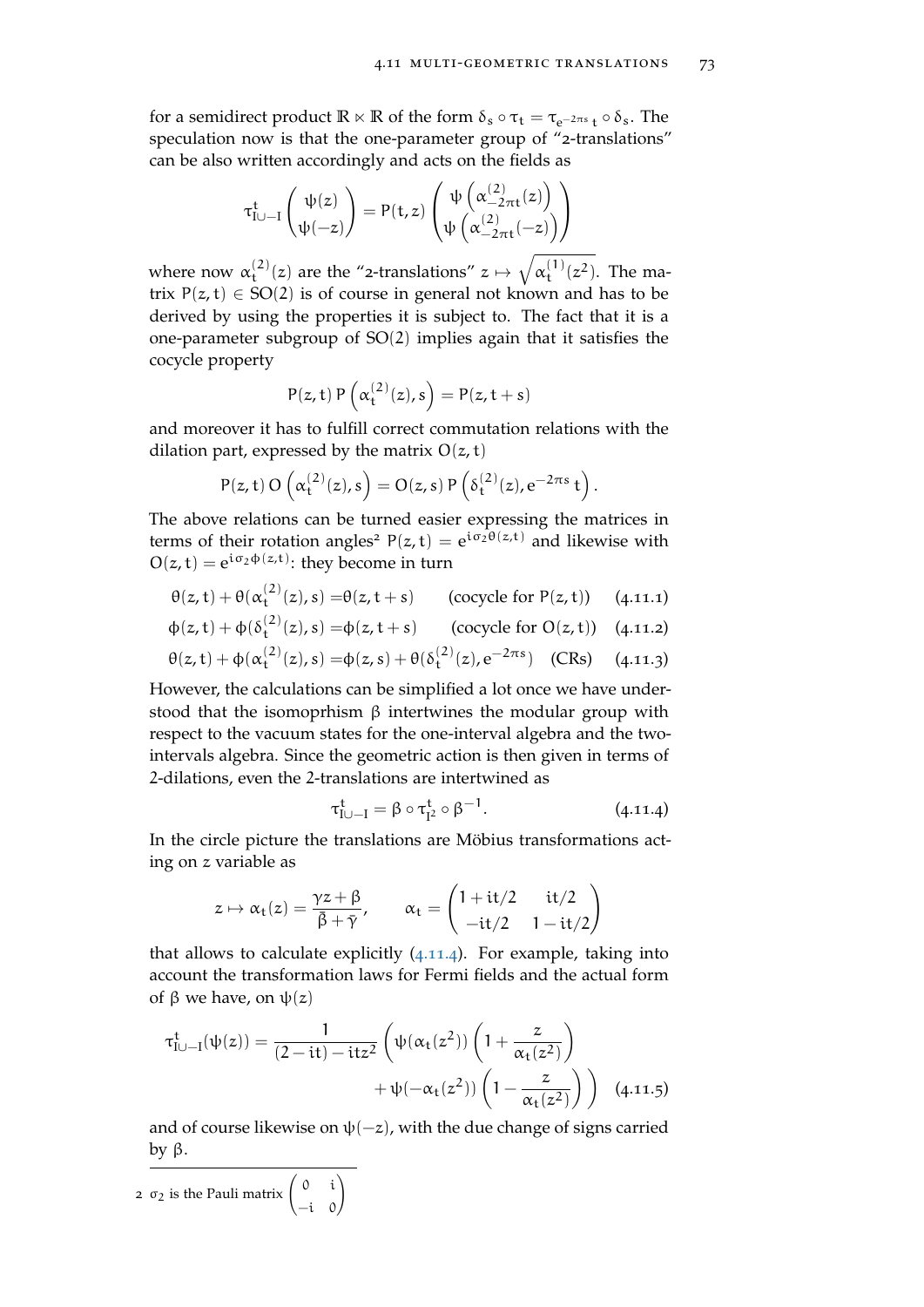for a semidirect product  $\mathbb{R} \ltimes \mathbb{R}$  of the form  $\delta_s \circ \tau_t = \tau_{e^{-2\pi s} t} \circ \delta_s$ . The speculation now is that the one-parameter group of "2-translations" can be also written accordingly and acts on the fields as

$$
\tau^t_{I\cup-I}\begin{pmatrix}\psi(z)\\ \psi(-z)\end{pmatrix}=P(t,z)\begin{pmatrix}\psi\left(\alpha_{-2\pi t}^{(2)}(z)\right)\\\psi\left(\alpha_{-2\pi t}^{(2)}(-z)\right)\end{pmatrix}
$$

where now  $\alpha_t^{(2)}$  $\chi_t^{(2)}(z)$  are the "2-translations"  $z \mapsto \sqrt{\alpha_t^{(1)}}$  $t^{(1)}(z^2)$ . The matrix  $P(z, t) \in SO(2)$  is of course in general not known and has to be derived by using the properties it is subject to. The fact that it is a one-parameter subgroup of SO(2) implies again that it satisfies the cocycle property

$$
P(z, t) P\left(\alpha_t^{(2)}(z), s\right) = P(z, t+s)
$$

and moreover it has to fulfill correct commutation relations with the dilation part, expressed by the matrix  $O(z, t)$ 

$$
P(z,t)\,O\left(\alpha_t^{(2)}(z),s\right)=O(z,s)\,P\left(\delta_t^{(2)}(z),e^{-2\pi s}\,t\right).
$$

The above relations can be turned easier expressing the matrices in terms of their rotation angles<sup>2</sup>  $P(z, t) = e^{i\sigma_2 \theta(z, t)}$  and likewise with  $O(z, t) = e^{i \sigma_2 \phi(z, t)}$ : they become in turn

$$
\theta(z, t) + \theta(\alpha_t^{(2)}(z), s) = \theta(z, t + s)
$$
 (cocycle for P(z, t)) (4.11.1)

$$
\phi(z, t) + \phi(\delta_t^{(2)}(z), s) = \phi(z, t + s) \qquad \text{(cocycle for } O(z, t)) \quad (4.11.2)
$$

$$
\theta(z,t) + \phi(\alpha_t^{(2)}(z),s) = \phi(z,s) + \theta(\delta_t^{(2)}(z),e^{-2\pi s})
$$
 (CRs) (4.11.3)

However, the calculations can be simplified a lot once we have understood that the isomoprhism  $\beta$  intertwines the modular group with respect to the vacuum states for the one-interval algebra and the twointervals algebra. Since the geometric action is then given in terms of 2-dilations, even the 2-translations are intertwined as

<span id="page-84-0"></span>
$$
\tau_{I \cup -I}^t = \beta \circ \tau_{I^2}^t \circ \beta^{-1}.
$$
 (4.11.4)

In the circle picture the translations are Möbius transformations acting on z variable as

$$
z \mapsto \alpha_{t}(z) = \frac{\gamma z + \beta}{\bar{\beta} + \bar{\gamma}}, \qquad \alpha_{t} = \begin{pmatrix} 1 + it/2 & it/2 \\ -it/2 & 1 - it/2 \end{pmatrix}
$$

that allows to calculate explicitly  $(4.11.4)$  $(4.11.4)$  $(4.11.4)$ . For example, taking into account the transformation laws for Fermi fields and the actual form of β we have, on  $ψ(z)$ 

$$
\tau_{\text{I}\cup\text{-I}}^{\text{t}}(\psi(z)) = \frac{1}{(2-\text{it}) - \text{it}z^2} \left( \psi(\alpha_{\text{t}}(z^2)) \left( 1 + \frac{z}{\alpha_{\text{t}}(z^2)} \right) + \psi(-\alpha_{\text{t}}(z^2)) \left( 1 - \frac{z}{\alpha_{\text{t}}(z^2)} \right) \right) \tag{4.11.5}
$$

and of course likewise on  $\psi(-z)$ , with the due change of signs carried by β.

2  $\sigma_2$  is the Pauli matrix  $\begin{pmatrix} 0 & i \\ -i & 0 \end{pmatrix}$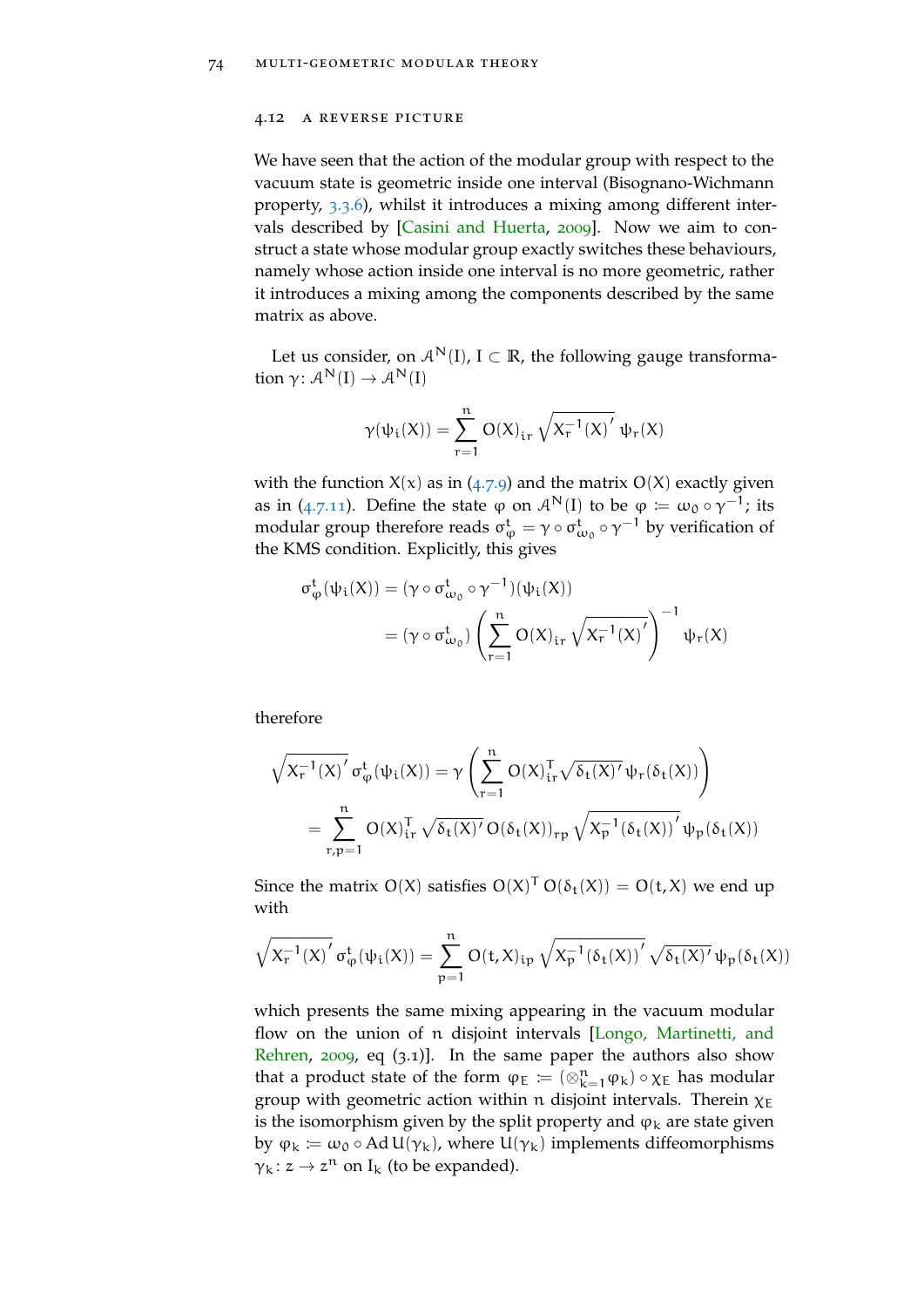#### 4.12 a reverse picture

We have seen that the action of the modular group with respect to the vacuum state is geometric inside one interval (Bisognano-Wichmann property, [3](#page-35-0).3.6), whilst it introduces a mixing among different intervals described by [\[Casini and Huerta,](#page-117-1) [2009](#page-117-1)]. Now we aim to construct a state whose modular group exactly switches these behaviours, namely whose action inside one interval is no more geometric, rather it introduces a mixing among the components described by the same matrix as above.

Let us consider, on  $A^N(I)$ ,  $I \subset \mathbb{R}$ , the following gauge transformation  $\gamma: \mathcal{A}^N(I) \to \mathcal{A}^N(I)$ 

$$
\gamma(\psi_i(X))=\sum_{r=1}^n\left.O(X)_{i\,r}\,\sqrt{X_r^{-1}(X)}'\,\psi_r(X)\right.
$$

with the function  $X(x)$  as in ([4](#page-63-0).7.9) and the matrix  $O(X)$  exactly given as in (4.7.[11](#page-64-1)). Define the state  $\varphi$  on  ${\cal A}^N(I)$  to be  $\varphi := \omega_0 \circ \gamma^{-1}$ ; its modular group therefore reads  $\sigma_{\phi}^t = \gamma \circ \sigma_{\omega_0}^t \circ \gamma^{-1}$  by verification of the KMS condition. Explicitly, this gives

$$
\begin{aligned} \sigma_{\phi}^t(\psi_i(X)) &= (\gamma \circ \sigma_{\omega_0}^t \circ \gamma^{-1})(\psi_i(X)) \\ &= (\gamma \circ \sigma_{\omega_0}^t) \left( \sum_{r=1}^n O(X)_{ir} \sqrt{X_r^{-1}(X)}' \right)^{-1} \psi_r(X) \end{aligned}
$$

therefore

$$
\begin{aligned} \sqrt{{X}^{-1}_r(X)}'\,\sigma^t_\phi(\psi_t(X))&=\gamma\left(\sum_{r=1}^nO(X)^T_{ir}\sqrt{\delta_t(X)'}\,\psi_r(\delta_t(X))\right)\\ &=\sum_{r,p=1}^nO(X)^T_{ir}\,\sqrt{\delta_t(X)'}\,O(\delta_t(X))_{rp}\,\sqrt{{X}^{-1}_p(\delta_t(X))'}\,\psi_p(\delta_t(X)) \end{aligned}
$$

Since the matrix  $O(X)$  satisfies  $O(X)^{T} O(\delta_t(X)) = O(t, X)$  we end up with

$$
\sqrt{X_\Gamma^{-1}(X)}'\,\sigma_\phi^t(\psi_t(X))=\sum_{p=1}^n\,O(t,X)_{\text{ip}}\,\sqrt{X_p^{-1}(\delta_t(X))'}\,\sqrt{\delta_t(X)'}\,\psi_p(\delta_t(X))
$$

which presents the same mixing appearing in the vacuum modular flow on the union of n disjoint intervals [\[Longo, Martinetti, and](#page-118-0) [Rehren,](#page-118-0) [2009](#page-118-0), eq (3.1)]. In the same paper the authors also show that a product state of the form  $\varphi_E := (\otimes_{k=1}^n \varphi_k) \circ \chi_E$  has modular group with geometric action within n disjoint intervals. Therein  $\chi_E$ is the isomorphism given by the split property and  $\varphi_k$  are state given by  $\varphi_k := \omega_0 \circ \text{Ad }U(\gamma_k)$ , where  $U(\gamma_k)$  implements diffeomorphisms  $\gamma_k: z \to z^n$  on I<sub>k</sub> (to be expanded).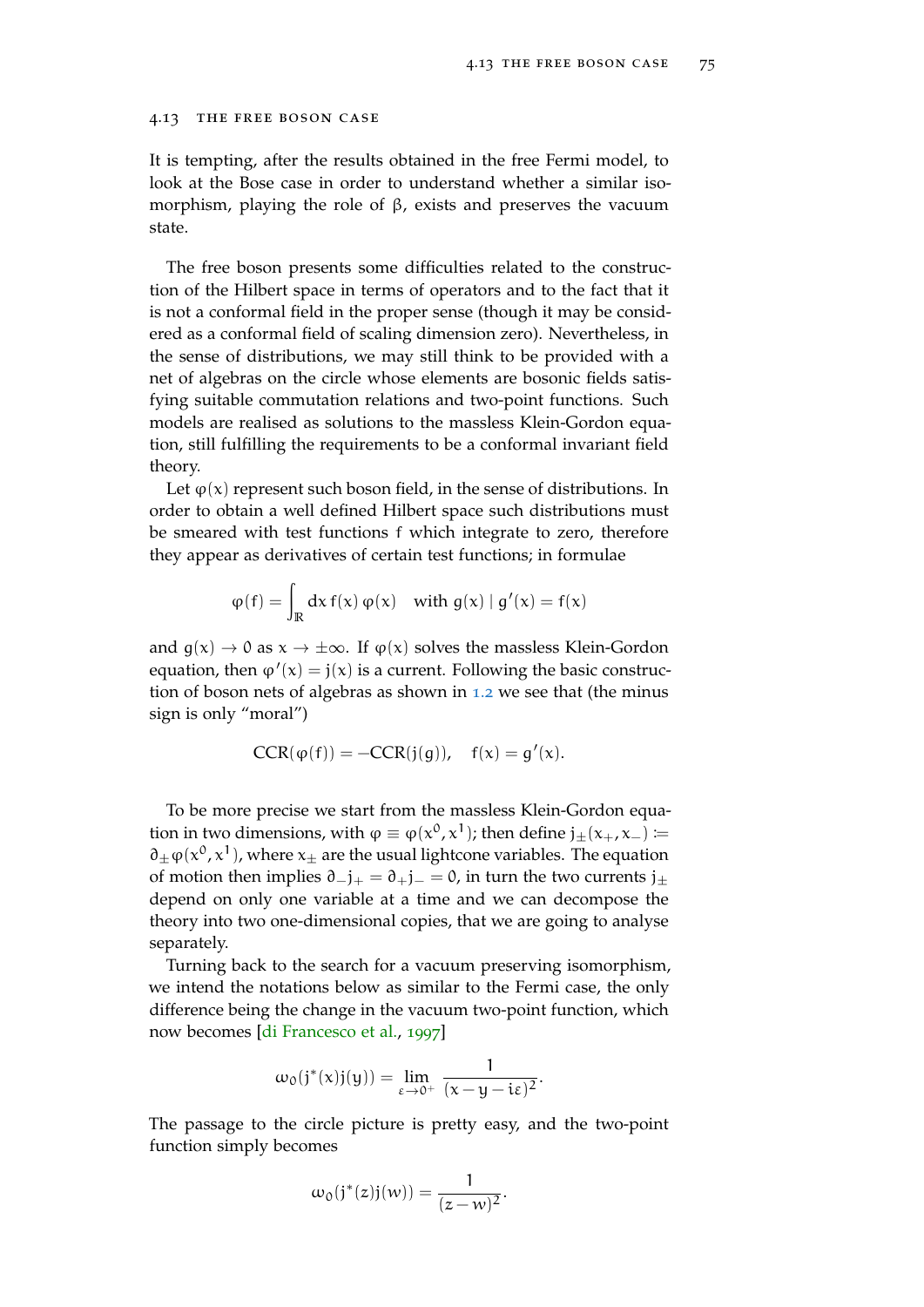## 4.13 the free boson case

It is tempting, after the results obtained in the free Fermi model, to look at the Bose case in order to understand whether a similar isomorphism, playing the role of β, exists and preserves the vacuum state.

The free boson presents some difficulties related to the construction of the Hilbert space in terms of operators and to the fact that it is not a conformal field in the proper sense (though it may be considered as a conformal field of scaling dimension zero). Nevertheless, in the sense of distributions, we may still think to be provided with a net of algebras on the circle whose elements are bosonic fields satisfying suitable commutation relations and two-point functions. Such models are realised as solutions to the massless Klein-Gordon equation, still fulfilling the requirements to be a conformal invariant field theory.

Let  $\varphi(x)$  represent such boson field, in the sense of distributions. In order to obtain a well defined Hilbert space such distributions must be smeared with test functions f which integrate to zero, therefore they appear as derivatives of certain test functions; in formulae

$$
\phi(f) = \int_{\mathbb{R}} dx f(x) \, \phi(x) \quad \text{with } g(x) \mid g'(x) = f(x)
$$

and  $q(x) \to 0$  as  $x \to \pm \infty$ . If  $\varphi(x)$  solves the massless Klein-Gordon equation, then  $\varphi'(x) = j(x)$  is a current. Following the basic construction of boson nets of algebras as shown in [1](#page-15-0).2 we see that (the minus sign is only "moral")

$$
CCR(\varphi(f)) = -CCR(j(g)), \quad f(x) = g'(x).
$$

To be more precise we start from the massless Klein-Gordon equation in two dimensions, with  $\varphi \equiv \varphi(x^0, x^1)$ ; then define j $_{\pm}$ (x<sub>+</sub>,x<sub>-</sub>) :=  $\partial_{\pm} \varphi(x^0, x^1)$ , where  $x_{\pm}$  are the usual lightcone variables. The equation of motion then implies  $\partial_{-}j_{+} = \partial_{+}j_{-} = 0$ , in turn the two currents  $j_{+}$ depend on only one variable at a time and we can decompose the theory into two one-dimensional copies, that we are going to analyse separately.

Turning back to the search for a vacuum preserving isomorphism, we intend the notations below as similar to the Fermi case, the only difference being the change in the vacuum two-point function, which now becomes [\[di Francesco et al.,](#page-117-2) [1997](#page-117-2)]

$$
\omega_0(j^*(x)j(y))=\lim_{\epsilon\to 0^+}\frac{1}{(x-y-i\epsilon)^2}.
$$

The passage to the circle picture is pretty easy, and the two-point function simply becomes

$$
\omega_0(j^*(z)j(w))=\frac{1}{(z-w)^2}.
$$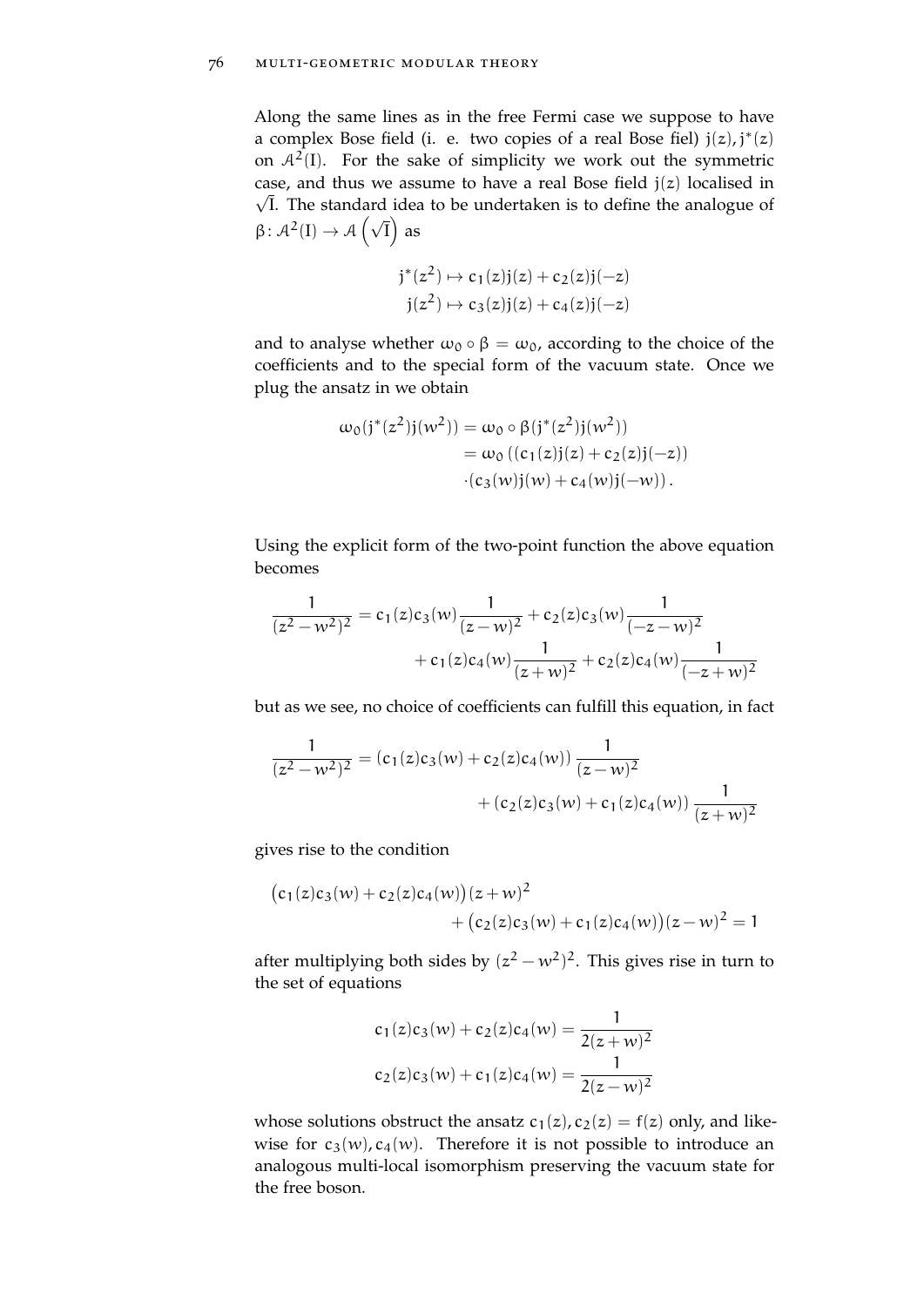## 76 multi-geometric modular theory

Along the same lines as in the free Fermi case we suppose to have a complex Bose field (i. e. two copies of a real Bose fiel)  $j(z)$ ,  $j^*(z)$ on  $A^2(I)$ . For the sake of simplicity we work out the symmetric case, and thus we assume to have a real Bose field  $j(z)$  localised in  $\sqrt{I}$ . The standard idea to be undertaken is to define the analogue of  $β: A<sup>2</sup>(I) \rightarrow A(\sqrt{I})$  as

$$
j^{*}(z^{2}) \mapsto c_{1}(z)j(z) + c_{2}(z)j(-z) \nj(z^{2}) \mapsto c_{3}(z)j(z) + c_{4}(z)j(-z)
$$

and to analyse whether  $\omega_0 \circ \beta = \omega_0$ , according to the choice of the coefficients and to the special form of the vacuum state. Once we plug the ansatz in we obtain

$$
\omega_0(j^*(z^2)j(w^2)) = \omega_0 \circ \beta(j^*(z^2)j(w^2))
$$
  
=  $\omega_0 ((c_1(z)j(z) + c_2(z)j(-z))$   
· $(c_3(w)j(w) + c_4(w)j(-w))$ .

Using the explicit form of the two-point function the above equation becomes

$$
\frac{1}{(z^2 - w^2)^2} = c_1(z)c_3(w)\frac{1}{(z - w)^2} + c_2(z)c_3(w)\frac{1}{(-z - w)^2} + c_1(z)c_4(w)\frac{1}{(z + w)^2} + c_2(z)c_4(w)\frac{1}{(-z + w)^2}
$$

but as we see, no choice of coefficients can fulfill this equation, in fact

$$
\frac{1}{(z^2 - w^2)^2} = (c_1(z)c_3(w) + c_2(z)c_4(w)) \frac{1}{(z - w)^2} + (c_2(z)c_3(w) + c_1(z)c_4(w)) \frac{1}{(z + w)^2}
$$

gives rise to the condition

$$
(c_1(z)c_3(w) + c_2(z)c_4(w))(z+w)^2
$$
  
+ 
$$
(c_2(z)c_3(w) + c_1(z)c_4(w))(z-w)^2 = 1
$$

after multiplying both sides by  $(z^2 - w^2)^2$ . This gives rise in turn to the set of equations

$$
c_1(z)c_3(w) + c_2(z)c_4(w) = \frac{1}{2(z+w)^2}
$$

$$
c_2(z)c_3(w) + c_1(z)c_4(w) = \frac{1}{2(z-w)^2}
$$

whose solutions obstruct the ansatz  $c_1(z)$ ,  $c_2(z) = f(z)$  only, and likewise for  $c_3(w)$ ,  $c_4(w)$ . Therefore it is not possible to introduce an analogous multi-local isomorphism preserving the vacuum state for the free boson.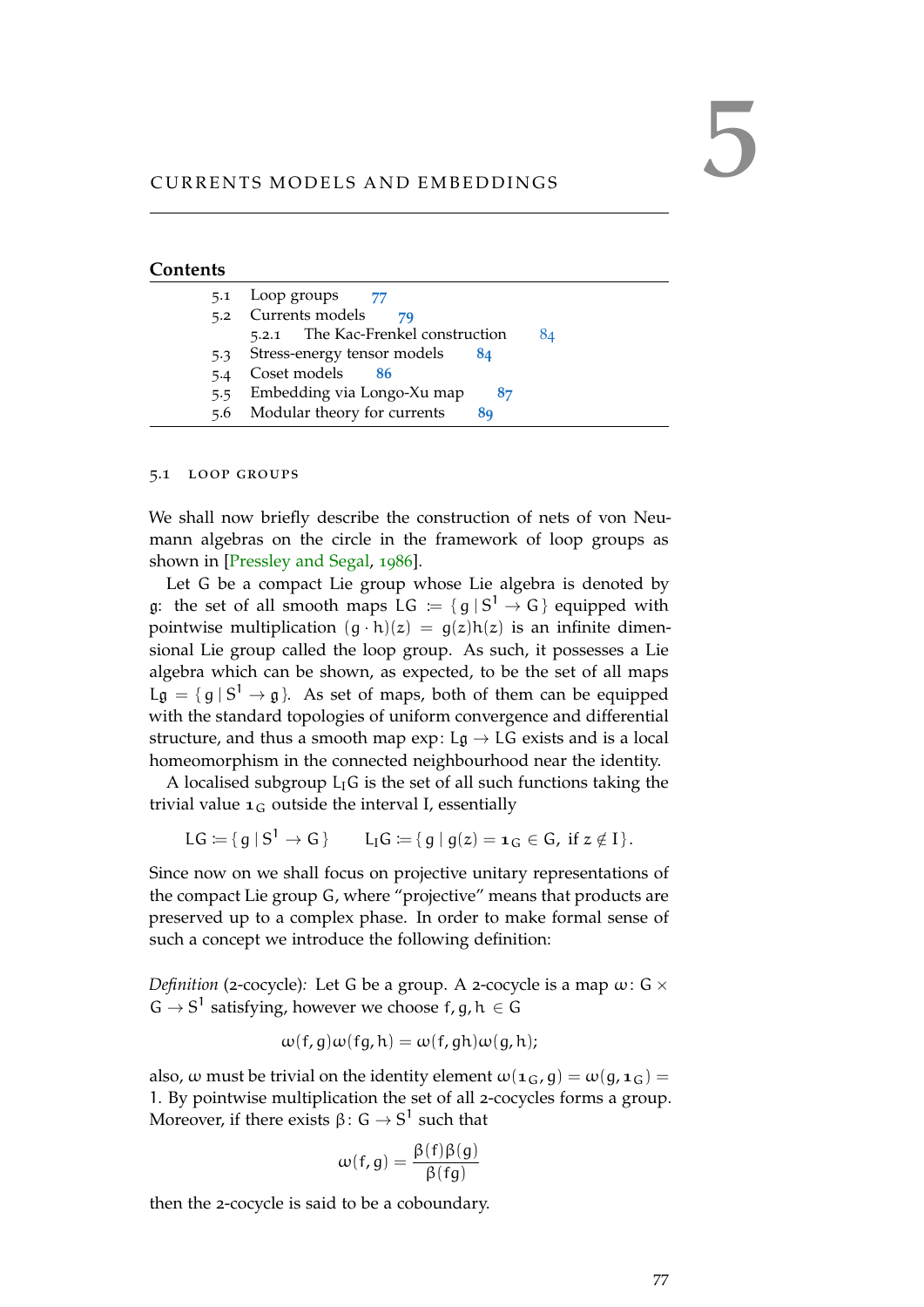## **Contents**

| 5.1 | Loop groups<br>- 77                      |
|-----|------------------------------------------|
| 5.2 | Currents models<br>79                    |
|     | 5.2.1 The Kac-Frenkel construction<br>84 |
|     | 5.3 Stress-energy tensor models<br>84    |
| 5.4 | Coset models<br>86                       |
| 5.5 | Embedding via Longo-Xu map<br>87         |
| 5.6 | Modular theory for currents<br>89        |

<span id="page-88-0"></span>5.1 loop groups

We shall now briefly describe the construction of nets of von Neumann algebras on the circle in the framework of loop groups as shown in [\[Pressley and Segal,](#page-118-2) [1986](#page-118-2)].

Let G be a compact Lie group whose Lie algebra is denoted by g: the set of all smooth maps  $LG := \{ g \mid S^1 \to G \}$  equipped with pointwise multiplication  $(g \cdot h)(z) = g(z)h(z)$  is an infinite dimensional Lie group called the loop group. As such, it possesses a Lie algebra which can be shown, as expected, to be the set of all maps  $L\mathfrak{g} = \{ g | S^1 \rightarrow \mathfrak{g} \}.$  As set of maps, both of them can be equipped with the standard topologies of uniform convergence and differential structure, and thus a smooth map  $exp: Lg \rightarrow LG$  exists and is a local homeomorphism in the connected neighbourhood near the identity.

A localised subgroup  $L_1G$  is the set of all such functions taking the trivial value  $\mathbf{1}_G$  outside the interval I, essentially

 $LG := \{ g \mid S^1 \to G \}$   $L_IG := \{ g \mid g(z) = \mathbf{1}_G \in G, \text{ if } z \notin I \}.$ 

Since now on we shall focus on projective unitary representations of the compact Lie group G, where "projective" means that products are preserved up to a complex phase. In order to make formal sense of such a concept we introduce the following definition:

*Definition* (2-cocycle): Let G be a group. A 2-cocycle is a map ω: G ×  $G \rightarrow S^1$  satisfying, however we choose f, g,  $h \in G$ 

$$
\omega(f,g)\omega(fg,h)=\omega(f,gh)\omega(g,h);
$$

also,  $\omega$  must be trivial on the identity element  $\omega(\mathbf{1}_{G}, g) = \omega(g, \mathbf{1}_{G}) =$ 1. By pointwise multiplication the set of all 2-cocycles forms a group. Moreover, if there exists  $\beta\colon G\to S^1$  such that

$$
\omega(f,g)=\frac{\beta(f)\beta(g)}{\beta(fg)}
$$

then the 2-cocycle is said to be a coboundary.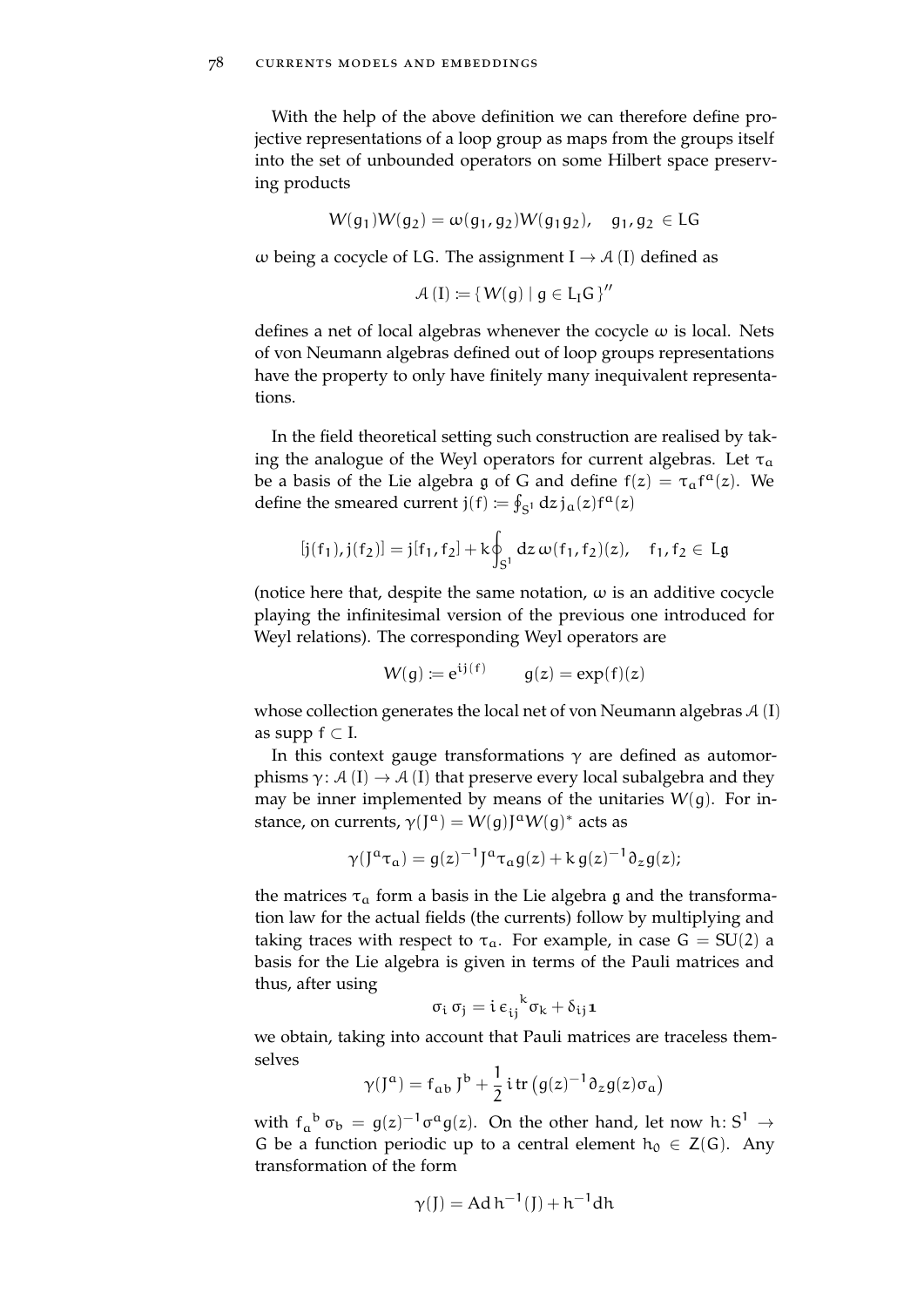With the help of the above definition we can therefore define projective representations of a loop group as maps from the groups itself into the set of unbounded operators on some Hilbert space preserving products

$$
W(g_1)W(g_2) = \omega(g_1, g_2)W(g_1g_2), \quad g_1, g_2 \in LG
$$

 $ω$  being a cocycle of LG. The assignment I  $→$  A (I) defined as

$$
\mathcal{A}\left(I\right)\coloneqq\left\{ \left.W(g\right)\mid g\in L_{I}G\right\} ^{\prime\prime}
$$

defines a net of local algebras whenever the cocycle  $\omega$  is local. Nets of von Neumann algebras defined out of loop groups representations have the property to only have finitely many inequivalent representations.

In the field theoretical setting such construction are realised by taking the analogue of the Weyl operators for current algebras. Let  $\tau_a$ be a basis of the Lie algebra g of G and define  $f(z) = \tau_a f^a(z)$ . We define the smeared current  $j(f) := \oint_{S^1} dz j_\alpha(z) f^\alpha(z)$ 

$$
[j(f_1),j(f_2)]=j[f_1,f_2]+k\oint_{S^1}dz\,\omega(f_1,f_2)(z),\quad f_1,f_2\in L\mathfrak{g}
$$

(notice here that, despite the same notation,  $\omega$  is an additive cocycle playing the infinitesimal version of the previous one introduced for Weyl relations). The corresponding Weyl operators are

$$
W(g) \coloneqq e^{ij(f)} \qquad g(z) = \exp(f)(z)
$$

whose collection generates the local net of von Neumann algebras  $A(I)$ as supp  $f \subset I$ .

In this context gauge transformations  $\gamma$  are defined as automorphisms  $\gamma$ :  $\mathcal{A}$  (I)  $\rightarrow$   $\mathcal{A}$  (I) that preserve every local subalgebra and they may be inner implemented by means of the unitaries  $W(q)$ . For instance, on currents,  $\gamma(J^{\mathfrak{a}}) = W(g)J^{\mathfrak{a}}W(g)^{*}$  acts as

$$
\gamma(J^{\alpha}\tau_{\alpha})=g(z)^{-1}J^{\alpha}\tau_{\alpha}g(z)+k\,g(z)^{-1}\partial_{z}g(z);
$$

the matrices  $\tau_a$  form a basis in the Lie algebra g and the transformation law for the actual fields (the currents) follow by multiplying and taking traces with respect to  $\tau_a$ . For example, in case  $G = SU(2)$  a basis for the Lie algebra is given in terms of the Pauli matrices and thus, after using

$$
\sigma_i\,\sigma_j = i\,\varepsilon_{ij}^{\phantom{ij}k}\sigma_k + \delta_{ij}\hskip.03cm\textbf{\textit{i}}
$$

we obtain, taking into account that Pauli matrices are traceless themselves

$$
\gamma(J^{\mathfrak{a}}) = f_{\mathfrak{a}\mathfrak{b}} J^{\mathfrak{b}} + \frac{1}{2} \mathfrak{i} \operatorname{tr} (g(z)^{-1} \partial_z g(z) \sigma_{\mathfrak{a}})
$$

with  $f_a^b \sigma_b = g(z)^{-1} \sigma^a g(z)$ . On the other hand, let now h:  $S^1 \rightarrow$ G be a function periodic up to a central element  $h_0 \in Z(G)$ . Any transformation of the form

$$
\gamma(J) = Ad h^{-1}(J) + h^{-1}dh
$$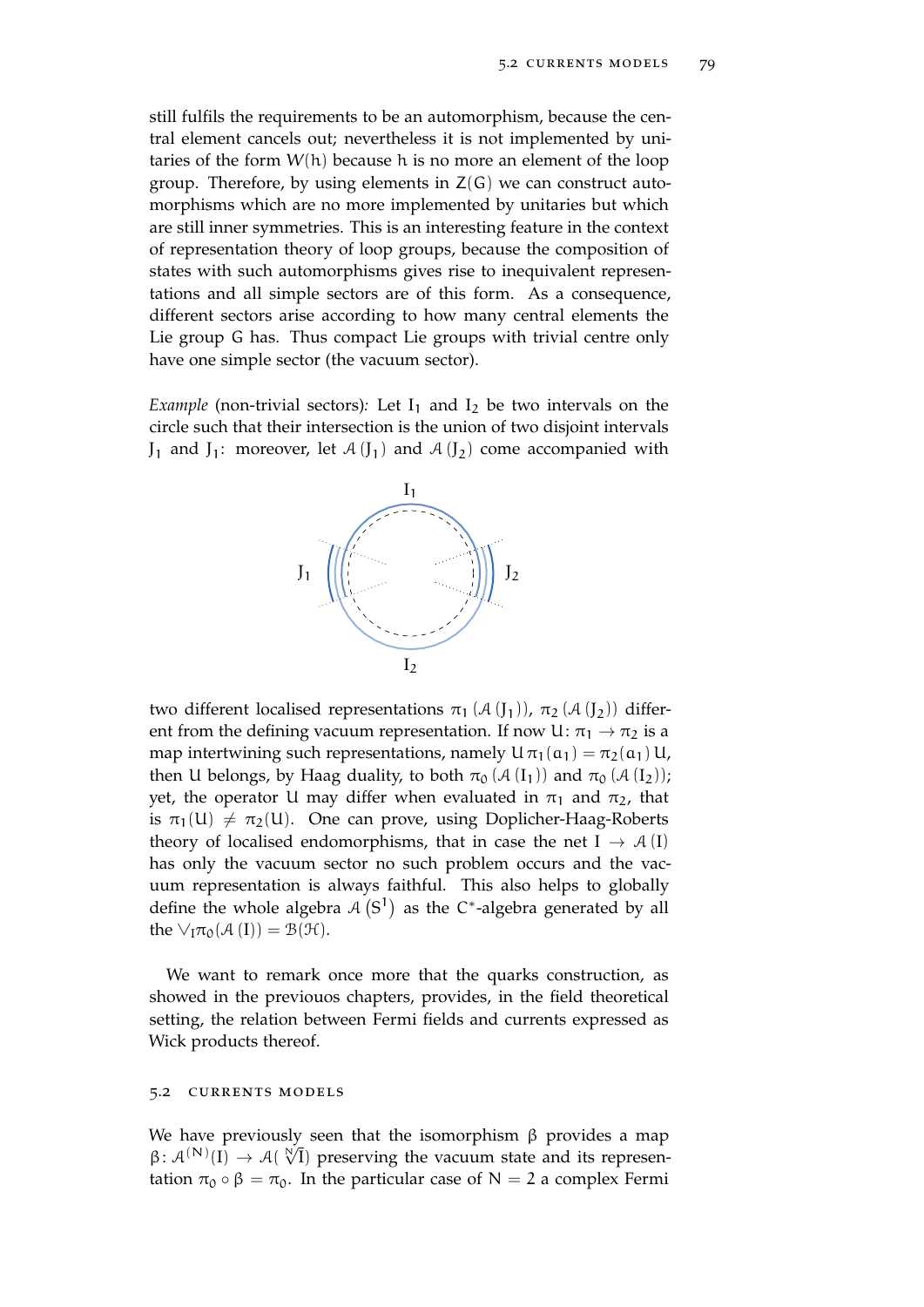still fulfils the requirements to be an automorphism, because the central element cancels out; nevertheless it is not implemented by unitaries of the form  $W(h)$  because h is no more an element of the loop group. Therefore, by using elements in  $Z(G)$  we can construct automorphisms which are no more implemented by unitaries but which are still inner symmetries. This is an interesting feature in the context of representation theory of loop groups, because the composition of states with such automorphisms gives rise to inequivalent representations and all simple sectors are of this form. As a consequence, different sectors arise according to how many central elements the Lie group G has. Thus compact Lie groups with trivial centre only have one simple sector (the vacuum sector).

*Example* (non-trivial sectors): Let  $I_1$  and  $I_2$  be two intervals on the circle such that their intersection is the union of two disjoint intervals  $J_1$  and  $J_1$ : moreover, let  $\mathcal{A}(J_1)$  and  $\mathcal{A}(J_2)$  come accompanied with



two different localised representations  $\pi_1$  (A  $(J_1)$ ),  $\pi_2$  (A  $(J_2)$ ) different from the defining vacuum representation. If now  $U: \pi_1 \rightarrow \pi_2$  is a map intertwining such representations, namely  $U \pi_1(\mathfrak{a}_1) = \pi_2(\mathfrak{a}_1) U$ , then U belongs, by Haag duality, to both  $\pi_0$  (A (I<sub>1</sub>)) and  $\pi_0$  (A (I<sub>2</sub>)); yet, the operator U may differ when evaluated in  $\pi_1$  and  $\pi_2$ , that is  $\pi_1(U) \neq \pi_2(U)$ . One can prove, using Doplicher-Haag-Roberts theory of localised endomorphisms, that in case the net I  $\rightarrow$  A(I) has only the vacuum sector no such problem occurs and the vacuum representation is always faithful. This also helps to globally define the whole algebra  $A(S^1)$  as the C<sup>\*</sup>-algebra generated by all the  $\vee_I \pi_0(\mathcal{A} (I)) = \mathcal{B}(\mathcal{H}).$ 

We want to remark once more that the quarks construction, as showed in the previouos chapters, provides, in the field theoretical setting, the relation between Fermi fields and currents expressed as Wick products thereof.

## <span id="page-90-0"></span>5.2 currents models

We have previously seen that the isomorphism  $\beta$  provides a map We have previously seen that the isomorphism p provides a map  $\beta: \mathcal{A}^{(N)}(I) \to \mathcal{A}(\sqrt[N]{I})$  preserving the vacuum state and its representation  $\pi_0 \circ \beta = \pi_0$ . In the particular case of N = 2 a complex Fermi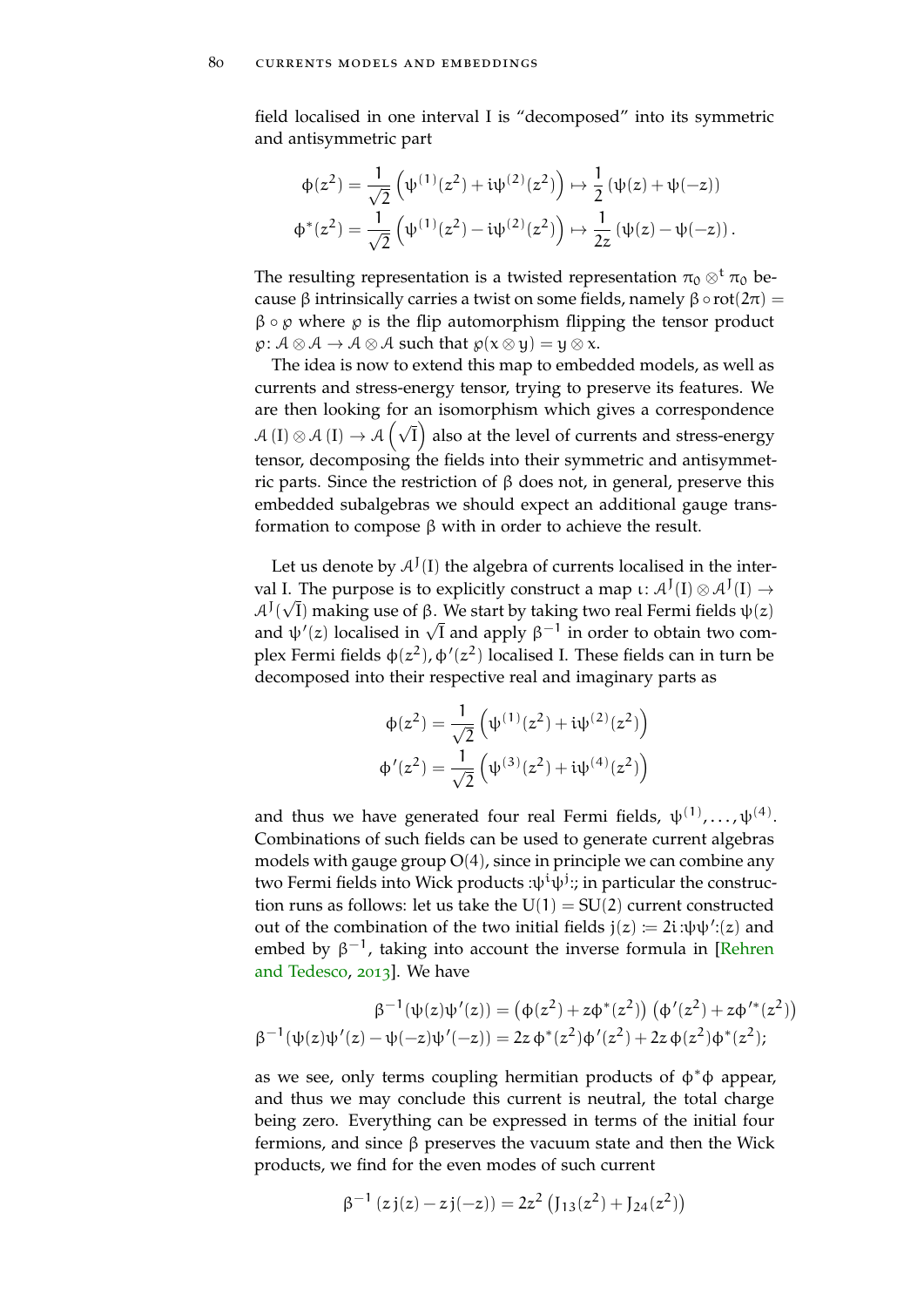field localised in one interval I is "decomposed" into its symmetric and antisymmetric part

$$
\Phi(z^2) = \frac{1}{\sqrt{2}} \left( \psi^{(1)}(z^2) + i\psi^{(2)}(z^2) \right) \mapsto \frac{1}{2} \left( \psi(z) + \psi(-z) \right)
$$
  

$$
\Phi^*(z^2) = \frac{1}{\sqrt{2}} \left( \psi^{(1)}(z^2) - i\psi^{(2)}(z^2) \right) \mapsto \frac{1}{2z} \left( \psi(z) - \psi(-z) \right).
$$

The resulting representation is a twisted representation  $\pi_0 \otimes^{\mathfrak{t}} \pi_0$  because β intrinsically carries a twist on some fields, namely  $β ∘ rot(2π) =$  $\beta \circ \varphi$  where  $\varphi$  is the flip automorphism flipping the tensor product  $\wp: \mathcal{A} \otimes \mathcal{A} \to \mathcal{A} \otimes \mathcal{A}$  such that  $\wp(x \otimes y) = y \otimes x$ .

The idea is now to extend this map to embedded models, as well as currents and stress-energy tensor, trying to preserve its features. We are then looking for an isomorphism which gives a correspondence A (I)  $\otimes$  A (I)  $\rightarrow$  A  $(\sqrt{I})$  also at the level of currents and stress-energy tensor, decomposing the fields into their symmetric and antisymmetric parts. Since the restriction of β does not, in general, preserve this embedded subalgebras we should expect an additional gauge transformation to compose β with in order to achieve the result.

Let us denote by  $A^{J}(I)$  the algebra of currents localised in the interval I. The purpose is to explicitly construct a map  $\iota: \mathcal{A}^J(I) \otimes \mathcal{A}^J(I) \rightarrow$  ${\cal A}^{\rm J}(\sqrt{\rm I})$  making use of β. We start by taking two real Fermi fields  $\psi(z)$  $\alpha$  (v) in traking use of p. We start by taking two real refinitions  $\psi(z)$ <br>and  $\psi'(z)$  localised in  $\sqrt{I}$  and apply  $\beta^{-1}$  in order to obtain two complex Fermi fields  $\phi(z^2)$ ,  $\phi'(z^2)$  localised I. These fields can in turn be decomposed into their respective real and imaginary parts as

$$
\phi(z^2) = \frac{1}{\sqrt{2}} \left( \psi^{(1)}(z^2) + i \psi^{(2)}(z^2) \right)
$$

$$
\phi'(z^2) = \frac{1}{\sqrt{2}} \left( \psi^{(3)}(z^2) + i \psi^{(4)}(z^2) \right)
$$

and thus we have generated four real Fermi fields,  $\psi^{(1)}$ ,..., $\psi^{(4)}$ . Combinations of such fields can be used to generate current algebras models with gauge group  $O(4)$ , since in principle we can combine any two Fermi fields into Wick products :ψ<sup>i</sup>ψ<sup>j</sup>:; in particular the construction runs as follows: let us take the  $U(1) = SU(2)$  current constructed out of the combination of the two initial fields  $j(z) := 2i \cdot \psi \psi'(z)$  and embed by  $\beta^{-1}$ , taking into account the inverse formula in [\[Rehren](#page-119-2) [and Tedesco,](#page-119-2) [2013](#page-119-2)]. We have

$$
\beta^{-1}(\psi(z)\psi'(z)) = (\phi(z^2) + z\phi^*(z^2))(\phi'(z^2) + z\phi'^*(z^2))
$$
  

$$
\beta^{-1}(\psi(z)\psi'(z) - \psi(-z)\psi'(-z)) = 2z\phi^*(z^2)\phi'(z^2) + 2z\phi(z^2)\phi^*(z^2);
$$

as we see, only terms coupling hermitian products of  $\phi^*\phi$  appear, and thus we may conclude this current is neutral, the total charge being zero. Everything can be expressed in terms of the initial four fermions, and since β preserves the vacuum state and then the Wick products, we find for the even modes of such current

$$
\beta^{-1}(zj(z)-zj(-z)) = 2z^2 (J_{13}(z^2) + J_{24}(z^2))
$$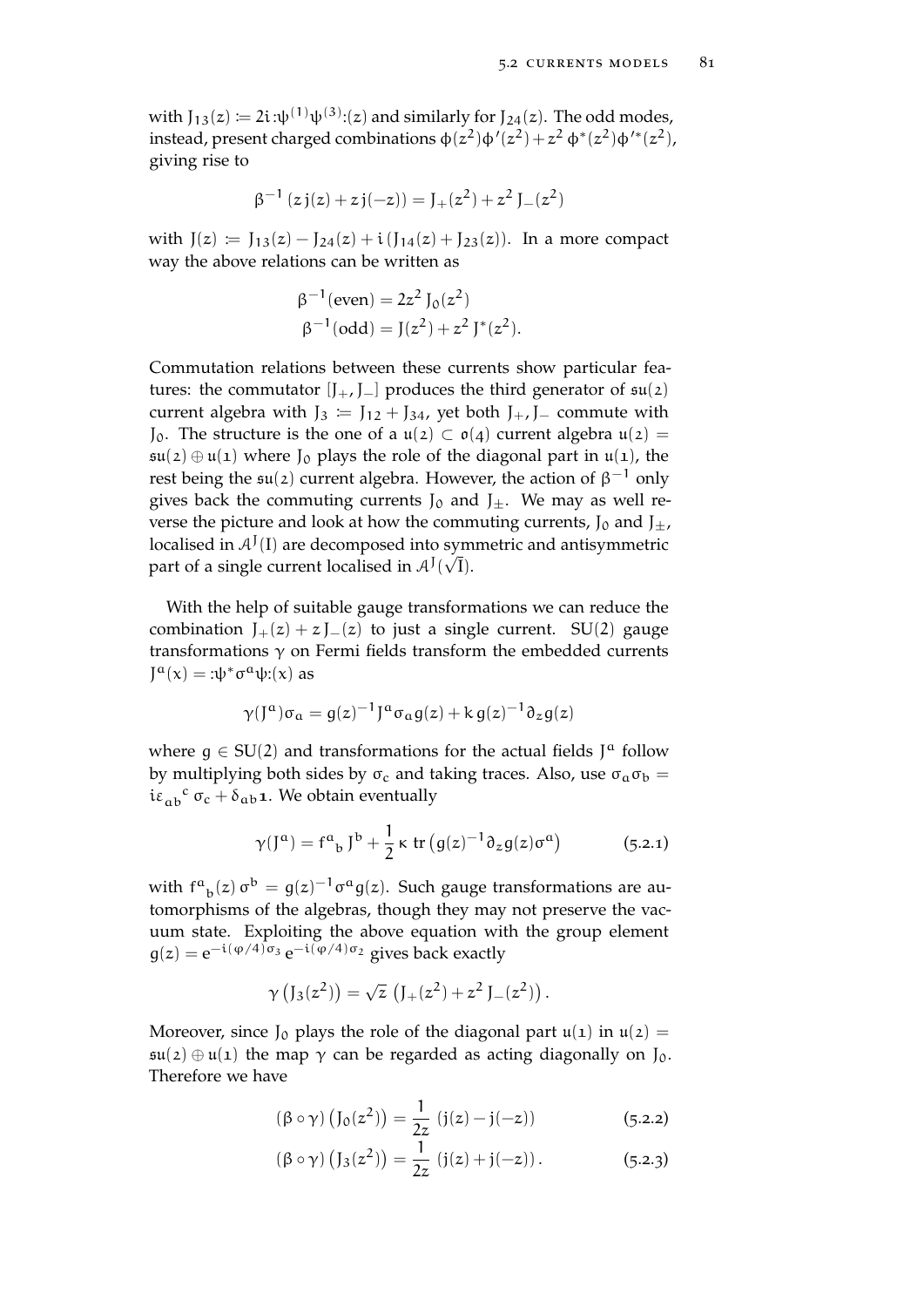with  $J_{13}(z) \coloneqq 2i \!:\! \psi^{(1)} \psi^{(3)}$ : $(z)$  and similarly for  $J_{24}(z)$ . The odd modes, instead, present charged combinations  $\phi(z^2)\phi'(z^2) + z^2 \phi^*(z^2)\phi'^*(z^2)$ , giving rise to

$$
\beta^{-1}(zj(z) + zj(-z)) = J_{+}(z^{2}) + z^{2} J_{-}(z^{2})
$$

with  $J(z) := J_{13}(z) - J_{24}(z) + i(J_{14}(z) + J_{23}(z))$ . In a more compact way the above relations can be written as

$$
\beta^{-1}(\text{even}) = 2z^2 J_0(z^2)
$$
  

$$
\beta^{-1}(\text{odd}) = J(z^2) + z^2 J^*(z^2).
$$

Commutation relations between these currents show particular features: the commutator  $[J_+, J_-]$  produces the third generator of  $\mathfrak{su}(2)$ current algebra with  $J_3 := J_{12} + J_{34}$ , yet both  $J_{+}$ ,  $J_{-}$  commute with J<sub>0</sub>. The structure is the one of a  $u(2) \subset o(4)$  current algebra  $u(2) =$  $\mathfrak{su}(2) \oplus \mathfrak{u}(1)$  where  $J_0$  plays the role of the diagonal part in  $\mathfrak{u}(1)$ , the rest being the  $\mathfrak{su}(2)$  current algebra. However, the action of  $\beta^{-1}$  only gives back the commuting currents  $J_0$  and  $J_+$ . We may as well reverse the picture and look at how the commuting currents,  $J_0$  and  $J_{\pm}$ , localised in  $A^{J}(I)$  are decomposed into symmetric and antisymmetric part of a single current localised in  $A^{J}(\sqrt{I}).$ 

With the help of suitable gauge transformations we can reduce the combination  $J_{+}(z) + z J_{-}(z)$  to just a single current. SU(2) gauge transformations  $\gamma$  on Fermi fields transform the embedded currents J<sup>α</sup>(x) = :ψ<sup>\*</sup>σ<sup>α</sup>ψ:(x) as

$$
\gamma(J^{\alpha})\sigma_{\alpha} = g(z)^{-1}J^{\alpha}\sigma_{\alpha}g(z) + k g(z)^{-1}\partial_{z}g(z)
$$

where  $g \in SU(2)$  and transformations for the actual fields  $J^{\alpha}$  follow by multiplying both sides by  $\sigma_c$  and taking traces. Also, use  $\sigma_a \sigma_b =$ i $\varepsilon_{ab}^c$   $\sigma_c + \delta_{ab}$ **1**. We obtain eventually

<span id="page-92-1"></span>
$$
\gamma(J^a) = f^a{}_b J^b + \frac{1}{2} \kappa \operatorname{tr} (g(z)^{-1} \partial_z g(z) \sigma^a)
$$
 (5.2.1)

with  $f^a_{\ b}(z) \, \sigma^b = g(z)^{-1} \sigma^a g(z)$ . Such gauge transformations are automorphisms of the algebras, though they may not preserve the vacuum state. Exploiting the above equation with the group element  $g(z) = e^{-i(\phi/4)\sigma_3} e^{-i(\phi/4)\sigma_2}$  gives back exactly

$$
\gamma\left(J_3(z^2)\right) = \sqrt{z}\,\left(J_+(z^2) + z^2\,J_-(z^2)\right).
$$

Moreover, since  $J_0$  plays the role of the diagonal part  $u(1)$  in  $u(2) =$  $\mathfrak{su}(2) \oplus \mathfrak{u}(1)$  the map  $\gamma$  can be regarded as acting diagonally on  $J_0$ . Therefore we have

<span id="page-92-0"></span>
$$
(\beta \circ \gamma) (J_0(z^2)) = \frac{1}{2z} (j(z) - j(-z))
$$
 (5.2.2)

$$
(\beta \circ \gamma) (J_3(z^2)) = \frac{1}{2z} (j(z) + j(-z)).
$$
 (5.2.3)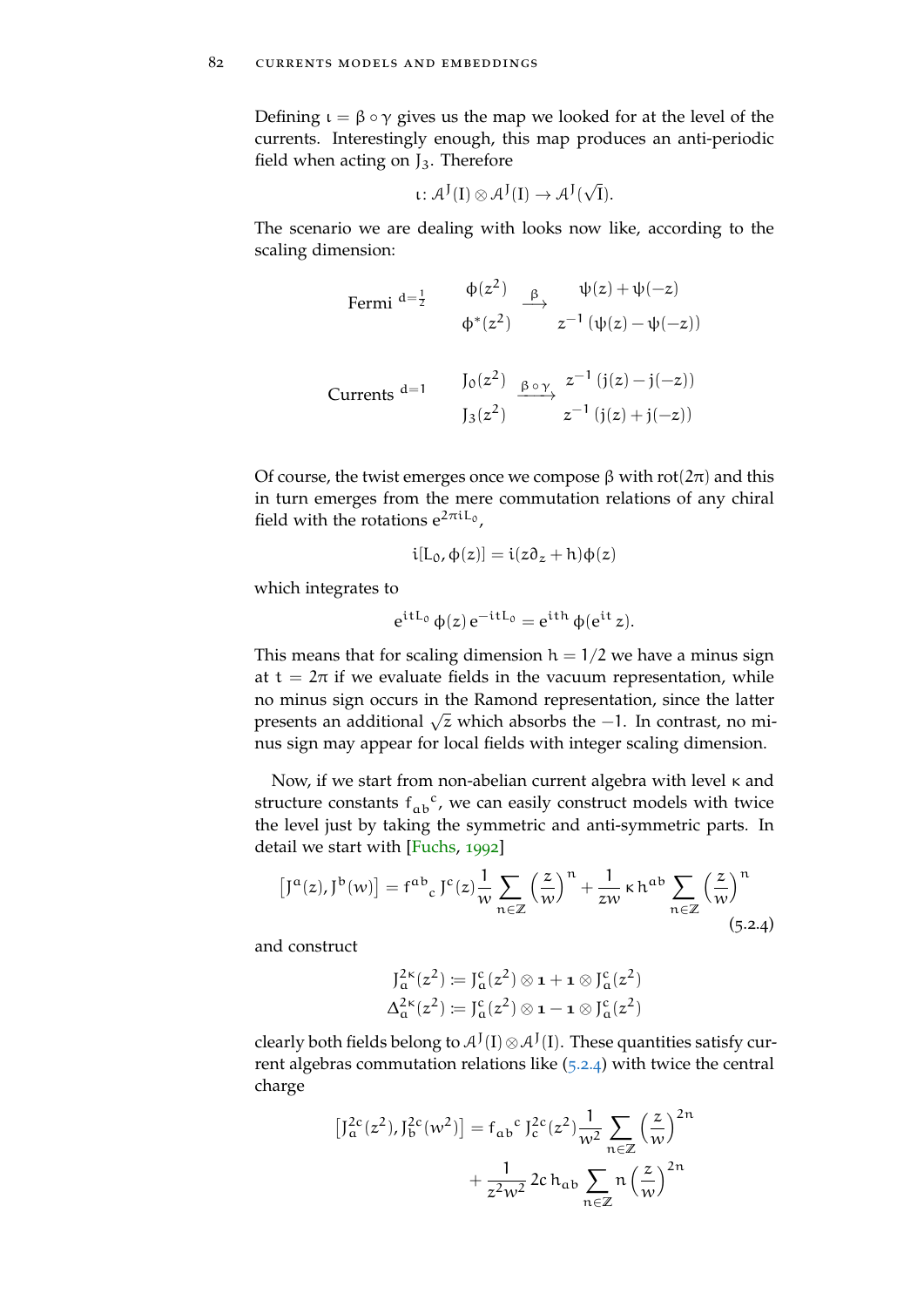Defining  $\iota = \beta \circ \gamma$  gives us the map we looked for at the level of the currents. Interestingly enough, this map produces an anti-periodic field when acting on  $J_3$ . Therefore

$$
\iota\colon \mathcal{A}^J(I)\otimes \mathcal{A}^J(I)\to \mathcal{A}^J(\sqrt{I}).
$$

The scenario we are dealing with looks now like, according to the scaling dimension:

Fermi 
$$
d=\frac{1}{2}
$$
  $\qquad \phi(z^2)$   $\qquad \beta$   $\qquad \psi(z) + \psi(-z)$   
\n $\qquad \phi^*(z^2)$   $\qquad z^{-1} (\psi(z) - \psi(-z))$   
\n  
\nCurrents  $d=1$   $\qquad$   $\qquad$   $\begin{array}{c} J_0(z^2) \\ \qquad \beta \circ \gamma \\ \qquad \gamma \end{array}$   $\qquad z^{-1} (j(z) - j(-z))$   
\n $\qquad$   $\qquad$   $\qquad$   $\qquad$   $\qquad$   $\qquad$   $\qquad$   $\qquad$   $\qquad$   $\qquad$   $\qquad$   $\qquad$   $\qquad$   $\qquad$   $\qquad$   $\qquad$   $\qquad$   $\qquad$   $\qquad$   $\qquad$   $\qquad$   $\qquad$   $\qquad$   $\qquad$   $\qquad$   $\qquad$   $\qquad$   $\qquad$   $\qquad$   $\qquad$   $\qquad$   $\qquad$   $\qquad$   $\qquad$   $\qquad$   $\qquad$   $\qquad$   $\qquad$   $\qquad$   $\qquad$   $\qquad$   $\qquad$   $\qquad$   $\qquad$   $\qquad$   $\qquad$   $\qquad$   $\qquad$   $\qquad$   $\qquad$   $\qquad$   $\qquad$   $\qquad$   $\qquad$   $\qquad$   $\qquad$   $\qquad$   $\qquad$   $\qquad$   $\qquad$   $\qquad$   $\qquad$   $\qquad$   $\qquad$   $\qquad$   $\qquad$   $\qquad$   $\qquad$   $\qquad$   $\qquad$   $\qquad$   $\qquad$ 

Of course, the twist emerges once we compose  $β$  with rot $(2π)$  and this in turn emerges from the mere commutation relations of any chiral field with the rotations  $e^{2\pi i L_0}$ ,

$$
\mathfrak{i}[L_0,\varphi(z)]=\mathfrak{i}(z\partial_z+h)\varphi(z)
$$

which integrates to

$$
e^{itL_0}\,\varphi(z)\,e^{-itL_0}=e^{ith}\,\varphi(e^{it}\,z).
$$

This means that for scaling dimension  $h = 1/2$  we have a minus sign at  $t = 2\pi$  if we evaluate fields in the vacuum representation, while no minus sign occurs in the Ramond representation, since the latter presents an additional  $\sqrt{z}$  which absorbs the  $-1$ . In contrast, no minus sign may appear for local fields with integer scaling dimension.

Now, if we start from non-abelian current algebra with level κ and structure constants  $f_{ab}^c$ , we can easily construct models with twice the level just by taking the symmetric and anti-symmetric parts. In detail we start with [\[Fuchs,](#page-117-3) [1992](#page-117-3)]

<span id="page-93-0"></span>
$$
\left[J^{a}(z),J^{b}(w)\right] = f^{ab}{}_{c}J^{c}(z)\frac{1}{w}\sum_{n\in\mathbb{Z}}\left(\frac{z}{w}\right)^{n} + \frac{1}{zw}\kappa h^{ab}\sum_{n\in\mathbb{Z}}\left(\frac{z}{w}\right)^{n}
$$
\n(5.2.4)

and construct

$$
J_{\alpha}^{2\kappa}(z^2) \coloneqq J_{\alpha}^{c}(z^2) \otimes \mathbf{1} + \mathbf{1} \otimes J_{\alpha}^{c}(z^2)
$$

$$
\Delta_{\alpha}^{2\kappa}(z^2) \coloneqq J_{\alpha}^{c}(z^2) \otimes \mathbf{1} - \mathbf{1} \otimes J_{\alpha}^{c}(z^2)
$$

clearly both fields belong to  $\mathcal{A}^J(I)\otimes\mathcal{A}^J(I)$ . These quantities satisfy current algebras commutation relations like ([5](#page-93-0).2.4) with twice the central charge

$$
\begin{aligned} \left[J_{\mathfrak{a}}^{2c}(z^{2}), J_{\mathfrak{b}}^{2c}(w^{2})\right] &= f_{\mathfrak{a}\mathfrak{b}}^{c} J_{c}^{2c}(z^{2}) \frac{1}{w^{2}} \sum_{n \in \mathbb{Z}} \left(\frac{z}{w}\right)^{2n} \\ &+ \frac{1}{z^{2}w^{2}} 2c \, h_{\mathfrak{a}\mathfrak{b}} \sum_{n \in \mathbb{Z}} n \left(\frac{z}{w}\right)^{2n} \end{aligned}
$$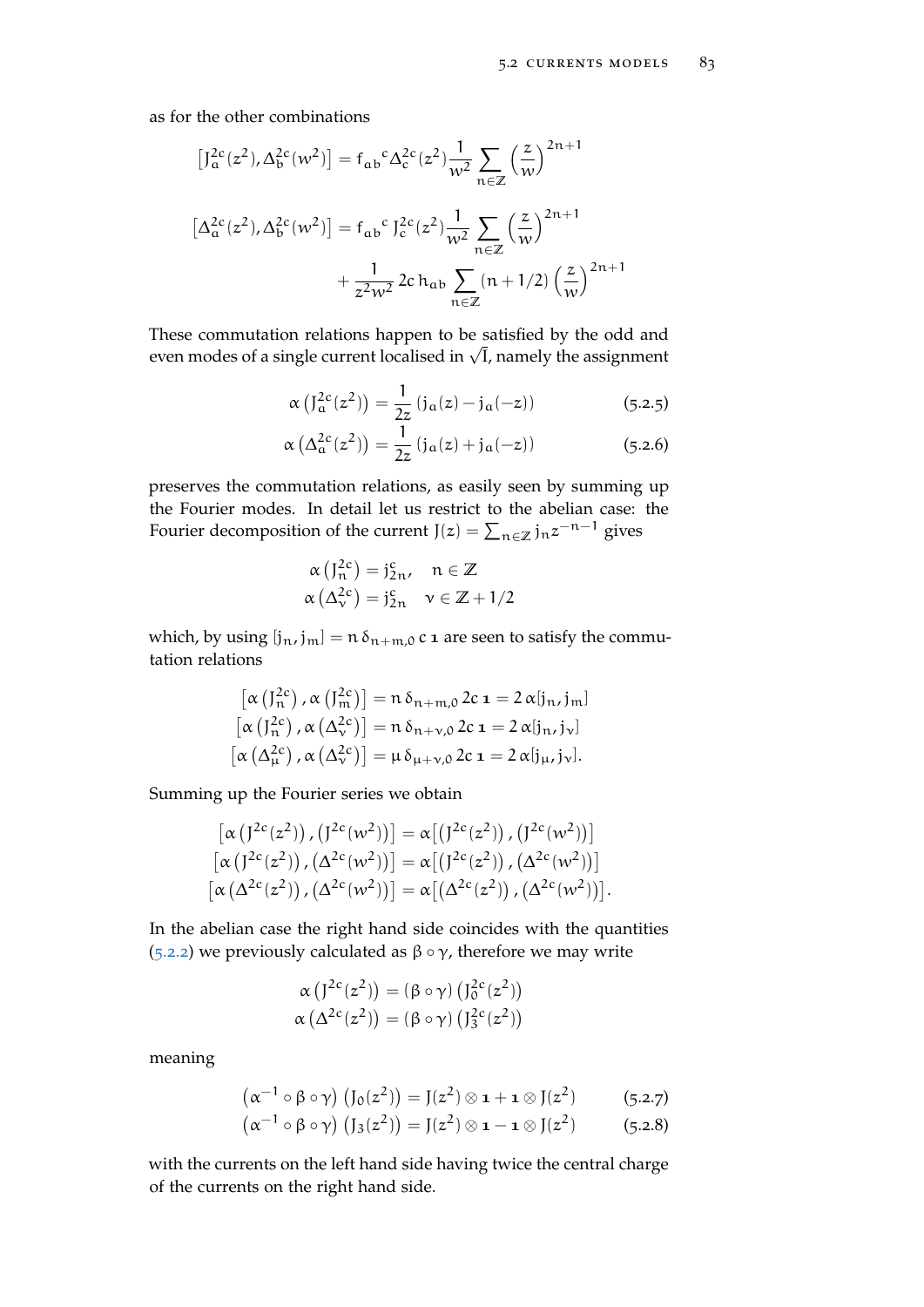as for the other combinations

$$
\begin{aligned} \left[J_{\mathfrak{a}}^{2c}(z^{2}), \Delta_{\mathfrak{b}}^{2c}(w^{2})\right] &= f_{\mathfrak{a}\mathfrak{b}}^{c} \Delta_{c}^{2c}(z^{2}) \frac{1}{w^{2}} \sum_{n \in \mathbb{Z}} \left(\frac{z}{w}\right)^{2n+1} \\ \left[\Delta_{\mathfrak{a}}^{2c}(z^{2}), \Delta_{\mathfrak{b}}^{2c}(w^{2})\right] &= f_{\mathfrak{a}\mathfrak{b}}^{c} \int_{c}^{2c}(z^{2}) \frac{1}{w^{2}} \sum_{n \in \mathbb{Z}} \left(\frac{z}{w}\right)^{2n+1} \\ &+ \frac{1}{z^{2}w^{2}} 2c \, h_{\mathfrak{a}\mathfrak{b}} \sum_{n \in \mathbb{Z}} (n+1/2) \left(\frac{z}{w}\right)^{2n+1} \end{aligned}
$$

These commutation relations happen to be satisfied by the odd and These commutation relations happen to be satisfied by the odd and even modes of a single current localised in  $\sqrt{I}$ , namely the assignment

<span id="page-94-2"></span><span id="page-94-1"></span>
$$
\alpha\left(J_{\alpha}^{2c}(z^{2})\right) = \frac{1}{2z}\left(j_{\alpha}(z) - j_{\alpha}(-z)\right) \tag{5.2.5}
$$

$$
\alpha \left( \Delta_{a}^{2c}(z^{2}) \right) = \frac{1}{2z} \left( j_{a}(z) + j_{a}(-z) \right) \tag{5.2.6}
$$

preserves the commutation relations, as easily seen by summing up the Fourier modes. In detail let us restrict to the abelian case: the Fourier decomposition of the current  $J(z) = \sum_{n \in \mathbb{Z}} j_n z^{-n-1}$  gives

$$
\alpha \left( J_n^{2c} \right) = j_{2n}^c, \quad n \in \mathbb{Z}
$$

$$
\alpha \left( \Delta_v^{2c} \right) = j_{2n}^c, \quad v \in \mathbb{Z} + 1/2
$$

which, by using  $[j_n, j_m] = n \delta_{n+m,0} c$  are seen to satisfy the commutation relations

$$
\begin{aligned} \left[\alpha\left(\mathbf{J}_{\mathrm{n}}^{2c}\right), \alpha\left(\mathbf{J}_{\mathrm{m}}^{2c}\right)\right] &= \mathfrak{n}\,\delta_{\mathrm{n+m},0}\,2c\,\mathbf{1} = 2\,\alpha[j_{\mathrm{n}},j_{\mathrm{m}}] \\ \left[\alpha\left(\mathbf{J}_{\mathrm{n}}^{2c}\right), \alpha\left(\Delta_{\mathrm{v}}^{2c}\right)\right] &= \mathfrak{n}\,\delta_{\mathrm{n+v},0}\,2c\,\mathbf{1} = 2\,\alpha[j_{\mathrm{n}},j_{\mathrm{v}}] \\ \left[\alpha\left(\Delta_{\mathrm{\mu}}^{2c}\right), \alpha\left(\Delta_{\mathrm{v}}^{2c}\right)\right] &= \mu\,\delta_{\mathrm{\mu}+\mathrm{v},0}\,2c\,\mathbf{1} = 2\,\alpha[j_{\mathrm{\mu}},j_{\mathrm{v}}]. \end{aligned}
$$

Summing up the Fourier series we obtain

$$
\begin{aligned}\n\left[\alpha\left(J^{2c}(z^{2})\right),\left(J^{2c}(w^{2})\right)\right] &= \alpha\left[\left(J^{2c}(z^{2})\right),\left(J^{2c}(w^{2})\right)\right] \\
\left[\alpha\left(J^{2c}(z^{2})\right),\left(\Delta^{2c}(w^{2})\right)\right] &= \alpha\left[\left(J^{2c}(z^{2})\right),\left(\Delta^{2c}(w^{2})\right)\right] \\
\left[\alpha\left(\Delta^{2c}(z^{2})\right),\left(\Delta^{2c}(w^{2})\right)\right] &= \alpha\left[\left(\Delta^{2c}(z^{2})\right),\left(\Delta^{2c}(w^{2})\right)\right].\n\end{aligned}
$$

In the abelian case the right hand side coincides with the quantities ([5](#page-92-0).2.2) we previously calculated as  $β ∘ γ$ , therefore we may write

$$
\alpha\left(J^{2c}(z^2)\right) = (\beta \circ \gamma) \left(J_0^{2c}(z^2)\right)
$$

$$
\alpha\left(\Delta^{2c}(z^2)\right) = (\beta \circ \gamma) \left(J_3^{2c}(z^2)\right)
$$

meaning

$$
(\alpha^{-1} \circ \beta \circ \gamma) (J_0(z^2)) = J(z^2) \otimes \mathbf{1} + \mathbf{1} \otimes J(z^2)
$$
 (5.2.7)

$$
(\alpha^{-1} \circ \beta \circ \gamma) (J_3(z^2)) = J(z^2) \otimes \mathbf{1} - \mathbf{1} \otimes J(z^2)
$$
 (5.2.8)

<span id="page-94-0"></span>with the currents on the left hand side having twice the central charge of the currents on the right hand side.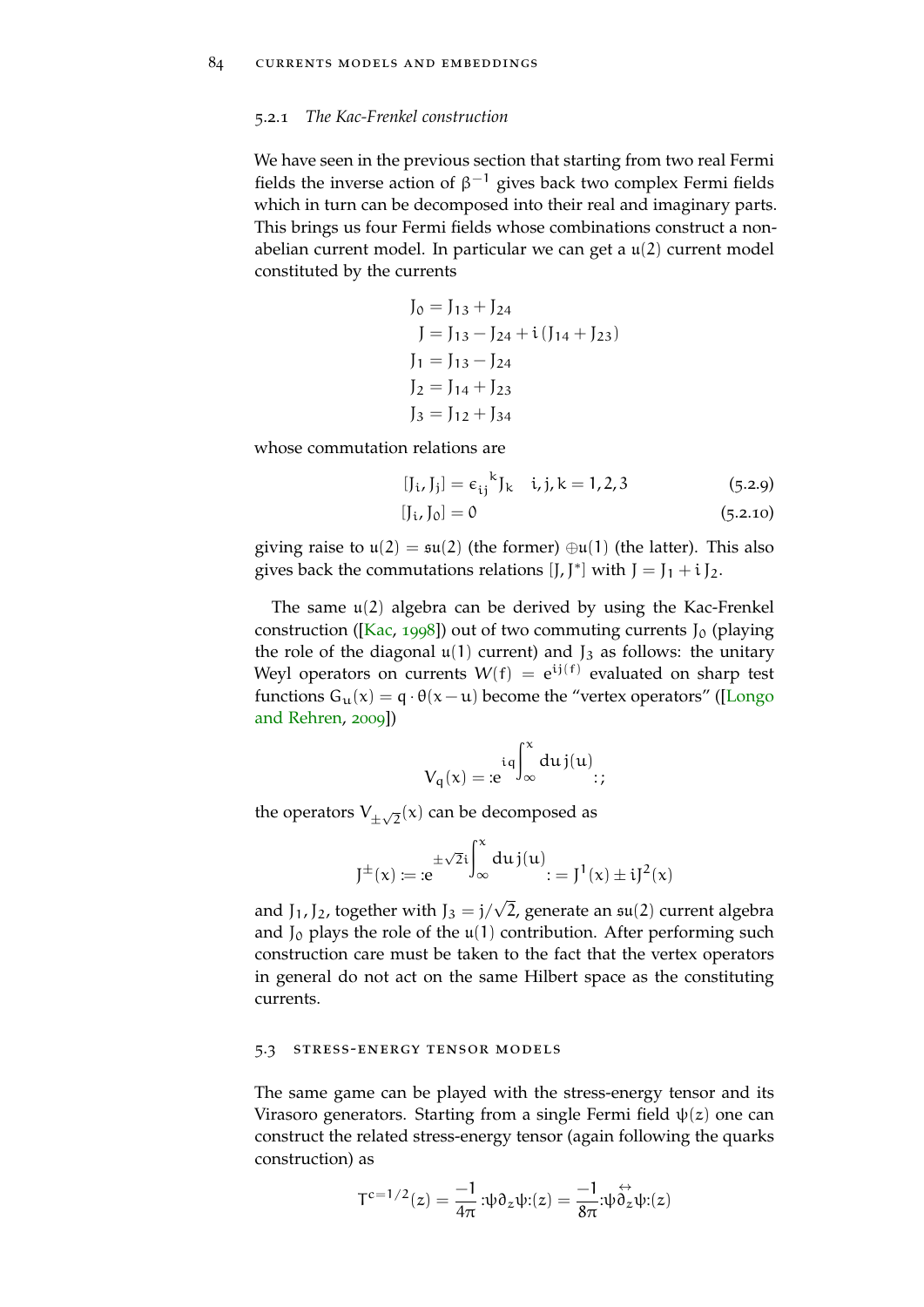## 5.2.1 *The Kac-Frenkel construction*

We have seen in the previous section that starting from two real Fermi fields the inverse action of  $\beta^{-1}$  gives back two complex Fermi fields which in turn can be decomposed into their real and imaginary parts. This brings us four Fermi fields whose combinations construct a nonabelian current model. In particular we can get a  $\mathfrak{u}(2)$  current model constituted by the currents

> $J_0 = J_{13} + J_{24}$  $J = J_{13} - J_{24} + i(J_{14} + J_{23})$  $J_1 = J_{13} - J_{24}$  $J_2 = J_{14} + J_{23}$  $J_3 = J_{12} + J_{34}$

whose commutation relations are

$$
[J_i, J_j] = \varepsilon_{ij}^{k} J_k \quad i, j, k = 1, 2, 3 \tag{5.2.9}
$$

$$
[J_i, J_0] = 0 \t\t(5.2.10)
$$

giving raise to  $u(2) = \frac{su(2)}{h}$  (the former)  $\bigoplus u(1)$  (the latter). This also gives back the commutations relations  $[J, J^*]$  with  $J = J_1 + iJ_2$ .

The same  $u(2)$  algebra can be derived by using the Kac-Frenkel construction ([\[Kac,](#page-118-3) [1998](#page-118-3)]) out of two commuting currents  $J_0$  (playing the role of the diagonal  $\mu(1)$  current) and  $J_3$  as follows: the unitary Weyl operators on currents  $W(f) = e^{i j(f)}$  evaluated on sharp test functions  $G_u(x) = q \cdot \theta(x - u)$  become the "vertex operators" ([\[Longo](#page-118-4) [and Rehren,](#page-118-4) [2009](#page-118-4)])

$$
V_q(x)=: \stackrel{iq}{\scriptstyle{ \sim}}\int_{\infty}^x du\, j(u)\,:\,
$$

the operators  $V_{\pm\sqrt{2}}(x)$  can be decomposed as

$$
J^{\pm}(x) \coloneqq : \mathrm{e}^{\pm \sqrt{2} \mathrm{i} \int_{\infty}^{x} du \, j(u)}: = J^1(x) \pm \mathrm{i} J^2(x)
$$

and  $J_1$ ,  $J_2$ , together with  $J_3 = j/\sqrt{2}$ , generate an  $\mathfrak{su}(2)$  current algebra and  $J_0$  plays the role of the  $\mu(1)$  contribution. After performing such construction care must be taken to the fact that the vertex operators in general do not act on the same Hilbert space as the constituting currents.

## <span id="page-95-0"></span>5.3 stress-energy tensor models

The same game can be played with the stress-energy tensor and its Virasoro generators. Starting from a single Fermi field  $\psi(z)$  one can construct the related stress-energy tensor (again following the quarks construction) as

$$
T^{c=1/2}(z)=\frac{-1}{4\pi}\!:\!\!\psi\hspace{1pt}\vartheta_z\psi\!\!:\!(z)=\frac{-1}{8\pi}\!:\!\!\psi\!\!\stackrel{\leftrightarrow}{\partial_z}\!\psi\!\!:\!(z)
$$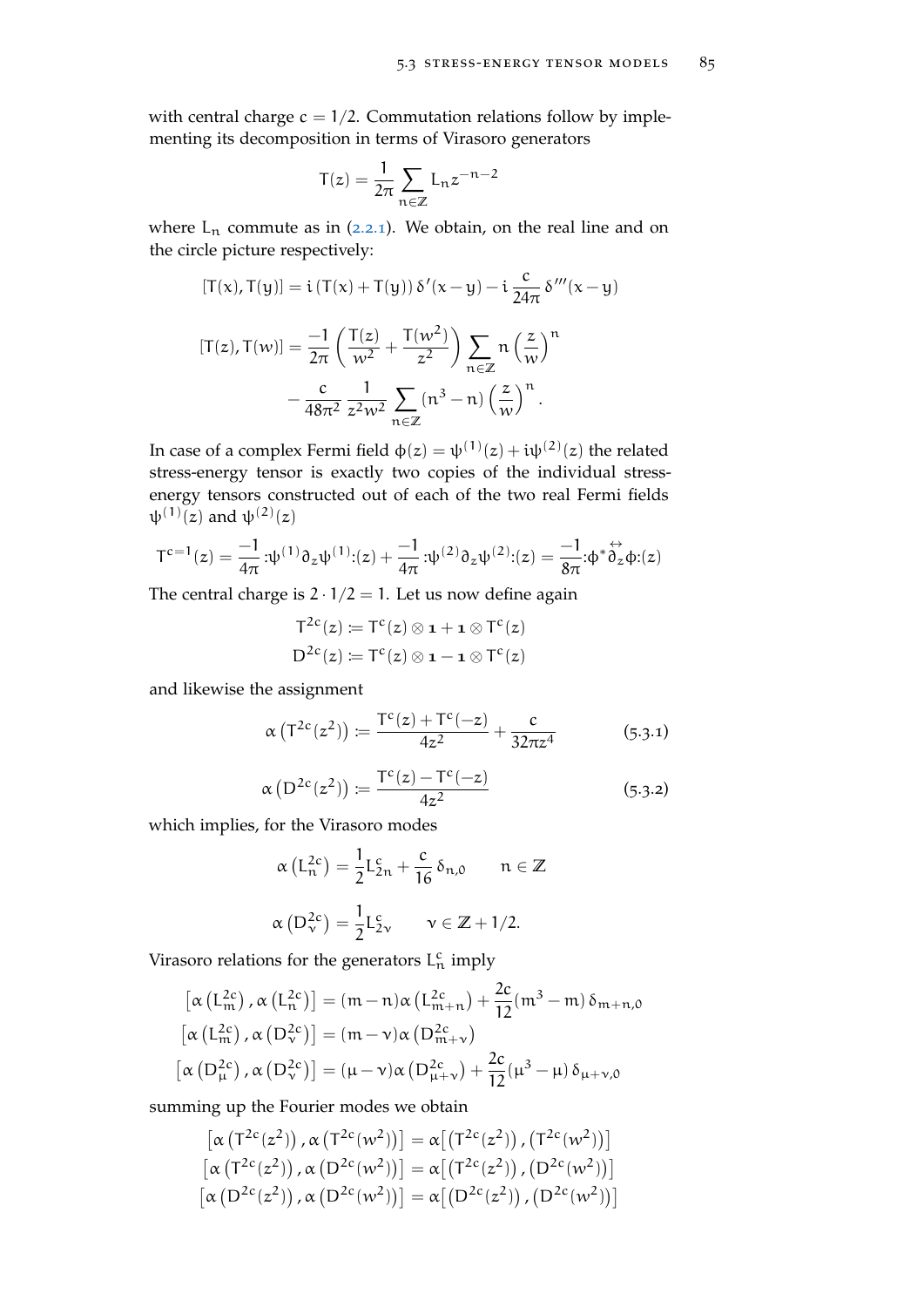with central charge  $c = 1/2$ . Commutation relations follow by implementing its decomposition in terms of Virasoro generators

$$
T(z) = \frac{1}{2\pi} \sum_{n \in \mathbb{Z}} L_n z^{-n-2}
$$

where  $L_n$  commute as in ([2](#page-21-1).2.1). We obtain, on the real line and on the circle picture respectively:

$$
[T(x), T(y)] = i (T(x) + T(y)) \delta'(x - y) - i \frac{c}{24\pi} \delta'''(x - y)
$$

$$
[T(z), T(w)] = \frac{-1}{2\pi} \left( \frac{T(z)}{w^2} + \frac{T(w^2)}{z^2} \right) \sum_{n \in \mathbb{Z}} n \left( \frac{z}{w} \right)^n
$$

$$
- \frac{c}{48\pi^2} \frac{1}{z^2 w^2} \sum_{n \in \mathbb{Z}} (n^3 - n) \left( \frac{z}{w} \right)^n.
$$

In case of a complex Fermi field  $\phi(z) = \psi^{(1)}(z) + i\psi^{(2)}(z)$  the related stress-energy tensor is exactly two copies of the individual stressenergy tensors constructed out of each of the two real Fermi fields  $ψ<sup>(1)</sup>(z)$  and  $ψ<sup>(2)</sup>(z)$ 

$$
T^{c=1}(z) = \frac{-1}{4\pi} \cdot \psi^{(1)} \partial_z \psi^{(1)} \cdot (z) + \frac{-1}{4\pi} \cdot \psi^{(2)} \partial_z \psi^{(2)} \cdot (z) = \frac{-1}{8\pi} \cdot \phi^* \overset{\leftrightarrow}{\partial_z} \phi \cdot (z)
$$

The central charge is  $2 \cdot 1/2 = 1$ . Let us now define again

<span id="page-96-0"></span>
$$
T^{2c}(z) := T^{c}(z) \otimes \mathbf{1} + \mathbf{1} \otimes T^{c}(z)
$$

$$
D^{2c}(z) := T^{c}(z) \otimes \mathbf{1} - \mathbf{1} \otimes T^{c}(z)
$$

and likewise the assignment

$$
\alpha \left( T^{2c}(z^2) \right) \coloneqq \frac{T^c(z) + T^c(-z)}{4z^2} + \frac{c}{32\pi z^4} \tag{5.3.1}
$$

$$
\alpha\left(D^{2c}(z^2)\right) := \frac{T^{c}(z) - T^{c}(-z)}{4z^2} \tag{5.3.2}
$$

which implies, for the Virasoro modes

<span id="page-96-1"></span>
$$
\alpha \left( L_n^{2c} \right) = \frac{1}{2} L_{2n}^c + \frac{c}{16} \delta_{n,0} \qquad n \in \mathbb{Z}
$$

$$
\alpha \left( D_v^{2c} \right) = \frac{1}{2} L_{2v}^c \qquad v \in \mathbb{Z} + 1/2.
$$

Virasoro relations for the generators  $L_n^c$  imply

$$
\begin{aligned} \left[\alpha\left(L_{\mathrm{m}}^{2c}\right),\alpha\left(L_{\mathrm{n}}^{2c}\right)\right] &= (m-n)\alpha\left(L_{\mathrm{m}+{\mathrm{n}}}^{2c}\right) + \frac{2c}{12}(m^{3}-m)\,\delta_{\mathrm{m}+{\mathrm{n}},0} \\ \left[\alpha\left(L_{\mathrm{m}}^{2c}\right),\alpha\left(D_{\mathrm{v}}^{2c}\right)\right] &= (m-\nu)\alpha\left(D_{\mathrm{m}+\nu}^{2c}\right) \\ \left[\alpha\left(D_{\mathrm{\mu}}^{2c}\right),\alpha\left(D_{\mathrm{v}}^{2c}\right)\right] &= (\mu-\nu)\alpha\left(D_{\mathrm{\mu}+\nu}^{2c}\right) + \frac{2c}{12}(\mu^{3}-\mu)\,\delta_{\mu+\nu,0} \end{aligned}
$$

summing up the Fourier modes we obtain

$$
\begin{aligned} &\left[\alpha\left(T^{2c}(z^2)\right),\alpha\left(T^{2c}(w^2)\right)\right]=\alpha\big[\left(T^{2c}(z^2)\right),\left(T^{2c}(w^2)\right)\big] \\ &\left[\alpha\left(T^{2c}(z^2)\right),\alpha\left(D^{2c}(w^2)\right)\right]=\alpha\big[\left(T^{2c}(z^2)\right),\left(D^{2c}(w^2)\right)\big] \\ &\left[\alpha\left(D^{2c}(z^2)\right),\alpha\left(D^{2c}(w^2)\right)\right]=\alpha\big[\left(D^{2c}(z^2)\right),\left(D^{2c}(w^2)\right)\big] \end{aligned}
$$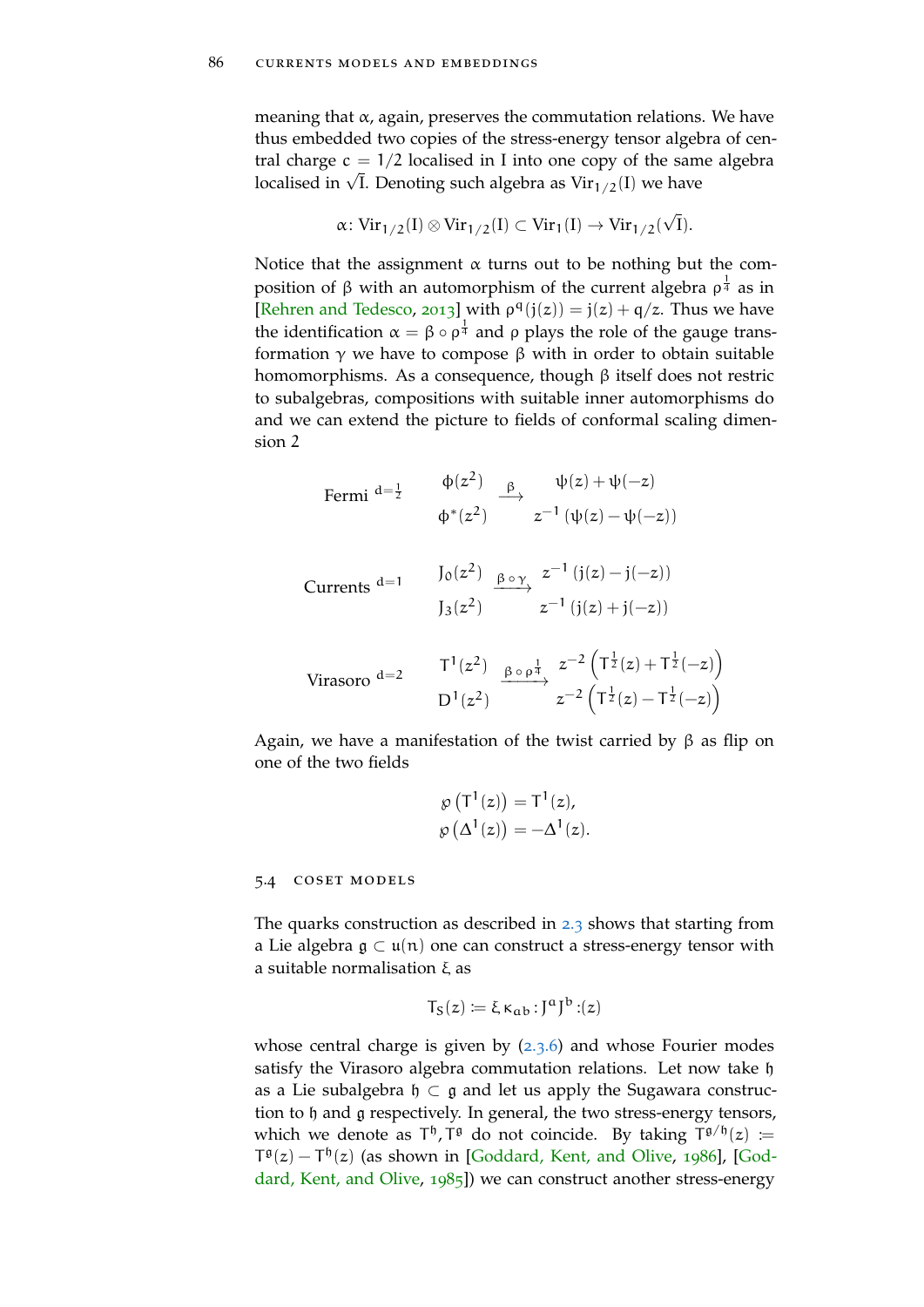meaning that  $\alpha$ , again, preserves the commutation relations. We have thus embedded two copies of the stress-energy tensor algebra of central charge  $c = 1/2$  localised in I into one copy of the same algebra The charge  $c = 1/2$  localised in 1 mto one copy of the same localised in  $\sqrt{I}$ . Denoting such algebra as  $\text{Vir}_{1/2}(I)$  we have

$$
\alpha\colon Vir_{1/2}(I)\otimes Vir_{1/2}(I)\subset Vir_{1}(I)\rightarrow Vir_{1/2}(\sqrt{I}).
$$

Notice that the assignment  $\alpha$  turns out to be nothing but the composition of β with an automorphism of the current algebra  $\rho^{\frac{1}{4}}$  as in [\[Rehren and Tedesco,](#page-119-2) [2013](#page-119-2)] with  $\rho^{q}(j(z)) = j(z) + q/z$ . Thus we have the identification  $\alpha = \beta \circ \rho^{\frac{1}{4}}$  and  $\rho$  plays the role of the gauge transformation γ we have to compose β with in order to obtain suitable homomorphisms. As a consequence, though β itself does not restric to subalgebras, compositions with suitable inner automorphisms do and we can extend the picture to fields of conformal scaling dimension 2

Fermi 
$$
d=\frac{1}{2}
$$
  $\qquad \phi(z^2)$   $\qquad \beta$   $\qquad \psi(z) + \psi(-z)$   
\n $\qquad \phi^*(z^2)$   $\qquad z^{-1} (\psi(z) - \psi(-z))$   
\n  
\nCurrents  $d=1$   $\qquad \int_0^{\infty} 0(z^2) \qquad \beta \circ \gamma$   $\qquad z^{-1} (j(z) - j(-z))$   
\n $\qquad \qquad J_3(z^2)$   $\qquad \qquad z^{-1} (j(z) + j(-z))$ 

$$
\begin{array}{ccc}\n\text{Virasoro} &{}^{d=2} & \xrightarrow{\text{T}^1(z^2)} & \xrightarrow{\beta \circ \rho^{\frac{1}{4}}} & z^{-2} \left( \begin{matrix} \text{T}^{\frac{1}{2}}(z) + \text{T}^{\frac{1}{2}}(-z) \end{matrix} \right) \\
&{}^{D^1(z^2)} & z^{-2} \left( \begin{matrix} \text{T}^{\frac{1}{2}}(z) - \text{T}^{\frac{1}{2}}(-z) \end{matrix} \right)\n\end{array}
$$

Again, we have a manifestation of the twist carried by  $β$  as flip on one of the two fields

$$
\begin{aligned} \wp\left(\mathsf{T}^1(z)\right) &= \mathsf{T}^1(z), \\ \wp\left(\Delta^1(z)\right) &= -\Delta^1(z). \end{aligned}
$$

## <span id="page-97-0"></span>5.4 coset models

The quarks construction as described in [2](#page-23-0).3 shows that starting from a Lie algebra  $\mathfrak{g} \subset \mathfrak{u}(\mathfrak{n})$  one can construct a stress-energy tensor with a suitable normalisation ξ as

$$
T_S(z) \coloneqq \xi \, \kappa_{\alpha b} \!:\! J^\alpha J^b \!:\! (z)
$$

whose central charge is given by  $(2.3.6)$  $(2.3.6)$  $(2.3.6)$  and whose Fourier modes satisfy the Virasoro algebra commutation relations. Let now take h as a Lie subalgebra  $\mathfrak{h} \subset \mathfrak{g}$  and let us apply the Sugawara construction to h and g respectively. In general, the two stress-energy tensors, which we denote as  $T^{\mathfrak{h}}$ ,  $T^{\mathfrak{g}}$  do not coincide. By taking  $T^{\mathfrak{g}/\mathfrak{h}}(z)$  :=  $T^{\mathfrak{g}}(z) - T^{\mathfrak{h}}(z)$  (as shown in [\[Goddard, Kent, and Olive,](#page-117-4) [1986](#page-117-4)], [\[God](#page-117-5)[dard, Kent, and Olive,](#page-117-5) [1985](#page-117-5)]) we can construct another stress-energy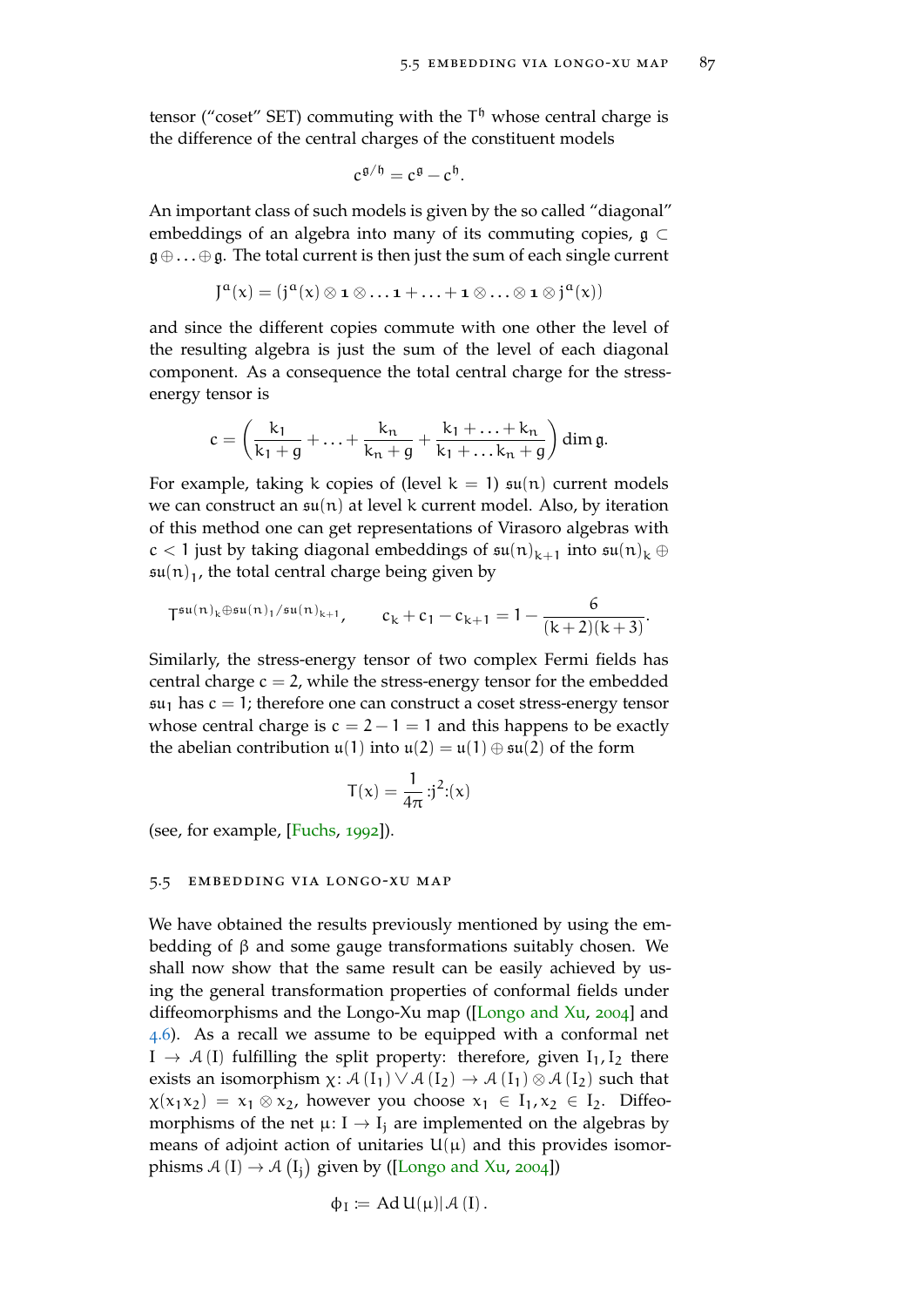tensor ("coset" SET) commuting with the  $T<sup>f</sup>$  whose central charge is the difference of the central charges of the constituent models

$$
c^{\mathfrak{g}/\mathfrak{h}}=c^{\mathfrak{g}}-c^{\mathfrak{h}}.
$$

An important class of such models is given by the so called "diagonal" embeddings of an algebra into many of its commuting copies,  $\mathfrak{g} \subset$  $\mathfrak{g} \oplus \ldots \oplus \mathfrak{g}$ . The total current is then just the sum of each single current

$$
J^{\mathfrak{a}}(x) = (j^{\mathfrak{a}}(x) \otimes \mathbf{1} \otimes \ldots \mathbf{1} + \ldots + \mathbf{1} \otimes \ldots \otimes \mathbf{1} \otimes j^{\mathfrak{a}}(x))
$$

and since the different copies commute with one other the level of the resulting algebra is just the sum of the level of each diagonal component. As a consequence the total central charge for the stressenergy tensor is

$$
c = \left(\frac{k_1}{k_1+g} + \ldots + \frac{k_n}{k_n+g} + \frac{k_1+\ldots+k_n}{k_1+\ldots k_n+g}\right) \dim \mathfrak{g}.
$$

For example, taking k copies of (level  $k = 1$ )  $\mathfrak{su}(n)$  current models we can construct an  $\mathfrak{su}(n)$  at level k current model. Also, by iteration of this method one can get representations of Virasoro algebras with  $\mathfrak{c} < 1$  just by taking diagonal embeddings of  $\mathfrak{su}(\mathfrak{n})_{\mathbf{k}+1}$  into  $\mathfrak{su}(\mathfrak{n})_{\mathbf{k}} \oplus$  $\mathfrak{su}(n)_1$ , the total central charge being given by

$$
T^{\mathfrak{su}(n)_k \oplus \mathfrak{su}(n)_1/\mathfrak{su}(n)_{k+1}}, \qquad c_k + c_1 - c_{k+1} = 1 - \frac{6}{(k+2)(k+3)}.
$$

Similarly, the stress-energy tensor of two complex Fermi fields has central charge  $c = 2$ , while the stress-energy tensor for the embedded  $su<sub>1</sub>$  has  $c = 1$ ; therefore one can construct a coset stress-energy tensor whose central charge is  $c = 2 - 1 = 1$  and this happens to be exactly the abelian contribution  $u(1)$  into  $u(2) = u(1) \oplus \mathfrak{su}(2)$  of the form

$$
T(x)=\frac{1}{4\pi}\,;j^2;(x)
$$

<span id="page-98-0"></span>(see, for example, [\[Fuchs,](#page-117-3) [1992](#page-117-3)]).

#### 5.5 embedding via longo-xu map

We have obtained the results previously mentioned by using the embedding of β and some gauge transformations suitably chosen. We shall now show that the same result can be easily achieved by using the general transformation properties of conformal fields under diffeomorphisms and the Longo-Xu map ([\[Longo and Xu,](#page-118-1) [2004](#page-118-1)] and [4](#page-54-0).6). As a recall we assume to be equipped with a conformal net  $I \rightarrow A(I)$  fulfilling the split property: therefore, given  $I_1, I_2$  there exists an isomorphism  $\chi: \mathcal{A}(\mathfrak{I}_1) \vee \mathcal{A}(\mathfrak{I}_2) \to \mathcal{A}(\mathfrak{I}_1) \otimes \mathcal{A}(\mathfrak{I}_2)$  such that  $\chi(x_1x_2) = x_1 \otimes x_2$ , however you choose  $x_1 \in I_1, x_2 \in I_2$ . Diffeomorphisms of the net  $\mu: I \to I_i$  are implemented on the algebras by means of adjoint action of unitaries  $U(\mu)$  and this provides isomorphisms  $A (I) \rightarrow A (I_j)$  given by ([\[Longo and Xu,](#page-118-1) [2004](#page-118-1)])

$$
\varphi_I \coloneqq Ad U(\mu) | \mathcal{A}(I).
$$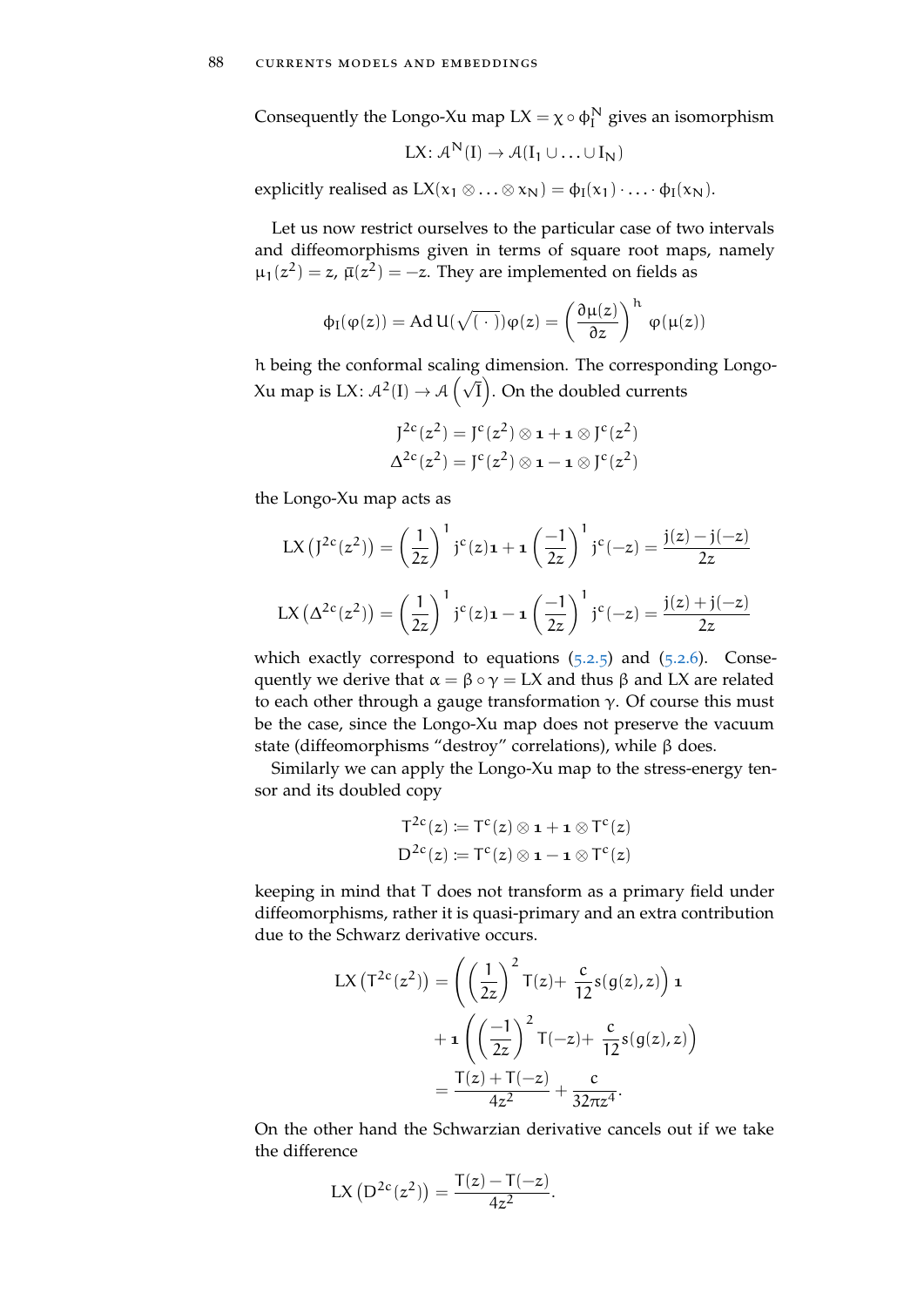Consequently the Longo-Xu map  $LX = \chi \circ \phi_I^N$  gives an isomorphism

$$
LX \colon \mathcal{A}^N(I) \to \mathcal{A}(I_1 \cup \ldots \cup I_N)
$$

explicitly realised as  $LX(x_1 \otimes \ldots \otimes x_N) = \phi_I(x_1) \cdot \ldots \cdot \phi_I(x_N)$ .

Let us now restrict ourselves to the particular case of two intervals and diffeomorphisms given in terms of square root maps, namely  $\mu_1(z^2) = z$ ,  $\bar{\mu}(z^2) = -z$ . They are implemented on fields as

$$
\varphi_I(\phi(z)) = Ad U(\sqrt{(\;\cdot\;)})\phi(z) = \left(\frac{\partial \mu(z)}{\partial z}\right)^h\,\phi(\mu(z))
$$

h being the conformal scaling dimension. The corresponding Longo- $\alpha$  being the contormal beam grammer bord in the correspondent  $Xu$  map is LX:  $A^2(I) \rightarrow A(\sqrt{I})$ . On the doubled currents

$$
J^{2c}(z^{2}) = J^{c}(z^{2}) \otimes \mathbf{1} + \mathbf{1} \otimes J^{c}(z^{2})
$$

$$
\Delta^{2c}(z^{2}) = J^{c}(z^{2}) \otimes \mathbf{1} - \mathbf{1} \otimes J^{c}(z^{2})
$$

the Longo-Xu map acts as

$$
LX\left(J^{2c}(z^{2})\right) = \left(\frac{1}{2z}\right)^{1}j^{c}(z)\mathbf{1} + \mathbf{1}\left(\frac{-1}{2z}\right)^{1}j^{c}(-z) = \frac{j(z) - j(-z)}{2z}
$$

$$
LX\left(\Delta^{2c}(z^{2})\right) = \left(\frac{1}{2z}\right)^{1}j^{c}(z)\mathbf{1} - \mathbf{1}\left(\frac{-1}{2z}\right)^{1}j^{c}(-z) = \frac{j(z) + j(-z)}{2z}
$$

which exactly correspond to equations  $(5.2.5)$  $(5.2.5)$  $(5.2.5)$  and  $(5.2.6)$ . Consequently we derive that  $\alpha = \beta \circ \gamma = LX$  and thus  $\beta$  and LX are related to each other through a gauge transformation  $γ$ . Of course this must be the case, since the Longo-Xu map does not preserve the vacuum state (diffeomorphisms "destroy" correlations), while β does.

Similarly we can apply the Longo-Xu map to the stress-energy tensor and its doubled copy

$$
T^{2c}(z) := T^{c}(z) \otimes \mathbf{1} + \mathbf{1} \otimes T^{c}(z)
$$

$$
D^{2c}(z) := T^{c}(z) \otimes \mathbf{1} - \mathbf{1} \otimes T^{c}(z)
$$

keeping in mind that T does not transform as a primary field under diffeomorphisms, rather it is quasi-primary and an extra contribution due to the Schwarz derivative occurs.

$$
LX(T^{2c}(z^{2})) = \left( \left(\frac{1}{2z}\right)^{2} T(z) + \frac{c}{12} s(g(z), z) \right) \mathbf{1} + \mathbf{1} \left( \left(\frac{-1}{2z}\right)^{2} T(-z) + \frac{c}{12} s(g(z), z) \right)
$$

$$
= \frac{T(z) + T(-z)}{4z^{2}} + \frac{c}{32\pi z^{4}}.
$$

On the other hand the Schwarzian derivative cancels out if we take the difference

$$
LX(D^{2c}(z^{2})) = \frac{T(z) - T(-z)}{4z^{2}}.
$$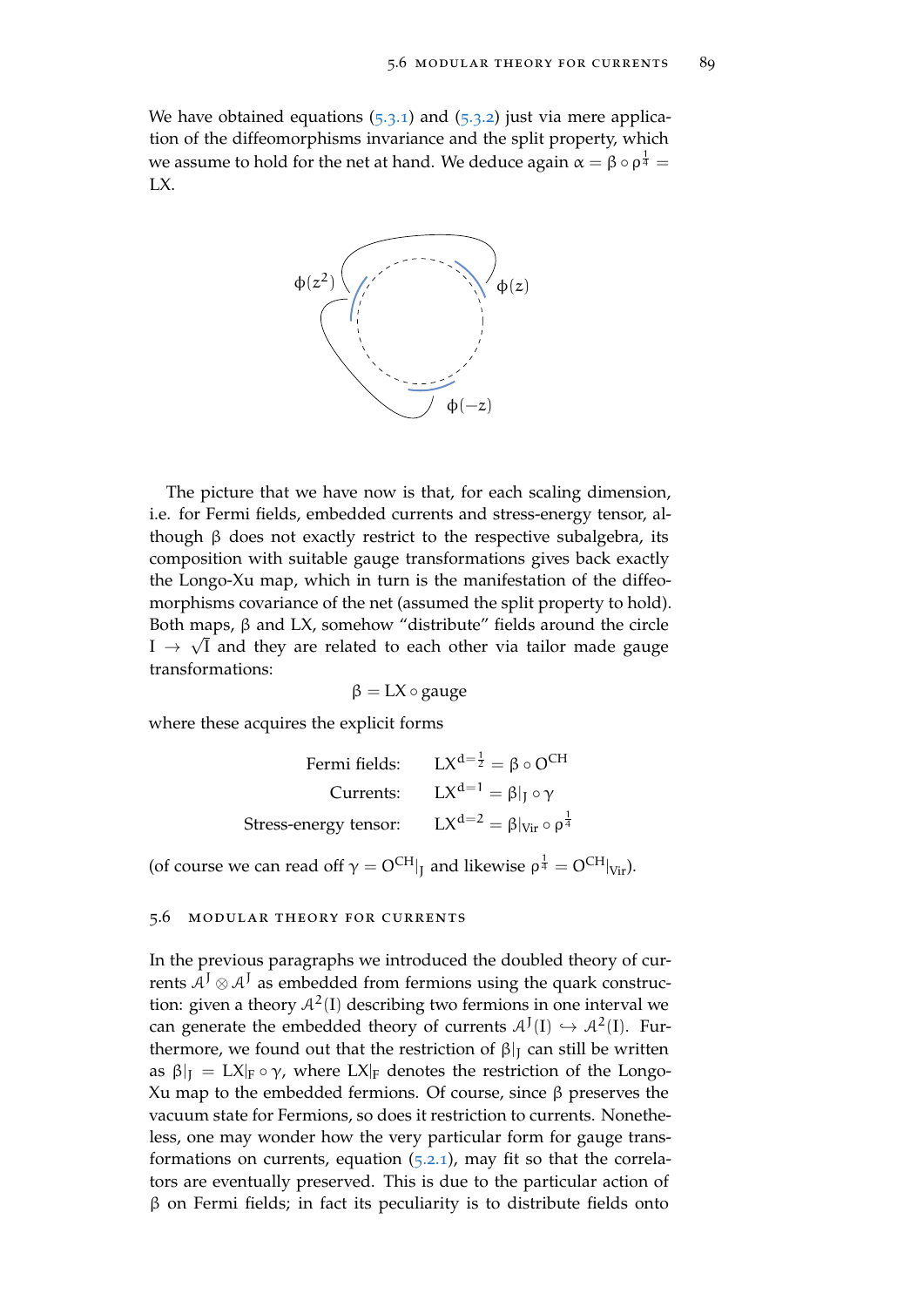We have obtained equations  $(5.3.1)$  $(5.3.1)$  $(5.3.1)$  and  $(5.3.2)$  just via mere application of the diffeomorphisms invariance and the split property, which we assume to hold for the net at hand. We deduce again  $\alpha=\beta\circ\rho^{\frac{1}{4}}=$  $\overline{L}X$ .



The picture that we have now is that, for each scaling dimension, i.e. for Fermi fields, embedded currents and stress-energy tensor, although  $β$  does not exactly restrict to the respective subalgebra, its composition with suitable gauge transformations gives back exactly the Longo-Xu map, which in turn is the manifestation of the diffeomorphisms covariance of the net (assumed the split property to hold). Both maps, β and LX, somehow "distribute" fields around the circle I  $\rightarrow$   $\sqrt{I}$  and they are related to each other via tailor made gauge transformations:

$$
\beta = LX \circ gauge
$$

where these acquires the explicit forms

Fermi fields: 
$$
LX^{d=\frac{1}{2}} = \beta \circ O^{CH}
$$
  
Currents: 
$$
LX^{d=1} = \beta|_{J} \circ \gamma
$$
  
Stress-energy tensor: 
$$
LX^{d=2} = \beta|_{Vir} \circ \rho^{\frac{1}{4}}
$$

<span id="page-100-0"></span>(of course we can read off  $\gamma = O^{CH}|_J$  and likewise  $\rho^{\frac{1}{4}} = O^{CH}|_{Vir}$ ).

## 5.6 modular theory for currents

In the previous paragraphs we introduced the doubled theory of currents  $A^{\dagger} \otimes A^{\dagger}$  as embedded from fermions using the quark construction: given a theory  $A^2(I)$  describing two fermions in one interval we can generate the embedded theory of currents  $A^{J}(I) \hookrightarrow A^{2}(I)$ . Furthermore, we found out that the restriction of  $\beta|_I$  can still be written as  $\beta|_{I} = LX|_{F} \circ \gamma$ , where  $LX|_{F}$  denotes the restriction of the Longo-Xu map to the embedded fermions. Of course, since β preserves the vacuum state for Fermions, so does it restriction to currents. Nonetheless, one may wonder how the very particular form for gauge transformations on currents, equation  $(5.2.1)$  $(5.2.1)$  $(5.2.1)$ , may fit so that the correlators are eventually preserved. This is due to the particular action of  $β$  on Fermi fields; in fact its peculiarity is to distribute fields onto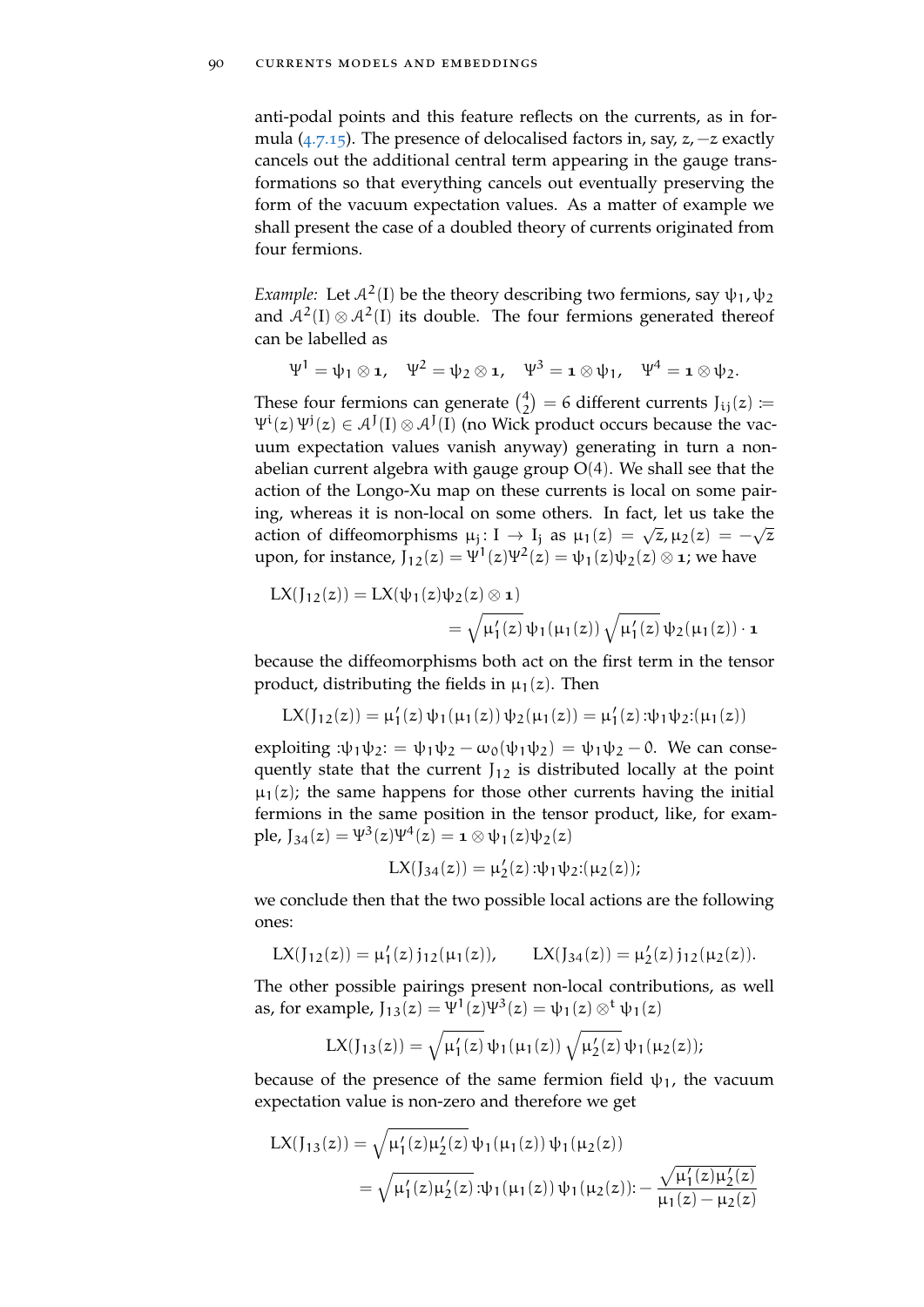#### 90 currents models and embeddings

anti-podal points and this feature reflects on the currents, as in formula  $(4.7.15)$  $(4.7.15)$  $(4.7.15)$ . The presence of delocalised factors in, say, z, -z exactly cancels out the additional central term appearing in the gauge transformations so that everything cancels out eventually preserving the form of the vacuum expectation values. As a matter of example we shall present the case of a doubled theory of currents originated from four fermions.

*Example:* Let  $A^2(I)$  be the theory describing two fermions, say  $\psi_1$ ,  $\psi_2$ and  $A^2(I) \otimes A^2(I)$  its double. The four fermions generated thereof can be labelled as

$$
\Psi^1=\psi_1\otimes\mathbf{1},\quad \Psi^2=\psi_2\otimes\mathbf{1},\quad \Psi^3=\mathbf{1}\otimes\psi_1,\quad \Psi^4=\mathbf{1}\otimes\psi_2.
$$

These four fermions can generate  $\binom{4}{2}$  $\binom{4}{2}$  = 6 different currents  $J_{ij}(z) \coloneqq$  $\Psi^i(z)\Psi^j(z)\in{\cal A}^J(I)\otimes{\cal A}^J(I)$  (no Wick product occurs because the vacuum expectation values vanish anyway) generating in turn a nonabelian current algebra with gauge group  $O(4)$ . We shall see that the action of the Longo-Xu map on these currents is local on some pairing, whereas it is non-local on some others. In fact, let us take the action of diffeomorphisms  $\mu_j: I \to I_j$  as  $\mu_1(z) = \sqrt{z}, \mu_2(z) = -\sqrt{z}$ upon, for instance,  $J_{12}(z) = \Psi^1(z)\Psi^2(z) = \psi_1(z)\psi_2(z) \otimes \mathbf{1}$ ; we have

$$
LX(J_{12}(z)) = LX(\psi_1(z)\psi_2(z)\otimes\mathbf{1})
$$
  
=  $\sqrt{\mu'_1(z)}\psi_1(\mu_1(z))\sqrt{\mu'_1(z)}\psi_2(\mu_1(z))\cdot\mathbf{1}$ 

because the diffeomorphisms both act on the first term in the tensor product, distributing the fields in  $\mu_1(z)$ . Then

$$
LX(J_{12}(z))=\mu_1'(z)\,\psi_1(\mu_1(z))\,\psi_2(\mu_1(z))=\mu_1'(z)\,:\!\psi_1\psi_2\!:\!(\mu_1(z))
$$

exploiting : $\psi_1 \psi_2$ : =  $\psi_1 \psi_2 - \omega_0(\psi_1 \psi_2) = \psi_1 \psi_2 - 0$ . We can consequently state that the current  $J_{12}$  is distributed locally at the point  $\mu_1(z)$ ; the same happens for those other currents having the initial fermions in the same position in the tensor product, like, for example,  $J_{34}(z) = \Psi^3(z)\Psi^4(z) = \mathbf{1} \otimes \Psi_1(z)\Psi_2(z)$ 

$$
LX(J_{34}(z)) = \mu'_2(z) : \psi_1 \psi_2: (\mu_2(z));
$$

we conclude then that the two possible local actions are the following ones:

$$
LX(J_{12}(z))=\mu_1'(z)\,j_{12}(\mu_1(z)),\qquad LX(J_{34}(z))=\mu_2'(z)\,j_{12}(\mu_2(z)).
$$

The other possible pairings present non-local contributions, as well as, for example,  $J_{13}(z) = \Psi^1(z)\Psi^3(z) = \psi_1(z) \otimes^{\mathsf{t}} \psi_1(z)$ 

$$
LX(J_{13}(z)) = \sqrt{\mu'_1(z)} \psi_1(\mu_1(z)) \sqrt{\mu'_2(z)} \psi_1(\mu_2(z));
$$

because of the presence of the same fermion field  $\psi_1$ , the vacuum expectation value is non-zero and therefore we get

$$
LX(J_{13}(z)) = \sqrt{\mu'_1(z)\mu'_2(z)} \psi_1(\mu_1(z)) \psi_1(\mu_2(z))
$$
  
=  $\sqrt{\mu'_1(z)\mu'_2(z)} \psi_1(\mu_1(z)) \psi_1(\mu_2(z))$ :  $-\frac{\sqrt{\mu'_1(z)\mu'_2(z)}}{\mu_1(z) - \mu_2(z)}$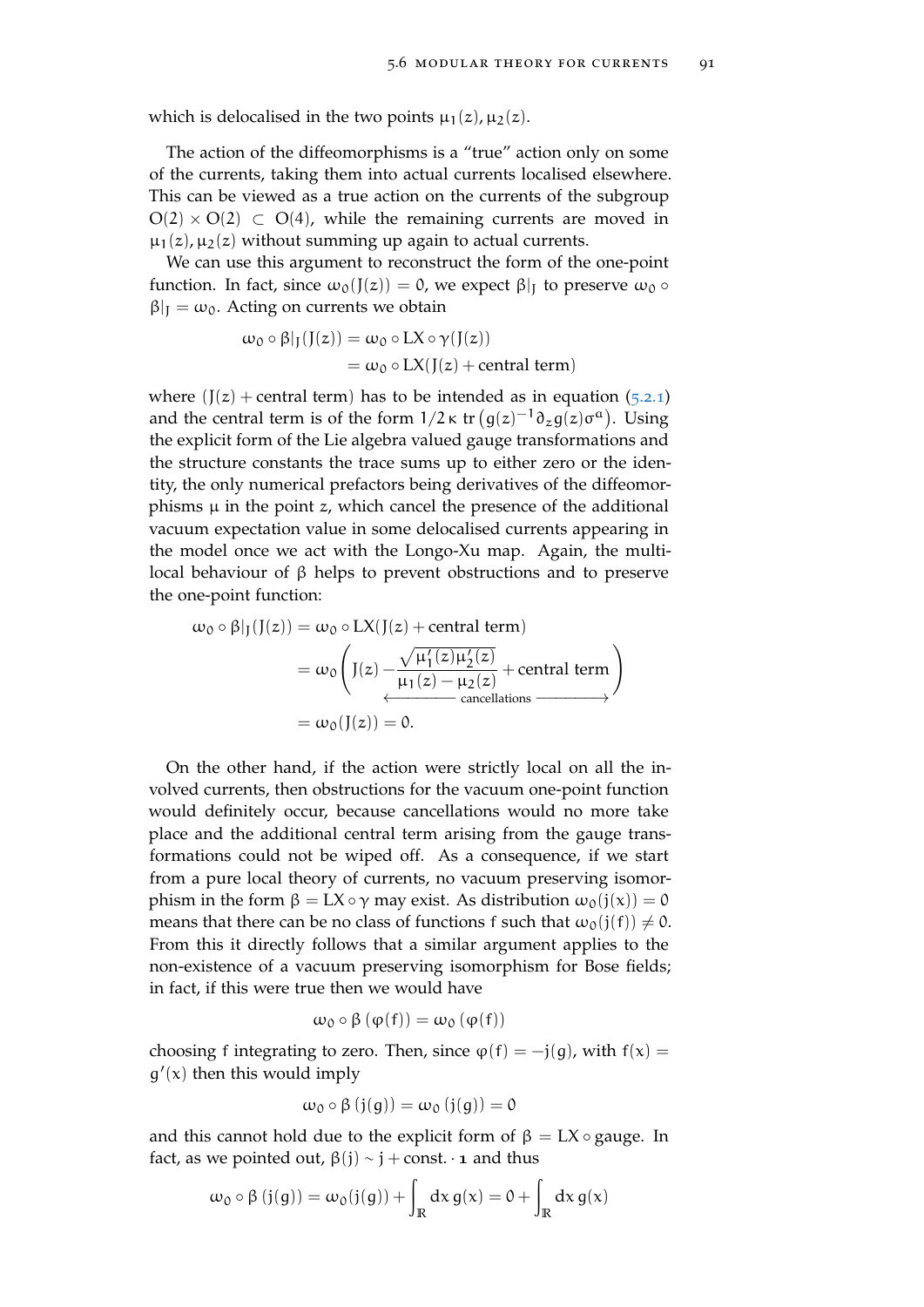which is delocalised in the two points  $\mu_1(z)$ ,  $\mu_2(z)$ .

The action of the diffeomorphisms is a "true" action only on some of the currents, taking them into actual currents localised elsewhere. This can be viewed as a true action on the currents of the subgroup  $O(2) \times O(2) \subset O(4)$ , while the remaining currents are moved in  $\mu_1(z)$ ,  $\mu_2(z)$  without summing up again to actual currents.

We can use this argument to reconstruct the form of the one-point function. In fact, since  $\omega_0(J(z)) = 0$ , we expect  $\beta|_I$  to preserve  $\omega_0 \circ$  $\beta|_{\mathcal{I}} = \omega_0$ . Acting on currents we obtain

$$
\omega_0 \circ \beta|_J(J(z)) = \omega_0 \circ LX \circ \gamma(J(z))
$$
  
=  $\omega_0 \circ LX(J(z) + central term)$ 

where  $(J(z) +$  central term) has to be intended as in equation ([5](#page-92-1).2.1) and the central term is of the form  $1/2\kappa$  tr  $(g(z)^{-1}\partial_z g(z)\sigma^a)$ . Using the explicit form of the Lie algebra valued gauge transformations and the structure constants the trace sums up to either zero or the identity, the only numerical prefactors being derivatives of the diffeomorphisms  $\mu$  in the point  $z$ , which cancel the presence of the additional vacuum expectation value in some delocalised currents appearing in the model once we act with the Longo-Xu map. Again, the multilocal behaviour of β helps to prevent obstructions and to preserve the one-point function:

$$
\omega_0 \circ \beta|_J(J(z)) = \omega_0 \circ LX(J(z) + \text{central term})
$$
  
= 
$$
\omega_0 \left( J(z) - \frac{\sqrt{\mu'_1(z)\mu'_2(z)}}{\mu_1(z) - \mu_2(z)} + \text{central term} \right)
$$
  
= 
$$
\omega_0(J(z)) = 0.
$$

On the other hand, if the action were strictly local on all the involved currents, then obstructions for the vacuum one-point function would definitely occur, because cancellations would no more take place and the additional central term arising from the gauge transformations could not be wiped off. As a consequence, if we start from a pure local theory of currents, no vacuum preserving isomorphism in the form  $β = LX ∘ γ$  may exist. As distribution  $ω_0(j(x)) = 0$ means that there can be no class of functions f such that  $\omega_0(i(f)) \neq 0$ . From this it directly follows that a similar argument applies to the non-existence of a vacuum preserving isomorphism for Bose fields; in fact, if this were true then we would have

$$
\omega_0 \circ \beta (\phi(f)) = \omega_0 (\phi(f))
$$

choosing f integrating to zero. Then, since  $\varphi(f) = -j(g)$ , with  $f(x) =$  $g'(x)$  then this would imply

$$
\omega_0 \circ \beta (j(g)) = \omega_0 (j(g)) = 0
$$

and this cannot hold due to the explicit form of  $\beta = LX \circ gauge$ . In fact, as we pointed out,  $\beta(j) \sim j + \text{const.} \cdot \mathbf{1}$  and thus

$$
\omega_0\circ\beta\left(\mathfrak{j}(g)\right)=\omega_0(\mathfrak{j}(g))+\int_\mathbb{R}dx\,g(x)=0+\int_\mathbb{R}dx\,g(x)
$$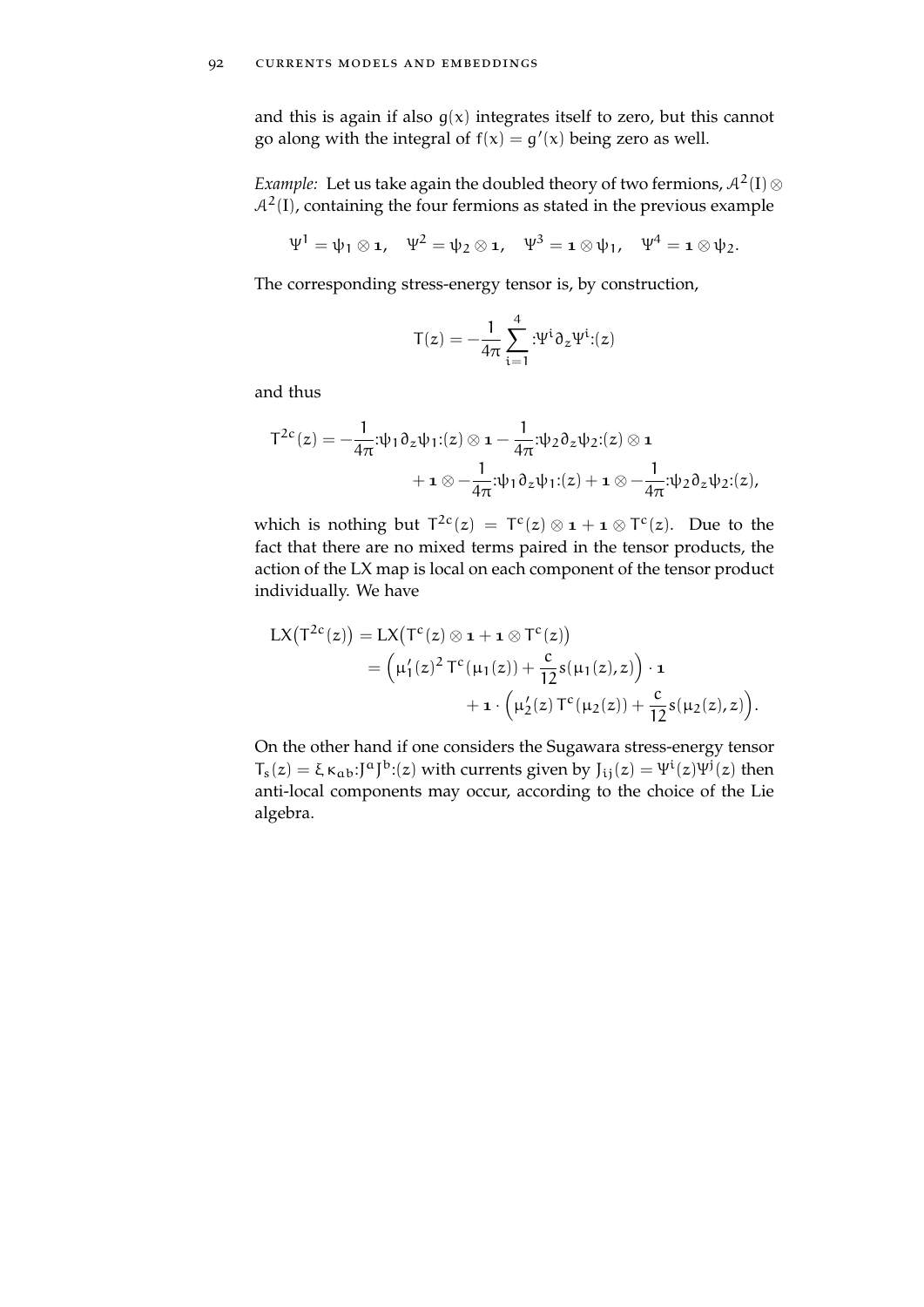and this is again if also  $g(x)$  integrates itself to zero, but this cannot go along with the integral of  $f(x) = g'(x)$  being zero as well.

*Example*: Let us take again the doubled theory of two fermions,  $\mathcal{A}^2(I)$  ⊗  $\mathcal{A}^2(I)$ , containing the four fermions as stated in the previous example

 $\Psi^1 = \psi_1 \otimes {\bf 1}, \quad \Psi^2 = \psi_2 \otimes {\bf 1}, \quad \Psi^3 = {\bf 1} \otimes \psi_1, \quad \Psi^4 = {\bf 1} \otimes \psi_2.$ 

The corresponding stress-energy tensor is, by construction,

$$
T(z)=-\frac{1}{4\pi}\sum_{i=1}^4 :\!\!\Psi^i\partial_z\Psi^i:(z)
$$

and thus

$$
T^{2c}(z) = -\frac{1}{4\pi} \mathbf{i}\psi_1 \partial_z \psi_1 \mathbf{i}(z) \otimes \mathbf{1} - \frac{1}{4\pi} \mathbf{i}\psi_2 \partial_z \psi_2 \mathbf{i}(z) \otimes \mathbf{1} + \mathbf{1} \otimes -\frac{1}{4\pi} \mathbf{i}\psi_1 \partial_z \psi_1 \mathbf{i}(z) + \mathbf{1} \otimes -\frac{1}{4\pi} \mathbf{i}\psi_2 \partial_z \psi_2 \mathbf{i}(z),
$$

which is nothing but  $T^{2c}(z) = T^{c}(z) \otimes 1 + i \otimes T^{c}(z)$ . Due to the fact that there are no mixed terms paired in the tensor products, the action of the LX map is local on each component of the tensor product individually. We have

$$
LX(T^{2c}(z)) = LX(T^{c}(z) \otimes \mathbf{1} + \mathbf{1} \otimes T^{c}(z))
$$
  
= 
$$
\left(\mu'_1(z)^2 T^{c}(\mu_1(z)) + \frac{c}{12} s(\mu_1(z), z)\right) \cdot \mathbf{1}
$$

$$
+ \mathbf{1} \cdot \left(\mu'_2(z) T^{c}(\mu_2(z)) + \frac{c}{12} s(\mu_2(z), z)\right).
$$

On the other hand if one considers the Sugawara stress-energy tensor  $T_s(z) = \xi \kappa_{ab}$ : $J^a J^b$ : $(z)$  with currents given by  $J_{ij}(z) = \Psi^i(z) \Psi^j(z)$  then anti-local components may occur, according to the choice of the Lie algebra.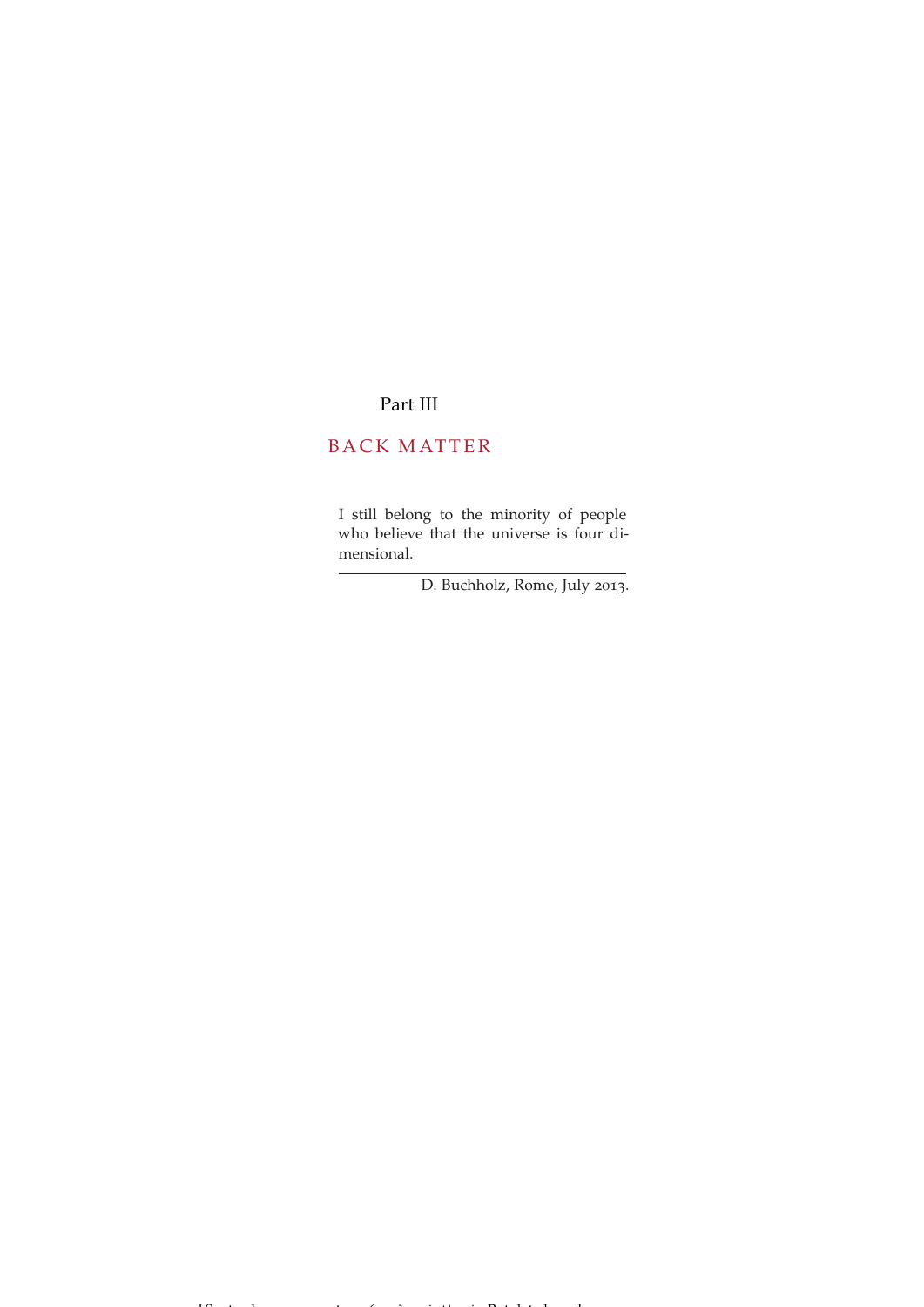## Part III

# BACK MATTER

I still belong to the minority of people who believe that the universe is four dimensional.

D. Buchholz, Rome, July 2013.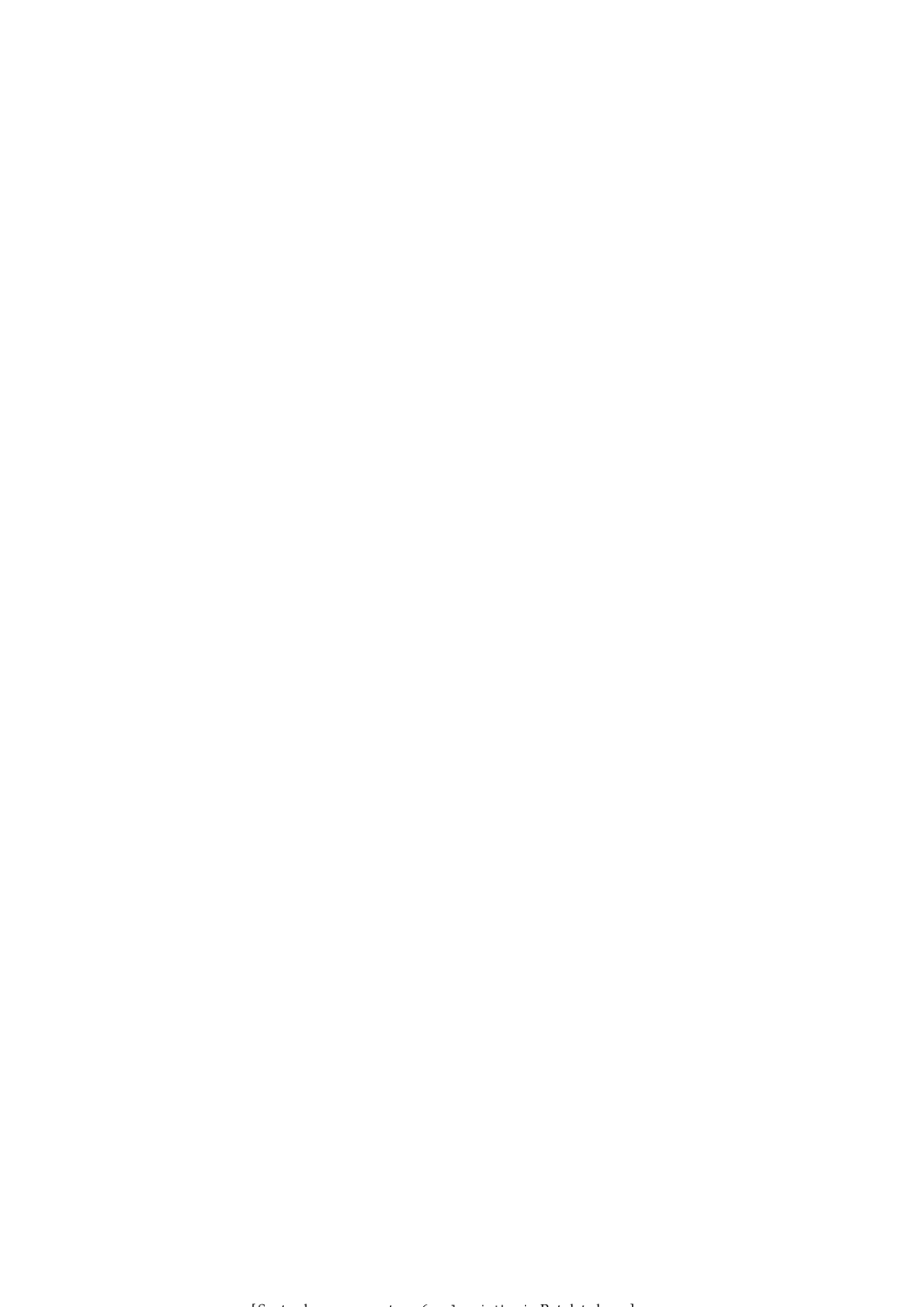$\begin{bmatrix} 1 & 0 & 1 \\ 0 & 1 & 1 \end{bmatrix}$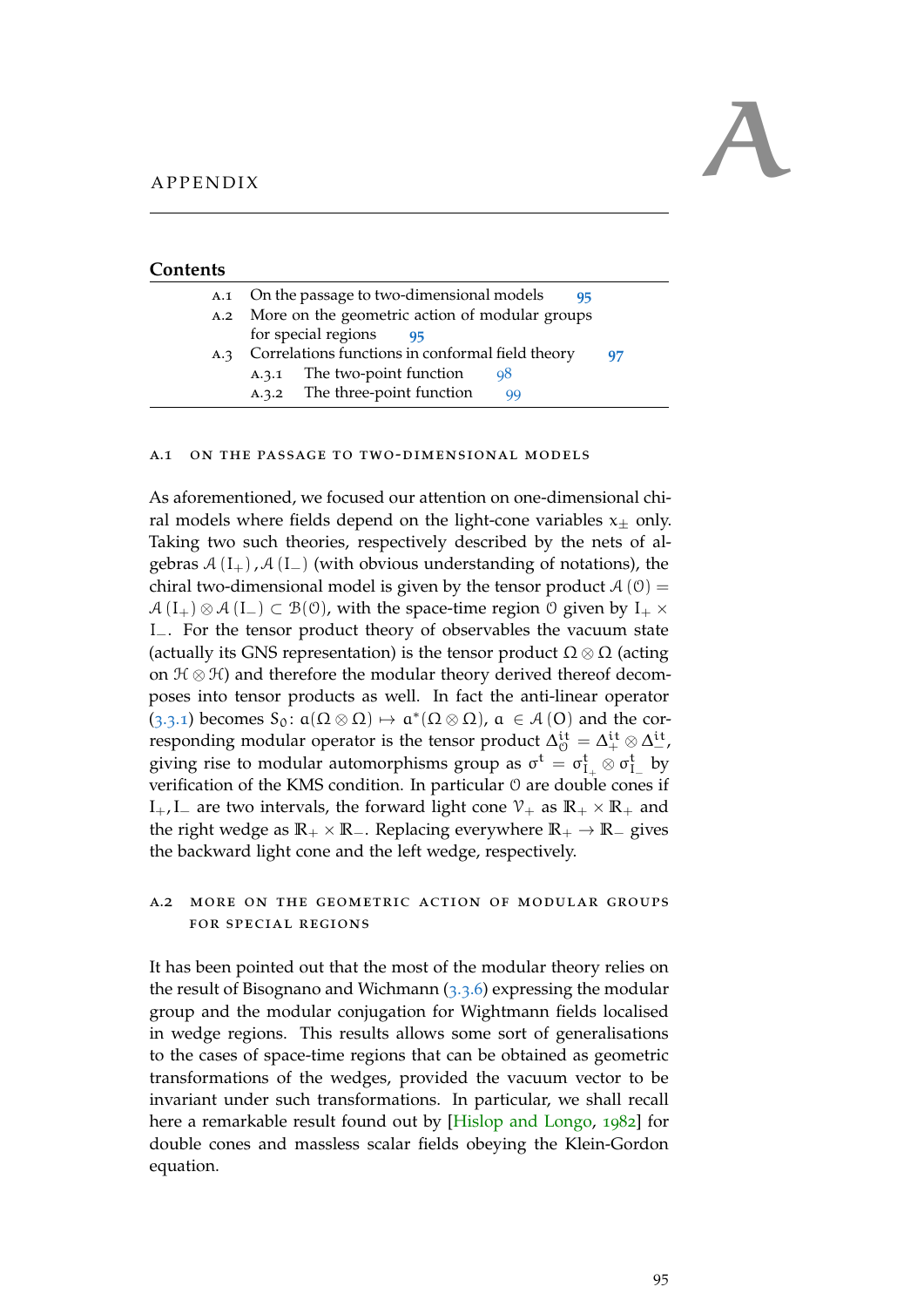

| Contents |                                                        |
|----------|--------------------------------------------------------|
|          | A.1 On the passage to two-dimensional models<br>95     |
|          | A.2 More on the geometric action of modular groups     |
|          | for special regions<br>95                              |
| A.3      | Correlations functions in conformal field theory<br>97 |
|          | The two-point function<br>98<br>A.3.1                  |
|          | The three-point function<br>A.3.2<br>99                |
|          |                                                        |

## <span id="page-106-0"></span>a.1 on the passage to two-dimensional models

As aforementioned, we focused our attention on one-dimensional chiral models where fields depend on the light-cone variables  $x_+$  only. Taking two such theories, respectively described by the nets of algebras  $A(I_+)$ ,  $A(I_-)$  (with obvious understanding of notations), the chiral two-dimensional model is given by the tensor product  $A(0) =$  $A(I_+) \otimes A(I_-) \subset B(0)$ , with the space-time region 0 given by  $I_+ \times$ I−. For the tensor product theory of observables the vacuum state (actually its GNS representation) is the tensor product  $\Omega \otimes \Omega$  (acting on  $\mathcal{H} \otimes \mathcal{H}$ ) and therefore the modular theory derived thereof decomposes into tensor products as well. In fact the anti-linear operator ([3](#page-33-0).3.1) becomes  $S_0: \alpha(\Omega \otimes \Omega) \mapsto \alpha^*(\Omega \otimes \Omega)$ ,  $\alpha \in \mathcal{A}(0)$  and the corresponding modular operator is the tensor product  $\Delta_{\mathcal{O}}^{\text{it}} = \Delta_{+}^{\text{it}} \otimes \Delta_{-}^{\text{it}}$ , giving rise to modular automorphisms group as  $\sigma^{\rm t}$  =  $\sigma_{{\rm I}_+}^{\rm t}\otimes\sigma_{{\rm I}_-}^{\rm t}$  by verification of the KMS condition. In particular  $\theta$  are double cones if I<sub>+</sub>, I<sub>−</sub> are two intervals, the forward light cone  $\mathcal{V}_+$  as  $\mathbb{R}_+ \times \mathbb{R}_+$  and the right wedge as  $\mathbb{R}_+ \times \mathbb{R}_-$ . Replacing everywhere  $\mathbb{R}_+ \to \mathbb{R}_-$  gives the backward light cone and the left wedge, respectively.

## <span id="page-106-1"></span>a.2 more on the geometric action of modular groups for special regions

It has been pointed out that the most of the modular theory relies on the result of Bisognano and Wichmann ([3](#page-35-0).3.6) expressing the modular group and the modular conjugation for Wightmann fields localised in wedge regions. This results allows some sort of generalisations to the cases of space-time regions that can be obtained as geometric transformations of the wedges, provided the vacuum vector to be invariant under such transformations. In particular, we shall recall here a remarkable result found out by [\[Hislop and Longo,](#page-118-5) [1982](#page-118-5)] for double cones and massless scalar fields obeying the Klein-Gordon equation.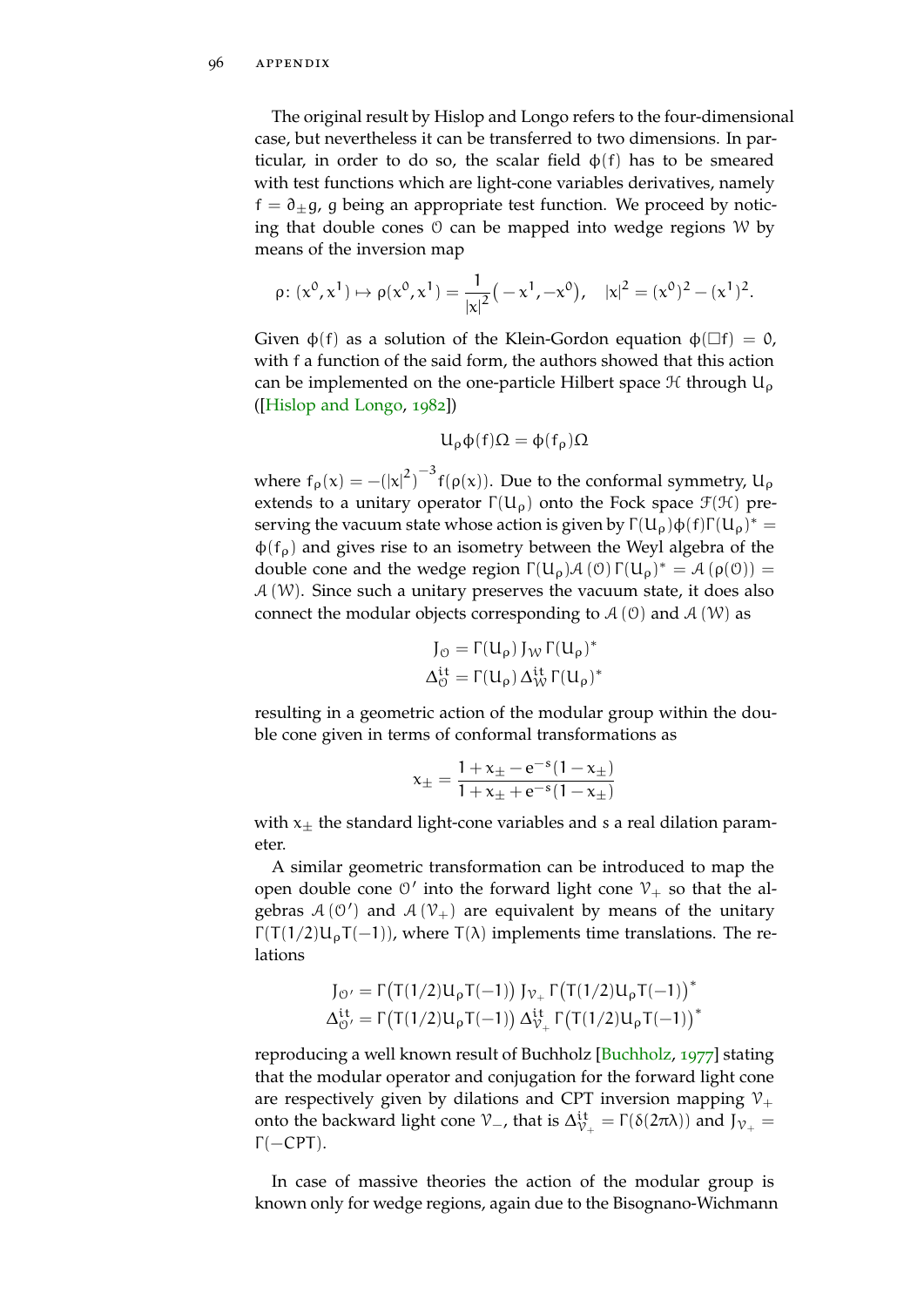The original result by Hislop and Longo refers to the four-dimensional case, but nevertheless it can be transferred to two dimensions. In particular, in order to do so, the scalar field  $\phi(f)$  has to be smeared with test functions which are light-cone variables derivatives, namely  $f = \partial_{\pm} g$ , g being an appropriate test function. We proceed by noticing that double cones  $\theta$  can be mapped into wedge regions  $W$  by means of the inversion map

$$
\rho\colon (x^0,x^1)\mapsto \rho(x^0,x^1)=\frac{1}{|x|^2}\big(-x^1,-x^0\big),\quad |x|^2=(x^0)^2-(x^1)^2.
$$

Given  $\phi(f)$  as a solution of the Klein-Gordon equation  $\phi(\Box f) = 0$ , with f a function of the said form, the authors showed that this action can be implemented on the one-particle Hilbert space  $H$  through  $U_0$ ([\[Hislop and Longo,](#page-118-5) [1982](#page-118-5)])

$$
U_{\rho}\varphi(f)\Omega=\varphi(f_{\rho})\Omega
$$

where  $f_{\rho}(x) = -(|x|^2)^{-3} f(\rho(x))$ . Due to the conformal symmetry, U<sub>p</sub> extends to a unitary operator  $\Gamma(U_0)$  onto the Fock space  $\mathcal{F}(\mathcal{H})$  preserving the vacuum state whose action is given by  $\Gamma(\mathsf{U}_{\rho})\varphi(\mathsf{f})\Gamma(\mathsf{U}_{\rho})^* =$  $\varphi(f_p)$  and gives rise to an isometry between the Weyl algebra of the double cone and the wedge region  $\Gamma(\mathsf{U}_{\rho})\mathcal{A}(\mathcal{O})\Gamma(\mathsf{U}_{\rho})^* = \mathcal{A}(\rho(\mathcal{O}))$  $A(W)$ . Since such a unitary preserves the vacuum state, it does also connect the modular objects corresponding to  $A(0)$  and  $A(W)$  as

$$
J_{\mathcal{O}} = \Gamma(U_{\rho}) J_{\mathcal{W}} \Gamma(U_{\rho})^*
$$

$$
\Delta_{\mathcal{O}}^{it} = \Gamma(U_{\rho}) \Delta_{\mathcal{W}}^{it} \Gamma(U_{\rho})^*
$$

resulting in a geometric action of the modular group within the double cone given in terms of conformal transformations as

$$
x_{\pm}=\frac{1+x_{\pm}-e^{-s}(1-x_{\pm})}{1+x_{\pm}+e^{-s}(1-x_{\pm})}
$$

with  $x_+$  the standard light-cone variables and s a real dilation parameter.

A similar geometric transformation can be introduced to map the open double cone  $\mathcal{O}'$  into the forward light cone  $\mathcal{V}_+$  so that the algebras  $A(0')$  and  $A(V_+)$  are equivalent by means of the unitary  $Γ(T(1/2)U<sub>ρ</sub>T(-1))$ , where  $T(λ)$  implements time translations. The relations

$$
J_{\mathcal{O}'} = \Gamma\big(T(1/2)U_{\rho}T(-1)\big) J_{\mathcal{V}_+} \Gamma\big(T(1/2)U_{\rho}T(-1)\big)^{*}
$$
  

$$
\Delta_{\mathcal{O}'}^{it} = \Gamma\big(T(1/2)U_{\rho}T(-1)\big) \Delta_{\mathcal{V}_+}^{it} \Gamma\big(T(1/2)U_{\rho}T(-1)\big)^{*}
$$

reproducing a well known result of Buchholz [\[Buchholz,](#page-116-0) [1977](#page-116-0)] stating that the modular operator and conjugation for the forward light cone are respectively given by dilations and CPT inversion mapping  $\mathcal{V}_+$ onto the backward light cone  $\mathcal{V}_-,$  that is  $\Delta_{\mathcal{V}_+}^{it} = \Gamma(\delta(2\pi\lambda))$  and  $J_{\mathcal{V}_+} =$  $\Gamma$ ( $-CPT$ ).

In case of massive theories the action of the modular group is known only for wedge regions, again due to the Bisognano-Wichmann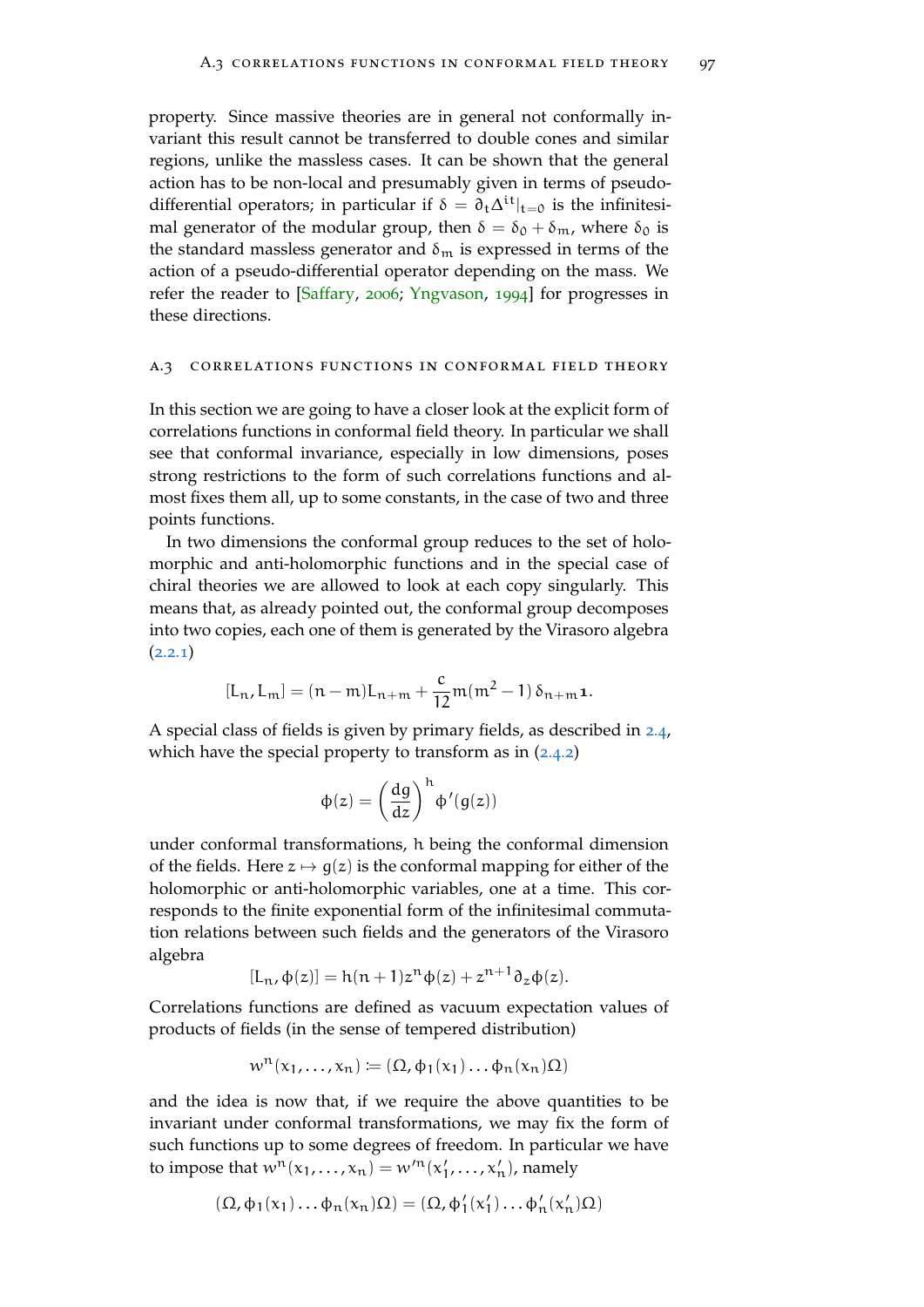property. Since massive theories are in general not conformally invariant this result cannot be transferred to double cones and similar regions, unlike the massless cases. It can be shown that the general action has to be non-local and presumably given in terms of pseudodifferential operators; in particular if  $\delta = \partial_t \Delta^{it}|_{t=0}$  is the infinitesimal generator of the modular group, then  $\delta = \delta_0 + \delta_m$ , where  $\delta_0$  is the standard massless generator and  $\delta_{\rm m}$  is expressed in terms of the action of a pseudo-differential operator depending on the mass. We refer the reader to [\[Saffary,](#page-119-0) [2006](#page-119-0); [Yngvason,](#page-119-1) [1994](#page-119-1)] for progresses in these directions.

## a.3 correlations functions in conformal field theory

In this section we are going to have a closer look at the explicit form of correlations functions in conformal field theory. In particular we shall see that conformal invariance, especially in low dimensions, poses strong restrictions to the form of such correlations functions and almost fixes them all, up to some constants, in the case of two and three points functions.

In two dimensions the conformal group reduces to the set of holomorphic and anti-holomorphic functions and in the special case of chiral theories we are allowed to look at each copy singularly. This means that, as already pointed out, the conformal group decomposes into two copies, each one of them is generated by the Virasoro algebra  $(2.2.1)$  $(2.2.1)$  $(2.2.1)$ 

$$
[L_n, L_m] = (n-m)L_{n+m} + \frac{c}{12}m(m^2 - 1)\,\delta_{n+m}\mathbf{1}.
$$

A special class of fields is given by primary fields, as described in [2](#page-25-0).4, which have the special property to transform as in  $(2.4.2)$  $(2.4.2)$  $(2.4.2)$ 

$$
\varphi(z)=\left(\frac{dg}{dz}\right)^h\varphi'(g(z))
$$

under conformal transformations, h being the conformal dimension of the fields. Here  $z \mapsto g(z)$  is the conformal mapping for either of the holomorphic or anti-holomorphic variables, one at a time. This corresponds to the finite exponential form of the infinitesimal commutation relations between such fields and the generators of the Virasoro algebra

$$
[L_n, \varphi(z)] = h(n+1)z^n \varphi(z) + z^{n+1} \partial_z \varphi(z).
$$

Correlations functions are defined as vacuum expectation values of products of fields (in the sense of tempered distribution)

$$
w^{n}(x_1,\ldots,x_n) \coloneqq (\Omega,\varphi_1(x_1)\ldots\varphi_n(x_n)\Omega)
$$

and the idea is now that, if we require the above quantities to be invariant under conformal transformations, we may fix the form of such functions up to some degrees of freedom. In particular we have to impose that  $w^n(x_1,...,x_n) = w'^n(x'_1,...,x'_n)$ , namely

$$
(\Omega,\varphi_1(x_1)\dots\varphi_n(x_n)\Omega)=(\Omega,\varphi_1'(x_1')\dots\varphi_n'(x_n')\Omega)
$$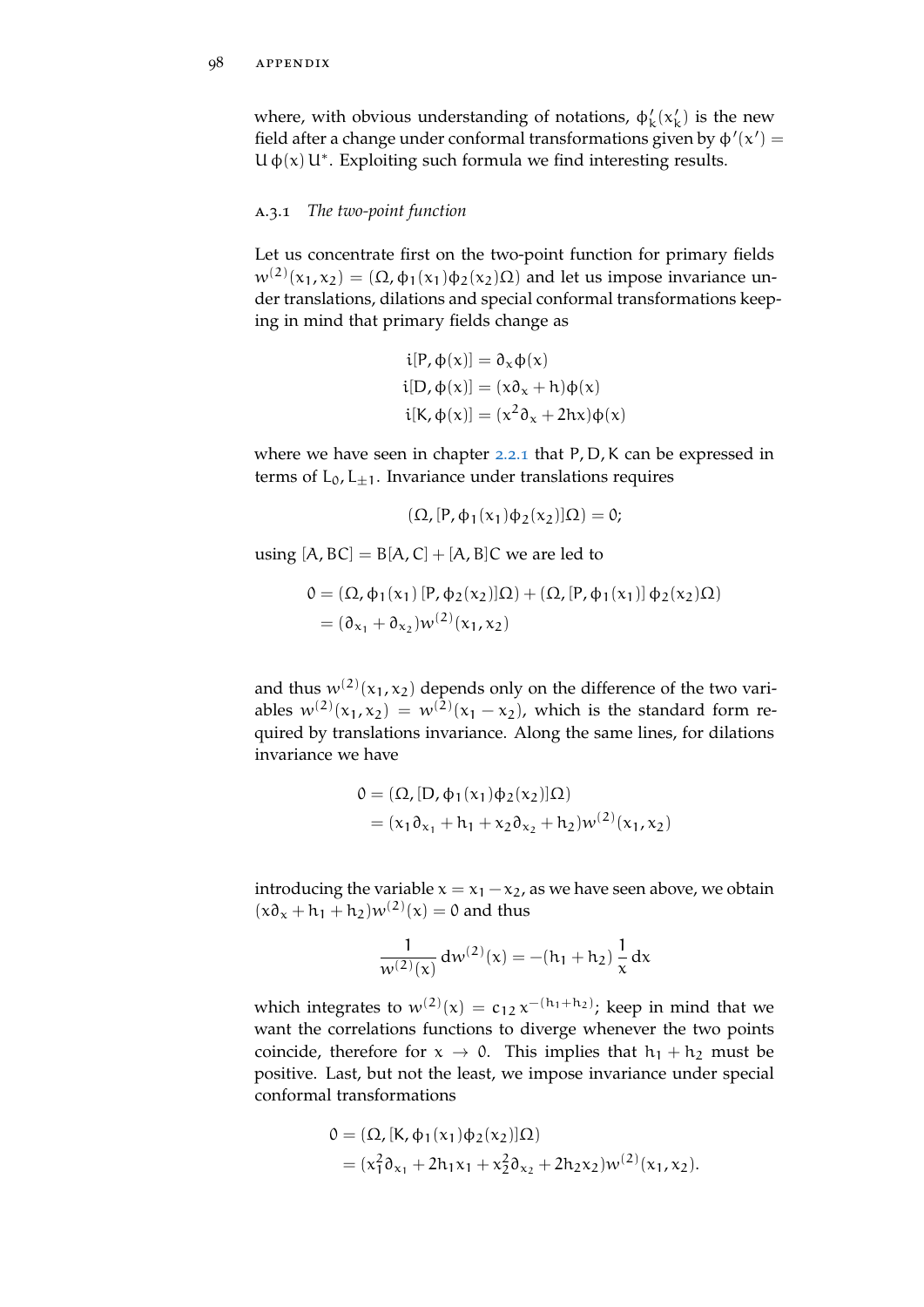where, with obvious understanding of notations,  $\phi'_{k}(x'_{k})$  is the new field after a change under conformal transformations given by  $\phi'(x') =$ U  $\phi(x)$  U<sup>\*</sup>. Exploiting such formula we find interesting results.

## a.3.1 *The two-point function*

Let us concentrate first on the two-point function for primary fields  $w^{(2)}(x_1, x_2) = (\Omega, \phi_1(x_1)\phi_2(x_2)\Omega)$  and let us impose invariance under translations, dilations and special conformal transformations keeping in mind that primary fields change as

$$
i[P, \phi(x)] = \partial_x \phi(x)
$$
  
\n
$$
i[D, \phi(x)] = (x\partial_x + h)\phi(x)
$$
  
\n
$$
i[K, \phi(x)] = (x^2\partial_x + 2hx)\phi(x)
$$

where we have seen in chapter [2](#page-21-1).2.1 that P, D, K can be expressed in terms of  $L_0$ ,  $L_{\pm 1}$ . Invariance under translations requires

$$
(\Omega, [P, \varphi_1(x_1)\varphi_2(x_2)]\Omega) = 0;
$$

using  $[A, BC] = B[A, C] + [A, B]C$  we are led to

$$
0 = (\Omega, \phi_1(x_1) [P, \phi_2(x_2)] \Omega) + (\Omega, [P, \phi_1(x_1)] \phi_2(x_2) \Omega)
$$
  
=  $(\partial_{x_1} + \partial_{x_2}) w^{(2)}(x_1, x_2)$ 

and thus  $w^{(2)}(x_1, x_2)$  depends only on the difference of the two variables  $w^{(2)}(x_1, x_2) = w^{(2)}(x_1 - x_2)$ , which is the standard form required by translations invariance. Along the same lines, for dilations invariance we have

$$
0 = (\Omega, [\mathbf{D}, \phi_1(x_1)\phi_2(x_2)]\Omega)
$$
  
=  $(x_1\partial_{x_1} + h_1 + x_2\partial_{x_2} + h_2)w^{(2)}(x_1, x_2)$ 

introducing the variable  $x = x_1 - x_2$ , as we have seen above, we obtain  $(x\partial_x + h_1 + h_2)w^{(2)}(x) = 0$  and thus

$$
\frac{1}{w^{(2)}(x)} dw^{(2)}(x) = -(h_1 + h_2) \frac{1}{x} dx
$$

which integrates to  $w^{(2)}(x) = c_{12} x^{-(h_1 + h_2)}$ ; keep in mind that we want the correlations functions to diverge whenever the two points coincide, therefore for  $x \to 0$ . This implies that  $h_1 + h_2$  must be positive. Last, but not the least, we impose invariance under special conformal transformations

$$
0 = (\Omega, [K, \phi_1(x_1)\phi_2(x_2)]\Omega)
$$
  
=  $(x_1^2\partial_{x_1} + 2h_1x_1 + x_2^2\partial_{x_2} + 2h_2x_2)w^{(2)}(x_1, x_2).$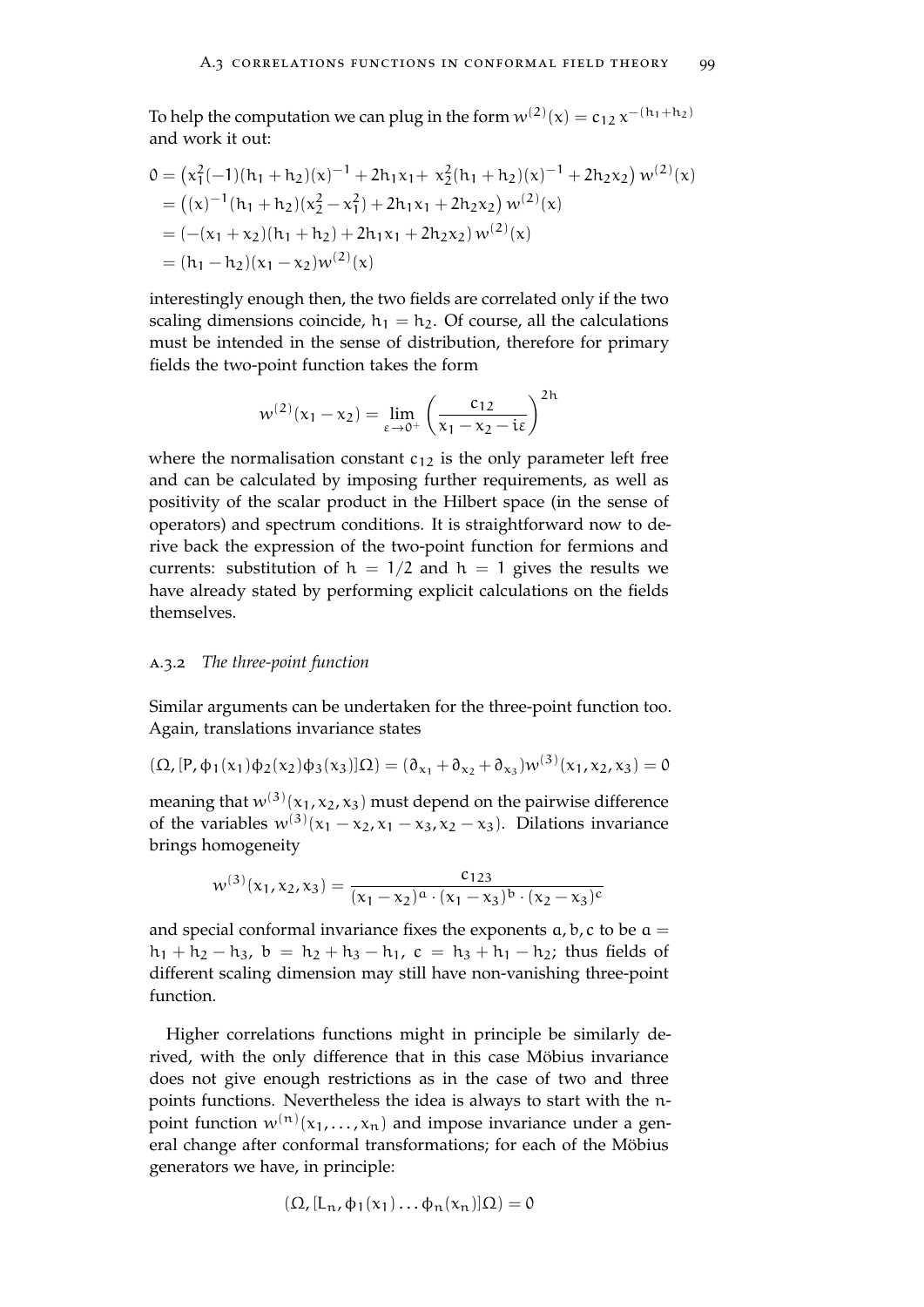To help the computation we can plug in the form  $w^{(2)}(x) = c_{12} x^{-(h_1 + h_2)}$ and work it out:

$$
0 = (x_1^2(-1)(h_1 + h_2)(x)^{-1} + 2h_1x_1 + x_2^2(h_1 + h_2)(x)^{-1} + 2h_2x_2) w^{(2)}(x)
$$
  
= ((x)<sup>-1</sup>(h<sub>1</sub> + h<sub>2</sub>)(x<sub>2</sub><sup>2</sup> - x<sub>1</sub><sup>2</sup>) + 2h<sub>1</sub>x<sub>1</sub> + 2h<sub>2</sub>x<sub>2</sub>) w<sup>(2)</sup>(x)  
= (-(x<sub>1</sub> + x<sub>2</sub>)(h<sub>1</sub> + h<sub>2</sub>) + 2h<sub>1</sub>x<sub>1</sub> + 2h<sub>2</sub>x<sub>2</sub>) w<sup>(2)</sup>(x)  
= (h<sub>1</sub> - h<sub>2</sub>)(x<sub>1</sub> - x<sub>2</sub>)w<sup>(2)</sup>(x)

interestingly enough then, the two fields are correlated only if the two scaling dimensions coincide,  $h_1 = h_2$ . Of course, all the calculations must be intended in the sense of distribution, therefore for primary fields the two-point function takes the form

$$
w^{(2)}(x_1 - x_2) = \lim_{\varepsilon \to 0^+} \left( \frac{c_{12}}{x_1 - x_2 - i\varepsilon} \right)^{2h}
$$

where the normalisation constant  $c_{12}$  is the only parameter left free and can be calculated by imposing further requirements, as well as positivity of the scalar product in the Hilbert space (in the sense of operators) and spectrum conditions. It is straightforward now to derive back the expression of the two-point function for fermions and currents: substitution of  $h = 1/2$  and  $h = 1$  gives the results we have already stated by performing explicit calculations on the fields themselves.

## a.3.2 *The three-point function*

Similar arguments can be undertaken for the three-point function too. Again, translations invariance states

$$
(\Omega, [P, \phi_1(x_1)\phi_2(x_2)\phi_3(x_3)]\Omega) = (\partial_{x_1} + \partial_{x_2} + \partial_{x_3})w^{(3)}(x_1, x_2, x_3) = 0
$$

meaning that  $\mathsf{w}^{(3)}(\mathsf{x}_1,\mathsf{x}_2,\mathsf{x}_3)$  must depend on the pairwise difference of the variables  $w^{(3)}(x_1 - x_2, x_1 - x_3, x_2 - x_3)$ . Dilations invariance brings homogeneity

$$
w^{(3)}(x_1, x_2, x_3) = \frac{c_{123}}{(x_1 - x_2)^{\alpha} \cdot (x_1 - x_3)^{\beta} \cdot (x_2 - x_3)^{c}}
$$

and special conformal invariance fixes the exponents  $a, b, c$  to be  $a =$  $h_1 + h_2 - h_3$ ,  $b = h_2 + h_3 - h_1$ ,  $c = h_3 + h_1 - h_2$ ; thus fields of different scaling dimension may still have non-vanishing three-point function.

Higher correlations functions might in principle be similarly derived, with the only difference that in this case Möbius invariance does not give enough restrictions as in the case of two and three points functions. Nevertheless the idea is always to start with the npoint function  $w^{(n)}(x_1,...,x_n)$  and impose invariance under a general change after conformal transformations; for each of the Möbius generators we have, in principle:

$$
(\Omega, [L_n, \varphi_1(x_1) \dots \varphi_n(x_n)]\Omega) = 0
$$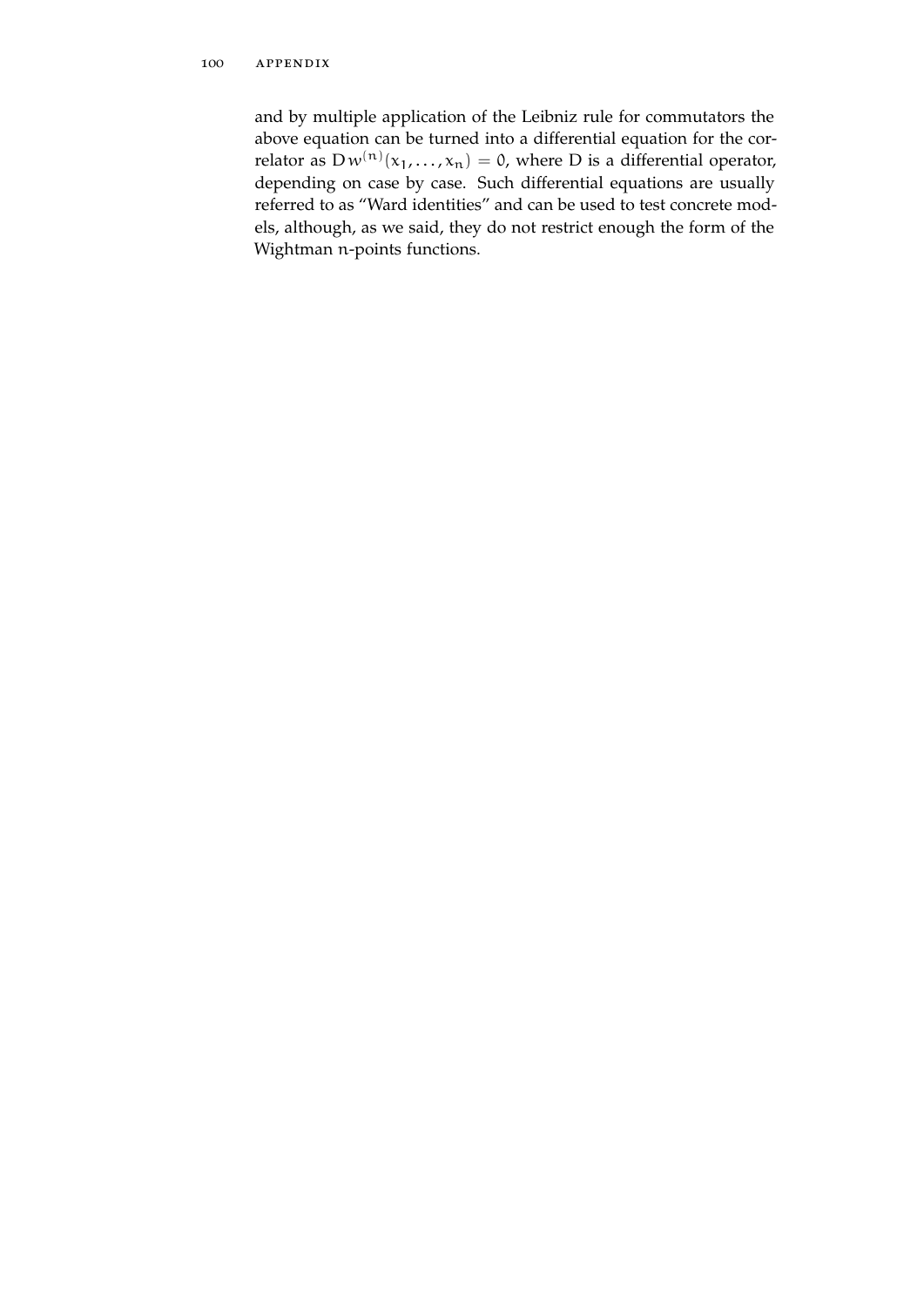and by multiple application of the Leibniz rule for commutators the above equation can be turned into a differential equation for the correlator as  ${\rm D} \, w^{(n)}(x_1,\ldots,x_n) = {\bf 0}$ , where  ${\rm D}$  is a differential operator, depending on case by case. Such differential equations are usually referred to as "Ward identities" and can be used to test concrete models, although, as we said, they do not restrict enough the form of the Wightman n-points functions.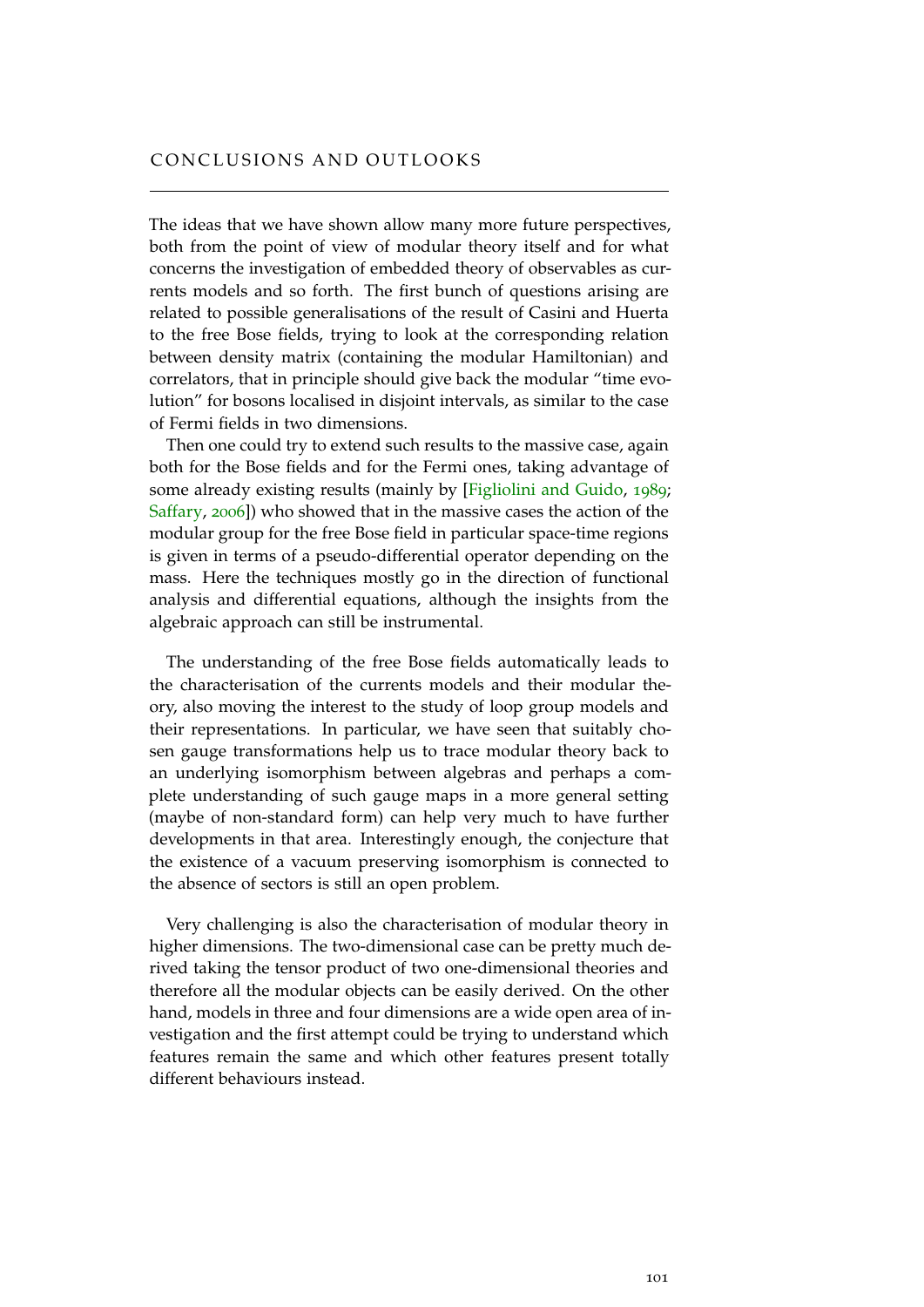## CONCLUSIONS AND OUTLOOKS

The ideas that we have shown allow many more future perspectives, both from the point of view of modular theory itself and for what concerns the investigation of embedded theory of observables as currents models and so forth. The first bunch of questions arising are related to possible generalisations of the result of Casini and Huerta to the free Bose fields, trying to look at the corresponding relation between density matrix (containing the modular Hamiltonian) and correlators, that in principle should give back the modular "time evolution" for bosons localised in disjoint intervals, as similar to the case of Fermi fields in two dimensions.

Then one could try to extend such results to the massive case, again both for the Bose fields and for the Fermi ones, taking advantage of some already existing results (mainly by [\[Figliolini and Guido,](#page-117-0) [1989](#page-117-0); [Saffary,](#page-119-0) [2006](#page-119-0)]) who showed that in the massive cases the action of the modular group for the free Bose field in particular space-time regions is given in terms of a pseudo-differential operator depending on the mass. Here the techniques mostly go in the direction of functional analysis and differential equations, although the insights from the algebraic approach can still be instrumental.

The understanding of the free Bose fields automatically leads to the characterisation of the currents models and their modular theory, also moving the interest to the study of loop group models and their representations. In particular, we have seen that suitably chosen gauge transformations help us to trace modular theory back to an underlying isomorphism between algebras and perhaps a complete understanding of such gauge maps in a more general setting (maybe of non-standard form) can help very much to have further developments in that area. Interestingly enough, the conjecture that the existence of a vacuum preserving isomorphism is connected to the absence of sectors is still an open problem.

Very challenging is also the characterisation of modular theory in higher dimensions. The two-dimensional case can be pretty much derived taking the tensor product of two one-dimensional theories and therefore all the modular objects can be easily derived. On the other hand, models in three and four dimensions are a wide open area of investigation and the first attempt could be trying to understand which features remain the same and which other features present totally different behaviours instead.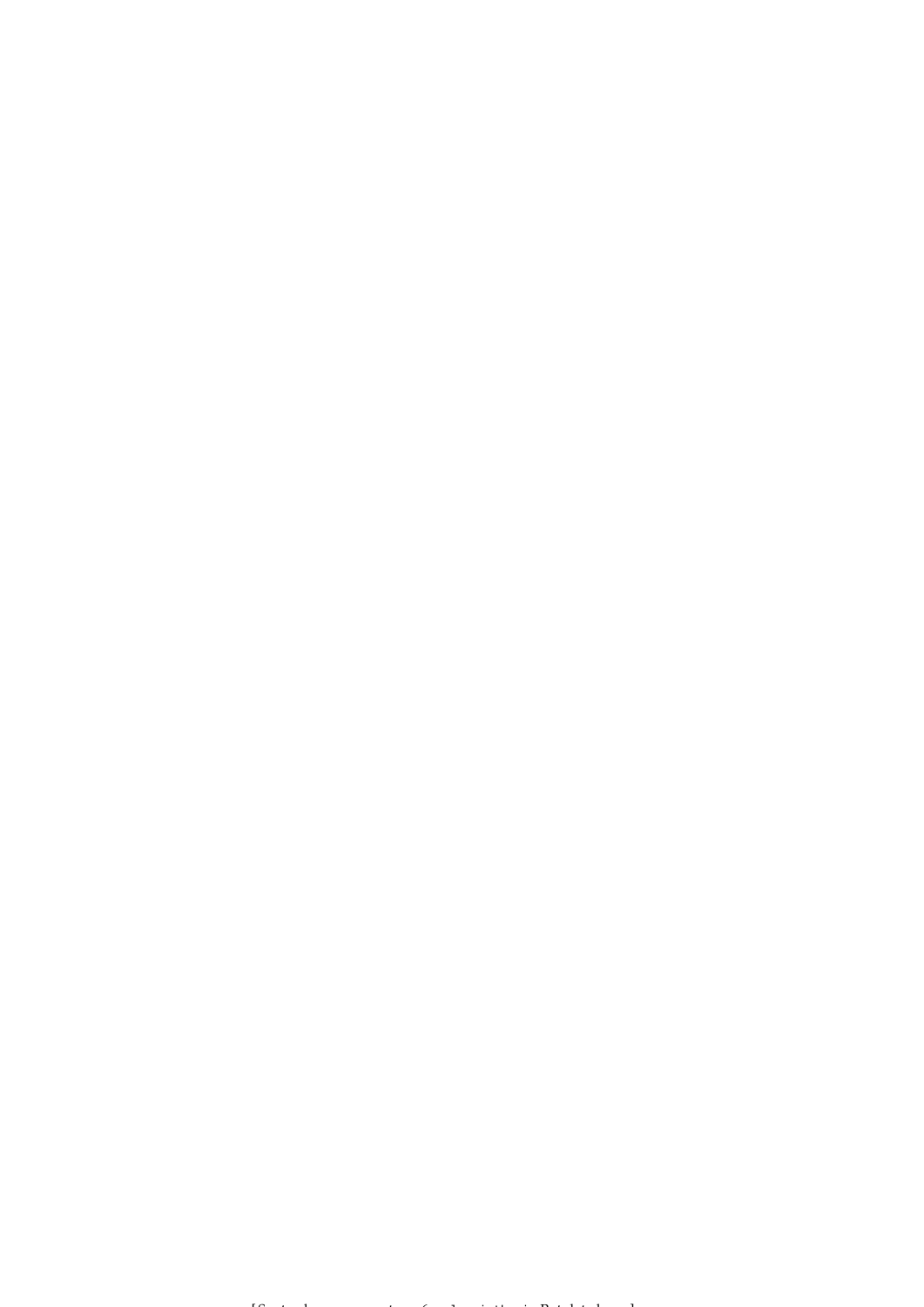$\begin{bmatrix} 1 & 0 & 1 \\ 0 & 1 & 1 \end{bmatrix}$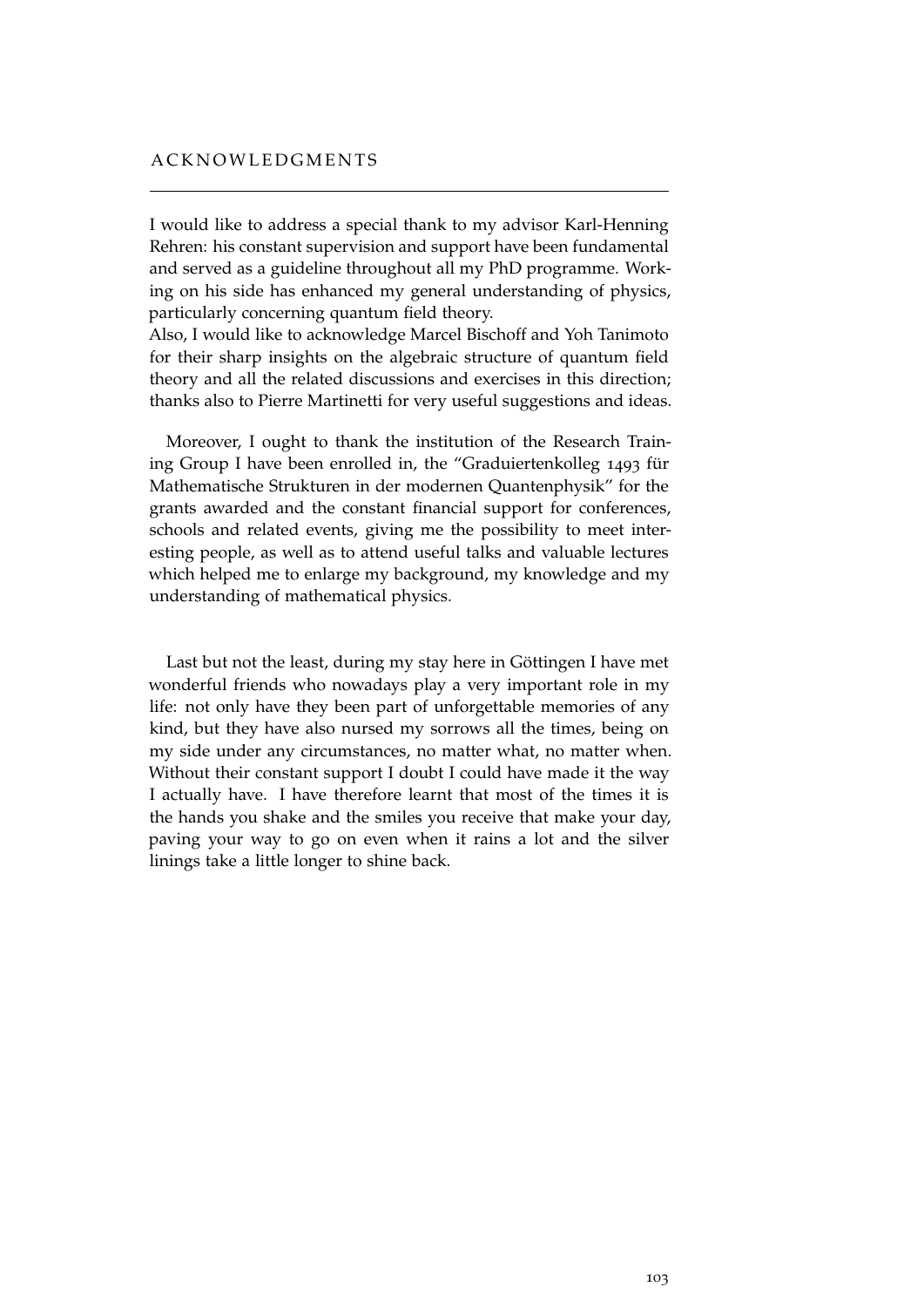I would like to address a special thank to my advisor Karl-Henning Rehren: his constant supervision and support have been fundamental and served as a guideline throughout all my PhD programme. Working on his side has enhanced my general understanding of physics, particularly concerning quantum field theory.

Also, I would like to acknowledge Marcel Bischoff and Yoh Tanimoto for their sharp insights on the algebraic structure of quantum field theory and all the related discussions and exercises in this direction; thanks also to Pierre Martinetti for very useful suggestions and ideas.

Moreover, I ought to thank the institution of the Research Training Group I have been enrolled in, the "Graduiertenkolleg 1493 für Mathematische Strukturen in der modernen Quantenphysik" for the grants awarded and the constant financial support for conferences, schools and related events, giving me the possibility to meet interesting people, as well as to attend useful talks and valuable lectures which helped me to enlarge my background, my knowledge and my understanding of mathematical physics.

Last but not the least, during my stay here in Göttingen I have met wonderful friends who nowadays play a very important role in my life: not only have they been part of unforgettable memories of any kind, but they have also nursed my sorrows all the times, being on my side under any circumstances, no matter what, no matter when. Without their constant support I doubt I could have made it the way I actually have. I have therefore learnt that most of the times it is the hands you shake and the smiles you receive that make your day, paving your way to go on even when it rains a lot and the silver linings take a little longer to shine back.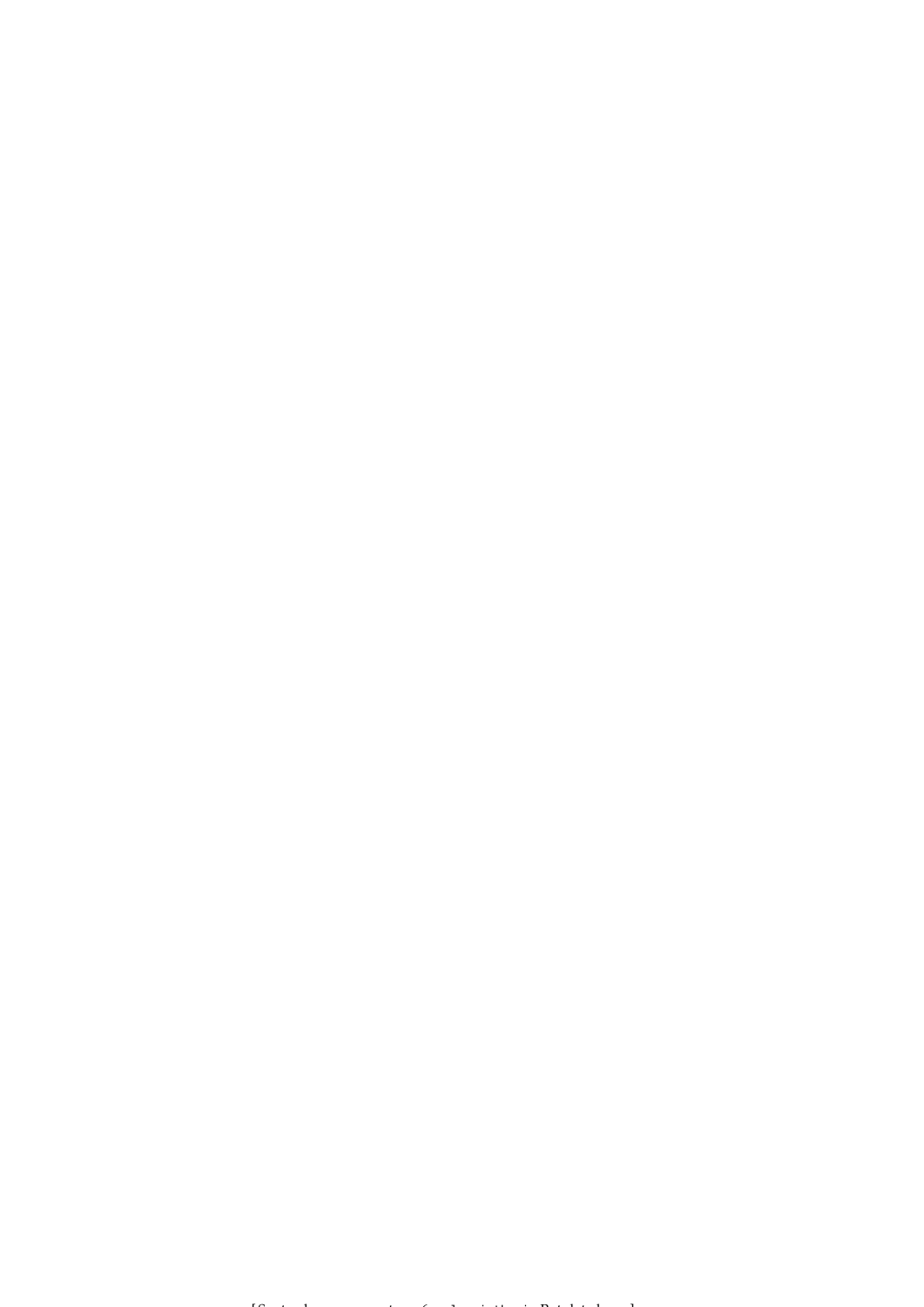$\begin{bmatrix} 1 & 0 & 1 \\ 0 & 1 & 1 \end{bmatrix}$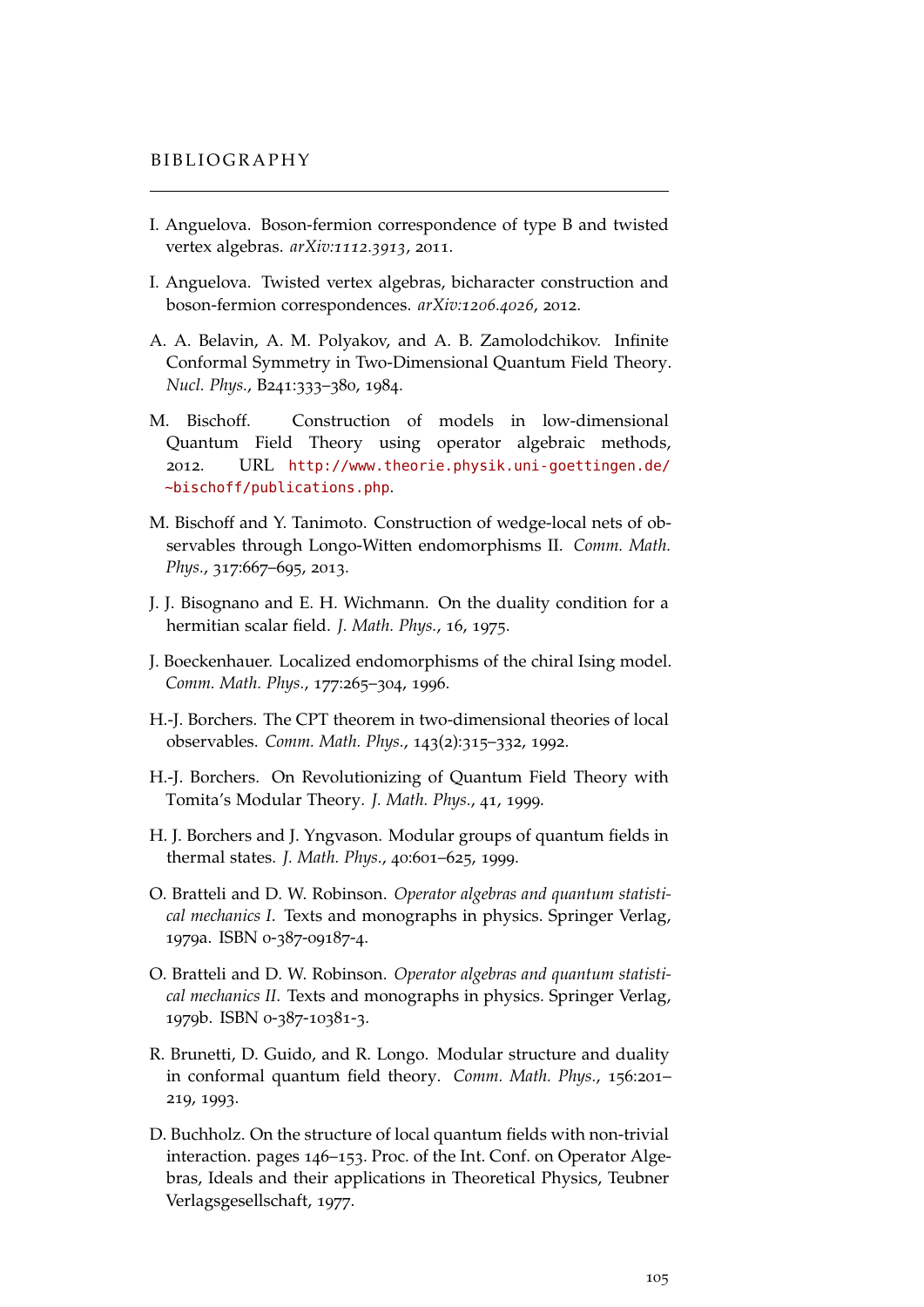- I. Anguelova. Boson-fermion correspondence of type B and twisted vertex algebras. *arXiv:1112.3913*, 2011.
- I. Anguelova. Twisted vertex algebras, bicharacter construction and boson-fermion correspondences. *arXiv:1206.4026*, 2012.
- A. A. Belavin, A. M. Polyakov, and A. B. Zamolodchikov. Infinite Conformal Symmetry in Two-Dimensional Quantum Field Theory. *Nucl. Phys.*, B241:333–380, 1984.
- M. Bischoff. Construction of models in low-dimensional Quantum Field Theory using operator algebraic methods, 2012. URL [http://www.theorie.physik.uni-goettingen.de/](http://www.theorie.physik.uni-goettingen.de/~bischoff/publications.php) [~bischoff/publications.php](http://www.theorie.physik.uni-goettingen.de/~bischoff/publications.php).
- M. Bischoff and Y. Tanimoto. Construction of wedge-local nets of observables through Longo-Witten endomorphisms II. *Comm. Math. Phys.*, 317:667–695, 2013.
- J. J. Bisognano and E. H. Wichmann. On the duality condition for a hermitian scalar field. *J. Math. Phys.*, 16, 1975.
- J. Boeckenhauer. Localized endomorphisms of the chiral Ising model. *Comm. Math. Phys.*, 177:265–304, 1996.
- H.-J. Borchers. The CPT theorem in two-dimensional theories of local observables. *Comm. Math. Phys.*, 143(2):315–332, 1992.
- H.-J. Borchers. On Revolutionizing of Quantum Field Theory with Tomita's Modular Theory. *J. Math. Phys.*, 41, 1999.
- H. J. Borchers and J. Yngvason. Modular groups of quantum fields in thermal states. *J. Math. Phys.*, 40:601–625, 1999.
- O. Bratteli and D. W. Robinson. *Operator algebras and quantum statistical mechanics I*. Texts and monographs in physics. Springer Verlag, 1979a. ISBN 0-387-09187-4.
- O. Bratteli and D. W. Robinson. *Operator algebras and quantum statistical mechanics II*. Texts and monographs in physics. Springer Verlag, 1979b. ISBN 0-387-10381-3.
- R. Brunetti, D. Guido, and R. Longo. Modular structure and duality in conformal quantum field theory. *Comm. Math. Phys.*, 156:201– 219, 1993.
- D. Buchholz. On the structure of local quantum fields with non-trivial interaction. pages 146–153. Proc. of the Int. Conf. on Operator Algebras, Ideals and their applications in Theoretical Physics, Teubner Verlagsgesellschaft, 1977.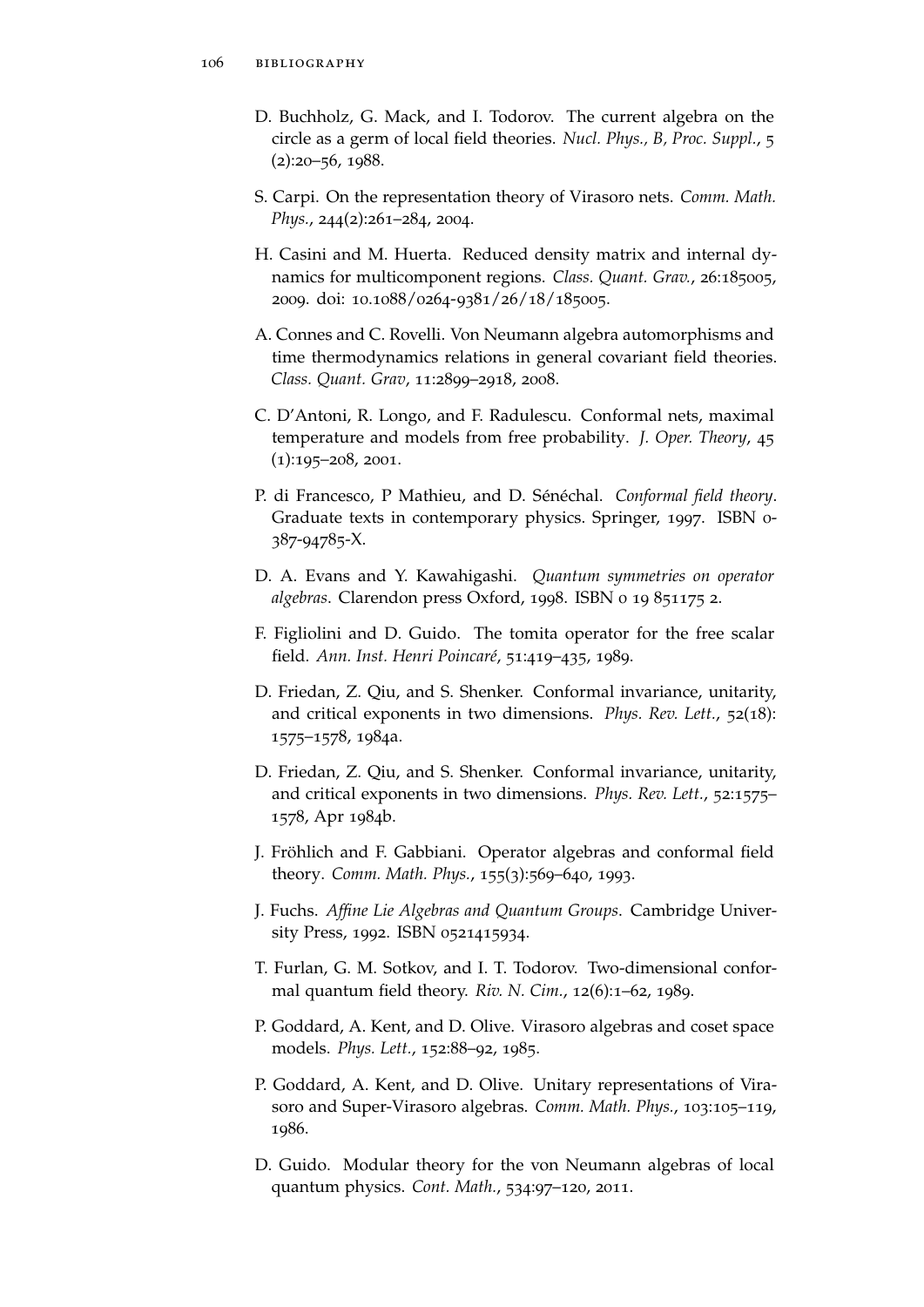- D. Buchholz, G. Mack, and I. Todorov. The current algebra on the circle as a germ of local field theories. *Nucl. Phys., B, Proc. Suppl.*, 5 (2):20–56, 1988.
- S. Carpi. On the representation theory of Virasoro nets. *Comm. Math. Phys.*, 244(2):261–284, 2004.
- H. Casini and M. Huerta. Reduced density matrix and internal dynamics for multicomponent regions. *Class. Quant. Grav.*, 26:185005, 2009. doi: 10.1088/0264-9381/26/18/185005.
- A. Connes and C. Rovelli. Von Neumann algebra automorphisms and time thermodynamics relations in general covariant field theories. *Class. Quant. Grav*, 11:2899–2918, 2008.
- C. D'Antoni, R. Longo, and F. Radulescu. Conformal nets, maximal temperature and models from free probability. *J. Oper. Theory*, 45  $(1):195-208, 2001.$
- P. di Francesco, P Mathieu, and D. Sénéchal. *Conformal field theory*. Graduate texts in contemporary physics. Springer, 1997. ISBN 0- 387-94785-X.
- D. A. Evans and Y. Kawahigashi. *Quantum symmetries on operator algebras*. Clarendon press Oxford, 1998. ISBN 0 19 851175 2.
- <span id="page-117-0"></span>F. Figliolini and D. Guido. The tomita operator for the free scalar field. *Ann. Inst. Henri Poincaré*, 51:419–435, 1989.
- D. Friedan, Z. Qiu, and S. Shenker. Conformal invariance, unitarity, and critical exponents in two dimensions. *Phys. Rev. Lett.*, 52(18): 1575–1578, 1984a.
- D. Friedan, Z. Qiu, and S. Shenker. Conformal invariance, unitarity, and critical exponents in two dimensions. *Phys. Rev. Lett.*, 52:1575– 1578, Apr 1984b.
- J. Fröhlich and F. Gabbiani. Operator algebras and conformal field theory. *Comm. Math. Phys.*, 155(3):569–640, 1993.
- J. Fuchs. *Affine Lie Algebras and Quantum Groups*. Cambridge University Press, 1992. ISBN 0521415934.
- T. Furlan, G. M. Sotkov, and I. T. Todorov. Two-dimensional conformal quantum field theory. *Riv. N. Cim.*, 12(6):1–62, 1989.
- P. Goddard, A. Kent, and D. Olive. Virasoro algebras and coset space models. *Phys. Lett.*, 152:88–92, 1985.
- P. Goddard, A. Kent, and D. Olive. Unitary representations of Virasoro and Super-Virasoro algebras. *Comm. Math. Phys.*, 103:105–119, 1986.
- D. Guido. Modular theory for the von Neumann algebras of local quantum physics. *Cont. Math.*, 534:97–120, 2011.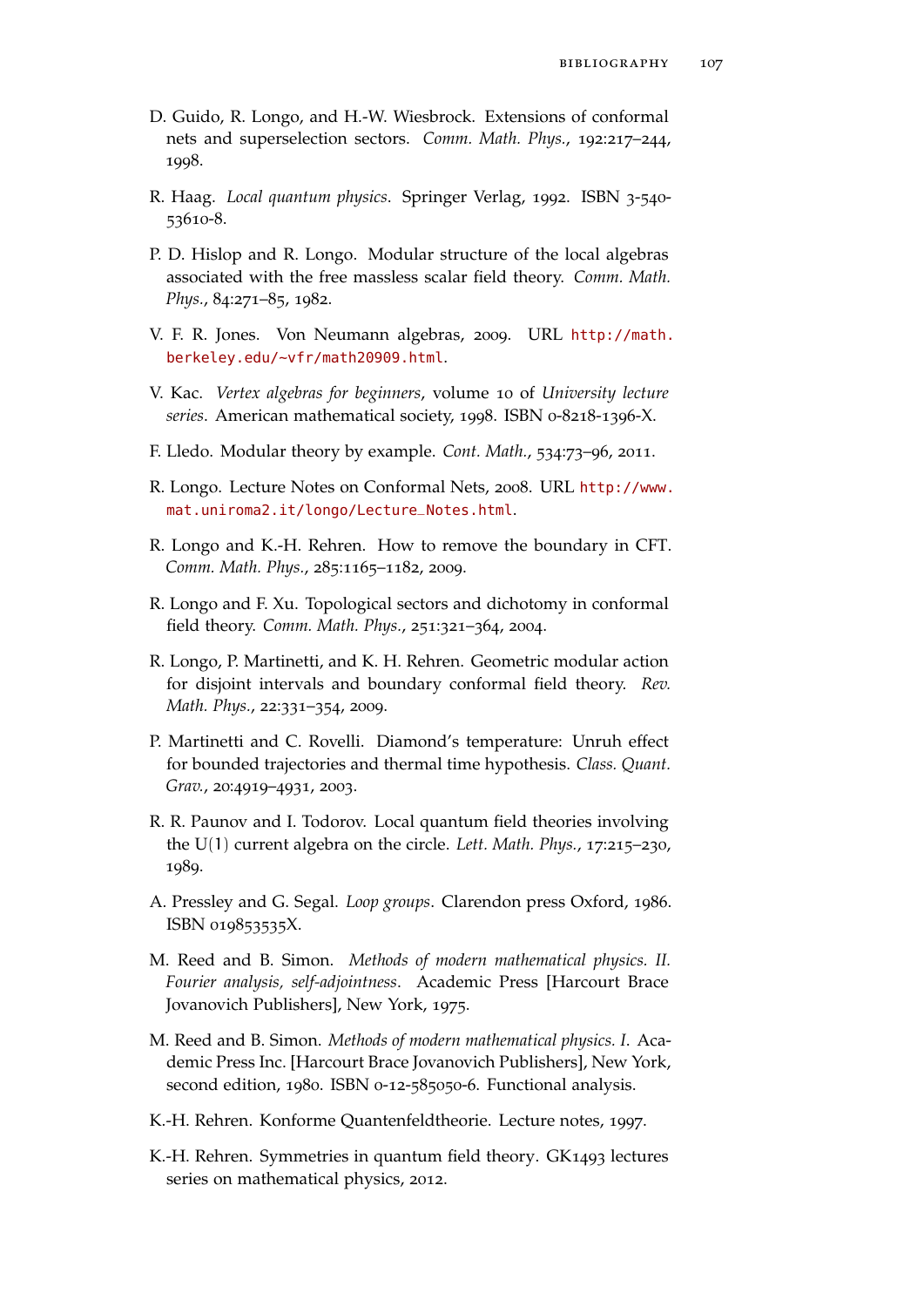- D. Guido, R. Longo, and H.-W. Wiesbrock. Extensions of conformal nets and superselection sectors. *Comm. Math. Phys.*, 192:217–244, 1998.
- R. Haag. *Local quantum physics*. Springer Verlag, 1992. ISBN 3-540- 53610-8.
- P. D. Hislop and R. Longo. Modular structure of the local algebras associated with the free massless scalar field theory. *Comm. Math. Phys.*, 84:271–85, 1982.
- V. F. R. Jones. Von Neumann algebras, 2009. URL [http://math.](http://math.berkeley.edu/~vfr/math20909.html) [berkeley.edu/~vfr/math20909.html](http://math.berkeley.edu/~vfr/math20909.html).
- V. Kac. *Vertex algebras for beginners*, volume 10 of *University lecture series*. American mathematical society, 1998. ISBN 0-8218-1396-X.
- F. Lledo. Modular theory by example. *Cont. Math.*, 534:73–96, 2011.
- R. Longo. Lecture Notes on Conformal Nets, 2008. URL [http://www.](http://www.mat.uniroma2.it/longo/Lecture_Notes.html) [mat.uniroma2.it/longo/Lecture\\_Notes.html](http://www.mat.uniroma2.it/longo/Lecture_Notes.html).
- R. Longo and K.-H. Rehren. How to remove the boundary in CFT. *Comm. Math. Phys.*, 285:1165–1182, 2009.
- R. Longo and F. Xu. Topological sectors and dichotomy in conformal field theory. *Comm. Math. Phys.*, 251:321–364, 2004.
- R. Longo, P. Martinetti, and K. H. Rehren. Geometric modular action for disjoint intervals and boundary conformal field theory. *Rev. Math. Phys.*, 22:331–354, 2009.
- P. Martinetti and C. Rovelli. Diamond's temperature: Unruh effect for bounded trajectories and thermal time hypothesis. *Class. Quant. Grav.*, 20:4919–4931, 2003.
- R. R. Paunov and I. Todorov. Local quantum field theories involving the U(1) current algebra on the circle. *Lett. Math. Phys.*, 17:215–230, 1989.
- A. Pressley and G. Segal. *Loop groups*. Clarendon press Oxford, 1986. ISBN 019853535X.
- M. Reed and B. Simon. *Methods of modern mathematical physics. II. Fourier analysis, self-adjointness*. Academic Press [Harcourt Brace Jovanovich Publishers], New York, 1975.
- M. Reed and B. Simon. *Methods of modern mathematical physics. I*. Academic Press Inc. [Harcourt Brace Jovanovich Publishers], New York, second edition, 1980. ISBN 0-12-585050-6. Functional analysis.
- K.-H. Rehren. Konforme Quantenfeldtheorie. Lecture notes, 1997.
- K.-H. Rehren. Symmetries in quantum field theory. GK1493 lectures series on mathematical physics, 2012.